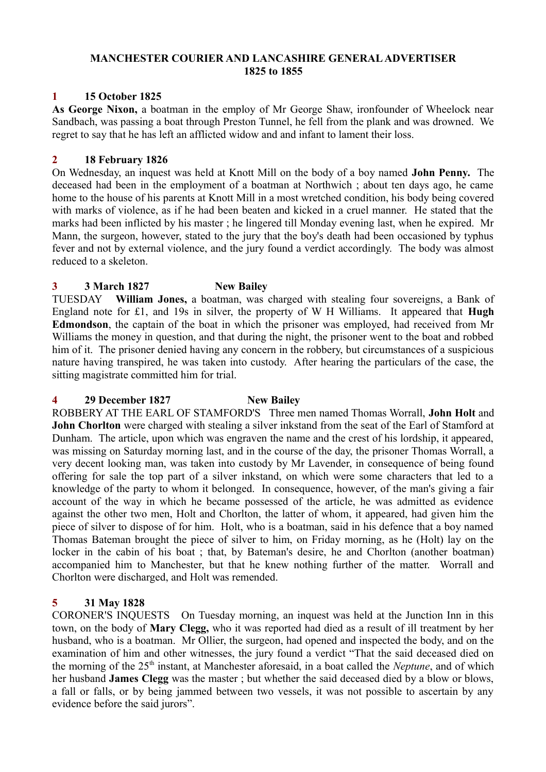#### **MANCHESTER COURIER AND LANCASHIRE GENERAL ADVERTISER 1825 to 1855**

# **1 15 October 1825**

**As George Nixon,** a boatman in the employ of Mr George Shaw, ironfounder of Wheelock near Sandbach, was passing a boat through Preston Tunnel, he fell from the plank and was drowned. We regret to say that he has left an afflicted widow and and infant to lament their loss.

# **2 18 February 1826**

On Wednesday, an inquest was held at Knott Mill on the body of a boy named **John Penny.** The deceased had been in the employment of a boatman at Northwich ; about ten days ago, he came home to the house of his parents at Knott Mill in a most wretched condition, his body being covered with marks of violence, as if he had been beaten and kicked in a cruel manner. He stated that the marks had been inflicted by his master ; he lingered till Monday evening last, when he expired. Mr Mann, the surgeon, however, stated to the jury that the boy's death had been occasioned by typhus fever and not by external violence, and the jury found a verdict accordingly. The body was almost reduced to a skeleton.

# **3 3 March 1827 New Bailey**

TUESDAY **William Jones,** a boatman, was charged with stealing four sovereigns, a Bank of England note for £1, and 19s in silver, the property of W H Williams. It appeared that **Hugh Edmondson**, the captain of the boat in which the prisoner was employed, had received from Mr Williams the money in question, and that during the night, the prisoner went to the boat and robbed him of it. The prisoner denied having any concern in the robbery, but circumstances of a suspicious nature having transpired, he was taken into custody. After hearing the particulars of the case, the sitting magistrate committed him for trial.

# **4 29 December 1827 New Bailey**

ROBBERY AT THE EARL OF STAMFORD'S Three men named Thomas Worrall, **John Holt** and **John Chorlton** were charged with stealing a silver inkstand from the seat of the Earl of Stamford at Dunham. The article, upon which was engraven the name and the crest of his lordship, it appeared, was missing on Saturday morning last, and in the course of the day, the prisoner Thomas Worrall, a very decent looking man, was taken into custody by Mr Lavender, in consequence of being found offering for sale the top part of a silver inkstand, on which were some characters that led to a knowledge of the party to whom it belonged. In consequence, however, of the man's giving a fair account of the way in which he became possessed of the article, he was admitted as evidence against the other two men, Holt and Chorlton, the latter of whom, it appeared, had given him the piece of silver to dispose of for him. Holt, who is a boatman, said in his defence that a boy named Thomas Bateman brought the piece of silver to him, on Friday morning, as he (Holt) lay on the locker in the cabin of his boat ; that, by Bateman's desire, he and Chorlton (another boatman) accompanied him to Manchester, but that he knew nothing further of the matter. Worrall and Chorlton were discharged, and Holt was remended.

# **5 31 May 1828**

CORONER'S INQUESTS On Tuesday morning, an inquest was held at the Junction Inn in this town, on the body of **Mary Clegg,** who it was reported had died as a result of ill treatment by her husband, who is a boatman. Mr Ollier, the surgeon, had opened and inspected the body, and on the examination of him and other witnesses, the jury found a verdict "That the said deceased died on the morning of the 25th instant, at Manchester aforesaid, in a boat called the *Neptune*, and of which her husband **James Clegg** was the master ; but whether the said deceased died by a blow or blows, a fall or falls, or by being jammed between two vessels, it was not possible to ascertain by any evidence before the said jurors".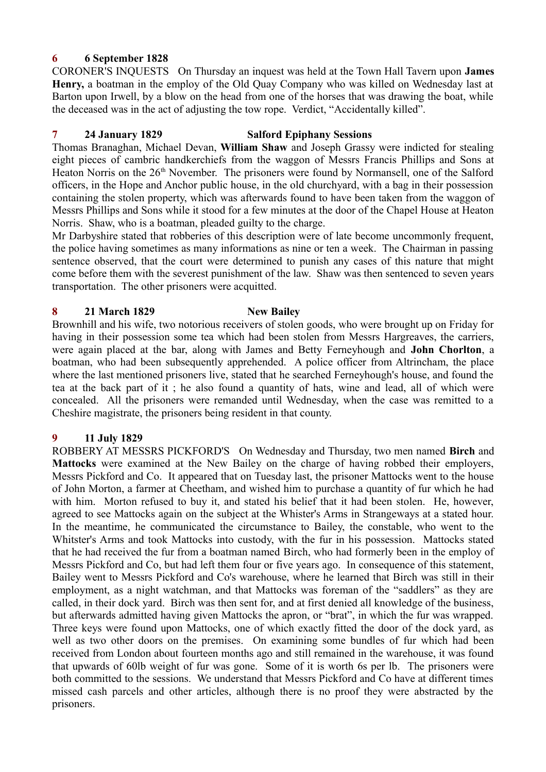# **6 6 September 1828**

CORONER'S INQUESTS On Thursday an inquest was held at the Town Hall Tavern upon **James Henry,** a boatman in the employ of the Old Quay Company who was killed on Wednesday last at Barton upon Irwell, by a blow on the head from one of the horses that was drawing the boat, while the deceased was in the act of adjusting the tow rope. Verdict, "Accidentally killed".

# **7 24 January 1829 Salford Epiphany Sessions**

Thomas Branaghan, Michael Devan, **William Shaw** and Joseph Grassy were indicted for stealing eight pieces of cambric handkerchiefs from the waggon of Messrs Francis Phillips and Sons at Heaton Norris on the 26<sup>th</sup> November. The prisoners were found by Normansell, one of the Salford officers, in the Hope and Anchor public house, in the old churchyard, with a bag in their possession containing the stolen property, which was afterwards found to have been taken from the waggon of Messrs Phillips and Sons while it stood for a few minutes at the door of the Chapel House at Heaton Norris. Shaw, who is a boatman, pleaded guilty to the charge.

Mr Darbyshire stated that robberies of this description were of late become uncommonly frequent, the police having sometimes as many informations as nine or ten a week. The Chairman in passing sentence observed, that the court were determined to punish any cases of this nature that might come before them with the severest punishment of the law. Shaw was then sentenced to seven years transportation. The other prisoners were acquitted.

### **8 21 March 1829 New Bailey**

Brownhill and his wife, two notorious receivers of stolen goods, who were brought up on Friday for having in their possession some tea which had been stolen from Messrs Hargreaves, the carriers, were again placed at the bar, along with James and Betty Ferneyhough and **John Chorlton**, a boatman, who had been subsequently apprehended. A police officer from Altrincham, the place where the last mentioned prisoners live, stated that he searched Ferneyhough's house, and found the tea at the back part of it ; he also found a quantity of hats, wine and lead, all of which were concealed. All the prisoners were remanded until Wednesday, when the case was remitted to a Cheshire magistrate, the prisoners being resident in that county.

# **9 11 July 1829**

ROBBERY AT MESSRS PICKFORD'S On Wednesday and Thursday, two men named **Birch** and **Mattocks** were examined at the New Bailey on the charge of having robbed their employers, Messrs Pickford and Co. It appeared that on Tuesday last, the prisoner Mattocks went to the house of John Morton, a farmer at Cheetham, and wished him to purchase a quantity of fur which he had with him. Morton refused to buy it, and stated his belief that it had been stolen. He, however, agreed to see Mattocks again on the subject at the Whister's Arms in Strangeways at a stated hour. In the meantime, he communicated the circumstance to Bailey, the constable, who went to the Whitster's Arms and took Mattocks into custody, with the fur in his possession. Mattocks stated that he had received the fur from a boatman named Birch, who had formerly been in the employ of Messrs Pickford and Co, but had left them four or five years ago. In consequence of this statement, Bailey went to Messrs Pickford and Co's warehouse, where he learned that Birch was still in their employment, as a night watchman, and that Mattocks was foreman of the "saddlers" as they are called, in their dock yard. Birch was then sent for, and at first denied all knowledge of the business, but afterwards admitted having given Mattocks the apron, or "brat", in which the fur was wrapped. Three keys were found upon Mattocks, one of which exactly fitted the door of the dock yard, as well as two other doors on the premises. On examining some bundles of fur which had been received from London about fourteen months ago and still remained in the warehouse, it was found that upwards of 60lb weight of fur was gone. Some of it is worth 6s per lb. The prisoners were both committed to the sessions. We understand that Messrs Pickford and Co have at different times missed cash parcels and other articles, although there is no proof they were abstracted by the prisoners.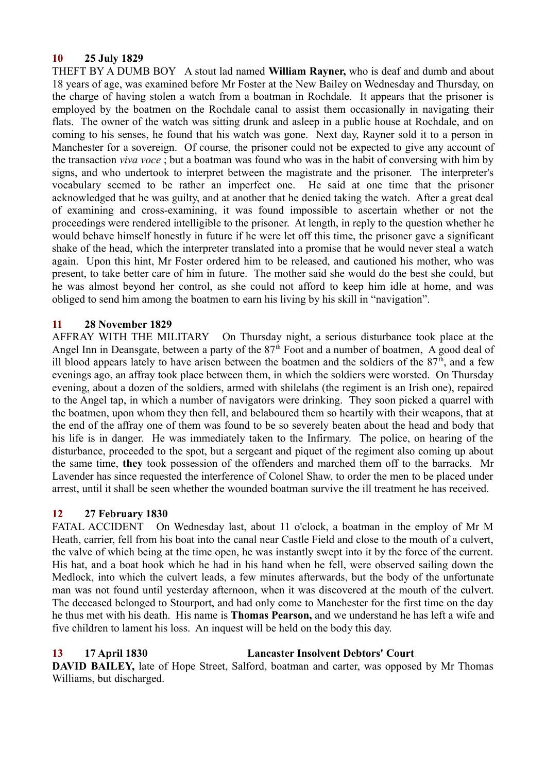# **10 25 July 1829**

THEFT BY A DUMB BOY A stout lad named **William Rayner,** who is deaf and dumb and about 18 years of age, was examined before Mr Foster at the New Bailey on Wednesday and Thursday, on the charge of having stolen a watch from a boatman in Rochdale. It appears that the prisoner is employed by the boatmen on the Rochdale canal to assist them occasionally in navigating their flats. The owner of the watch was sitting drunk and asleep in a public house at Rochdale, and on coming to his senses, he found that his watch was gone. Next day, Rayner sold it to a person in Manchester for a sovereign. Of course, the prisoner could not be expected to give any account of the transaction *viva voce* ; but a boatman was found who was in the habit of conversing with him by signs, and who undertook to interpret between the magistrate and the prisoner. The interpreter's vocabulary seemed to be rather an imperfect one. He said at one time that the prisoner acknowledged that he was guilty, and at another that he denied taking the watch. After a great deal of examining and cross-examining, it was found impossible to ascertain whether or not the proceedings were rendered intelligible to the prisoner. At length, in reply to the question whether he would behave himself honestly in future if he were let off this time, the prisoner gave a significant shake of the head, which the interpreter translated into a promise that he would never steal a watch again. Upon this hint, Mr Foster ordered him to be released, and cautioned his mother, who was present, to take better care of him in future. The mother said she would do the best she could, but he was almost beyond her control, as she could not afford to keep him idle at home, and was obliged to send him among the boatmen to earn his living by his skill in "navigation".

### **11 28 November 1829**

AFFRAY WITH THE MILITARY On Thursday night, a serious disturbance took place at the Angel Inn in Deansgate, between a party of the  $87<sup>th</sup>$  Foot and a number of boatmen, A good deal of ill blood appears lately to have arisen between the boatmen and the soldiers of the  $87<sup>th</sup>$ , and a few evenings ago, an affray took place between them, in which the soldiers were worsted. On Thursday evening, about a dozen of the soldiers, armed with shilelahs (the regiment is an Irish one), repaired to the Angel tap, in which a number of navigators were drinking. They soon picked a quarrel with the boatmen, upon whom they then fell, and belaboured them so heartily with their weapons, that at the end of the affray one of them was found to be so severely beaten about the head and body that his life is in danger. He was immediately taken to the Infirmary. The police, on hearing of the disturbance, proceeded to the spot, but a sergeant and piquet of the regiment also coming up about the same time, **they** took possession of the offenders and marched them off to the barracks. Mr Lavender has since requested the interference of Colonel Shaw, to order the men to be placed under arrest, until it shall be seen whether the wounded boatman survive the ill treatment he has received.

# **12 27 February 1830**

FATAL ACCIDENT On Wednesday last, about 11 o'clock, a boatman in the employ of Mr M Heath, carrier, fell from his boat into the canal near Castle Field and close to the mouth of a culvert, the valve of which being at the time open, he was instantly swept into it by the force of the current. His hat, and a boat hook which he had in his hand when he fell, were observed sailing down the Medlock, into which the culvert leads, a few minutes afterwards, but the body of the unfortunate man was not found until yesterday afternoon, when it was discovered at the mouth of the culvert. The deceased belonged to Stourport, and had only come to Manchester for the first time on the day he thus met with his death. His name is **Thomas Pearson,** and we understand he has left a wife and five children to lament his loss. An inquest will be held on the body this day.

# **13 17 April 1830 Lancaster Insolvent Debtors' Court**

**DAVID BAILEY,** late of Hope Street, Salford, boatman and carter, was opposed by Mr Thomas Williams, but discharged.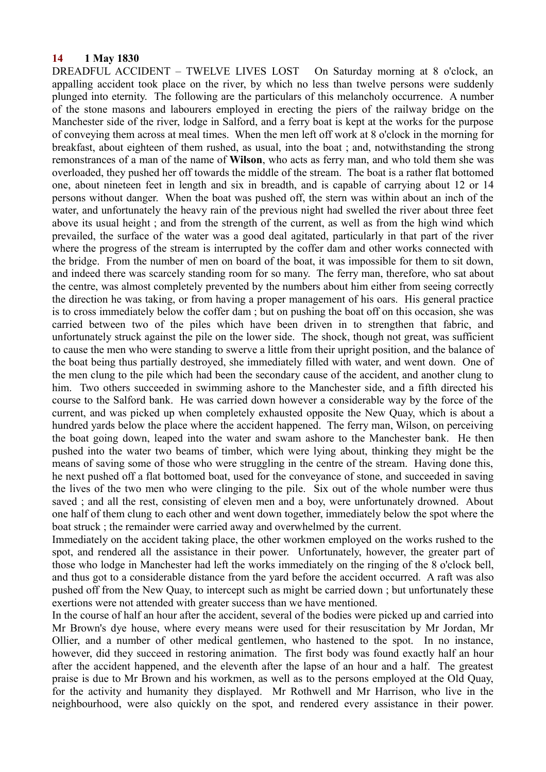#### **14 1 May 1830**

DREADFUL ACCIDENT – TWELVE LIVES LOST On Saturday morning at 8 o'clock, an appalling accident took place on the river, by which no less than twelve persons were suddenly plunged into eternity. The following are the particulars of this melancholy occurrence. A number of the stone masons and labourers employed in erecting the piers of the railway bridge on the Manchester side of the river, lodge in Salford, and a ferry boat is kept at the works for the purpose of conveying them across at meal times. When the men left off work at 8 o'clock in the morning for breakfast, about eighteen of them rushed, as usual, into the boat ; and, notwithstanding the strong remonstrances of a man of the name of **Wilson**, who acts as ferry man, and who told them she was overloaded, they pushed her off towards the middle of the stream. The boat is a rather flat bottomed one, about nineteen feet in length and six in breadth, and is capable of carrying about 12 or 14 persons without danger. When the boat was pushed off, the stern was within about an inch of the water, and unfortunately the heavy rain of the previous night had swelled the river about three feet above its usual height ; and from the strength of the current, as well as from the high wind which prevailed, the surface of the water was a good deal agitated, particularly in that part of the river where the progress of the stream is interrupted by the coffer dam and other works connected with the bridge. From the number of men on board of the boat, it was impossible for them to sit down, and indeed there was scarcely standing room for so many. The ferry man, therefore, who sat about the centre, was almost completely prevented by the numbers about him either from seeing correctly the direction he was taking, or from having a proper management of his oars. His general practice is to cross immediately below the coffer dam ; but on pushing the boat off on this occasion, she was carried between two of the piles which have been driven in to strengthen that fabric, and unfortunately struck against the pile on the lower side. The shock, though not great, was sufficient to cause the men who were standing to swerve a little from their upright position, and the balance of the boat being thus partially destroyed, she immediately filled with water, and went down. One of the men clung to the pile which had been the secondary cause of the accident, and another clung to him. Two others succeeded in swimming ashore to the Manchester side, and a fifth directed his course to the Salford bank. He was carried down however a considerable way by the force of the current, and was picked up when completely exhausted opposite the New Quay, which is about a hundred yards below the place where the accident happened. The ferry man, Wilson, on perceiving the boat going down, leaped into the water and swam ashore to the Manchester bank. He then pushed into the water two beams of timber, which were lying about, thinking they might be the means of saving some of those who were struggling in the centre of the stream. Having done this, he next pushed off a flat bottomed boat, used for the conveyance of stone, and succeeded in saving the lives of the two men who were clinging to the pile. Six out of the whole number were thus saved ; and all the rest, consisting of eleven men and a boy, were unfortunately drowned. About one half of them clung to each other and went down together, immediately below the spot where the boat struck ; the remainder were carried away and overwhelmed by the current.

Immediately on the accident taking place, the other workmen employed on the works rushed to the spot, and rendered all the assistance in their power. Unfortunately, however, the greater part of those who lodge in Manchester had left the works immediately on the ringing of the 8 o'clock bell, and thus got to a considerable distance from the yard before the accident occurred. A raft was also pushed off from the New Quay, to intercept such as might be carried down ; but unfortunately these exertions were not attended with greater success than we have mentioned.

In the course of half an hour after the accident, several of the bodies were picked up and carried into Mr Brown's dye house, where every means were used for their resuscitation by Mr Jordan, Mr Ollier, and a number of other medical gentlemen, who hastened to the spot. In no instance, however, did they succeed in restoring animation. The first body was found exactly half an hour after the accident happened, and the eleventh after the lapse of an hour and a half. The greatest praise is due to Mr Brown and his workmen, as well as to the persons employed at the Old Quay, for the activity and humanity they displayed. Mr Rothwell and Mr Harrison, who live in the neighbourhood, were also quickly on the spot, and rendered every assistance in their power.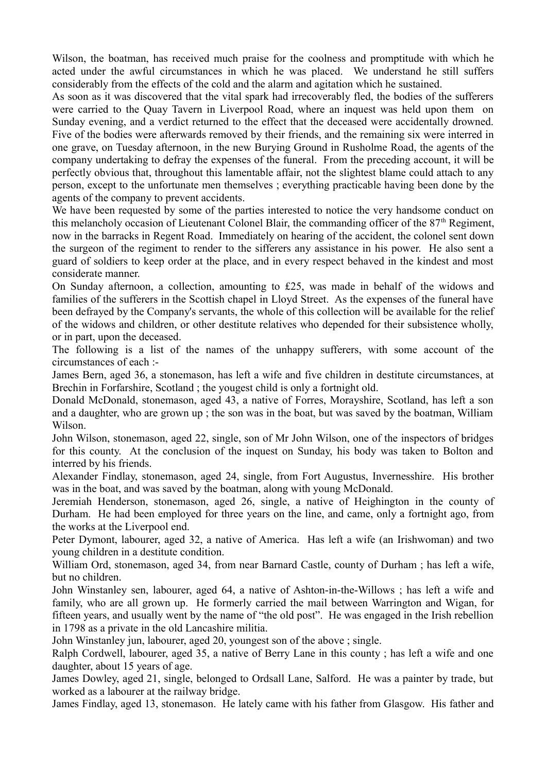Wilson, the boatman, has received much praise for the coolness and promptitude with which he acted under the awful circumstances in which he was placed. We understand he still suffers considerably from the effects of the cold and the alarm and agitation which he sustained.

As soon as it was discovered that the vital spark had irrecoverably fled, the bodies of the sufferers were carried to the Quay Tavern in Liverpool Road, where an inquest was held upon them on Sunday evening, and a verdict returned to the effect that the deceased were accidentally drowned. Five of the bodies were afterwards removed by their friends, and the remaining six were interred in one grave, on Tuesday afternoon, in the new Burying Ground in Rusholme Road, the agents of the company undertaking to defray the expenses of the funeral. From the preceding account, it will be perfectly obvious that, throughout this lamentable affair, not the slightest blame could attach to any person, except to the unfortunate men themselves ; everything practicable having been done by the agents of the company to prevent accidents.

We have been requested by some of the parties interested to notice the very handsome conduct on this melancholy occasion of Lieutenant Colonel Blair, the commanding officer of the  $87<sup>th</sup>$  Regiment, now in the barracks in Regent Road. Immediately on hearing of the accident, the colonel sent down the surgeon of the regiment to render to the sifferers any assistance in his power. He also sent a guard of soldiers to keep order at the place, and in every respect behaved in the kindest and most considerate manner.

On Sunday afternoon, a collection, amounting to £25, was made in behalf of the widows and families of the sufferers in the Scottish chapel in Lloyd Street. As the expenses of the funeral have been defrayed by the Company's servants, the whole of this collection will be available for the relief of the widows and children, or other destitute relatives who depended for their subsistence wholly, or in part, upon the deceased.

The following is a list of the names of the unhappy sufferers, with some account of the circumstances of each :-

James Bern, aged 36, a stonemason, has left a wife and five children in destitute circumstances, at Brechin in Forfarshire, Scotland ; the yougest child is only a fortnight old.

Donald McDonald, stonemason, aged 43, a native of Forres, Morayshire, Scotland, has left a son and a daughter, who are grown up ; the son was in the boat, but was saved by the boatman, William Wilson.

John Wilson, stonemason, aged 22, single, son of Mr John Wilson, one of the inspectors of bridges for this county. At the conclusion of the inquest on Sunday, his body was taken to Bolton and interred by his friends.

Alexander Findlay, stonemason, aged 24, single, from Fort Augustus, Invernesshire. His brother was in the boat, and was saved by the boatman, along with young McDonald.

Jeremiah Henderson, stonemason, aged 26, single, a native of Heighington in the county of Durham. He had been employed for three years on the line, and came, only a fortnight ago, from the works at the Liverpool end.

Peter Dymont, labourer, aged 32, a native of America. Has left a wife (an Irishwoman) and two young children in a destitute condition.

William Ord, stonemason, aged 34, from near Barnard Castle, county of Durham ; has left a wife, but no children.

John Winstanley sen, labourer, aged 64, a native of Ashton-in-the-Willows ; has left a wife and family, who are all grown up. He formerly carried the mail between Warrington and Wigan, for fifteen years, and usually went by the name of "the old post". He was engaged in the Irish rebellion in 1798 as a private in the old Lancashire militia.

John Winstanley jun, labourer, aged 20, youngest son of the above ; single.

Ralph Cordwell, labourer, aged 35, a native of Berry Lane in this county ; has left a wife and one daughter, about 15 years of age.

James Dowley, aged 21, single, belonged to Ordsall Lane, Salford. He was a painter by trade, but worked as a labourer at the railway bridge.

James Findlay, aged 13, stonemason. He lately came with his father from Glasgow. His father and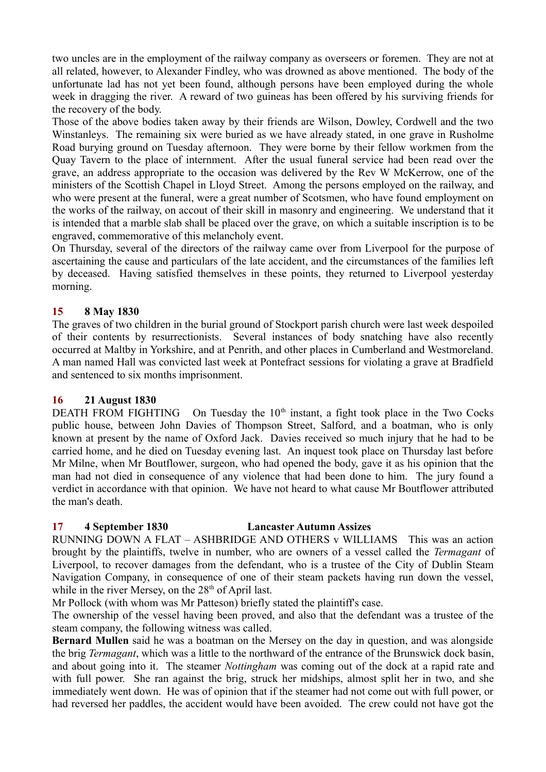two uncles are in the employment of the railway company as overseers or foremen. They are not at all related, however, to Alexander Findley, who was drowned as above mentioned. The body of the unfortunate lad has not yet been found, although persons have been employed during the whole week in dragging the river. A reward of two guineas has been offered by his surviving friends for the recovery of the body.

Those of the above bodies taken away by their friends are Wilson, Dowley, Cordwell and the two Winstanleys. The remaining six were buried as we have already stated, in one grave in Rusholme Road burying ground on Tuesday afternoon. They were borne by their fellow workmen from the Quay Tavern to the place of internment. After the usual funeral service had been read over the grave, an address appropriate to the occasion was delivered by the Rev W McKerrow, one of the ministers of the Scottish Chapel in Lloyd Street. Among the persons employed on the railway, and who were present at the funeral, were a great number of Scotsmen, who have found employment on the works of the railway, on accout of their skill in masonry and engineering. We understand that it is intended that a marble slab shall be placed over the grave, on which a suitable inscription is to be engraved, commemorative of this melancholy event.

On Thursday, several of the directors of the railway came over from Liverpool for the purpose of ascertaining the cause and particulars of the late accident, and the circumstances of the families left by deceased. Having satisfied themselves in these points, they returned to Liverpool yesterday morning.

# **15 8 May 1830**

The graves of two children in the burial ground of Stockport parish church were last week despoiled of their contents by resurrectionists. Several instances of body snatching have also recently occurred at Maltby in Yorkshire, and at Penrith, and other places in Cumberland and Westmoreland. A man named Hall was convicted last week at Pontefract sessions for violating a grave at Bradfield and sentenced to six months imprisonment.

# **16 21 August 1830**

DEATH FROM FIGHTING On Tuesday the  $10<sup>th</sup>$  instant, a fight took place in the Two Cocks public house, between John Davies of Thompson Street, Salford, and a boatman, who is only known at present by the name of Oxford Jack. Davies received so much injury that he had to be carried home, and he died on Tuesday evening last. An inquest took place on Thursday last before Mr Milne, when Mr Boutflower, surgeon, who had opened the body, gave it as his opinion that the man had not died in consequence of any violence that had been done to him. The jury found a verdict in accordance with that opinion. We have not heard to what cause Mr Boutflower attributed the man's death.

# **17 4 September 1830 Lancaster Autumn Assizes**

RUNNING DOWN A FLAT – ASHBRIDGE AND OTHERS v WILLIAMS This was an action brought by the plaintiffs, twelve in number, who are owners of a vessel called the *Termagant* of Liverpool, to recover damages from the defendant, who is a trustee of the City of Dublin Steam Navigation Company, in consequence of one of their steam packets having run down the vessel, while in the river Mersey, on the  $28<sup>th</sup>$  of April last.

Mr Pollock (with whom was Mr Patteson) briefly stated the plaintiff's case.

The ownership of the vessel having been proved, and also that the defendant was a trustee of the steam company, the following witness was called.

**Bernard Mullen** said he was a boatman on the Mersey on the day in question, and was alongside the brig *Termagant*, which was a little to the northward of the entrance of the Brunswick dock basin, and about going into it. The steamer *Nottingham* was coming out of the dock at a rapid rate and with full power. She ran against the brig, struck her midships, almost split her in two, and she immediately went down. He was of opinion that if the steamer had not come out with full power, or had reversed her paddles, the accident would have been avoided. The crew could not have got the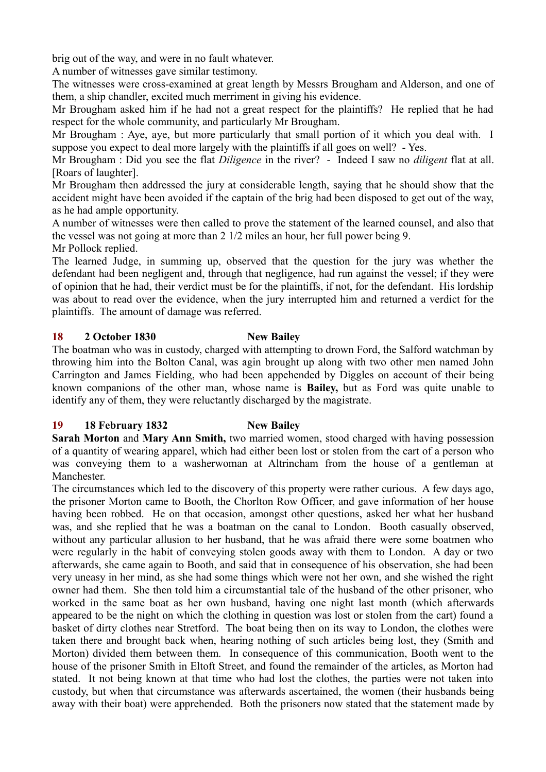brig out of the way, and were in no fault whatever.

A number of witnesses gave similar testimony.

The witnesses were cross-examined at great length by Messrs Brougham and Alderson, and one of them, a ship chandler, excited much merriment in giving his evidence.

Mr Brougham asked him if he had not a great respect for the plaintiffs? He replied that he had respect for the whole community, and particularly Mr Brougham.

Mr Brougham : Aye, aye, but more particularly that small portion of it which you deal with. I suppose you expect to deal more largely with the plaintiffs if all goes on well? - Yes.

Mr Brougham : Did you see the flat *Diligence* in the river? - Indeed I saw no *diligent* flat at all. [Roars of laughter].

Mr Brougham then addressed the jury at considerable length, saying that he should show that the accident might have been avoided if the captain of the brig had been disposed to get out of the way, as he had ample opportunity.

A number of witnesses were then called to prove the statement of the learned counsel, and also that the vessel was not going at more than 2 1/2 miles an hour, her full power being 9.

Mr Pollock replied.

The learned Judge, in summing up, observed that the question for the jury was whether the defendant had been negligent and, through that negligence, had run against the vessel; if they were of opinion that he had, their verdict must be for the plaintiffs, if not, for the defendant. His lordship was about to read over the evidence, when the jury interrupted him and returned a verdict for the plaintiffs. The amount of damage was referred.

# **18 2 October 1830 New Bailey**

The boatman who was in custody, charged with attempting to drown Ford, the Salford watchman by throwing him into the Bolton Canal, was agin brought up along with two other men named John Carrington and James Fielding, who had been appehended by Diggles on account of their being known companions of the other man, whose name is **Bailey,** but as Ford was quite unable to identify any of them, they were reluctantly discharged by the magistrate.

# **19 18 February 1832 New Bailey**

**Sarah Morton** and **Mary Ann Smith,** two married women, stood charged with having possession of a quantity of wearing apparel, which had either been lost or stolen from the cart of a person who was conveying them to a washerwoman at Altrincham from the house of a gentleman at Manchester.

The circumstances which led to the discovery of this property were rather curious. A few days ago, the prisoner Morton came to Booth, the Chorlton Row Officer, and gave information of her house having been robbed. He on that occasion, amongst other questions, asked her what her husband was, and she replied that he was a boatman on the canal to London. Booth casually observed, without any particular allusion to her husband, that he was afraid there were some boatmen who were regularly in the habit of conveying stolen goods away with them to London. A day or two afterwards, she came again to Booth, and said that in consequence of his observation, she had been very uneasy in her mind, as she had some things which were not her own, and she wished the right owner had them. She then told him a circumstantial tale of the husband of the other prisoner, who worked in the same boat as her own husband, having one night last month (which afterwards appeared to be the night on which the clothing in question was lost or stolen from the cart) found a basket of dirty clothes near Stretford. The boat being then on its way to London, the clothes were taken there and brought back when, hearing nothing of such articles being lost, they (Smith and Morton) divided them between them. In consequence of this communication, Booth went to the house of the prisoner Smith in Eltoft Street, and found the remainder of the articles, as Morton had stated. It not being known at that time who had lost the clothes, the parties were not taken into custody, but when that circumstance was afterwards ascertained, the women (their husbands being away with their boat) were apprehended. Both the prisoners now stated that the statement made by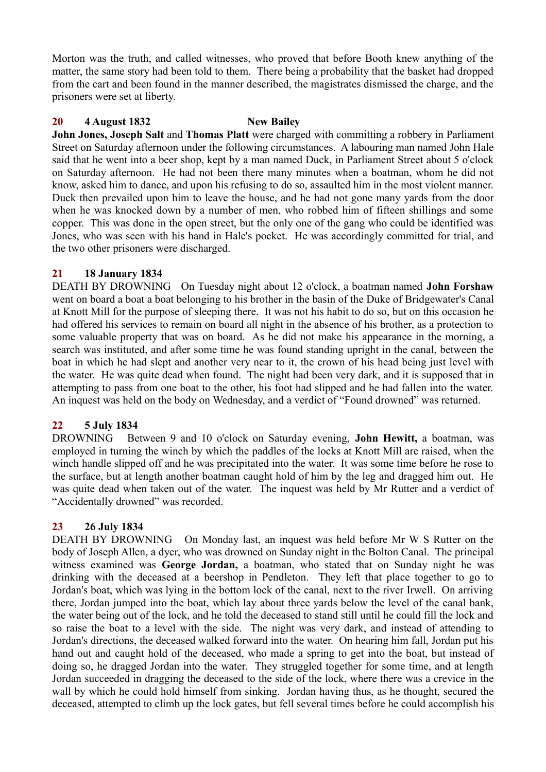Morton was the truth, and called witnesses, who proved that before Booth knew anything of the matter, the same story had been told to them. There being a probability that the basket had dropped from the cart and been found in the manner described, the magistrates dismissed the charge, and the prisoners were set at liberty.

# **20 4 August 1832 New Bailey**

**John Jones, Joseph Salt** and **Thomas Platt** were charged with committing a robbery in Parliament Street on Saturday afternoon under the following circumstances. A labouring man named John Hale said that he went into a beer shop, kept by a man named Duck, in Parliament Street about 5 o'clock on Saturday afternoon. He had not been there many minutes when a boatman, whom he did not know, asked him to dance, and upon his refusing to do so, assaulted him in the most violent manner. Duck then prevailed upon him to leave the house, and he had not gone many yards from the door when he was knocked down by a number of men, who robbed him of fifteen shillings and some copper. This was done in the open street, but the only one of the gang who could be identified was Jones, who was seen with his hand in Hale's pocket. He was accordingly committed for trial, and the two other prisoners were discharged.

# **21 18 January 1834**

DEATH BY DROWNING On Tuesday night about 12 o'clock, a boatman named **John Forshaw** went on board a boat a boat belonging to his brother in the basin of the Duke of Bridgewater's Canal at Knott Mill for the purpose of sleeping there. It was not his habit to do so, but on this occasion he had offered his services to remain on board all night in the absence of his brother, as a protection to some valuable property that was on board. As he did not make his appearance in the morning, a search was instituted, and after some time he was found standing upright in the canal, between the boat in which he had slept and another very near to it, the crown of his head being just level with the water. He was quite dead when found. The night had been very dark, and it is supposed that in attempting to pass from one boat to the other, his foot had slipped and he had fallen into the water. An inquest was held on the body on Wednesday, and a verdict of "Found drowned" was returned.

# **22 5 July 1834**

DROWNING Between 9 and 10 o'clock on Saturday evening, **John Hewitt,** a boatman, was employed in turning the winch by which the paddles of the locks at Knott Mill are raised, when the winch handle slipped off and he was precipitated into the water. It was some time before he rose to the surface, but at length another boatman caught hold of him by the leg and dragged him out. He was quite dead when taken out of the water. The inquest was held by Mr Rutter and a verdict of "Accidentally drowned" was recorded.

# **23 26 July 1834**

DEATH BY DROWNING On Monday last, an inquest was held before Mr W S Rutter on the body of Joseph Allen, a dyer, who was drowned on Sunday night in the Bolton Canal. The principal witness examined was **George Jordan,** a boatman, who stated that on Sunday night he was drinking with the deceased at a beershop in Pendleton. They left that place together to go to Jordan's boat, which was lying in the bottom lock of the canal, next to the river Irwell. On arriving there, Jordan jumped into the boat, which lay about three yards below the level of the canal bank, the water being out of the lock, and he told the deceased to stand still until he could fill the lock and so raise the boat to a level with the side. The night was very dark, and instead of attending to Jordan's directions, the deceased walked forward into the water. On hearing him fall, Jordan put his hand out and caught hold of the deceased, who made a spring to get into the boat, but instead of doing so, he dragged Jordan into the water. They struggled together for some time, and at length Jordan succeeded in dragging the deceased to the side of the lock, where there was a crevice in the wall by which he could hold himself from sinking. Jordan having thus, as he thought, secured the deceased, attempted to climb up the lock gates, but fell several times before he could accomplish his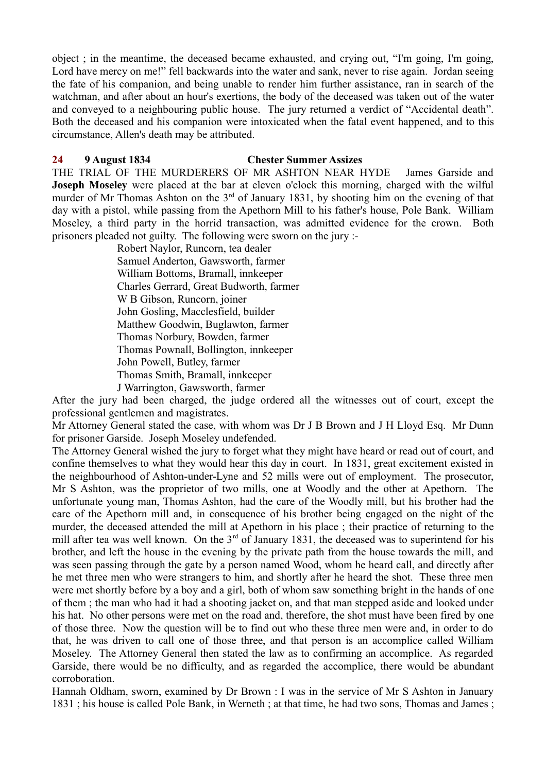object ; in the meantime, the deceased became exhausted, and crying out, "I'm going, I'm going, Lord have mercy on me!" fell backwards into the water and sank, never to rise again. Jordan seeing the fate of his companion, and being unable to render him further assistance, ran in search of the watchman, and after about an hour's exertions, the body of the deceased was taken out of the water and conveyed to a neighbouring public house. The jury returned a verdict of "Accidental death". Both the deceased and his companion were intoxicated when the fatal event happened, and to this circumstance, Allen's death may be attributed.

#### **24 9 August 1834 Chester Summer Assizes**

THE TRIAL OF THE MURDERERS OF MR ASHTON NEAR HYDE James Garside and **Joseph Moseley** were placed at the bar at eleven o'clock this morning, charged with the wilful murder of Mr Thomas Ashton on the  $3<sup>rd</sup>$  of January 1831, by shooting him on the evening of that day with a pistol, while passing from the Apethorn Mill to his father's house, Pole Bank. William Moseley, a third party in the horrid transaction, was admitted evidence for the crown. Both prisoners pleaded not guilty. The following were sworn on the jury :-

Robert Naylor, Runcorn, tea dealer Samuel Anderton, Gawsworth, farmer William Bottoms, Bramall, innkeeper Charles Gerrard, Great Budworth, farmer W B Gibson, Runcorn, joiner John Gosling, Macclesfield, builder Matthew Goodwin, Buglawton, farmer Thomas Norbury, Bowden, farmer Thomas Pownall, Bollington, innkeeper John Powell, Butley, farmer Thomas Smith, Bramall, innkeeper J Warrington, Gawsworth, farmer

After the jury had been charged, the judge ordered all the witnesses out of court, except the professional gentlemen and magistrates.

Mr Attorney General stated the case, with whom was Dr J B Brown and J H Lloyd Esq. Mr Dunn for prisoner Garside. Joseph Moseley undefended.

The Attorney General wished the jury to forget what they might have heard or read out of court, and confine themselves to what they would hear this day in court. In 1831, great excitement existed in the neighbourhood of Ashton-under-Lyne and 52 mills were out of employment. The prosecutor, Mr S Ashton, was the proprietor of two mills, one at Woodly and the other at Apethorn. The unfortunate young man, Thomas Ashton, had the care of the Woodly mill, but his brother had the care of the Apethorn mill and, in consequence of his brother being engaged on the night of the murder, the deceased attended the mill at Apethorn in his place ; their practice of returning to the mill after tea was well known. On the  $3<sup>rd</sup>$  of January 1831, the deceased was to superintend for his brother, and left the house in the evening by the private path from the house towards the mill, and was seen passing through the gate by a person named Wood, whom he heard call, and directly after he met three men who were strangers to him, and shortly after he heard the shot. These three men were met shortly before by a boy and a girl, both of whom saw something bright in the hands of one of them ; the man who had it had a shooting jacket on, and that man stepped aside and looked under his hat. No other persons were met on the road and, therefore, the shot must have been fired by one of those three. Now the question will be to find out who these three men were and, in order to do that, he was driven to call one of those three, and that person is an accomplice called William Moseley. The Attorney General then stated the law as to confirming an accomplice. As regarded Garside, there would be no difficulty, and as regarded the accomplice, there would be abundant corroboration.

Hannah Oldham, sworn, examined by Dr Brown : I was in the service of Mr S Ashton in January 1831 ; his house is called Pole Bank, in Werneth ; at that time, he had two sons, Thomas and James ;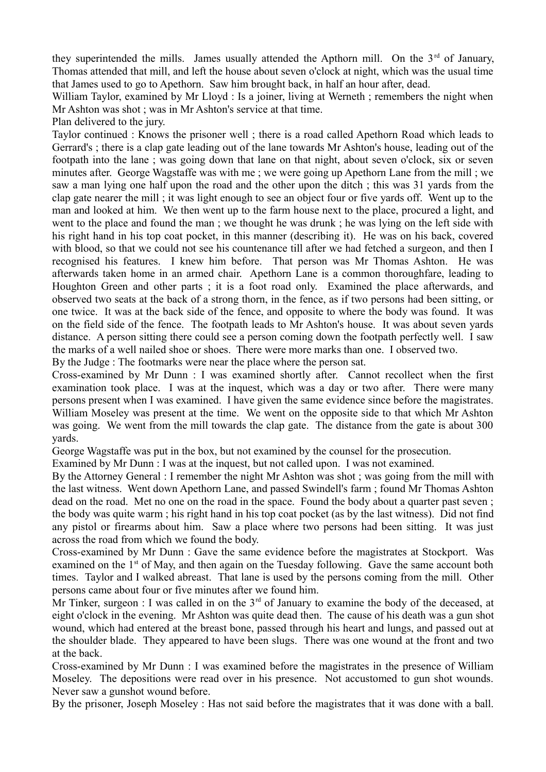they superintended the mills. James usually attended the Apthorn mill. On the  $3<sup>rd</sup>$  of January, Thomas attended that mill, and left the house about seven o'clock at night, which was the usual time that James used to go to Apethorn. Saw him brought back, in half an hour after, dead.

William Taylor, examined by Mr Lloyd : Is a joiner, living at Werneth ; remembers the night when Mr Ashton was shot ; was in Mr Ashton's service at that time.

Plan delivered to the jury.

Taylor continued : Knows the prisoner well ; there is a road called Apethorn Road which leads to Gerrard's ; there is a clap gate leading out of the lane towards Mr Ashton's house, leading out of the footpath into the lane ; was going down that lane on that night, about seven o'clock, six or seven minutes after. George Wagstaffe was with me ; we were going up Apethorn Lane from the mill ; we saw a man lying one half upon the road and the other upon the ditch ; this was 31 yards from the clap gate nearer the mill ; it was light enough to see an object four or five yards off. Went up to the man and looked at him. We then went up to the farm house next to the place, procured a light, and went to the place and found the man ; we thought he was drunk ; he was lying on the left side with his right hand in his top coat pocket, in this manner (describing it). He was on his back, covered with blood, so that we could not see his countenance till after we had fetched a surgeon, and then I recognised his features. I knew him before. That person was Mr Thomas Ashton. He was afterwards taken home in an armed chair. Apethorn Lane is a common thoroughfare, leading to Houghton Green and other parts ; it is a foot road only. Examined the place afterwards, and observed two seats at the back of a strong thorn, in the fence, as if two persons had been sitting, or one twice. It was at the back side of the fence, and opposite to where the body was found. It was on the field side of the fence. The footpath leads to Mr Ashton's house. It was about seven yards distance. A person sitting there could see a person coming down the footpath perfectly well. I saw the marks of a well nailed shoe or shoes. There were more marks than one. I observed two.

By the Judge : The footmarks were near the place where the person sat.

Cross-examined by Mr Dunn : I was examined shortly after. Cannot recollect when the first examination took place. I was at the inquest, which was a day or two after. There were many persons present when I was examined. I have given the same evidence since before the magistrates. William Moseley was present at the time. We went on the opposite side to that which Mr Ashton was going. We went from the mill towards the clap gate. The distance from the gate is about 300 yards.

George Wagstaffe was put in the box, but not examined by the counsel for the prosecution.

Examined by Mr Dunn : I was at the inquest, but not called upon. I was not examined.

By the Attorney General : I remember the night Mr Ashton was shot ; was going from the mill with the last witness. Went down Apethorn Lane, and passed Swindell's farm ; found Mr Thomas Ashton dead on the road. Met no one on the road in the space. Found the body about a quarter past seven ; the body was quite warm ; his right hand in his top coat pocket (as by the last witness). Did not find any pistol or firearms about him. Saw a place where two persons had been sitting. It was just across the road from which we found the body.

Cross-examined by Mr Dunn : Gave the same evidence before the magistrates at Stockport. Was examined on the  $1<sup>st</sup>$  of May, and then again on the Tuesday following. Gave the same account both times. Taylor and I walked abreast. That lane is used by the persons coming from the mill. Other persons came about four or five minutes after we found him.

Mr Tinker, surgeon : I was called in on the  $3<sup>rd</sup>$  of January to examine the body of the deceased, at eight o'clock in the evening. Mr Ashton was quite dead then. The cause of his death was a gun shot wound, which had entered at the breast bone, passed through his heart and lungs, and passed out at the shoulder blade. They appeared to have been slugs. There was one wound at the front and two at the back.

Cross-examined by Mr Dunn : I was examined before the magistrates in the presence of William Moseley. The depositions were read over in his presence. Not accustomed to gun shot wounds. Never saw a gunshot wound before.

By the prisoner, Joseph Moseley : Has not said before the magistrates that it was done with a ball.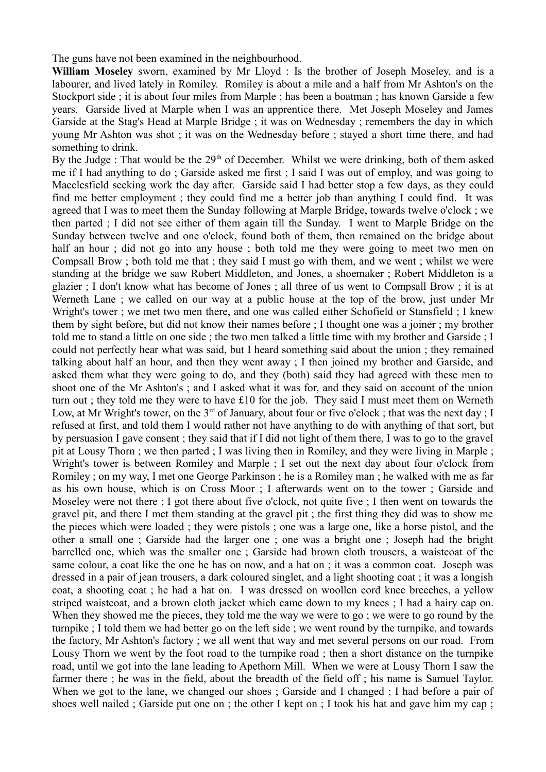The guns have not been examined in the neighbourhood.

**William Moseley** sworn, examined by Mr Lloyd : Is the brother of Joseph Moseley, and is a labourer, and lived lately in Romiley. Romiley is about a mile and a half from Mr Ashton's on the Stockport side ; it is about four miles from Marple ; has been a boatman ; has known Garside a few years. Garside lived at Marple when I was an apprentice there. Met Joseph Moseley and James Garside at the Stag's Head at Marple Bridge ; it was on Wednesday ; remembers the day in which young Mr Ashton was shot ; it was on the Wednesday before ; stayed a short time there, and had something to drink.

By the Judge : That would be the  $29<sup>th</sup>$  of December. Whilst we were drinking, both of them asked me if I had anything to do ; Garside asked me first ; I said I was out of employ, and was going to Macclesfield seeking work the day after. Garside said I had better stop a few days, as they could find me better employment ; they could find me a better job than anything I could find. It was agreed that I was to meet them the Sunday following at Marple Bridge, towards twelve o'clock ; we then parted ; I did not see either of them again till the Sunday. I went to Marple Bridge on the Sunday between twelve and one o'clock, found both of them, then remained on the bridge about half an hour; did not go into any house; both told me they were going to meet two men on Compsall Brow ; both told me that ; they said I must go with them, and we went ; whilst we were standing at the bridge we saw Robert Middleton, and Jones, a shoemaker ; Robert Middleton is a glazier ; I don't know what has become of Jones ; all three of us went to Compsall Brow ; it is at Werneth Lane ; we called on our way at a public house at the top of the brow, just under Mr Wright's tower ; we met two men there, and one was called either Schofield or Stansfield ; I knew them by sight before, but did not know their names before ; I thought one was a joiner ; my brother told me to stand a little on one side ; the two men talked a little time with my brother and Garside ; I could not perfectly hear what was said, but I heard something said about the union ; they remained talking about half an hour, and then they went away ; I then joined my brother and Garside, and asked them what they were going to do, and they (both) said they had agreed with these men to shoot one of the Mr Ashton's ; and I asked what it was for, and they said on account of the union turn out ; they told me they were to have £10 for the job. They said I must meet them on Werneth Low, at Mr Wright's tower, on the  $3^{rd}$  of January, about four or five o'clock; that was the next day; I refused at first, and told them I would rather not have anything to do with anything of that sort, but by persuasion I gave consent ; they said that if I did not light of them there, I was to go to the gravel pit at Lousy Thorn ; we then parted ; I was living then in Romiley, and they were living in Marple ; Wright's tower is between Romiley and Marple ; I set out the next day about four o'clock from Romiley ; on my way, I met one George Parkinson ; he is a Romiley man ; he walked with me as far as his own house, which is on Cross Moor ; I afterwards went on to the tower ; Garside and Moseley were not there : I got there about five o'clock, not quite five : I then went on towards the gravel pit, and there I met them standing at the gravel pit ; the first thing they did was to show me the pieces which were loaded ; they were pistols ; one was a large one, like a horse pistol, and the other a small one ; Garside had the larger one ; one was a bright one ; Joseph had the bright barrelled one, which was the smaller one ; Garside had brown cloth trousers, a waistcoat of the same colour, a coat like the one he has on now, and a hat on ; it was a common coat. Joseph was dressed in a pair of jean trousers, a dark coloured singlet, and a light shooting coat ; it was a longish coat, a shooting coat ; he had a hat on. I was dressed on woollen cord knee breeches, a yellow striped waistcoat, and a brown cloth jacket which came down to my knees ; I had a hairy cap on. When they showed me the pieces, they told me the way we were to go ; we were to go round by the turnpike ; I told them we had better go on the left side ; we went round by the turnpike, and towards the factory, Mr Ashton's factory ; we all went that way and met several persons on our road. From Lousy Thorn we went by the foot road to the turnpike road ; then a short distance on the turnpike road, until we got into the lane leading to Apethorn Mill. When we were at Lousy Thorn I saw the farmer there ; he was in the field, about the breadth of the field off ; his name is Samuel Taylor. When we got to the lane, we changed our shoes; Garside and I changed; I had before a pair of shoes well nailed ; Garside put one on ; the other I kept on ; I took his hat and gave him my cap ;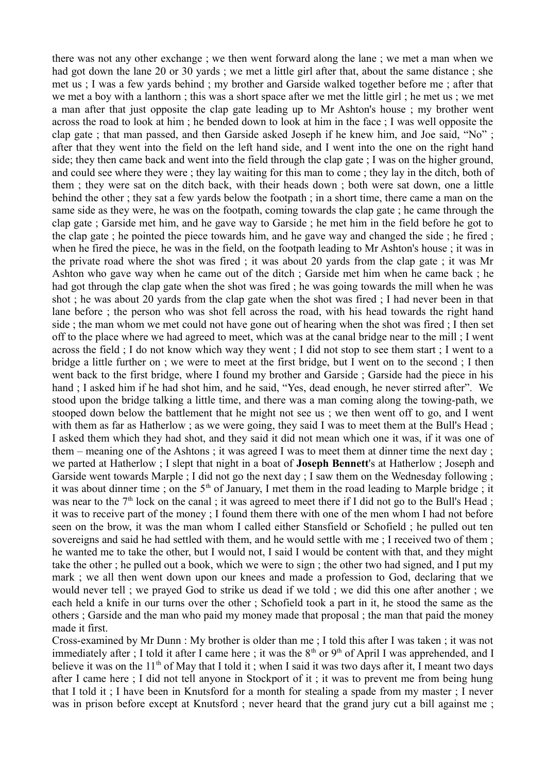there was not any other exchange ; we then went forward along the lane ; we met a man when we had got down the lane 20 or 30 yards ; we met a little girl after that, about the same distance ; she met us ; I was a few yards behind ; my brother and Garside walked together before me ; after that we met a boy with a lanthorn ; this was a short space after we met the little girl ; he met us ; we met a man after that just opposite the clap gate leading up to Mr Ashton's house ; my brother went across the road to look at him ; he bended down to look at him in the face ; I was well opposite the clap gate ; that man passed, and then Garside asked Joseph if he knew him, and Joe said, "No" ; after that they went into the field on the left hand side, and I went into the one on the right hand side; they then came back and went into the field through the clap gate ; I was on the higher ground, and could see where they were ; they lay waiting for this man to come ; they lay in the ditch, both of them ; they were sat on the ditch back, with their heads down ; both were sat down, one a little behind the other ; they sat a few yards below the footpath ; in a short time, there came a man on the same side as they were, he was on the footpath, coming towards the clap gate ; he came through the clap gate ; Garside met him, and he gave way to Garside ; he met him in the field before he got to the clap gate ; he pointed the piece towards him, and he gave way and changed the side ; he fired ; when he fired the piece, he was in the field, on the footpath leading to Mr Ashton's house ; it was in the private road where the shot was fired ; it was about 20 yards from the clap gate ; it was Mr Ashton who gave way when he came out of the ditch ; Garside met him when he came back ; he had got through the clap gate when the shot was fired ; he was going towards the mill when he was shot ; he was about 20 yards from the clap gate when the shot was fired ; I had never been in that lane before ; the person who was shot fell across the road, with his head towards the right hand side ; the man whom we met could not have gone out of hearing when the shot was fired ; I then set off to the place where we had agreed to meet, which was at the canal bridge near to the mill ; I went across the field ; I do not know which way they went ; I did not stop to see them start ; I went to a bridge a little further on ; we were to meet at the first bridge, but I went on to the second ; I then went back to the first bridge, where I found my brother and Garside ; Garside had the piece in his hand ; I asked him if he had shot him, and he said, "Yes, dead enough, he never stirred after". We stood upon the bridge talking a little time, and there was a man coming along the towing-path, we stooped down below the battlement that he might not see us ; we then went off to go, and I went with them as far as Hatherlow ; as we were going, they said I was to meet them at the Bull's Head ; I asked them which they had shot, and they said it did not mean which one it was, if it was one of them – meaning one of the Ashtons ; it was agreed I was to meet them at dinner time the next day ; we parted at Hatherlow ; I slept that night in a boat of **Joseph Bennett**'s at Hatherlow ; Joseph and Garside went towards Marple ; I did not go the next day ; I saw them on the Wednesday following ; it was about dinner time ; on the  $5<sup>th</sup>$  of January, I met them in the road leading to Marple bridge ; it was near to the 7<sup>th</sup> lock on the canal ; it was agreed to meet there if I did not go to the Bull's Head ; it was to receive part of the money ; I found them there with one of the men whom I had not before seen on the brow, it was the man whom I called either Stansfield or Schofield ; he pulled out ten sovereigns and said he had settled with them, and he would settle with me ; I received two of them ; he wanted me to take the other, but I would not, I said I would be content with that, and they might take the other ; he pulled out a book, which we were to sign ; the other two had signed, and I put my mark ; we all then went down upon our knees and made a profession to God, declaring that we would never tell ; we prayed God to strike us dead if we told ; we did this one after another ; we each held a knife in our turns over the other ; Schofield took a part in it, he stood the same as the others ; Garside and the man who paid my money made that proposal ; the man that paid the money made it first.

Cross-examined by Mr Dunn : My brother is older than me ; I told this after I was taken ; it was not immediately after ; I told it after I came here ; it was the  $8<sup>th</sup>$  or  $9<sup>th</sup>$  of April I was apprehended, and I believe it was on the  $11<sup>th</sup>$  of May that I told it; when I said it was two days after it. I meant two days after I came here ; I did not tell anyone in Stockport of it ; it was to prevent me from being hung that I told it ; I have been in Knutsford for a month for stealing a spade from my master ; I never was in prison before except at Knutsford ; never heard that the grand jury cut a bill against me ;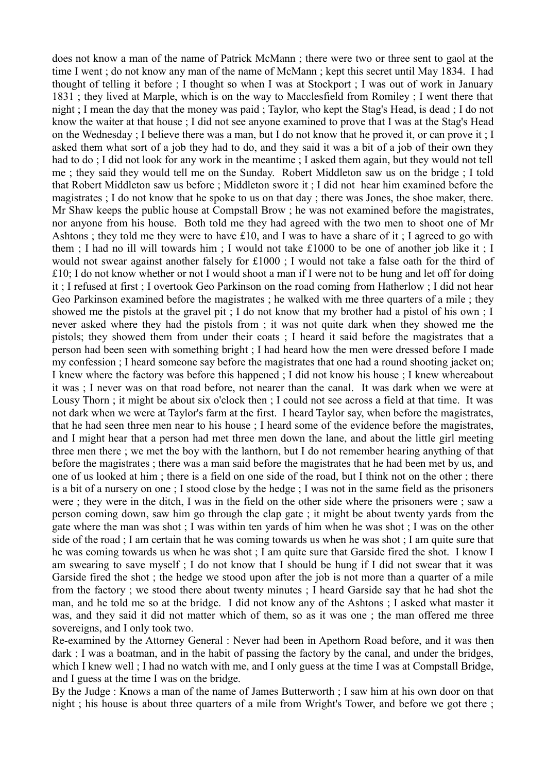does not know a man of the name of Patrick McMann ; there were two or three sent to gaol at the time I went ; do not know any man of the name of McMann ; kept this secret until May 1834. I had thought of telling it before ; I thought so when I was at Stockport ; I was out of work in January 1831 ; they lived at Marple, which is on the way to Macclesfield from Romiley ; I went there that night ; I mean the day that the money was paid ; Taylor, who kept the Stag's Head, is dead ; I do not know the waiter at that house ; I did not see anyone examined to prove that I was at the Stag's Head on the Wednesday ; I believe there was a man, but I do not know that he proved it, or can prove it ; I asked them what sort of a job they had to do, and they said it was a bit of a job of their own they had to do; I did not look for any work in the meantime; I asked them again, but they would not tell me ; they said they would tell me on the Sunday. Robert Middleton saw us on the bridge ; I told that Robert Middleton saw us before ; Middleton swore it ; I did not hear him examined before the magistrates ; I do not know that he spoke to us on that day ; there was Jones, the shoe maker, there. Mr Shaw keeps the public house at Compstall Brow ; he was not examined before the magistrates, nor anyone from his house. Both told me they had agreed with the two men to shoot one of Mr Ashtons ; they told me they were to have £10, and I was to have a share of it ; I agreed to go with them ; I had no ill will towards him ; I would not take £1000 to be one of another job like it ; I would not swear against another falsely for £1000 ; I would not take a false oath for the third of £10; I do not know whether or not I would shoot a man if I were not to be hung and let off for doing it ; I refused at first ; I overtook Geo Parkinson on the road coming from Hatherlow ; I did not hear Geo Parkinson examined before the magistrates ; he walked with me three quarters of a mile ; they showed me the pistols at the gravel pit ; I do not know that my brother had a pistol of his own ; I never asked where they had the pistols from ; it was not quite dark when they showed me the pistols; they showed them from under their coats ; I heard it said before the magistrates that a person had been seen with something bright ; I had heard how the men were dressed before I made my confession ; I heard someone say before the magistrates that one had a round shooting jacket on; I knew where the factory was before this happened ; I did not know his house ; I knew whereabout it was ; I never was on that road before, not nearer than the canal. It was dark when we were at Lousy Thorn ; it might be about six o'clock then ; I could not see across a field at that time. It was not dark when we were at Taylor's farm at the first. I heard Taylor say, when before the magistrates, that he had seen three men near to his house ; I heard some of the evidence before the magistrates, and I might hear that a person had met three men down the lane, and about the little girl meeting three men there ; we met the boy with the lanthorn, but I do not remember hearing anything of that before the magistrates ; there was a man said before the magistrates that he had been met by us, and one of us looked at him ; there is a field on one side of the road, but I think not on the other ; there is a bit of a nursery on one ; I stood close by the hedge ; I was not in the same field as the prisoners were ; they were in the ditch, I was in the field on the other side where the prisoners were ; saw a person coming down, saw him go through the clap gate ; it might be about twenty yards from the gate where the man was shot ; I was within ten yards of him when he was shot ; I was on the other side of the road ; I am certain that he was coming towards us when he was shot ; I am quite sure that he was coming towards us when he was shot ; I am quite sure that Garside fired the shot. I know I am swearing to save myself ; I do not know that I should be hung if I did not swear that it was Garside fired the shot ; the hedge we stood upon after the job is not more than a quarter of a mile from the factory ; we stood there about twenty minutes ; I heard Garside say that he had shot the man, and he told me so at the bridge. I did not know any of the Ashtons ; I asked what master it was, and they said it did not matter which of them, so as it was one ; the man offered me three sovereigns, and I only took two.

Re-examined by the Attorney General : Never had been in Apethorn Road before, and it was then dark ; I was a boatman, and in the habit of passing the factory by the canal, and under the bridges, which I knew well ; I had no watch with me, and I only guess at the time I was at Compstall Bridge, and I guess at the time I was on the bridge.

By the Judge : Knows a man of the name of James Butterworth ; I saw him at his own door on that night ; his house is about three quarters of a mile from Wright's Tower, and before we got there ;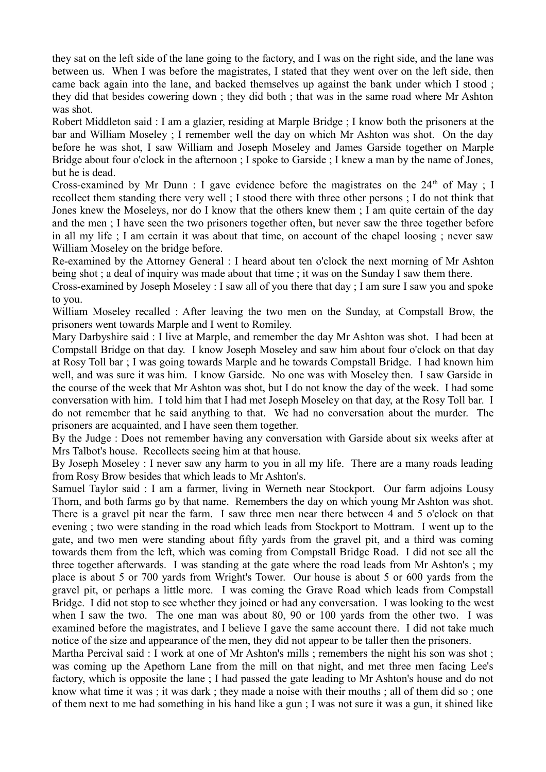they sat on the left side of the lane going to the factory, and I was on the right side, and the lane was between us. When I was before the magistrates, I stated that they went over on the left side, then came back again into the lane, and backed themselves up against the bank under which I stood ; they did that besides cowering down ; they did both ; that was in the same road where Mr Ashton was shot.

Robert Middleton said : I am a glazier, residing at Marple Bridge ; I know both the prisoners at the bar and William Moseley ; I remember well the day on which Mr Ashton was shot. On the day before he was shot, I saw William and Joseph Moseley and James Garside together on Marple Bridge about four o'clock in the afternoon ; I spoke to Garside ; I knew a man by the name of Jones, but he is dead.

Cross-examined by Mr Dunn : I gave evidence before the magistrates on the  $24<sup>th</sup>$  of May : I recollect them standing there very well ; I stood there with three other persons ; I do not think that Jones knew the Moseleys, nor do I know that the others knew them ; I am quite certain of the day and the men ; I have seen the two prisoners together often, but never saw the three together before in all my life ; I am certain it was about that time, on account of the chapel loosing ; never saw William Moseley on the bridge before.

Re-examined by the Attorney General : I heard about ten o'clock the next morning of Mr Ashton being shot ; a deal of inquiry was made about that time ; it was on the Sunday I saw them there.

Cross-examined by Joseph Moseley : I saw all of you there that day ; I am sure I saw you and spoke to you.

William Moseley recalled : After leaving the two men on the Sunday, at Compstall Brow, the prisoners went towards Marple and I went to Romiley.

Mary Darbyshire said : I live at Marple, and remember the day Mr Ashton was shot. I had been at Compstall Bridge on that day. I know Joseph Moseley and saw him about four o'clock on that day at Rosy Toll bar ; I was going towards Marple and he towards Compstall Bridge. I had known him well, and was sure it was him. I know Garside. No one was with Moseley then. I saw Garside in the course of the week that Mr Ashton was shot, but I do not know the day of the week. I had some conversation with him. I told him that I had met Joseph Moseley on that day, at the Rosy Toll bar. I do not remember that he said anything to that. We had no conversation about the murder. The prisoners are acquainted, and I have seen them together.

By the Judge : Does not remember having any conversation with Garside about six weeks after at Mrs Talbot's house. Recollects seeing him at that house.

By Joseph Moseley : I never saw any harm to you in all my life. There are a many roads leading from Rosy Brow besides that which leads to Mr Ashton's.

Samuel Taylor said : I am a farmer, living in Werneth near Stockport. Our farm adjoins Lousy Thorn, and both farms go by that name. Remembers the day on which young Mr Ashton was shot. There is a gravel pit near the farm. I saw three men near there between 4 and 5 o'clock on that evening ; two were standing in the road which leads from Stockport to Mottram. I went up to the gate, and two men were standing about fifty yards from the gravel pit, and a third was coming towards them from the left, which was coming from Compstall Bridge Road. I did not see all the three together afterwards. I was standing at the gate where the road leads from Mr Ashton's ; my place is about 5 or 700 yards from Wright's Tower. Our house is about 5 or 600 yards from the gravel pit, or perhaps a little more. I was coming the Grave Road which leads from Compstall Bridge. I did not stop to see whether they joined or had any conversation. I was looking to the west when I saw the two. The one man was about 80, 90 or 100 yards from the other two. I was examined before the magistrates, and I believe I gave the same account there. I did not take much notice of the size and appearance of the men, they did not appear to be taller then the prisoners.

Martha Percival said : I work at one of Mr Ashton's mills ; remembers the night his son was shot ; was coming up the Apethorn Lane from the mill on that night, and met three men facing Lee's factory, which is opposite the lane ; I had passed the gate leading to Mr Ashton's house and do not know what time it was ; it was dark ; they made a noise with their mouths ; all of them did so ; one of them next to me had something in his hand like a gun ; I was not sure it was a gun, it shined like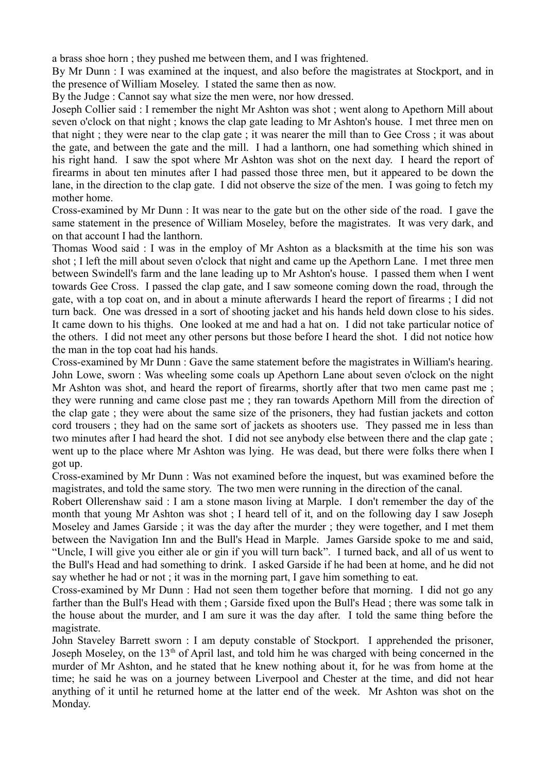a brass shoe horn ; they pushed me between them, and I was frightened.

By Mr Dunn : I was examined at the inquest, and also before the magistrates at Stockport, and in the presence of William Moseley. I stated the same then as now.

By the Judge : Cannot say what size the men were, nor how dressed.

Joseph Collier said : I remember the night Mr Ashton was shot ; went along to Apethorn Mill about seven o'clock on that night ; knows the clap gate leading to Mr Ashton's house. I met three men on that night ; they were near to the clap gate ; it was nearer the mill than to Gee Cross ; it was about the gate, and between the gate and the mill. I had a lanthorn, one had something which shined in his right hand. I saw the spot where Mr Ashton was shot on the next day. I heard the report of firearms in about ten minutes after I had passed those three men, but it appeared to be down the lane, in the direction to the clap gate. I did not observe the size of the men. I was going to fetch my mother home.

Cross-examined by Mr Dunn : It was near to the gate but on the other side of the road. I gave the same statement in the presence of William Moseley, before the magistrates. It was very dark, and on that account I had the lanthorn.

Thomas Wood said : I was in the employ of Mr Ashton as a blacksmith at the time his son was shot ; I left the mill about seven o'clock that night and came up the Apethorn Lane. I met three men between Swindell's farm and the lane leading up to Mr Ashton's house. I passed them when I went towards Gee Cross. I passed the clap gate, and I saw someone coming down the road, through the gate, with a top coat on, and in about a minute afterwards I heard the report of firearms ; I did not turn back. One was dressed in a sort of shooting jacket and his hands held down close to his sides. It came down to his thighs. One looked at me and had a hat on. I did not take particular notice of the others. I did not meet any other persons but those before I heard the shot. I did not notice how the man in the top coat had his hands.

Cross-examined by Mr Dunn : Gave the same statement before the magistrates in William's hearing. John Lowe, sworn : Was wheeling some coals up Apethorn Lane about seven o'clock on the night Mr Ashton was shot, and heard the report of firearms, shortly after that two men came past me; they were running and came close past me ; they ran towards Apethorn Mill from the direction of the clap gate ; they were about the same size of the prisoners, they had fustian jackets and cotton cord trousers ; they had on the same sort of jackets as shooters use. They passed me in less than two minutes after I had heard the shot. I did not see anybody else between there and the clap gate ; went up to the place where Mr Ashton was lying. He was dead, but there were folks there when I got up.

Cross-examined by Mr Dunn : Was not examined before the inquest, but was examined before the magistrates, and told the same story. The two men were running in the direction of the canal.

Robert Ollerenshaw said : I am a stone mason living at Marple. I don't remember the day of the month that young Mr Ashton was shot ; I heard tell of it, and on the following day I saw Joseph Moseley and James Garside ; it was the day after the murder ; they were together, and I met them between the Navigation Inn and the Bull's Head in Marple. James Garside spoke to me and said, "Uncle, I will give you either ale or gin if you will turn back". I turned back, and all of us went to the Bull's Head and had something to drink. I asked Garside if he had been at home, and he did not say whether he had or not ; it was in the morning part, I gave him something to eat.

Cross-examined by Mr Dunn : Had not seen them together before that morning. I did not go any farther than the Bull's Head with them ; Garside fixed upon the Bull's Head ; there was some talk in the house about the murder, and I am sure it was the day after. I told the same thing before the magistrate.

John Staveley Barrett sworn : I am deputy constable of Stockport. I apprehended the prisoner, Joseph Moseley, on the  $13<sup>th</sup>$  of April last, and told him he was charged with being concerned in the murder of Mr Ashton, and he stated that he knew nothing about it, for he was from home at the time; he said he was on a journey between Liverpool and Chester at the time, and did not hear anything of it until he returned home at the latter end of the week. Mr Ashton was shot on the Monday.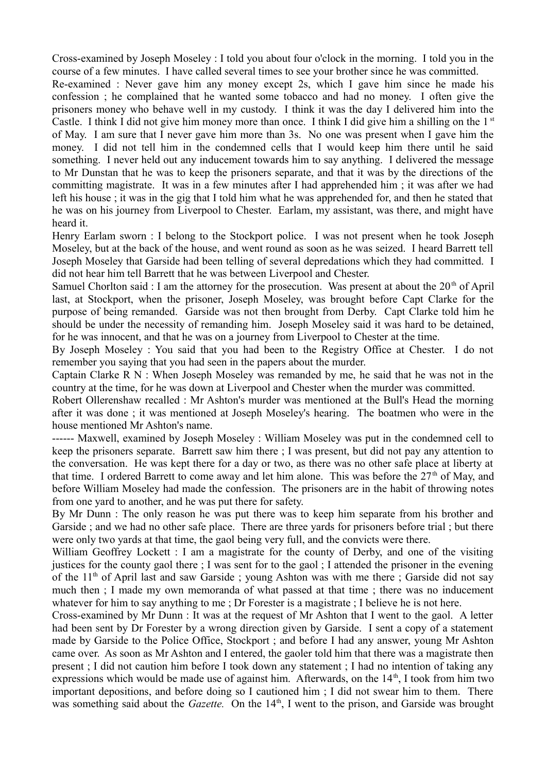Cross-examined by Joseph Moseley : I told you about four o'clock in the morning. I told you in the course of a few minutes. I have called several times to see your brother since he was committed.

Re-examined : Never gave him any money except 2s, which I gave him since he made his confession ; he complained that he wanted some tobacco and had no money. I often give the prisoners money who behave well in my custody. I think it was the day I delivered him into the Castle. I think I did not give him money more than once. I think I did give him a shilling on the  $1<sup>st</sup>$ of May. I am sure that I never gave him more than 3s. No one was present when I gave him the money. I did not tell him in the condemned cells that I would keep him there until he said something. I never held out any inducement towards him to say anything. I delivered the message to Mr Dunstan that he was to keep the prisoners separate, and that it was by the directions of the committing magistrate. It was in a few minutes after I had apprehended him ; it was after we had left his house ; it was in the gig that I told him what he was apprehended for, and then he stated that he was on his journey from Liverpool to Chester. Earlam, my assistant, was there, and might have heard it.

Henry Earlam sworn : I belong to the Stockport police. I was not present when he took Joseph Moseley, but at the back of the house, and went round as soon as he was seized. I heard Barrett tell Joseph Moseley that Garside had been telling of several depredations which they had committed. I did not hear him tell Barrett that he was between Liverpool and Chester.

Samuel Chorlton said : I am the attorney for the prosecution. Was present at about the  $20<sup>th</sup>$  of April last, at Stockport, when the prisoner, Joseph Moseley, was brought before Capt Clarke for the purpose of being remanded. Garside was not then brought from Derby. Capt Clarke told him he should be under the necessity of remanding him. Joseph Moseley said it was hard to be detained, for he was innocent, and that he was on a journey from Liverpool to Chester at the time.

By Joseph Moseley : You said that you had been to the Registry Office at Chester. I do not remember you saying that you had seen in the papers about the murder.

Captain Clarke R N : When Joseph Moseley was remanded by me, he said that he was not in the country at the time, for he was down at Liverpool and Chester when the murder was committed.

Robert Ollerenshaw recalled : Mr Ashton's murder was mentioned at the Bull's Head the morning after it was done ; it was mentioned at Joseph Moseley's hearing. The boatmen who were in the house mentioned Mr Ashton's name.

------ Maxwell, examined by Joseph Moseley : William Moseley was put in the condemned cell to keep the prisoners separate. Barrett saw him there ; I was present, but did not pay any attention to the conversation. He was kept there for a day or two, as there was no other safe place at liberty at that time. I ordered Barrett to come away and let him alone. This was before the 27<sup>th</sup> of May, and before William Moseley had made the confession. The prisoners are in the habit of throwing notes from one yard to another, and he was put there for safety.

By Mr Dunn : The only reason he was put there was to keep him separate from his brother and Garside ; and we had no other safe place. There are three yards for prisoners before trial ; but there were only two yards at that time, the gaol being very full, and the convicts were there.

William Geoffrey Lockett : I am a magistrate for the county of Derby, and one of the visiting justices for the county gaol there ; I was sent for to the gaol ; I attended the prisoner in the evening of the  $11<sup>th</sup>$  of April last and saw Garside ; young Ashton was with me there ; Garside did not say much then ; I made my own memoranda of what passed at that time ; there was no inducement whatever for him to say anything to me ; Dr Forester is a magistrate ; I believe he is not here.

Cross-examined by Mr Dunn : It was at the request of Mr Ashton that I went to the gaol. A letter had been sent by Dr Forester by a wrong direction given by Garside. I sent a copy of a statement made by Garside to the Police Office, Stockport ; and before I had any answer, young Mr Ashton came over. As soon as Mr Ashton and I entered, the gaoler told him that there was a magistrate then present ; I did not caution him before I took down any statement ; I had no intention of taking any expressions which would be made use of against him. Afterwards, on the  $14<sup>th</sup>$ , I took from him two important depositions, and before doing so I cautioned him ; I did not swear him to them. There was something said about the *Gazette*. On the 14<sup>th</sup>, I went to the prison, and Garside was brought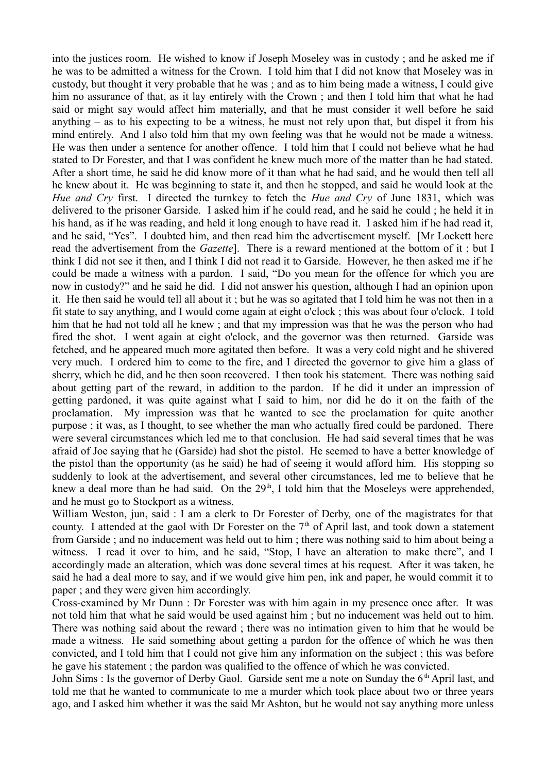into the justices room. He wished to know if Joseph Moseley was in custody ; and he asked me if he was to be admitted a witness for the Crown. I told him that I did not know that Moseley was in custody, but thought it very probable that he was ; and as to him being made a witness, I could give him no assurance of that, as it lay entirely with the Crown; and then I told him that what he had said or might say would affect him materially, and that he must consider it well before he said anything – as to his expecting to be a witness, he must not rely upon that, but dispel it from his mind entirely. And I also told him that my own feeling was that he would not be made a witness. He was then under a sentence for another offence. I told him that I could not believe what he had stated to Dr Forester, and that I was confident he knew much more of the matter than he had stated. After a short time, he said he did know more of it than what he had said, and he would then tell all he knew about it. He was beginning to state it, and then he stopped, and said he would look at the *Hue and Cry* first. I directed the turnkey to fetch the *Hue and Cry* of June 1831, which was delivered to the prisoner Garside. I asked him if he could read, and he said he could ; he held it in his hand, as if he was reading, and held it long enough to have read it. I asked him if he had read it, and he said, "Yes". I doubted him, and then read him the advertisement myself. [Mr Lockett here read the advertisement from the *Gazette*]. There is a reward mentioned at the bottom of it ; but I think I did not see it then, and I think I did not read it to Garside. However, he then asked me if he could be made a witness with a pardon. I said, "Do you mean for the offence for which you are now in custody?" and he said he did. I did not answer his question, although I had an opinion upon it. He then said he would tell all about it ; but he was so agitated that I told him he was not then in a fit state to say anything, and I would come again at eight o'clock ; this was about four o'clock. I told him that he had not told all he knew ; and that my impression was that he was the person who had fired the shot. I went again at eight o'clock, and the governor was then returned. Garside was fetched, and he appeared much more agitated then before. It was a very cold night and he shivered very much. I ordered him to come to the fire, and I directed the governor to give him a glass of sherry, which he did, and he then soon recovered. I then took his statement. There was nothing said about getting part of the reward, in addition to the pardon. If he did it under an impression of getting pardoned, it was quite against what I said to him, nor did he do it on the faith of the proclamation. My impression was that he wanted to see the proclamation for quite another purpose ; it was, as I thought, to see whether the man who actually fired could be pardoned. There were several circumstances which led me to that conclusion. He had said several times that he was afraid of Joe saying that he (Garside) had shot the pistol. He seemed to have a better knowledge of the pistol than the opportunity (as he said) he had of seeing it would afford him. His stopping so suddenly to look at the advertisement, and several other circumstances, led me to believe that he knew a deal more than he had said. On the  $29<sup>th</sup>$ , I told him that the Moseleys were apprehended, and he must go to Stockport as a witness.

William Weston, jun, said : I am a clerk to Dr Forester of Derby, one of the magistrates for that county. I attended at the gaol with Dr Forester on the  $7<sup>th</sup>$  of April last, and took down a statement from Garside ; and no inducement was held out to him ; there was nothing said to him about being a witness. I read it over to him, and he said, "Stop, I have an alteration to make there", and I accordingly made an alteration, which was done several times at his request. After it was taken, he said he had a deal more to say, and if we would give him pen, ink and paper, he would commit it to paper ; and they were given him accordingly.

Cross-examined by Mr Dunn : Dr Forester was with him again in my presence once after. It was not told him that what he said would be used against him ; but no inducement was held out to him. There was nothing said about the reward ; there was no intimation given to him that he would be made a witness. He said something about getting a pardon for the offence of which he was then convicted, and I told him that I could not give him any information on the subject ; this was before he gave his statement ; the pardon was qualified to the offence of which he was convicted.

John Sims : Is the governor of Derby Gaol. Garside sent me a note on Sunday the 6<sup>th</sup> April last, and told me that he wanted to communicate to me a murder which took place about two or three years ago, and I asked him whether it was the said Mr Ashton, but he would not say anything more unless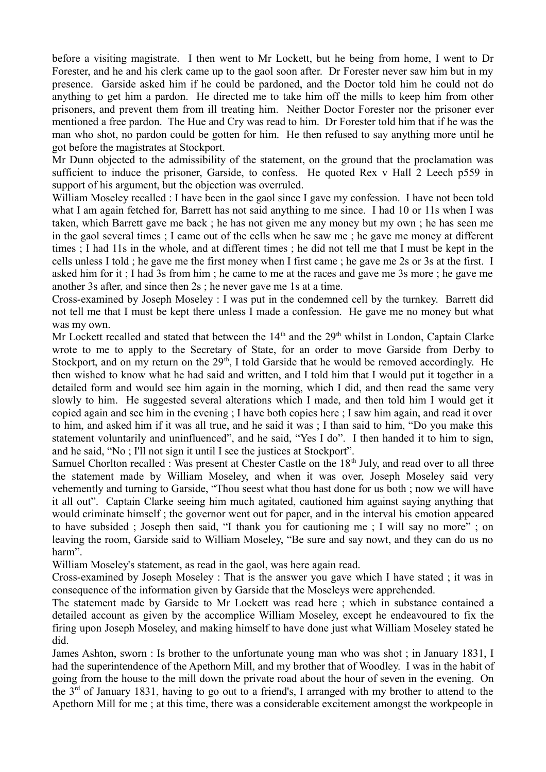before a visiting magistrate. I then went to Mr Lockett, but he being from home, I went to Dr Forester, and he and his clerk came up to the gaol soon after. Dr Forester never saw him but in my presence. Garside asked him if he could be pardoned, and the Doctor told him he could not do anything to get him a pardon. He directed me to take him off the mills to keep him from other prisoners, and prevent them from ill treating him. Neither Doctor Forester nor the prisoner ever mentioned a free pardon. The Hue and Cry was read to him. Dr Forester told him that if he was the man who shot, no pardon could be gotten for him. He then refused to say anything more until he got before the magistrates at Stockport.

Mr Dunn objected to the admissibility of the statement, on the ground that the proclamation was sufficient to induce the prisoner, Garside, to confess. He quoted Rex v Hall 2 Leech p559 in support of his argument, but the objection was overruled.

William Moseley recalled : I have been in the gaol since I gave my confession. I have not been told what I am again fetched for, Barrett has not said anything to me since. I had 10 or 11s when I was taken, which Barrett gave me back ; he has not given me any money but my own ; he has seen me in the gaol several times ; I came out of the cells when he saw me ; he gave me money at different times ; I had 11s in the whole, and at different times ; he did not tell me that I must be kept in the cells unless I told ; he gave me the first money when I first came ; he gave me 2s or 3s at the first. I asked him for it ; I had 3s from him ; he came to me at the races and gave me 3s more ; he gave me another 3s after, and since then 2s ; he never gave me 1s at a time.

Cross-examined by Joseph Moseley : I was put in the condemned cell by the turnkey. Barrett did not tell me that I must be kept there unless I made a confession. He gave me no money but what was my own.

Mr Lockett recalled and stated that between the  $14<sup>th</sup>$  and the  $29<sup>th</sup>$  whilst in London, Captain Clarke wrote to me to apply to the Secretary of State, for an order to move Garside from Derby to Stockport, and on my return on the  $29<sup>th</sup>$ , I told Garside that he would be removed accordingly. He then wished to know what he had said and written, and I told him that I would put it together in a detailed form and would see him again in the morning, which I did, and then read the same very slowly to him. He suggested several alterations which I made, and then told him I would get it copied again and see him in the evening ; I have both copies here ; I saw him again, and read it over to him, and asked him if it was all true, and he said it was ; I than said to him, "Do you make this statement voluntarily and uninfluenced", and he said, "Yes I do". I then handed it to him to sign, and he said, "No ; I'll not sign it until I see the justices at Stockport".

Samuel Chorlton recalled : Was present at Chester Castle on the 18<sup>th</sup> July, and read over to all three the statement made by William Moseley, and when it was over, Joseph Moseley said very vehemently and turning to Garside, "Thou seest what thou hast done for us both ; now we will have it all out". Captain Clarke seeing him much agitated, cautioned him against saying anything that would criminate himself ; the governor went out for paper, and in the interval his emotion appeared to have subsided ; Joseph then said, "I thank you for cautioning me ; I will say no more" ; on leaving the room, Garside said to William Moseley, "Be sure and say nowt, and they can do us no harm".

William Moseley's statement, as read in the gaol, was here again read.

Cross-examined by Joseph Moseley : That is the answer you gave which I have stated ; it was in consequence of the information given by Garside that the Moseleys were apprehended.

The statement made by Garside to Mr Lockett was read here ; which in substance contained a detailed account as given by the accomplice William Moseley, except he endeavoured to fix the firing upon Joseph Moseley, and making himself to have done just what William Moseley stated he did.

James Ashton, sworn : Is brother to the unfortunate young man who was shot ; in January 1831, I had the superintendence of the Apethorn Mill, and my brother that of Woodley. I was in the habit of going from the house to the mill down the private road about the hour of seven in the evening. On the  $3<sup>rd</sup>$  of January 1831, having to go out to a friend's, I arranged with my brother to attend to the Apethorn Mill for me ; at this time, there was a considerable excitement amongst the workpeople in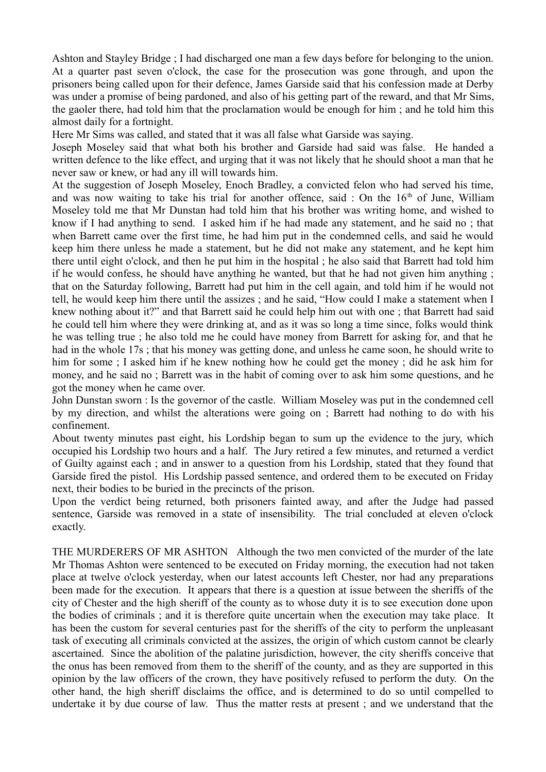Ashton and Stayley Bridge ; I had discharged one man a few days before for belonging to the union. At a quarter past seven o'clock, the case for the prosecution was gone through, and upon the prisoners being called upon for their defence, James Garside said that his confession made at Derby was under a promise of being pardoned, and also of his getting part of the reward, and that Mr Sims, the gaoler there, had told him that the proclamation would be enough for him ; and he told him this almost daily for a fortnight.

Here Mr Sims was called, and stated that it was all false what Garside was saying.

Joseph Moseley said that what both his brother and Garside had said was false. He handed a written defence to the like effect, and urging that it was not likely that he should shoot a man that he never saw or knew, or had any ill will towards him.

At the suggestion of Joseph Moseley, Enoch Bradley, a convicted felon who had served his time, and was now waiting to take his trial for another offence, said : On the  $16<sup>th</sup>$  of June, William Moseley told me that Mr Dunstan had told him that his brother was writing home, and wished to know if I had anything to send. I asked him if he had made any statement, and he said no ; that when Barrett came over the first time, he had him put in the condemned cells, and said he would keep him there unless he made a statement, but he did not make any statement, and he kept him there until eight o'clock, and then he put him in the hospital ; he also said that Barrett had told him if he would confess, he should have anything he wanted, but that he had not given him anything ; that on the Saturday following, Barrett had put him in the cell again, and told him if he would not tell, he would keep him there until the assizes ; and he said, "How could I make a statement when I knew nothing about it?" and that Barrett said he could help him out with one ; that Barrett had said he could tell him where they were drinking at, and as it was so long a time since, folks would think he was telling true ; he also told me he could have money from Barrett for asking for, and that he had in the whole 17s ; that his money was getting done, and unless he came soon, he should write to him for some ; I asked him if he knew nothing how he could get the money ; did he ask him for money, and he said no ; Barrett was in the habit of coming over to ask him some questions, and he got the money when he came over.

John Dunstan sworn : Is the governor of the castle. William Moseley was put in the condemned cell by my direction, and whilst the alterations were going on ; Barrett had nothing to do with his confinement.

About twenty minutes past eight, his Lordship began to sum up the evidence to the jury, which occupied his Lordship two hours and a half. The Jury retired a few minutes, and returned a verdict of Guilty against each ; and in answer to a question from his Lordship, stated that they found that Garside fired the pistol. His Lordship passed sentence, and ordered them to be executed on Friday next, their bodies to be buried in the precincts of the prison.

Upon the verdict being returned, both prisoners fainted away, and after the Judge had passed sentence, Garside was removed in a state of insensibility. The trial concluded at eleven o'clock exactly.

THE MURDERERS OF MR ASHTON Although the two men convicted of the murder of the late Mr Thomas Ashton were sentenced to be executed on Friday morning, the execution had not taken place at twelve o'clock yesterday, when our latest accounts left Chester, nor had any preparations been made for the execution. It appears that there is a question at issue between the sheriffs of the city of Chester and the high sheriff of the county as to whose duty it is to see execution done upon the bodies of criminals ; and it is therefore quite uncertain when the execution may take place. It has been the custom for several centuries past for the sheriffs of the city to perform the unpleasant task of executing all criminals convicted at the assizes, the origin of which custom cannot be clearly ascertained. Since the abolition of the palatine jurisdiction, however, the city sheriffs conceive that the onus has been removed from them to the sheriff of the county, and as they are supported in this opinion by the law officers of the crown, they have positively refused to perform the duty. On the other hand, the high sheriff disclaims the office, and is determined to do so until compelled to undertake it by due course of law. Thus the matter rests at present ; and we understand that the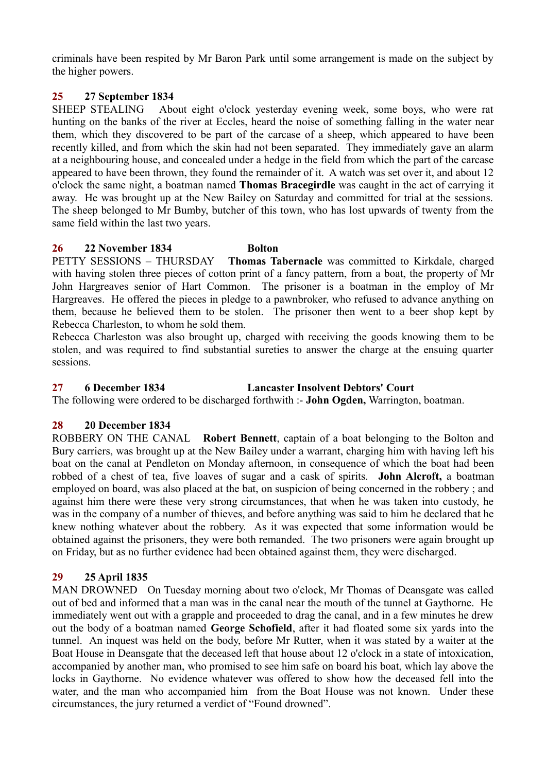criminals have been respited by Mr Baron Park until some arrangement is made on the subject by the higher powers.

# **25 27 September 1834**

SHEEP STEALING About eight o'clock yesterday evening week, some boys, who were rat hunting on the banks of the river at Eccles, heard the noise of something falling in the water near them, which they discovered to be part of the carcase of a sheep, which appeared to have been recently killed, and from which the skin had not been separated. They immediately gave an alarm at a neighbouring house, and concealed under a hedge in the field from which the part of the carcase appeared to have been thrown, they found the remainder of it. A watch was set over it, and about 12 o'clock the same night, a boatman named **Thomas Bracegirdle** was caught in the act of carrying it away. He was brought up at the New Bailey on Saturday and committed for trial at the sessions. The sheep belonged to Mr Bumby, butcher of this town, who has lost upwards of twenty from the same field within the last two years.

# **26 22 November 1834 Bolton**

PETTY SESSIONS – THURSDAY **Thomas Tabernacle** was committed to Kirkdale, charged with having stolen three pieces of cotton print of a fancy pattern, from a boat, the property of Mr John Hargreaves senior of Hart Common. The prisoner is a boatman in the employ of Mr Hargreaves. He offered the pieces in pledge to a pawnbroker, who refused to advance anything on them, because he believed them to be stolen. The prisoner then went to a beer shop kept by Rebecca Charleston, to whom he sold them.

Rebecca Charleston was also brought up, charged with receiving the goods knowing them to be stolen, and was required to find substantial sureties to answer the charge at the ensuing quarter sessions.

# **27 6 December 1834 Lancaster Insolvent Debtors' Court**

The following were ordered to be discharged forthwith :- **John Ogden,** Warrington, boatman.

# **28 20 December 1834**

ROBBERY ON THE CANAL **Robert Bennett**, captain of a boat belonging to the Bolton and Bury carriers, was brought up at the New Bailey under a warrant, charging him with having left his boat on the canal at Pendleton on Monday afternoon, in consequence of which the boat had been robbed of a chest of tea, five loaves of sugar and a cask of spirits. **John Alcroft,** a boatman employed on board, was also placed at the bat, on suspicion of being concerned in the robbery ; and against him there were these very strong circumstances, that when he was taken into custody, he was in the company of a number of thieves, and before anything was said to him he declared that he knew nothing whatever about the robbery. As it was expected that some information would be obtained against the prisoners, they were both remanded. The two prisoners were again brought up on Friday, but as no further evidence had been obtained against them, they were discharged.

# **29 25 April 1835**

MAN DROWNED On Tuesday morning about two o'clock, Mr Thomas of Deansgate was called out of bed and informed that a man was in the canal near the mouth of the tunnel at Gaythorne. He immediately went out with a grapple and proceeded to drag the canal, and in a few minutes he drew out the body of a boatman named **George Schofield**, after it had floated some six yards into the tunnel. An inquest was held on the body, before Mr Rutter, when it was stated by a waiter at the Boat House in Deansgate that the deceased left that house about 12 o'clock in a state of intoxication, accompanied by another man, who promised to see him safe on board his boat, which lay above the locks in Gaythorne. No evidence whatever was offered to show how the deceased fell into the water, and the man who accompanied him from the Boat House was not known. Under these circumstances, the jury returned a verdict of "Found drowned".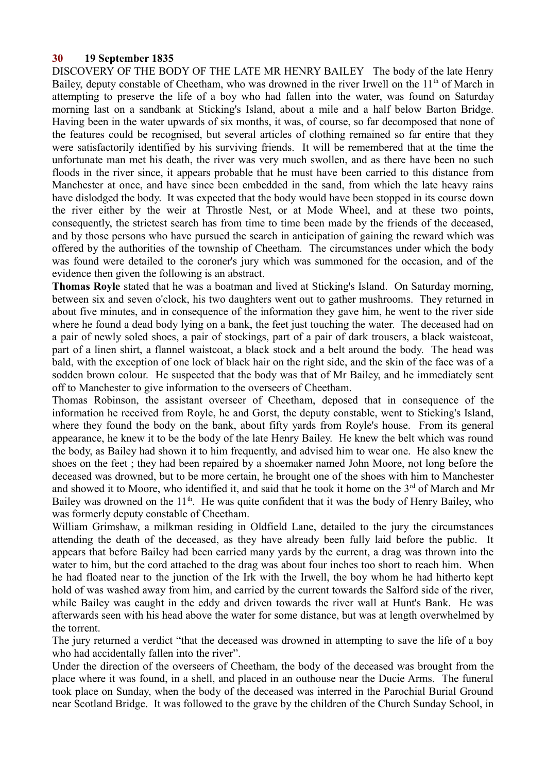# **30 19 September 1835**

DISCOVERY OF THE BODY OF THE LATE MR HENRY BAILEY The body of the late Henry Bailey, deputy constable of Cheetham, who was drowned in the river Irwell on the  $11<sup>th</sup>$  of March in attempting to preserve the life of a boy who had fallen into the water, was found on Saturday morning last on a sandbank at Sticking's Island, about a mile and a half below Barton Bridge. Having been in the water upwards of six months, it was, of course, so far decomposed that none of the features could be recognised, but several articles of clothing remained so far entire that they were satisfactorily identified by his surviving friends. It will be remembered that at the time the unfortunate man met his death, the river was very much swollen, and as there have been no such floods in the river since, it appears probable that he must have been carried to this distance from Manchester at once, and have since been embedded in the sand, from which the late heavy rains have dislodged the body. It was expected that the body would have been stopped in its course down the river either by the weir at Throstle Nest, or at Mode Wheel, and at these two points, consequently, the strictest search has from time to time been made by the friends of the deceased, and by those persons who have pursued the search in anticipation of gaining the reward which was offered by the authorities of the township of Cheetham. The circumstances under which the body was found were detailed to the coroner's jury which was summoned for the occasion, and of the evidence then given the following is an abstract.

**Thomas Royle** stated that he was a boatman and lived at Sticking's Island. On Saturday morning, between six and seven o'clock, his two daughters went out to gather mushrooms. They returned in about five minutes, and in consequence of the information they gave him, he went to the river side where he found a dead body lying on a bank, the feet just touching the water. The deceased had on a pair of newly soled shoes, a pair of stockings, part of a pair of dark trousers, a black waistcoat, part of a linen shirt, a flannel waistcoat, a black stock and a belt around the body. The head was bald, with the exception of one lock of black hair on the right side, and the skin of the face was of a sodden brown colour. He suspected that the body was that of Mr Bailey, and he immediately sent off to Manchester to give information to the overseers of Cheetham.

Thomas Robinson, the assistant overseer of Cheetham, deposed that in consequence of the information he received from Royle, he and Gorst, the deputy constable, went to Sticking's Island, where they found the body on the bank, about fifty yards from Royle's house. From its general appearance, he knew it to be the body of the late Henry Bailey. He knew the belt which was round the body, as Bailey had shown it to him frequently, and advised him to wear one. He also knew the shoes on the feet ; they had been repaired by a shoemaker named John Moore, not long before the deceased was drowned, but to be more certain, he brought one of the shoes with him to Manchester and showed it to Moore, who identified it, and said that he took it home on the 3<sup>rd</sup> of March and Mr Bailey was drowned on the  $11<sup>th</sup>$ . He was quite confident that it was the body of Henry Bailey, who was formerly deputy constable of Cheetham.

William Grimshaw, a milkman residing in Oldfield Lane, detailed to the jury the circumstances attending the death of the deceased, as they have already been fully laid before the public. It appears that before Bailey had been carried many yards by the current, a drag was thrown into the water to him, but the cord attached to the drag was about four inches too short to reach him. When he had floated near to the junction of the Irk with the Irwell, the boy whom he had hitherto kept hold of was washed away from him, and carried by the current towards the Salford side of the river, while Bailey was caught in the eddy and driven towards the river wall at Hunt's Bank. He was afterwards seen with his head above the water for some distance, but was at length overwhelmed by the torrent.

The jury returned a verdict "that the deceased was drowned in attempting to save the life of a boy who had accidentally fallen into the river".

Under the direction of the overseers of Cheetham, the body of the deceased was brought from the place where it was found, in a shell, and placed in an outhouse near the Ducie Arms. The funeral took place on Sunday, when the body of the deceased was interred in the Parochial Burial Ground near Scotland Bridge. It was followed to the grave by the children of the Church Sunday School, in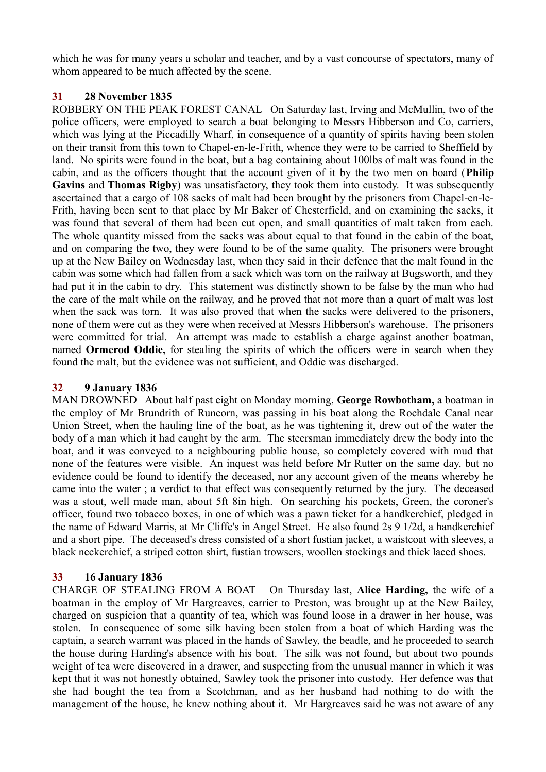which he was for many years a scholar and teacher, and by a vast concourse of spectators, many of whom appeared to be much affected by the scene.

# **31 28 November 1835**

ROBBERY ON THE PEAK FOREST CANAL On Saturday last, Irving and McMullin, two of the police officers, were employed to search a boat belonging to Messrs Hibberson and Co, carriers, which was lying at the Piccadilly Wharf, in consequence of a quantity of spirits having been stolen on their transit from this town to Chapel-en-le-Frith, whence they were to be carried to Sheffield by land. No spirits were found in the boat, but a bag containing about 100lbs of malt was found in the cabin, and as the officers thought that the account given of it by the two men on board (**Philip Gavins** and **Thomas Rigby**) was unsatisfactory, they took them into custody. It was subsequently ascertained that a cargo of 108 sacks of malt had been brought by the prisoners from Chapel-en-le-Frith, having been sent to that place by Mr Baker of Chesterfield, and on examining the sacks, it was found that several of them had been cut open, and small quantities of malt taken from each. The whole quantity missed from the sacks was about equal to that found in the cabin of the boat, and on comparing the two, they were found to be of the same quality. The prisoners were brought up at the New Bailey on Wednesday last, when they said in their defence that the malt found in the cabin was some which had fallen from a sack which was torn on the railway at Bugsworth, and they had put it in the cabin to dry. This statement was distinctly shown to be false by the man who had the care of the malt while on the railway, and he proved that not more than a quart of malt was lost when the sack was torn. It was also proved that when the sacks were delivered to the prisoners, none of them were cut as they were when received at Messrs Hibberson's warehouse. The prisoners were committed for trial. An attempt was made to establish a charge against another boatman, named **Ormerod Oddie,** for stealing the spirits of which the officers were in search when they found the malt, but the evidence was not sufficient, and Oddie was discharged.

# **32 9 January 1836**

MAN DROWNED About half past eight on Monday morning, **George Rowbotham,** a boatman in the employ of Mr Brundrith of Runcorn, was passing in his boat along the Rochdale Canal near Union Street, when the hauling line of the boat, as he was tightening it, drew out of the water the body of a man which it had caught by the arm. The steersman immediately drew the body into the boat, and it was conveyed to a neighbouring public house, so completely covered with mud that none of the features were visible. An inquest was held before Mr Rutter on the same day, but no evidence could be found to identify the deceased, nor any account given of the means whereby he came into the water ; a verdict to that effect was consequently returned by the jury. The deceased was a stout, well made man, about 5ft 8in high. On searching his pockets, Green, the coroner's officer, found two tobacco boxes, in one of which was a pawn ticket for a handkerchief, pledged in the name of Edward Marris, at Mr Cliffe's in Angel Street. He also found 2s 9 1/2d, a handkerchief and a short pipe. The deceased's dress consisted of a short fustian jacket, a waistcoat with sleeves, a black neckerchief, a striped cotton shirt, fustian trowsers, woollen stockings and thick laced shoes.

# **33 16 January 1836**

CHARGE OF STEALING FROM A BOAT On Thursday last, **Alice Harding,** the wife of a boatman in the employ of Mr Hargreaves, carrier to Preston, was brought up at the New Bailey, charged on suspicion that a quantity of tea, which was found loose in a drawer in her house, was stolen. In consequence of some silk having been stolen from a boat of which Harding was the captain, a search warrant was placed in the hands of Sawley, the beadle, and he proceeded to search the house during Harding's absence with his boat. The silk was not found, but about two pounds weight of tea were discovered in a drawer, and suspecting from the unusual manner in which it was kept that it was not honestly obtained, Sawley took the prisoner into custody. Her defence was that she had bought the tea from a Scotchman, and as her husband had nothing to do with the management of the house, he knew nothing about it. Mr Hargreaves said he was not aware of any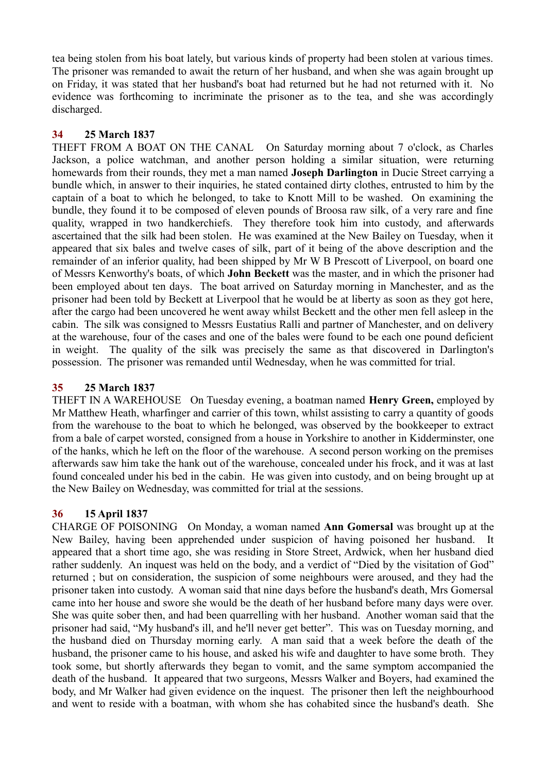tea being stolen from his boat lately, but various kinds of property had been stolen at various times. The prisoner was remanded to await the return of her husband, and when she was again brought up on Friday, it was stated that her husband's boat had returned but he had not returned with it. No evidence was forthcoming to incriminate the prisoner as to the tea, and she was accordingly discharged.

### **34 25 March 1837**

THEFT FROM A BOAT ON THE CANAL On Saturday morning about 7 o'clock, as Charles Jackson, a police watchman, and another person holding a similar situation, were returning homewards from their rounds, they met a man named **Joseph Darlington** in Ducie Street carrying a bundle which, in answer to their inquiries, he stated contained dirty clothes, entrusted to him by the captain of a boat to which he belonged, to take to Knott Mill to be washed. On examining the bundle, they found it to be composed of eleven pounds of Broosa raw silk, of a very rare and fine quality, wrapped in two handkerchiefs. They therefore took him into custody, and afterwards ascertained that the silk had been stolen. He was examined at the New Bailey on Tuesday, when it appeared that six bales and twelve cases of silk, part of it being of the above description and the remainder of an inferior quality, had been shipped by Mr W B Prescott of Liverpool, on board one of Messrs Kenworthy's boats, of which **John Beckett** was the master, and in which the prisoner had been employed about ten days. The boat arrived on Saturday morning in Manchester, and as the prisoner had been told by Beckett at Liverpool that he would be at liberty as soon as they got here, after the cargo had been uncovered he went away whilst Beckett and the other men fell asleep in the cabin. The silk was consigned to Messrs Eustatius Ralli and partner of Manchester, and on delivery at the warehouse, four of the cases and one of the bales were found to be each one pound deficient in weight. The quality of the silk was precisely the same as that discovered in Darlington's possession. The prisoner was remanded until Wednesday, when he was committed for trial.

#### **35 25 March 1837**

THEFT IN A WAREHOUSE On Tuesday evening, a boatman named **Henry Green,** employed by Mr Matthew Heath, wharfinger and carrier of this town, whilst assisting to carry a quantity of goods from the warehouse to the boat to which he belonged, was observed by the bookkeeper to extract from a bale of carpet worsted, consigned from a house in Yorkshire to another in Kidderminster, one of the hanks, which he left on the floor of the warehouse. A second person working on the premises afterwards saw him take the hank out of the warehouse, concealed under his frock, and it was at last found concealed under his bed in the cabin. He was given into custody, and on being brought up at the New Bailey on Wednesday, was committed for trial at the sessions.

# **36 15 April 1837**

CHARGE OF POISONING On Monday, a woman named **Ann Gomersal** was brought up at the New Bailey, having been apprehended under suspicion of having poisoned her husband. It appeared that a short time ago, she was residing in Store Street, Ardwick, when her husband died rather suddenly. An inquest was held on the body, and a verdict of "Died by the visitation of God" returned ; but on consideration, the suspicion of some neighbours were aroused, and they had the prisoner taken into custody. A woman said that nine days before the husband's death, Mrs Gomersal came into her house and swore she would be the death of her husband before many days were over. She was quite sober then, and had been quarrelling with her husband. Another woman said that the prisoner had said, "My husband's ill, and he'll never get better". This was on Tuesday morning, and the husband died on Thursday morning early. A man said that a week before the death of the husband, the prisoner came to his house, and asked his wife and daughter to have some broth. They took some, but shortly afterwards they began to vomit, and the same symptom accompanied the death of the husband. It appeared that two surgeons, Messrs Walker and Boyers, had examined the body, and Mr Walker had given evidence on the inquest. The prisoner then left the neighbourhood and went to reside with a boatman, with whom she has cohabited since the husband's death. She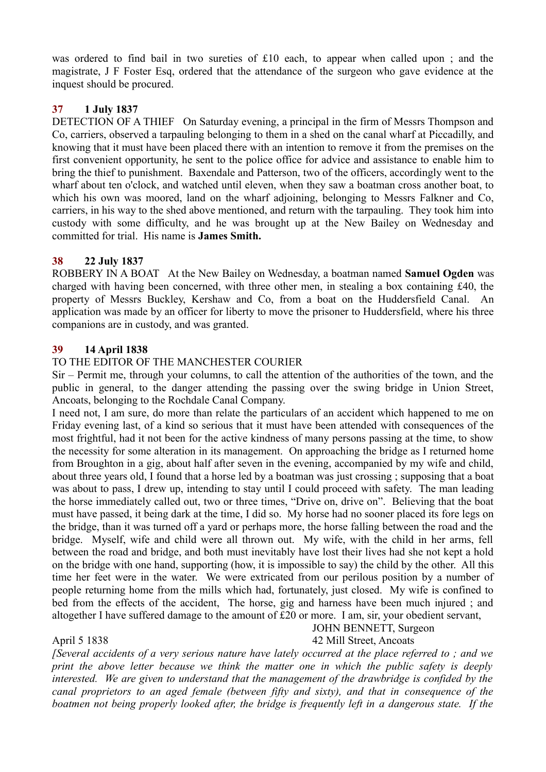was ordered to find bail in two sureties of £10 each, to appear when called upon ; and the magistrate, J F Foster Esq, ordered that the attendance of the surgeon who gave evidence at the inquest should be procured.

# **37 1 July 1837**

DETECTION OF A THIEF On Saturday evening, a principal in the firm of Messrs Thompson and Co, carriers, observed a tarpauling belonging to them in a shed on the canal wharf at Piccadilly, and knowing that it must have been placed there with an intention to remove it from the premises on the first convenient opportunity, he sent to the police office for advice and assistance to enable him to bring the thief to punishment. Baxendale and Patterson, two of the officers, accordingly went to the wharf about ten o'clock, and watched until eleven, when they saw a boatman cross another boat, to which his own was moored, land on the wharf adjoining, belonging to Messrs Falkner and Co, carriers, in his way to the shed above mentioned, and return with the tarpauling. They took him into custody with some difficulty, and he was brought up at the New Bailey on Wednesday and committed for trial. His name is **James Smith.**

### **38 22 July 1837**

ROBBERY IN A BOAT At the New Bailey on Wednesday, a boatman named **Samuel Ogden** was charged with having been concerned, with three other men, in stealing a box containing £40, the property of Messrs Buckley, Kershaw and Co, from a boat on the Huddersfield Canal. An application was made by an officer for liberty to move the prisoner to Huddersfield, where his three companions are in custody, and was granted.

#### **39 14 April 1838**

### TO THE EDITOR OF THE MANCHESTER COURIER

Sir – Permit me, through your columns, to call the attention of the authorities of the town, and the public in general, to the danger attending the passing over the swing bridge in Union Street, Ancoats, belonging to the Rochdale Canal Company.

I need not, I am sure, do more than relate the particulars of an accident which happened to me on Friday evening last, of a kind so serious that it must have been attended with consequences of the most frightful, had it not been for the active kindness of many persons passing at the time, to show the necessity for some alteration in its management. On approaching the bridge as I returned home from Broughton in a gig, about half after seven in the evening, accompanied by my wife and child, about three years old, I found that a horse led by a boatman was just crossing ; supposing that a boat was about to pass, I drew up, intending to stay until I could proceed with safety. The man leading the horse immediately called out, two or three times, "Drive on, drive on". Believing that the boat must have passed, it being dark at the time, I did so. My horse had no sooner placed its fore legs on the bridge, than it was turned off a yard or perhaps more, the horse falling between the road and the bridge. Myself, wife and child were all thrown out. My wife, with the child in her arms, fell between the road and bridge, and both must inevitably have lost their lives had she not kept a hold on the bridge with one hand, supporting (how, it is impossible to say) the child by the other. All this time her feet were in the water. We were extricated from our perilous position by a number of people returning home from the mills which had, fortunately, just closed. My wife is confined to bed from the effects of the accident, The horse, gig and harness have been much injured ; and altogether I have suffered damage to the amount of £20 or more. I am, sir, your obedient servant,

#### April 5 1838 42 Mill Street, Ancoats

# JOHN BENNETT, Surgeon

*[Several accidents of a very serious nature have lately occurred at the place referred to ; and we print the above letter because we think the matter one in which the public safety is deeply interested. We are given to understand that the management of the drawbridge is confided by the canal proprietors to an aged female (between fifty and sixty), and that in consequence of the boatmen not being properly looked after, the bridge is frequently left in a dangerous state. If the*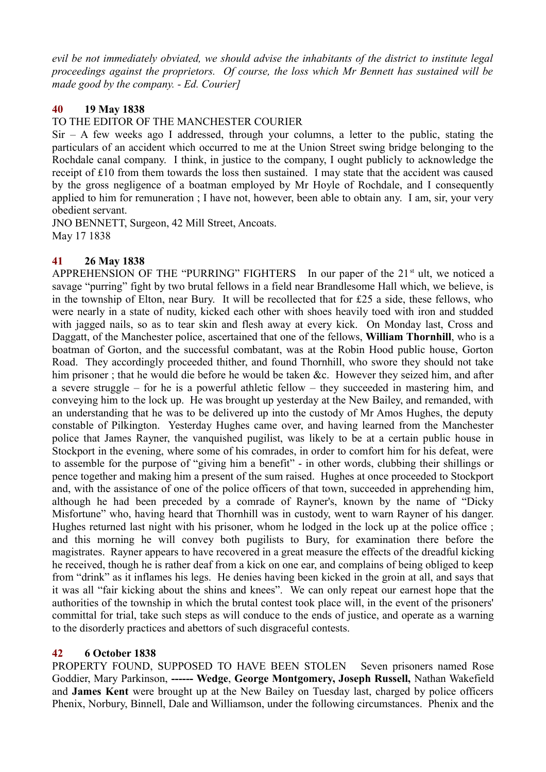*evil be not immediately obviated, we should advise the inhabitants of the district to institute legal proceedings against the proprietors. Of course, the loss which Mr Bennett has sustained will be made good by the company. - Ed. Courier]*

# **40 19 May 1838**

TO THE EDITOR OF THE MANCHESTER COURIER

 $Sir - A$  few weeks ago I addressed, through your columns, a letter to the public, stating the particulars of an accident which occurred to me at the Union Street swing bridge belonging to the Rochdale canal company. I think, in justice to the company, I ought publicly to acknowledge the receipt of £10 from them towards the loss then sustained. I may state that the accident was caused by the gross negligence of a boatman employed by Mr Hoyle of Rochdale, and I consequently applied to him for remuneration ; I have not, however, been able to obtain any. I am, sir, your very obedient servant.

JNO BENNETT, Surgeon, 42 Mill Street, Ancoats. May 17 1838

### **41 26 May 1838**

APPREHENSION OF THE "PURRING" FIGHTERS In our paper of the  $21<sup>st</sup>$  ult, we noticed a savage "purring" fight by two brutal fellows in a field near Brandlesome Hall which, we believe, is in the township of Elton, near Bury. It will be recollected that for £25 a side, these fellows, who were nearly in a state of nudity, kicked each other with shoes heavily toed with iron and studded with jagged nails, so as to tear skin and flesh away at every kick. On Monday last, Cross and Daggatt, of the Manchester police, ascertained that one of the fellows, **William Thornhill**, who is a boatman of Gorton, and the successful combatant, was at the Robin Hood public house, Gorton Road. They accordingly proceeded thither, and found Thornhill, who swore they should not take him prisoner; that he would die before he would be taken &c. However they seized him, and after a severe struggle – for he is a powerful athletic fellow – they succeeded in mastering him, and conveying him to the lock up. He was brought up yesterday at the New Bailey, and remanded, with an understanding that he was to be delivered up into the custody of Mr Amos Hughes, the deputy constable of Pilkington. Yesterday Hughes came over, and having learned from the Manchester police that James Rayner, the vanquished pugilist, was likely to be at a certain public house in Stockport in the evening, where some of his comrades, in order to comfort him for his defeat, were to assemble for the purpose of "giving him a benefit" - in other words, clubbing their shillings or pence together and making him a present of the sum raised. Hughes at once proceeded to Stockport and, with the assistance of one of the police officers of that town, succeeded in apprehending him, although he had been preceded by a comrade of Rayner's, known by the name of "Dicky Misfortune" who, having heard that Thornhill was in custody, went to warn Rayner of his danger. Hughes returned last night with his prisoner, whom he lodged in the lock up at the police office ; and this morning he will convey both pugilists to Bury, for examination there before the magistrates. Rayner appears to have recovered in a great measure the effects of the dreadful kicking he received, though he is rather deaf from a kick on one ear, and complains of being obliged to keep from "drink" as it inflames his legs. He denies having been kicked in the groin at all, and says that it was all "fair kicking about the shins and knees". We can only repeat our earnest hope that the authorities of the township in which the brutal contest took place will, in the event of the prisoners' committal for trial, take such steps as will conduce to the ends of justice, and operate as a warning to the disorderly practices and abettors of such disgraceful contests.

# **42 6 October 1838**

PROPERTY FOUND, SUPPOSED TO HAVE BEEN STOLEN Seven prisoners named Rose Goddier, Mary Parkinson, **------ Wedge**, **George Montgomery, Joseph Russell,** Nathan Wakefield and **James Kent** were brought up at the New Bailey on Tuesday last, charged by police officers Phenix, Norbury, Binnell, Dale and Williamson, under the following circumstances. Phenix and the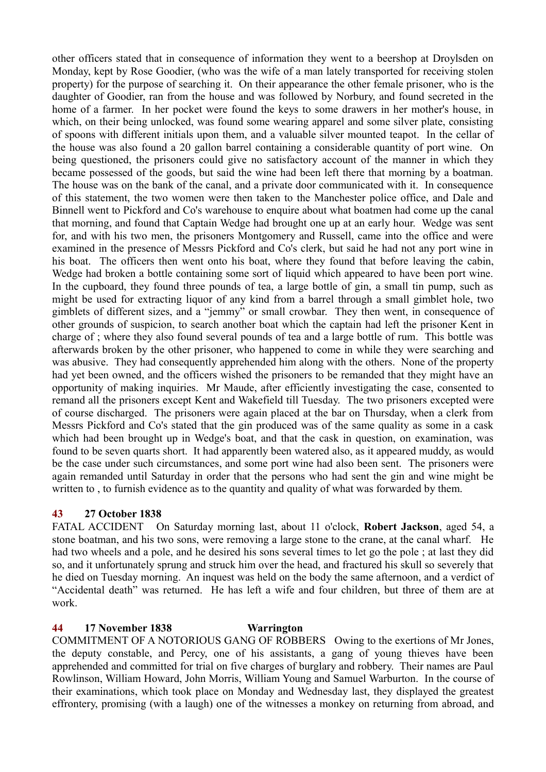other officers stated that in consequence of information they went to a beershop at Droylsden on Monday, kept by Rose Goodier, (who was the wife of a man lately transported for receiving stolen property) for the purpose of searching it. On their appearance the other female prisoner, who is the daughter of Goodier, ran from the house and was followed by Norbury, and found secreted in the home of a farmer. In her pocket were found the keys to some drawers in her mother's house, in which, on their being unlocked, was found some wearing apparel and some silver plate, consisting of spoons with different initials upon them, and a valuable silver mounted teapot. In the cellar of the house was also found a 20 gallon barrel containing a considerable quantity of port wine. On being questioned, the prisoners could give no satisfactory account of the manner in which they became possessed of the goods, but said the wine had been left there that morning by a boatman. The house was on the bank of the canal, and a private door communicated with it. In consequence of this statement, the two women were then taken to the Manchester police office, and Dale and Binnell went to Pickford and Co's warehouse to enquire about what boatmen had come up the canal that morning, and found that Captain Wedge had brought one up at an early hour. Wedge was sent for, and with his two men, the prisoners Montgomery and Russell, came into the office and were examined in the presence of Messrs Pickford and Co's clerk, but said he had not any port wine in his boat. The officers then went onto his boat, where they found that before leaving the cabin, Wedge had broken a bottle containing some sort of liquid which appeared to have been port wine. In the cupboard, they found three pounds of tea, a large bottle of gin, a small tin pump, such as might be used for extracting liquor of any kind from a barrel through a small gimblet hole, two gimblets of different sizes, and a "jemmy" or small crowbar. They then went, in consequence of other grounds of suspicion, to search another boat which the captain had left the prisoner Kent in charge of ; where they also found several pounds of tea and a large bottle of rum. This bottle was afterwards broken by the other prisoner, who happened to come in while they were searching and was abusive. They had consequently apprehended him along with the others. None of the property had yet been owned, and the officers wished the prisoners to be remanded that they might have an opportunity of making inquiries. Mr Maude, after efficiently investigating the case, consented to remand all the prisoners except Kent and Wakefield till Tuesday. The two prisoners excepted were of course discharged. The prisoners were again placed at the bar on Thursday, when a clerk from Messrs Pickford and Co's stated that the gin produced was of the same quality as some in a cask which had been brought up in Wedge's boat, and that the cask in question, on examination, was found to be seven quarts short. It had apparently been watered also, as it appeared muddy, as would be the case under such circumstances, and some port wine had also been sent. The prisoners were again remanded until Saturday in order that the persons who had sent the gin and wine might be written to, to furnish evidence as to the quantity and quality of what was forwarded by them.

# **43 27 October 1838**

FATAL ACCIDENT On Saturday morning last, about 11 o'clock, **Robert Jackson**, aged 54, a stone boatman, and his two sons, were removing a large stone to the crane, at the canal wharf. He had two wheels and a pole, and he desired his sons several times to let go the pole ; at last they did so, and it unfortunately sprung and struck him over the head, and fractured his skull so severely that he died on Tuesday morning. An inquest was held on the body the same afternoon, and a verdict of "Accidental death" was returned. He has left a wife and four children, but three of them are at work.

# **44 17 November 1838 Warrington**

COMMITMENT OF A NOTORIOUS GANG OF ROBBERS Owing to the exertions of Mr Jones, the deputy constable, and Percy, one of his assistants, a gang of young thieves have been apprehended and committed for trial on five charges of burglary and robbery. Their names are Paul Rowlinson, William Howard, John Morris, William Young and Samuel Warburton. In the course of their examinations, which took place on Monday and Wednesday last, they displayed the greatest effrontery, promising (with a laugh) one of the witnesses a monkey on returning from abroad, and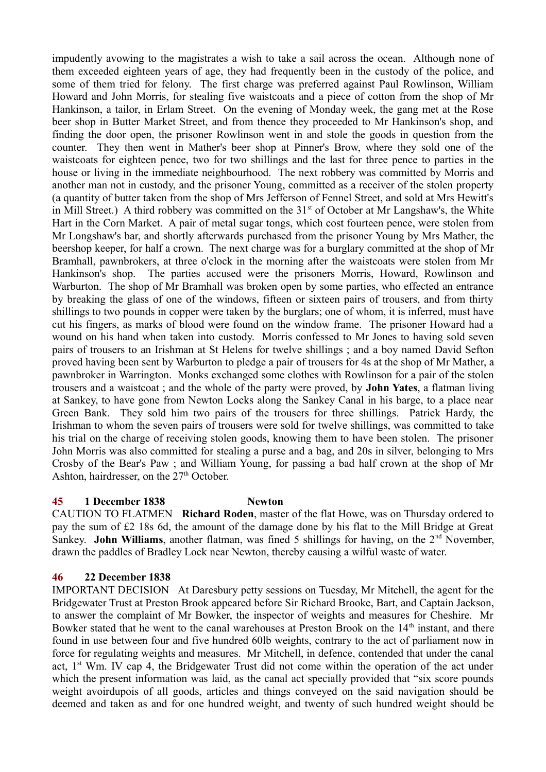impudently avowing to the magistrates a wish to take a sail across the ocean. Although none of them exceeded eighteen years of age, they had frequently been in the custody of the police, and some of them tried for felony. The first charge was preferred against Paul Rowlinson, William Howard and John Morris, for stealing five waistcoats and a piece of cotton from the shop of Mr Hankinson, a tailor, in Erlam Street. On the evening of Monday week, the gang met at the Rose beer shop in Butter Market Street, and from thence they proceeded to Mr Hankinson's shop, and finding the door open, the prisoner Rowlinson went in and stole the goods in question from the counter. They then went in Mather's beer shop at Pinner's Brow, where they sold one of the waistcoats for eighteen pence, two for two shillings and the last for three pence to parties in the house or living in the immediate neighbourhood. The next robbery was committed by Morris and another man not in custody, and the prisoner Young, committed as a receiver of the stolen property (a quantity of butter taken from the shop of Mrs Jefferson of Fennel Street, and sold at Mrs Hewitt's in Mill Street.) A third robbery was committed on the 31<sup>st</sup> of October at Mr Langshaw's, the White Hart in the Corn Market. A pair of metal sugar tongs, which cost fourteen pence, were stolen from Mr Longshaw's bar, and shortly afterwards purchased from the prisoner Young by Mrs Mather, the beershop keeper, for half a crown. The next charge was for a burglary committed at the shop of Mr Bramhall, pawnbrokers, at three o'clock in the morning after the waistcoats were stolen from Mr Hankinson's shop. The parties accused were the prisoners Morris, Howard, Rowlinson and Warburton. The shop of Mr Bramhall was broken open by some parties, who effected an entrance by breaking the glass of one of the windows, fifteen or sixteen pairs of trousers, and from thirty shillings to two pounds in copper were taken by the burglars; one of whom, it is inferred, must have cut his fingers, as marks of blood were found on the window frame. The prisoner Howard had a wound on his hand when taken into custody. Morris confessed to Mr Jones to having sold seven pairs of trousers to an Irishman at St Helens for twelve shillings ; and a boy named David Sefton proved having been sent by Warburton to pledge a pair of trousers for 4s at the shop of Mr Mather, a pawnbroker in Warrington. Monks exchanged some clothes with Rowlinson for a pair of the stolen trousers and a waistcoat ; and the whole of the party were proved, by **John Yates**, a flatman living at Sankey, to have gone from Newton Locks along the Sankey Canal in his barge, to a place near Green Bank. They sold him two pairs of the trousers for three shillings. Patrick Hardy, the Irishman to whom the seven pairs of trousers were sold for twelve shillings, was committed to take his trial on the charge of receiving stolen goods, knowing them to have been stolen. The prisoner John Morris was also committed for stealing a purse and a bag, and 20s in silver, belonging to Mrs Crosby of the Bear's Paw ; and William Young, for passing a bad half crown at the shop of Mr Ashton, hairdresser, on the  $27<sup>th</sup>$  October.

#### **45 1 December 1838 Newton**

CAUTION TO FLATMEN **Richard Roden**, master of the flat Howe, was on Thursday ordered to pay the sum of £2 18s 6d, the amount of the damage done by his flat to the Mill Bridge at Great Sankey. **John Williams**, another flatman, was fined 5 shillings for having, on the 2<sup>nd</sup> November, drawn the paddles of Bradley Lock near Newton, thereby causing a wilful waste of water.

# **46 22 December 1838**

IMPORTANT DECISION At Daresbury petty sessions on Tuesday, Mr Mitchell, the agent for the Bridgewater Trust at Preston Brook appeared before Sir Richard Brooke, Bart, and Captain Jackson, to answer the complaint of Mr Bowker, the inspector of weights and measures for Cheshire. Mr Bowker stated that he went to the canal warehouses at Preston Brook on the 14<sup>th</sup> instant, and there found in use between four and five hundred 60lb weights, contrary to the act of parliament now in force for regulating weights and measures. Mr Mitchell, in defence, contended that under the canal act, 1<sup>st</sup> Wm. IV cap 4, the Bridgewater Trust did not come within the operation of the act under which the present information was laid, as the canal act specially provided that "six score pounds" weight avoirdupois of all goods, articles and things conveyed on the said navigation should be deemed and taken as and for one hundred weight, and twenty of such hundred weight should be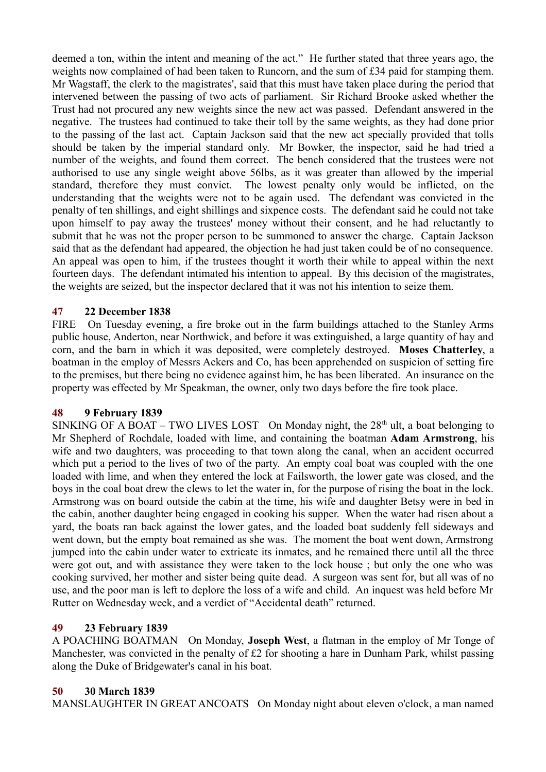deemed a ton, within the intent and meaning of the act." He further stated that three years ago, the weights now complained of had been taken to Runcorn, and the sum of £34 paid for stamping them. Mr Wagstaff, the clerk to the magistrates', said that this must have taken place during the period that intervened between the passing of two acts of parliament. Sir Richard Brooke asked whether the Trust had not procured any new weights since the new act was passed. Defendant answered in the negative. The trustees had continued to take their toll by the same weights, as they had done prior to the passing of the last act. Captain Jackson said that the new act specially provided that tolls should be taken by the imperial standard only. Mr Bowker, the inspector, said he had tried a number of the weights, and found them correct. The bench considered that the trustees were not authorised to use any single weight above 56lbs, as it was greater than allowed by the imperial standard, therefore they must convict. The lowest penalty only would be inflicted, on the understanding that the weights were not to be again used. The defendant was convicted in the penalty of ten shillings, and eight shillings and sixpence costs. The defendant said he could not take upon himself to pay away the trustees' money without their consent, and he had reluctantly to submit that he was not the proper person to be summoned to answer the charge. Captain Jackson said that as the defendant had appeared, the objection he had just taken could be of no consequence. An appeal was open to him, if the trustees thought it worth their while to appeal within the next fourteen days. The defendant intimated his intention to appeal. By this decision of the magistrates, the weights are seized, but the inspector declared that it was not his intention to seize them.

### **47 22 December 1838**

FIRE On Tuesday evening, a fire broke out in the farm buildings attached to the Stanley Arms public house, Anderton, near Northwick, and before it was extinguished, a large quantity of hay and corn, and the barn in which it was deposited, were completely destroyed. **Moses Chatterley**, a boatman in the employ of Messrs Ackers and Co, has been apprehended on suspicion of setting fire to the premises, but there being no evidence against him, he has been liberated. An insurance on the property was effected by Mr Speakman, the owner, only two days before the fire took place.

#### **48 9 February 1839**

SINKING OF A BOAT – TWO LIVES LOST On Monday night, the  $28<sup>th</sup>$  ult, a boat belonging to Mr Shepherd of Rochdale, loaded with lime, and containing the boatman **Adam Armstrong**, his wife and two daughters, was proceeding to that town along the canal, when an accident occurred which put a period to the lives of two of the party. An empty coal boat was coupled with the one loaded with lime, and when they entered the lock at Failsworth, the lower gate was closed, and the boys in the coal boat drew the clews to let the water in, for the purpose of rising the boat in the lock. Armstrong was on board outside the cabin at the time, his wife and daughter Betsy were in bed in the cabin, another daughter being engaged in cooking his supper. When the water had risen about a yard, the boats ran back against the lower gates, and the loaded boat suddenly fell sideways and went down, but the empty boat remained as she was. The moment the boat went down, Armstrong jumped into the cabin under water to extricate its inmates, and he remained there until all the three were got out, and with assistance they were taken to the lock house ; but only the one who was cooking survived, her mother and sister being quite dead. A surgeon was sent for, but all was of no use, and the poor man is left to deplore the loss of a wife and child. An inquest was held before Mr Rutter on Wednesday week, and a verdict of "Accidental death" returned.

# **49 23 February 1839**

A POACHING BOATMAN On Monday, **Joseph West**, a flatman in the employ of Mr Tonge of Manchester, was convicted in the penalty of £2 for shooting a hare in Dunham Park, whilst passing along the Duke of Bridgewater's canal in his boat.

# **50 30 March 1839**

MANSLAUGHTER IN GREAT ANCOATS On Monday night about eleven o'clock, a man named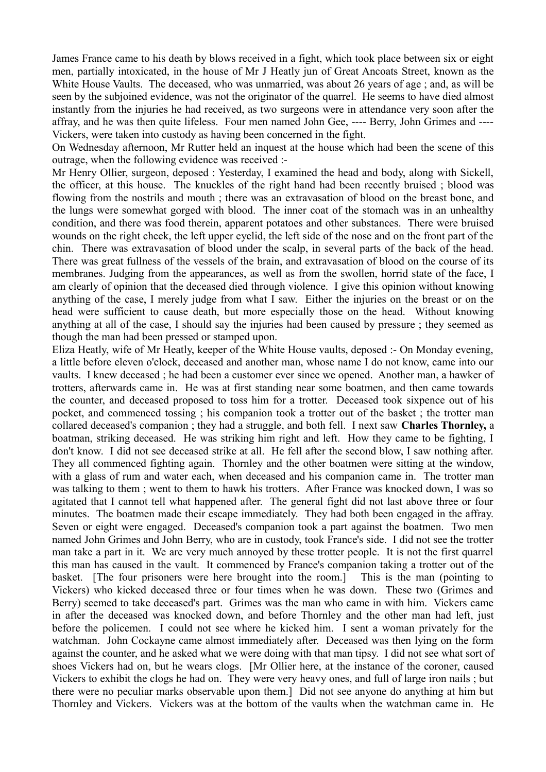James France came to his death by blows received in a fight, which took place between six or eight men, partially intoxicated, in the house of Mr J Heatly jun of Great Ancoats Street, known as the White House Vaults. The deceased, who was unmarried, was about 26 years of age ; and, as will be seen by the subjoined evidence, was not the originator of the quarrel. He seems to have died almost instantly from the injuries he had received, as two surgeons were in attendance very soon after the affray, and he was then quite lifeless. Four men named John Gee, ---- Berry, John Grimes and ---- Vickers, were taken into custody as having been concerned in the fight.

On Wednesday afternoon, Mr Rutter held an inquest at the house which had been the scene of this outrage, when the following evidence was received :-

Mr Henry Ollier, surgeon, deposed : Yesterday, I examined the head and body, along with Sickell, the officer, at this house. The knuckles of the right hand had been recently bruised ; blood was flowing from the nostrils and mouth ; there was an extravasation of blood on the breast bone, and the lungs were somewhat gorged with blood. The inner coat of the stomach was in an unhealthy condition, and there was food therein, apparent potatoes and other substances. There were bruised wounds on the right cheek, the left upper eyelid, the left side of the nose and on the front part of the chin. There was extravasation of blood under the scalp, in several parts of the back of the head. There was great fullness of the vessels of the brain, and extravasation of blood on the course of its membranes. Judging from the appearances, as well as from the swollen, horrid state of the face, I am clearly of opinion that the deceased died through violence. I give this opinion without knowing anything of the case, I merely judge from what I saw. Either the injuries on the breast or on the head were sufficient to cause death, but more especially those on the head. Without knowing anything at all of the case, I should say the injuries had been caused by pressure ; they seemed as though the man had been pressed or stamped upon.

Eliza Heatly, wife of Mr Heatly, keeper of the White House vaults, deposed :- On Monday evening, a little before eleven o'clock, deceased and another man, whose name I do not know, came into our vaults. I knew deceased ; he had been a customer ever since we opened. Another man, a hawker of trotters, afterwards came in. He was at first standing near some boatmen, and then came towards the counter, and deceased proposed to toss him for a trotter. Deceased took sixpence out of his pocket, and commenced tossing ; his companion took a trotter out of the basket ; the trotter man collared deceased's companion ; they had a struggle, and both fell. I next saw **Charles Thornley,** a boatman, striking deceased. He was striking him right and left. How they came to be fighting, I don't know. I did not see deceased strike at all. He fell after the second blow, I saw nothing after. They all commenced fighting again. Thornley and the other boatmen were sitting at the window, with a glass of rum and water each, when deceased and his companion came in. The trotter man was talking to them ; went to them to hawk his trotters. After France was knocked down, I was so agitated that I cannot tell what happened after. The general fight did not last above three or four minutes. The boatmen made their escape immediately. They had both been engaged in the affray. Seven or eight were engaged. Deceased's companion took a part against the boatmen. Two men named John Grimes and John Berry, who are in custody, took France's side. I did not see the trotter man take a part in it. We are very much annoyed by these trotter people. It is not the first quarrel this man has caused in the vault. It commenced by France's companion taking a trotter out of the basket. [The four prisoners were here brought into the room.] This is the man (pointing to Vickers) who kicked deceased three or four times when he was down. These two (Grimes and Berry) seemed to take deceased's part. Grimes was the man who came in with him. Vickers came in after the deceased was knocked down, and before Thornley and the other man had left, just before the policemen. I could not see where he kicked him. I sent a woman privately for the watchman. John Cockayne came almost immediately after. Deceased was then lying on the form against the counter, and he asked what we were doing with that man tipsy. I did not see what sort of shoes Vickers had on, but he wears clogs. [Mr Ollier here, at the instance of the coroner, caused Vickers to exhibit the clogs he had on. They were very heavy ones, and full of large iron nails ; but there were no peculiar marks observable upon them.] Did not see anyone do anything at him but Thornley and Vickers. Vickers was at the bottom of the vaults when the watchman came in. He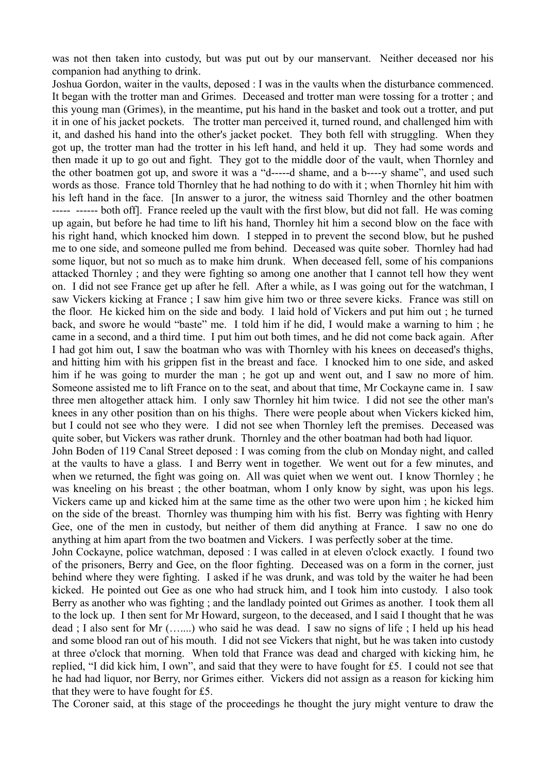was not then taken into custody, but was put out by our manservant. Neither deceased nor his companion had anything to drink.

Joshua Gordon, waiter in the vaults, deposed : I was in the vaults when the disturbance commenced. It began with the trotter man and Grimes. Deceased and trotter man were tossing for a trotter ; and this young man (Grimes), in the meantime, put his hand in the basket and took out a trotter, and put it in one of his jacket pockets. The trotter man perceived it, turned round, and challenged him with it, and dashed his hand into the other's jacket pocket. They both fell with struggling. When they got up, the trotter man had the trotter in his left hand, and held it up. They had some words and then made it up to go out and fight. They got to the middle door of the vault, when Thornley and the other boatmen got up, and swore it was a "d-----d shame, and a b----y shame", and used such words as those. France told Thornley that he had nothing to do with it ; when Thornley hit him with his left hand in the face. [In answer to a juror, the witness said Thornley and the other boatmen ----- ------ both off]. France reeled up the vault with the first blow, but did not fall. He was coming up again, but before he had time to lift his hand, Thornley hit him a second blow on the face with his right hand, which knocked him down. I stepped in to prevent the second blow, but he pushed me to one side, and someone pulled me from behind. Deceased was quite sober. Thornley had had some liquor, but not so much as to make him drunk. When deceased fell, some of his companions attacked Thornley ; and they were fighting so among one another that I cannot tell how they went on. I did not see France get up after he fell. After a while, as I was going out for the watchman, I saw Vickers kicking at France ; I saw him give him two or three severe kicks. France was still on the floor. He kicked him on the side and body. I laid hold of Vickers and put him out ; he turned back, and swore he would "baste" me. I told him if he did, I would make a warning to him ; he came in a second, and a third time. I put him out both times, and he did not come back again. After I had got him out, I saw the boatman who was with Thornley with his knees on deceased's thighs, and hitting him with his grippen fist in the breast and face. I knocked him to one side, and asked him if he was going to murder the man ; he got up and went out, and I saw no more of him. Someone assisted me to lift France on to the seat, and about that time, Mr Cockayne came in. I saw three men altogether attack him. I only saw Thornley hit him twice. I did not see the other man's knees in any other position than on his thighs. There were people about when Vickers kicked him, but I could not see who they were. I did not see when Thornley left the premises. Deceased was quite sober, but Vickers was rather drunk. Thornley and the other boatman had both had liquor. John Boden of 119 Canal Street deposed : I was coming from the club on Monday night, and called

at the vaults to have a glass. I and Berry went in together. We went out for a few minutes, and when we returned, the fight was going on. All was quiet when we went out. I know Thornley ; he was kneeling on his breast ; the other boatman, whom I only know by sight, was upon his legs. Vickers came up and kicked him at the same time as the other two were upon him ; he kicked him on the side of the breast. Thornley was thumping him with his fist. Berry was fighting with Henry Gee, one of the men in custody, but neither of them did anything at France. I saw no one do anything at him apart from the two boatmen and Vickers. I was perfectly sober at the time.

John Cockayne, police watchman, deposed : I was called in at eleven o'clock exactly. I found two of the prisoners, Berry and Gee, on the floor fighting. Deceased was on a form in the corner, just behind where they were fighting. I asked if he was drunk, and was told by the waiter he had been kicked. He pointed out Gee as one who had struck him, and I took him into custody. I also took Berry as another who was fighting ; and the landlady pointed out Grimes as another. I took them all to the lock up. I then sent for Mr Howard, surgeon, to the deceased, and I said I thought that he was dead ; I also sent for Mr (…....) who said he was dead. I saw no signs of life ; I held up his head and some blood ran out of his mouth. I did not see Vickers that night, but he was taken into custody at three o'clock that morning. When told that France was dead and charged with kicking him, he replied, "I did kick him, I own", and said that they were to have fought for £5. I could not see that he had had liquor, nor Berry, nor Grimes either. Vickers did not assign as a reason for kicking him that they were to have fought for £5.

The Coroner said, at this stage of the proceedings he thought the jury might venture to draw the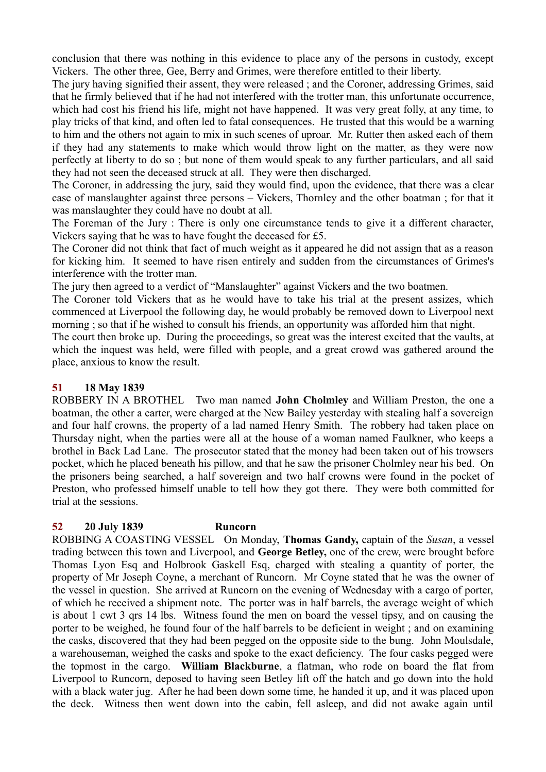conclusion that there was nothing in this evidence to place any of the persons in custody, except Vickers. The other three, Gee, Berry and Grimes, were therefore entitled to their liberty.

The jury having signified their assent, they were released ; and the Coroner, addressing Grimes, said that he firmly believed that if he had not interfered with the trotter man, this unfortunate occurrence, which had cost his friend his life, might not have happened. It was very great folly, at any time, to play tricks of that kind, and often led to fatal consequences. He trusted that this would be a warning to him and the others not again to mix in such scenes of uproar. Mr. Rutter then asked each of them if they had any statements to make which would throw light on the matter, as they were now perfectly at liberty to do so ; but none of them would speak to any further particulars, and all said they had not seen the deceased struck at all. They were then discharged.

The Coroner, in addressing the jury, said they would find, upon the evidence, that there was a clear case of manslaughter against three persons – Vickers, Thornley and the other boatman ; for that it was manslaughter they could have no doubt at all.

The Foreman of the Jury : There is only one circumstance tends to give it a different character, Vickers saying that he was to have fought the deceased for £5.

The Coroner did not think that fact of much weight as it appeared he did not assign that as a reason for kicking him. It seemed to have risen entirely and sudden from the circumstances of Grimes's interference with the trotter man.

The jury then agreed to a verdict of "Manslaughter" against Vickers and the two boatmen.

The Coroner told Vickers that as he would have to take his trial at the present assizes, which commenced at Liverpool the following day, he would probably be removed down to Liverpool next morning ; so that if he wished to consult his friends, an opportunity was afforded him that night.

The court then broke up. During the proceedings, so great was the interest excited that the vaults, at which the inquest was held, were filled with people, and a great crowd was gathered around the place, anxious to know the result.

# **51 18 May 1839**

ROBBERY IN A BROTHEL Two man named **John Cholmley** and William Preston, the one a boatman, the other a carter, were charged at the New Bailey yesterday with stealing half a sovereign and four half crowns, the property of a lad named Henry Smith. The robbery had taken place on Thursday night, when the parties were all at the house of a woman named Faulkner, who keeps a brothel in Back Lad Lane. The prosecutor stated that the money had been taken out of his trowsers pocket, which he placed beneath his pillow, and that he saw the prisoner Cholmley near his bed. On the prisoners being searched, a half sovereign and two half crowns were found in the pocket of Preston, who professed himself unable to tell how they got there. They were both committed for trial at the sessions.

# **52 20 July 1839 Runcorn**

ROBBING A COASTING VESSEL On Monday, **Thomas Gandy,** captain of the *Susan*, a vessel trading between this town and Liverpool, and **George Betley,** one of the crew, were brought before Thomas Lyon Esq and Holbrook Gaskell Esq, charged with stealing a quantity of porter, the property of Mr Joseph Coyne, a merchant of Runcorn. Mr Coyne stated that he was the owner of the vessel in question. She arrived at Runcorn on the evening of Wednesday with a cargo of porter, of which he received a shipment note. The porter was in half barrels, the average weight of which is about 1 cwt 3 qrs 14 lbs. Witness found the men on board the vessel tipsy, and on causing the porter to be weighed, he found four of the half barrels to be deficient in weight ; and on examining the casks, discovered that they had been pegged on the opposite side to the bung. John Moulsdale, a warehouseman, weighed the casks and spoke to the exact deficiency. The four casks pegged were the topmost in the cargo. **William Blackburne**, a flatman, who rode on board the flat from Liverpool to Runcorn, deposed to having seen Betley lift off the hatch and go down into the hold with a black water jug. After he had been down some time, he handed it up, and it was placed upon the deck. Witness then went down into the cabin, fell asleep, and did not awake again until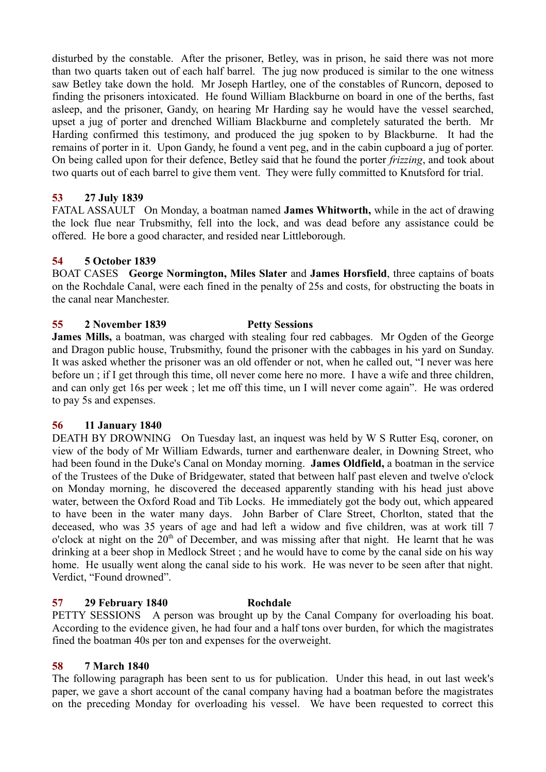disturbed by the constable. After the prisoner, Betley, was in prison, he said there was not more than two quarts taken out of each half barrel. The jug now produced is similar to the one witness saw Betley take down the hold. Mr Joseph Hartley, one of the constables of Runcorn, deposed to finding the prisoners intoxicated. He found William Blackburne on board in one of the berths, fast asleep, and the prisoner, Gandy, on hearing Mr Harding say he would have the vessel searched, upset a jug of porter and drenched William Blackburne and completely saturated the berth. Mr Harding confirmed this testimony, and produced the jug spoken to by Blackburne. It had the remains of porter in it. Upon Gandy, he found a vent peg, and in the cabin cupboard a jug of porter. On being called upon for their defence, Betley said that he found the porter *frizzing*, and took about two quarts out of each barrel to give them vent. They were fully committed to Knutsford for trial.

# **53 27 July 1839**

FATAL ASSAULT On Monday, a boatman named **James Whitworth,** while in the act of drawing the lock flue near Trubsmithy, fell into the lock, and was dead before any assistance could be offered. He bore a good character, and resided near Littleborough.

# **54 5 October 1839**

BOAT CASES **George Normington, Miles Slater** and **James Horsfield**, three captains of boats on the Rochdale Canal, were each fined in the penalty of 25s and costs, for obstructing the boats in the canal near Manchester.

# **55 2 November 1839 Petty Sessions**

**James Mills,** a boatman, was charged with stealing four red cabbages. Mr Ogden of the George and Dragon public house, Trubsmithy, found the prisoner with the cabbages in his yard on Sunday. It was asked whether the prisoner was an old offender or not, when he called out, "I never was here before un ; if I get through this time, oll never come here no more. I have a wife and three children, and can only get 16s per week ; let me off this time, un I will never come again". He was ordered to pay 5s and expenses.

#### **56 11 January 1840**

DEATH BY DROWNING On Tuesday last, an inquest was held by W S Rutter Esq, coroner, on view of the body of Mr William Edwards, turner and earthenware dealer, in Downing Street, who had been found in the Duke's Canal on Monday morning. **James Oldfield,** a boatman in the service of the Trustees of the Duke of Bridgewater, stated that between half past eleven and twelve o'clock on Monday morning, he discovered the deceased apparently standing with his head just above water, between the Oxford Road and Tib Locks. He immediately got the body out, which appeared to have been in the water many days. John Barber of Clare Street, Chorlton, stated that the deceased, who was 35 years of age and had left a widow and five children, was at work till 7 o'clock at night on the  $20<sup>th</sup>$  of December, and was missing after that night. He learnt that he was drinking at a beer shop in Medlock Street ; and he would have to come by the canal side on his way home. He usually went along the canal side to his work. He was never to be seen after that night. Verdict, "Found drowned".

# **57 29 February 1840 Rochdale**

PETTY SESSIONS A person was brought up by the Canal Company for overloading his boat. According to the evidence given, he had four and a half tons over burden, for which the magistrates fined the boatman 40s per ton and expenses for the overweight.

#### **58 7 March 1840**

The following paragraph has been sent to us for publication. Under this head, in out last week's paper, we gave a short account of the canal company having had a boatman before the magistrates on the preceding Monday for overloading his vessel. We have been requested to correct this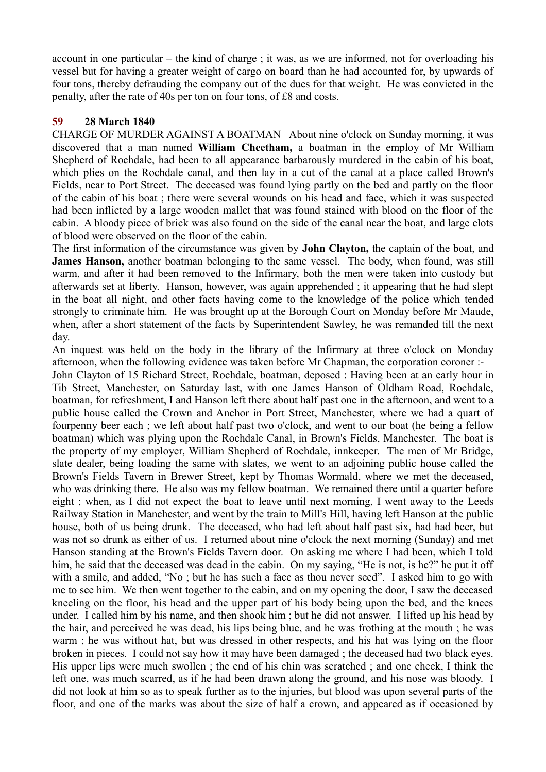account in one particular – the kind of charge ; it was, as we are informed, not for overloading his vessel but for having a greater weight of cargo on board than he had accounted for, by upwards of four tons, thereby defrauding the company out of the dues for that weight. He was convicted in the penalty, after the rate of 40s per ton on four tons, of £8 and costs.

# **59 28 March 1840**

CHARGE OF MURDER AGAINST A BOATMAN About nine o'clock on Sunday morning, it was discovered that a man named **William Cheetham,** a boatman in the employ of Mr William Shepherd of Rochdale, had been to all appearance barbarously murdered in the cabin of his boat, which plies on the Rochdale canal, and then lay in a cut of the canal at a place called Brown's Fields, near to Port Street. The deceased was found lying partly on the bed and partly on the floor of the cabin of his boat ; there were several wounds on his head and face, which it was suspected had been inflicted by a large wooden mallet that was found stained with blood on the floor of the cabin. A bloody piece of brick was also found on the side of the canal near the boat, and large clots of blood were observed on the floor of the cabin.

The first information of the circumstance was given by **John Clayton,** the captain of the boat, and **James Hanson,** another boatman belonging to the same vessel. The body, when found, was still warm, and after it had been removed to the Infirmary, both the men were taken into custody but afterwards set at liberty. Hanson, however, was again apprehended ; it appearing that he had slept in the boat all night, and other facts having come to the knowledge of the police which tended strongly to criminate him. He was brought up at the Borough Court on Monday before Mr Maude, when, after a short statement of the facts by Superintendent Sawley, he was remanded till the next day.

An inquest was held on the body in the library of the Infirmary at three o'clock on Monday afternoon, when the following evidence was taken before Mr Chapman, the corporation coroner :-

John Clayton of 15 Richard Street, Rochdale, boatman, deposed : Having been at an early hour in Tib Street, Manchester, on Saturday last, with one James Hanson of Oldham Road, Rochdale, boatman, for refreshment, I and Hanson left there about half past one in the afternoon, and went to a public house called the Crown and Anchor in Port Street, Manchester, where we had a quart of fourpenny beer each ; we left about half past two o'clock, and went to our boat (he being a fellow boatman) which was plying upon the Rochdale Canal, in Brown's Fields, Manchester. The boat is the property of my employer, William Shepherd of Rochdale, innkeeper. The men of Mr Bridge, slate dealer, being loading the same with slates, we went to an adjoining public house called the Brown's Fields Tavern in Brewer Street, kept by Thomas Wormald, where we met the deceased, who was drinking there. He also was my fellow boatman. We remained there until a quarter before eight ; when, as I did not expect the boat to leave until next morning, I went away to the Leeds Railway Station in Manchester, and went by the train to Mill's Hill, having left Hanson at the public house, both of us being drunk. The deceased, who had left about half past six, had had beer, but was not so drunk as either of us. I returned about nine o'clock the next morning (Sunday) and met Hanson standing at the Brown's Fields Tavern door. On asking me where I had been, which I told him, he said that the deceased was dead in the cabin. On my saying, "He is not, is he?" he put it off with a smile, and added, "No; but he has such a face as thou never seed". I asked him to go with me to see him. We then went together to the cabin, and on my opening the door, I saw the deceased kneeling on the floor, his head and the upper part of his body being upon the bed, and the knees under. I called him by his name, and then shook him ; but he did not answer. I lifted up his head by the hair, and perceived he was dead, his lips being blue, and he was frothing at the mouth ; he was warm ; he was without hat, but was dressed in other respects, and his hat was lying on the floor broken in pieces. I could not say how it may have been damaged ; the deceased had two black eyes. His upper lips were much swollen ; the end of his chin was scratched ; and one cheek, I think the left one, was much scarred, as if he had been drawn along the ground, and his nose was bloody. I did not look at him so as to speak further as to the injuries, but blood was upon several parts of the floor, and one of the marks was about the size of half a crown, and appeared as if occasioned by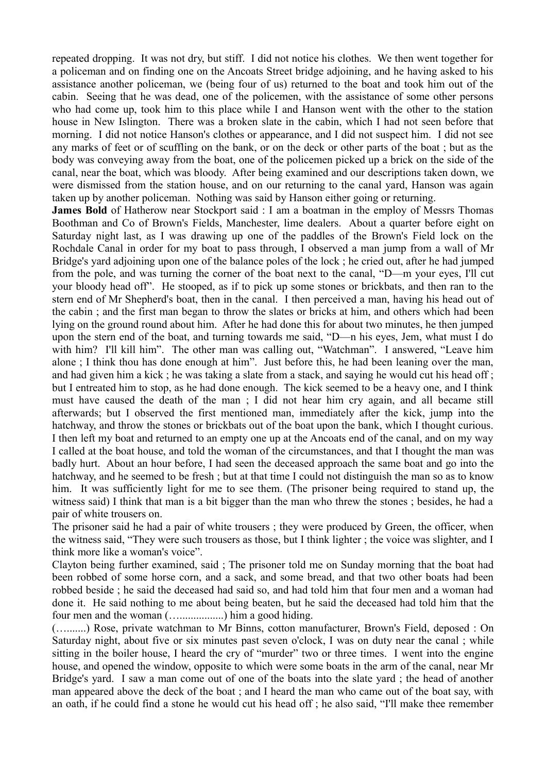repeated dropping. It was not dry, but stiff. I did not notice his clothes. We then went together for a policeman and on finding one on the Ancoats Street bridge adjoining, and he having asked to his assistance another policeman, we (being four of us) returned to the boat and took him out of the cabin. Seeing that he was dead, one of the policemen, with the assistance of some other persons who had come up, took him to this place while I and Hanson went with the other to the station house in New Islington. There was a broken slate in the cabin, which I had not seen before that morning. I did not notice Hanson's clothes or appearance, and I did not suspect him. I did not see any marks of feet or of scuffling on the bank, or on the deck or other parts of the boat ; but as the body was conveying away from the boat, one of the policemen picked up a brick on the side of the canal, near the boat, which was bloody. After being examined and our descriptions taken down, we were dismissed from the station house, and on our returning to the canal yard, Hanson was again taken up by another policeman. Nothing was said by Hanson either going or returning.

**James Bold** of Hatherow near Stockport said : I am a boatman in the employ of Messrs Thomas Boothman and Co of Brown's Fields, Manchester, lime dealers. About a quarter before eight on Saturday night last, as I was drawing up one of the paddles of the Brown's Field lock on the Rochdale Canal in order for my boat to pass through, I observed a man jump from a wall of Mr Bridge's yard adjoining upon one of the balance poles of the lock ; he cried out, after he had jumped from the pole, and was turning the corner of the boat next to the canal, "D—m your eyes, I'll cut your bloody head off". He stooped, as if to pick up some stones or brickbats, and then ran to the stern end of Mr Shepherd's boat, then in the canal. I then perceived a man, having his head out of the cabin ; and the first man began to throw the slates or bricks at him, and others which had been lying on the ground round about him. After he had done this for about two minutes, he then jumped upon the stern end of the boat, and turning towards me said, "D—n his eyes, Jem, what must I do with him? I'll kill him". The other man was calling out, "Watchman". I answered, "Leave him alone ; I think thou has done enough at him". Just before this, he had been leaning over the man, and had given him a kick ; he was taking a slate from a stack, and saying he would cut his head off ; but I entreated him to stop, as he had done enough. The kick seemed to be a heavy one, and I think must have caused the death of the man ; I did not hear him cry again, and all became still afterwards; but I observed the first mentioned man, immediately after the kick, jump into the hatchway, and throw the stones or brickbats out of the boat upon the bank, which I thought curious. I then left my boat and returned to an empty one up at the Ancoats end of the canal, and on my way I called at the boat house, and told the woman of the circumstances, and that I thought the man was badly hurt. About an hour before, I had seen the deceased approach the same boat and go into the hatchway, and he seemed to be fresh ; but at that time I could not distinguish the man so as to know him. It was sufficiently light for me to see them. (The prisoner being required to stand up, the witness said) I think that man is a bit bigger than the man who threw the stones ; besides, he had a pair of white trousers on.

The prisoner said he had a pair of white trousers ; they were produced by Green, the officer, when the witness said, "They were such trousers as those, but I think lighter ; the voice was slighter, and I think more like a woman's voice".

Clayton being further examined, said ; The prisoner told me on Sunday morning that the boat had been robbed of some horse corn, and a sack, and some bread, and that two other boats had been robbed beside ; he said the deceased had said so, and had told him that four men and a woman had done it. He said nothing to me about being beaten, but he said the deceased had told him that the four men and the woman (…................) him a good hiding.

(….......) Rose, private watchman to Mr Binns, cotton manufacturer, Brown's Field, deposed : On Saturday night, about five or six minutes past seven o'clock, I was on duty near the canal ; while sitting in the boiler house, I heard the cry of "murder" two or three times. I went into the engine house, and opened the window, opposite to which were some boats in the arm of the canal, near Mr Bridge's yard. I saw a man come out of one of the boats into the slate yard ; the head of another man appeared above the deck of the boat ; and I heard the man who came out of the boat say, with an oath, if he could find a stone he would cut his head off ; he also said, "I'll make thee remember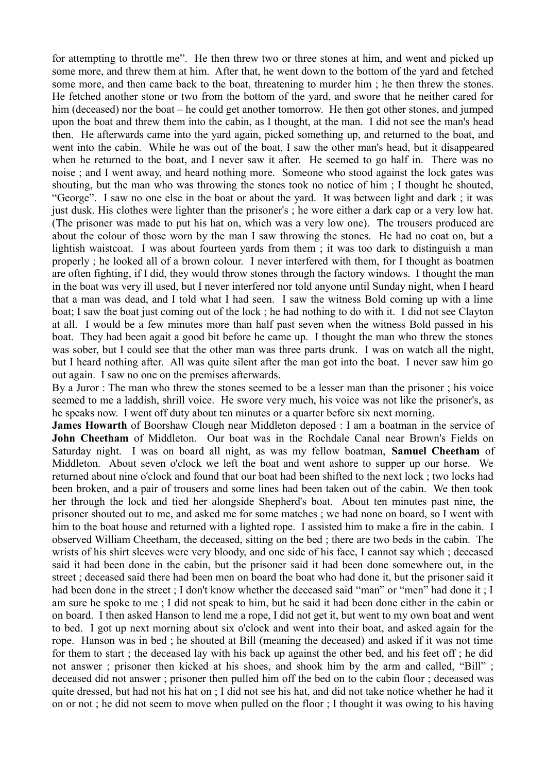for attempting to throttle me". He then threw two or three stones at him, and went and picked up some more, and threw them at him. After that, he went down to the bottom of the yard and fetched some more, and then came back to the boat, threatening to murder him ; he then threw the stones. He fetched another stone or two from the bottom of the yard, and swore that he neither cared for him (deceased) nor the boat – he could get another tomorrow. He then got other stones, and jumped upon the boat and threw them into the cabin, as I thought, at the man. I did not see the man's head then. He afterwards came into the yard again, picked something up, and returned to the boat, and went into the cabin. While he was out of the boat, I saw the other man's head, but it disappeared when he returned to the boat, and I never saw it after. He seemed to go half in. There was no noise ; and I went away, and heard nothing more. Someone who stood against the lock gates was shouting, but the man who was throwing the stones took no notice of him ; I thought he shouted, "George". I saw no one else in the boat or about the yard. It was between light and dark ; it was just dusk. His clothes were lighter than the prisoner's ; he wore either a dark cap or a very low hat. (The prisoner was made to put his hat on, which was a very low one). The trousers produced are about the colour of those worn by the man I saw throwing the stones. He had no coat on, but a lightish waistcoat. I was about fourteen yards from them ; it was too dark to distinguish a man properly ; he looked all of a brown colour. I never interfered with them, for I thought as boatmen are often fighting, if I did, they would throw stones through the factory windows. I thought the man in the boat was very ill used, but I never interfered nor told anyone until Sunday night, when I heard that a man was dead, and I told what I had seen. I saw the witness Bold coming up with a lime boat; I saw the boat just coming out of the lock ; he had nothing to do with it. I did not see Clayton at all. I would be a few minutes more than half past seven when the witness Bold passed in his boat. They had been agait a good bit before he came up. I thought the man who threw the stones was sober, but I could see that the other man was three parts drunk. I was on watch all the night, but I heard nothing after. All was quite silent after the man got into the boat. I never saw him go out again. I saw no one on the premises afterwards.

By a Juror : The man who threw the stones seemed to be a lesser man than the prisoner ; his voice seemed to me a laddish, shrill voice. He swore very much, his voice was not like the prisoner's, as he speaks now. I went off duty about ten minutes or a quarter before six next morning.

**James Howarth** of Boorshaw Clough near Middleton deposed : I am a boatman in the service of **John Cheetham** of Middleton. Our boat was in the Rochdale Canal near Brown's Fields on Saturday night. I was on board all night, as was my fellow boatman, **Samuel Cheetham** of Middleton. About seven o'clock we left the boat and went ashore to supper up our horse. We returned about nine o'clock and found that our boat had been shifted to the next lock ; two locks had been broken, and a pair of trousers and some lines had been taken out of the cabin. We then took her through the lock and tied her alongside Shepherd's boat. About ten minutes past nine, the prisoner shouted out to me, and asked me for some matches ; we had none on board, so I went with him to the boat house and returned with a lighted rope. I assisted him to make a fire in the cabin. I observed William Cheetham, the deceased, sitting on the bed ; there are two beds in the cabin. The wrists of his shirt sleeves were very bloody, and one side of his face, I cannot say which ; deceased said it had been done in the cabin, but the prisoner said it had been done somewhere out, in the street ; deceased said there had been men on board the boat who had done it, but the prisoner said it had been done in the street; I don't know whether the deceased said "man" or "men" had done it; I am sure he spoke to me ; I did not speak to him, but he said it had been done either in the cabin or on board. I then asked Hanson to lend me a rope, I did not get it, but went to my own boat and went to bed. I got up next morning about six o'clock and went into their boat, and asked again for the rope. Hanson was in bed ; he shouted at Bill (meaning the deceased) and asked if it was not time for them to start ; the deceased lay with his back up against the other bed, and his feet off ; he did not answer ; prisoner then kicked at his shoes, and shook him by the arm and called, "Bill" ; deceased did not answer ; prisoner then pulled him off the bed on to the cabin floor ; deceased was quite dressed, but had not his hat on ; I did not see his hat, and did not take notice whether he had it on or not ; he did not seem to move when pulled on the floor ; I thought it was owing to his having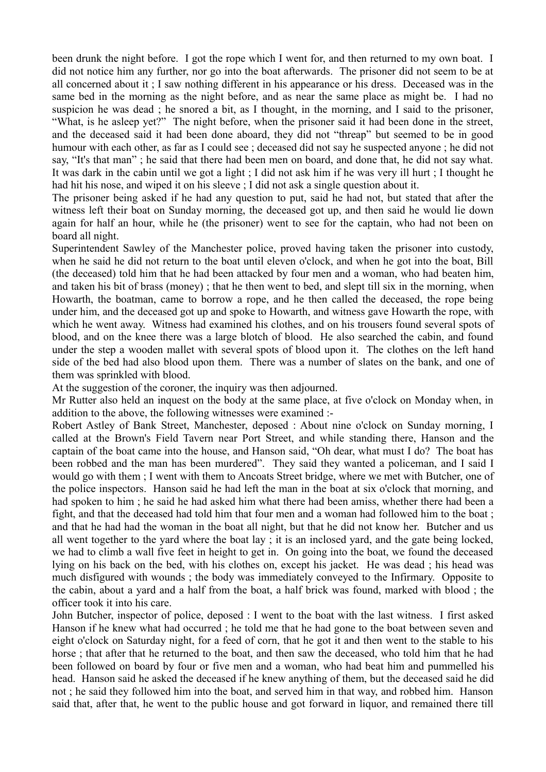been drunk the night before. I got the rope which I went for, and then returned to my own boat. I did not notice him any further, nor go into the boat afterwards. The prisoner did not seem to be at all concerned about it ; I saw nothing different in his appearance or his dress. Deceased was in the same bed in the morning as the night before, and as near the same place as might be. I had no suspicion he was dead ; he snored a bit, as I thought, in the morning, and I said to the prisoner, "What, is he asleep yet?" The night before, when the prisoner said it had been done in the street, and the deceased said it had been done aboard, they did not "threap" but seemed to be in good humour with each other, as far as I could see ; deceased did not say he suspected anyone ; he did not say, "It's that man" ; he said that there had been men on board, and done that, he did not say what. It was dark in the cabin until we got a light ; I did not ask him if he was very ill hurt ; I thought he had hit his nose, and wiped it on his sleeve ; I did not ask a single question about it.

The prisoner being asked if he had any question to put, said he had not, but stated that after the witness left their boat on Sunday morning, the deceased got up, and then said he would lie down again for half an hour, while he (the prisoner) went to see for the captain, who had not been on board all night.

Superintendent Sawley of the Manchester police, proved having taken the prisoner into custody, when he said he did not return to the boat until eleven o'clock, and when he got into the boat, Bill (the deceased) told him that he had been attacked by four men and a woman, who had beaten him, and taken his bit of brass (money) ; that he then went to bed, and slept till six in the morning, when Howarth, the boatman, came to borrow a rope, and he then called the deceased, the rope being under him, and the deceased got up and spoke to Howarth, and witness gave Howarth the rope, with which he went away. Witness had examined his clothes, and on his trousers found several spots of blood, and on the knee there was a large blotch of blood. He also searched the cabin, and found under the step a wooden mallet with several spots of blood upon it. The clothes on the left hand side of the bed had also blood upon them. There was a number of slates on the bank, and one of them was sprinkled with blood.

At the suggestion of the coroner, the inquiry was then adjourned.

Mr Rutter also held an inquest on the body at the same place, at five o'clock on Monday when, in addition to the above, the following witnesses were examined :-

Robert Astley of Bank Street, Manchester, deposed : About nine o'clock on Sunday morning, I called at the Brown's Field Tavern near Port Street, and while standing there, Hanson and the captain of the boat came into the house, and Hanson said, "Oh dear, what must I do? The boat has been robbed and the man has been murdered". They said they wanted a policeman, and I said I would go with them ; I went with them to Ancoats Street bridge, where we met with Butcher, one of the police inspectors. Hanson said he had left the man in the boat at six o'clock that morning, and had spoken to him ; he said he had asked him what there had been amiss, whether there had been a fight, and that the deceased had told him that four men and a woman had followed him to the boat ; and that he had had the woman in the boat all night, but that he did not know her. Butcher and us all went together to the yard where the boat lay ; it is an inclosed yard, and the gate being locked, we had to climb a wall five feet in height to get in. On going into the boat, we found the deceased lying on his back on the bed, with his clothes on, except his jacket. He was dead ; his head was much disfigured with wounds ; the body was immediately conveyed to the Infirmary. Opposite to the cabin, about a yard and a half from the boat, a half brick was found, marked with blood ; the officer took it into his care.

John Butcher, inspector of police, deposed : I went to the boat with the last witness. I first asked Hanson if he knew what had occurred ; he told me that he had gone to the boat between seven and eight o'clock on Saturday night, for a feed of corn, that he got it and then went to the stable to his horse ; that after that he returned to the boat, and then saw the deceased, who told him that he had been followed on board by four or five men and a woman, who had beat him and pummelled his head. Hanson said he asked the deceased if he knew anything of them, but the deceased said he did not ; he said they followed him into the boat, and served him in that way, and robbed him. Hanson said that, after that, he went to the public house and got forward in liquor, and remained there till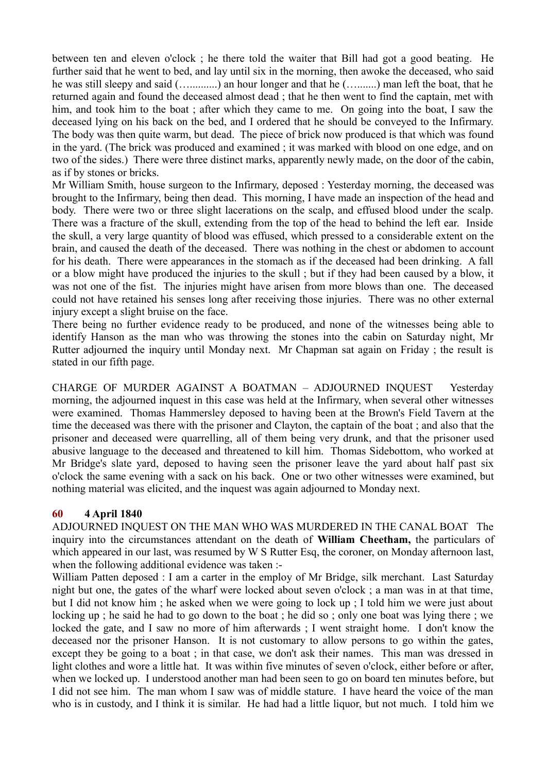between ten and eleven o'clock ; he there told the waiter that Bill had got a good beating. He further said that he went to bed, and lay until six in the morning, then awoke the deceased, who said he was still sleepy and said (…..........) an hour longer and that he (….......) man left the boat, that he returned again and found the deceased almost dead ; that he then went to find the captain, met with him, and took him to the boat; after which they came to me. On going into the boat, I saw the deceased lying on his back on the bed, and I ordered that he should be conveyed to the Infirmary. The body was then quite warm, but dead. The piece of brick now produced is that which was found in the yard. (The brick was produced and examined ; it was marked with blood on one edge, and on two of the sides.) There were three distinct marks, apparently newly made, on the door of the cabin, as if by stones or bricks.

Mr William Smith, house surgeon to the Infirmary, deposed : Yesterday morning, the deceased was brought to the Infirmary, being then dead. This morning, I have made an inspection of the head and body. There were two or three slight lacerations on the scalp, and effused blood under the scalp. There was a fracture of the skull, extending from the top of the head to behind the left ear. Inside the skull, a very large quantity of blood was effused, which pressed to a considerable extent on the brain, and caused the death of the deceased. There was nothing in the chest or abdomen to account for his death. There were appearances in the stomach as if the deceased had been drinking. A fall or a blow might have produced the injuries to the skull ; but if they had been caused by a blow, it was not one of the fist. The injuries might have arisen from more blows than one. The deceased could not have retained his senses long after receiving those injuries. There was no other external injury except a slight bruise on the face.

There being no further evidence ready to be produced, and none of the witnesses being able to identify Hanson as the man who was throwing the stones into the cabin on Saturday night, Mr Rutter adjourned the inquiry until Monday next. Mr Chapman sat again on Friday ; the result is stated in our fifth page.

CHARGE OF MURDER AGAINST A BOATMAN – ADJOURNED INQUEST Yesterday morning, the adjourned inquest in this case was held at the Infirmary, when several other witnesses were examined. Thomas Hammersley deposed to having been at the Brown's Field Tavern at the time the deceased was there with the prisoner and Clayton, the captain of the boat ; and also that the prisoner and deceased were quarrelling, all of them being very drunk, and that the prisoner used abusive language to the deceased and threatened to kill him. Thomas Sidebottom, who worked at Mr Bridge's slate yard, deposed to having seen the prisoner leave the yard about half past six o'clock the same evening with a sack on his back. One or two other witnesses were examined, but nothing material was elicited, and the inquest was again adjourned to Monday next.

# **60 4 April 1840**

ADJOURNED INQUEST ON THE MAN WHO WAS MURDERED IN THE CANAL BOAT The inquiry into the circumstances attendant on the death of **William Cheetham,** the particulars of which appeared in our last, was resumed by W S Rutter Esq, the coroner, on Monday afternoon last, when the following additional evidence was taken :-

William Patten deposed : I am a carter in the employ of Mr Bridge, silk merchant. Last Saturday night but one, the gates of the wharf were locked about seven o'clock ; a man was in at that time, but I did not know him ; he asked when we were going to lock up ; I told him we were just about locking up; he said he had to go down to the boat; he did so; only one boat was lying there; we locked the gate, and I saw no more of him afterwards ; I went straight home. I don't know the deceased nor the prisoner Hanson. It is not customary to allow persons to go within the gates, except they be going to a boat ; in that case, we don't ask their names. This man was dressed in light clothes and wore a little hat. It was within five minutes of seven o'clock, either before or after, when we locked up. I understood another man had been seen to go on board ten minutes before, but I did not see him. The man whom I saw was of middle stature. I have heard the voice of the man who is in custody, and I think it is similar. He had had a little liquor, but not much. I told him we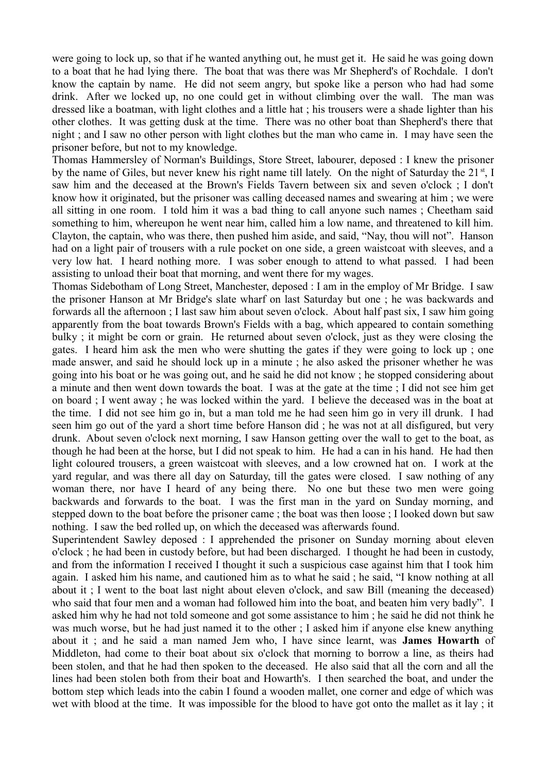were going to lock up, so that if he wanted anything out, he must get it. He said he was going down to a boat that he had lying there. The boat that was there was Mr Shepherd's of Rochdale. I don't know the captain by name. He did not seem angry, but spoke like a person who had had some drink. After we locked up, no one could get in without climbing over the wall. The man was dressed like a boatman, with light clothes and a little hat ; his trousers were a shade lighter than his other clothes. It was getting dusk at the time. There was no other boat than Shepherd's there that night ; and I saw no other person with light clothes but the man who came in. I may have seen the prisoner before, but not to my knowledge.

Thomas Hammersley of Norman's Buildings, Store Street, labourer, deposed : I knew the prisoner by the name of Giles, but never knew his right name till lately. On the night of Saturday the 21<sup>st</sup>, I saw him and the deceased at the Brown's Fields Tavern between six and seven o'clock ; I don't know how it originated, but the prisoner was calling deceased names and swearing at him ; we were all sitting in one room. I told him it was a bad thing to call anyone such names ; Cheetham said something to him, whereupon he went near him, called him a low name, and threatened to kill him. Clayton, the captain, who was there, then pushed him aside, and said, "Nay, thou will not". Hanson had on a light pair of trousers with a rule pocket on one side, a green waistcoat with sleeves, and a very low hat. I heard nothing more. I was sober enough to attend to what passed. I had been assisting to unload their boat that morning, and went there for my wages.

Thomas Sidebotham of Long Street, Manchester, deposed : I am in the employ of Mr Bridge. I saw the prisoner Hanson at Mr Bridge's slate wharf on last Saturday but one ; he was backwards and forwards all the afternoon ; I last saw him about seven o'clock. About half past six, I saw him going apparently from the boat towards Brown's Fields with a bag, which appeared to contain something bulky ; it might be corn or grain. He returned about seven o'clock, just as they were closing the gates. I heard him ask the men who were shutting the gates if they were going to lock up ; one made answer, and said he should lock up in a minute ; he also asked the prisoner whether he was going into his boat or he was going out, and he said he did not know ; he stopped considering about a minute and then went down towards the boat. I was at the gate at the time ; I did not see him get on board ; I went away ; he was locked within the yard. I believe the deceased was in the boat at the time. I did not see him go in, but a man told me he had seen him go in very ill drunk. I had seen him go out of the yard a short time before Hanson did ; he was not at all disfigured, but very drunk. About seven o'clock next morning, I saw Hanson getting over the wall to get to the boat, as though he had been at the horse, but I did not speak to him. He had a can in his hand. He had then light coloured trousers, a green waistcoat with sleeves, and a low crowned hat on. I work at the yard regular, and was there all day on Saturday, till the gates were closed. I saw nothing of any woman there, nor have I heard of any being there. No one but these two men were going backwards and forwards to the boat. I was the first man in the yard on Sunday morning, and stepped down to the boat before the prisoner came ; the boat was then loose ; I looked down but saw nothing. I saw the bed rolled up, on which the deceased was afterwards found.

Superintendent Sawley deposed : I apprehended the prisoner on Sunday morning about eleven o'clock ; he had been in custody before, but had been discharged. I thought he had been in custody, and from the information I received I thought it such a suspicious case against him that I took him again. I asked him his name, and cautioned him as to what he said ; he said, "I know nothing at all about it ; I went to the boat last night about eleven o'clock, and saw Bill (meaning the deceased) who said that four men and a woman had followed him into the boat, and beaten him very badly". I asked him why he had not told someone and got some assistance to him ; he said he did not think he was much worse, but he had just named it to the other ; I asked him if anyone else knew anything about it ; and he said a man named Jem who, I have since learnt, was **James Howarth** of Middleton, had come to their boat about six o'clock that morning to borrow a line, as theirs had been stolen, and that he had then spoken to the deceased. He also said that all the corn and all the lines had been stolen both from their boat and Howarth's. I then searched the boat, and under the bottom step which leads into the cabin I found a wooden mallet, one corner and edge of which was wet with blood at the time. It was impossible for the blood to have got onto the mallet as it lay ; it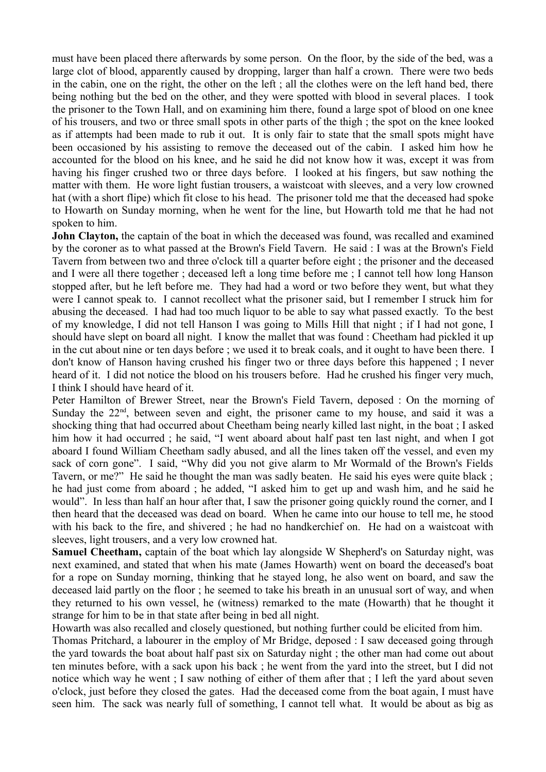must have been placed there afterwards by some person. On the floor, by the side of the bed, was a large clot of blood, apparently caused by dropping, larger than half a crown. There were two beds in the cabin, one on the right, the other on the left ; all the clothes were on the left hand bed, there being nothing but the bed on the other, and they were spotted with blood in several places. I took the prisoner to the Town Hall, and on examining him there, found a large spot of blood on one knee of his trousers, and two or three small spots in other parts of the thigh ; the spot on the knee looked as if attempts had been made to rub it out. It is only fair to state that the small spots might have been occasioned by his assisting to remove the deceased out of the cabin. I asked him how he accounted for the blood on his knee, and he said he did not know how it was, except it was from having his finger crushed two or three days before. I looked at his fingers, but saw nothing the matter with them. He wore light fustian trousers, a waistcoat with sleeves, and a very low crowned hat (with a short flipe) which fit close to his head. The prisoner told me that the deceased had spoke to Howarth on Sunday morning, when he went for the line, but Howarth told me that he had not spoken to him.

**John Clayton,** the captain of the boat in which the deceased was found, was recalled and examined by the coroner as to what passed at the Brown's Field Tavern. He said : I was at the Brown's Field Tavern from between two and three o'clock till a quarter before eight ; the prisoner and the deceased and I were all there together ; deceased left a long time before me ; I cannot tell how long Hanson stopped after, but he left before me. They had had a word or two before they went, but what they were I cannot speak to. I cannot recollect what the prisoner said, but I remember I struck him for abusing the deceased. I had had too much liquor to be able to say what passed exactly. To the best of my knowledge, I did not tell Hanson I was going to Mills Hill that night ; if I had not gone, I should have slept on board all night. I know the mallet that was found : Cheetham had pickled it up in the cut about nine or ten days before ; we used it to break coals, and it ought to have been there. I don't know of Hanson having crushed his finger two or three days before this happened ; I never heard of it. I did not notice the blood on his trousers before. Had he crushed his finger very much, I think I should have heard of it.

Peter Hamilton of Brewer Street, near the Brown's Field Tavern, deposed : On the morning of Sunday the  $22<sup>nd</sup>$ , between seven and eight, the prisoner came to my house, and said it was a shocking thing that had occurred about Cheetham being nearly killed last night, in the boat ; I asked him how it had occurred ; he said, "I went aboard about half past ten last night, and when I got aboard I found William Cheetham sadly abused, and all the lines taken off the vessel, and even my sack of corn gone". I said, "Why did you not give alarm to Mr Wormald of the Brown's Fields Tavern, or me?" He said he thought the man was sadly beaten. He said his eyes were quite black ; he had just come from aboard ; he added, "I asked him to get up and wash him, and he said he would". In less than half an hour after that, I saw the prisoner going quickly round the corner, and I then heard that the deceased was dead on board. When he came into our house to tell me, he stood with his back to the fire, and shivered ; he had no handkerchief on. He had on a waistcoat with sleeves, light trousers, and a very low crowned hat.

**Samuel Cheetham,** captain of the boat which lay alongside W Shepherd's on Saturday night, was next examined, and stated that when his mate (James Howarth) went on board the deceased's boat for a rope on Sunday morning, thinking that he stayed long, he also went on board, and saw the deceased laid partly on the floor ; he seemed to take his breath in an unusual sort of way, and when they returned to his own vessel, he (witness) remarked to the mate (Howarth) that he thought it strange for him to be in that state after being in bed all night.

Howarth was also recalled and closely questioned, but nothing further could be elicited from him.

Thomas Pritchard, a labourer in the employ of Mr Bridge, deposed : I saw deceased going through the yard towards the boat about half past six on Saturday night ; the other man had come out about ten minutes before, with a sack upon his back ; he went from the yard into the street, but I did not notice which way he went ; I saw nothing of either of them after that ; I left the yard about seven o'clock, just before they closed the gates. Had the deceased come from the boat again, I must have seen him. The sack was nearly full of something, I cannot tell what. It would be about as big as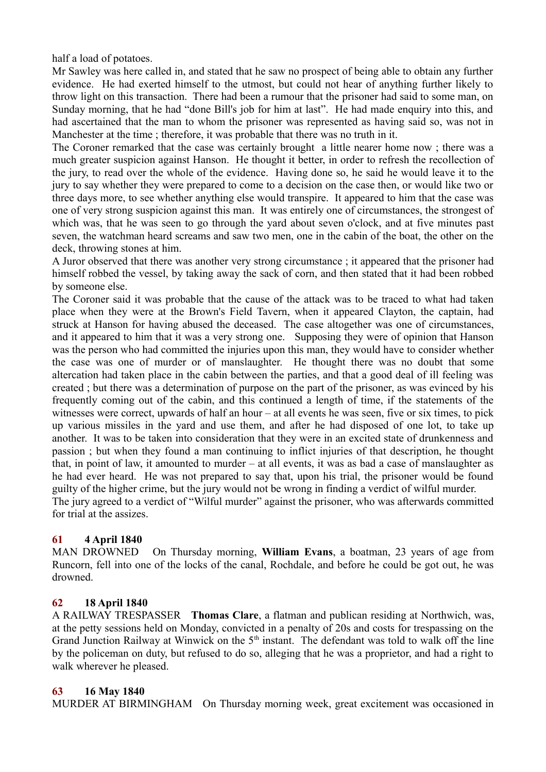half a load of potatoes.

Mr Sawley was here called in, and stated that he saw no prospect of being able to obtain any further evidence. He had exerted himself to the utmost, but could not hear of anything further likely to throw light on this transaction. There had been a rumour that the prisoner had said to some man, on Sunday morning, that he had "done Bill's job for him at last". He had made enquiry into this, and had ascertained that the man to whom the prisoner was represented as having said so, was not in Manchester at the time ; therefore, it was probable that there was no truth in it.

The Coroner remarked that the case was certainly brought a little nearer home now ; there was a much greater suspicion against Hanson. He thought it better, in order to refresh the recollection of the jury, to read over the whole of the evidence. Having done so, he said he would leave it to the jury to say whether they were prepared to come to a decision on the case then, or would like two or three days more, to see whether anything else would transpire. It appeared to him that the case was one of very strong suspicion against this man. It was entirely one of circumstances, the strongest of which was, that he was seen to go through the yard about seven o'clock, and at five minutes past seven, the watchman heard screams and saw two men, one in the cabin of the boat, the other on the deck, throwing stones at him.

A Juror observed that there was another very strong circumstance ; it appeared that the prisoner had himself robbed the vessel, by taking away the sack of corn, and then stated that it had been robbed by someone else.

The Coroner said it was probable that the cause of the attack was to be traced to what had taken place when they were at the Brown's Field Tavern, when it appeared Clayton, the captain, had struck at Hanson for having abused the deceased. The case altogether was one of circumstances, and it appeared to him that it was a very strong one. Supposing they were of opinion that Hanson was the person who had committed the injuries upon this man, they would have to consider whether the case was one of murder or of manslaughter. He thought there was no doubt that some altercation had taken place in the cabin between the parties, and that a good deal of ill feeling was created ; but there was a determination of purpose on the part of the prisoner, as was evinced by his frequently coming out of the cabin, and this continued a length of time, if the statements of the witnesses were correct, upwards of half an hour – at all events he was seen, five or six times, to pick up various missiles in the yard and use them, and after he had disposed of one lot, to take up another. It was to be taken into consideration that they were in an excited state of drunkenness and passion ; but when they found a man continuing to inflict injuries of that description, he thought that, in point of law, it amounted to murder – at all events, it was as bad a case of manslaughter as he had ever heard. He was not prepared to say that, upon his trial, the prisoner would be found guilty of the higher crime, but the jury would not be wrong in finding a verdict of wilful murder. The jury agreed to a verdict of "Wilful murder" against the prisoner, who was afterwards committed for trial at the assizes.

# **61 4 April 1840**

MAN DROWNED On Thursday morning, **William Evans**, a boatman, 23 years of age from Runcorn, fell into one of the locks of the canal, Rochdale, and before he could be got out, he was drowned.

# **62 18 April 1840**

A RAILWAY TRESPASSER **Thomas Clare**, a flatman and publican residing at Northwich, was, at the petty sessions held on Monday, convicted in a penalty of 20s and costs for trespassing on the Grand Junction Railway at Winwick on the  $5<sup>th</sup>$  instant. The defendant was told to walk off the line by the policeman on duty, but refused to do so, alleging that he was a proprietor, and had a right to walk wherever he pleased.

# **63 16 May 1840**

MURDER AT BIRMINGHAM On Thursday morning week, great excitement was occasioned in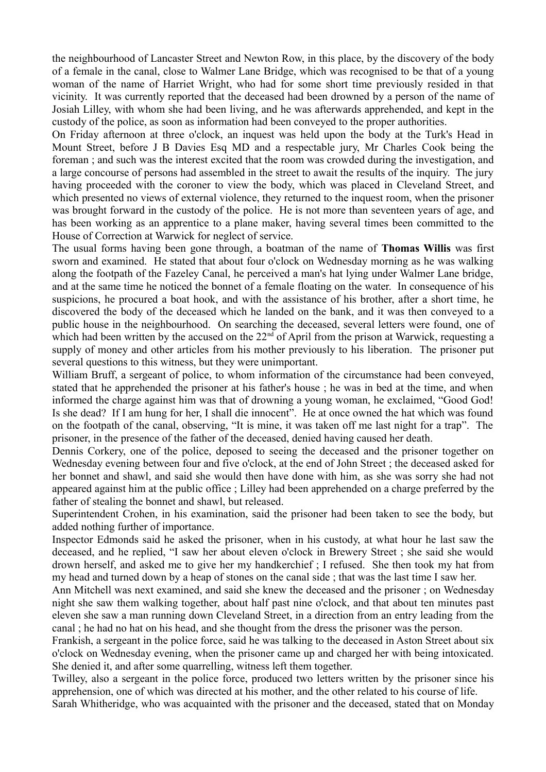the neighbourhood of Lancaster Street and Newton Row, in this place, by the discovery of the body of a female in the canal, close to Walmer Lane Bridge, which was recognised to be that of a young woman of the name of Harriet Wright, who had for some short time previously resided in that vicinity. It was currently reported that the deceased had been drowned by a person of the name of Josiah Lilley, with whom she had been living, and he was afterwards apprehended, and kept in the custody of the police, as soon as information had been conveyed to the proper authorities.

On Friday afternoon at three o'clock, an inquest was held upon the body at the Turk's Head in Mount Street, before J B Davies Esq MD and a respectable jury, Mr Charles Cook being the foreman ; and such was the interest excited that the room was crowded during the investigation, and a large concourse of persons had assembled in the street to await the results of the inquiry. The jury having proceeded with the coroner to view the body, which was placed in Cleveland Street, and which presented no views of external violence, they returned to the inquest room, when the prisoner was brought forward in the custody of the police. He is not more than seventeen years of age, and has been working as an apprentice to a plane maker, having several times been committed to the House of Correction at Warwick for neglect of service.

The usual forms having been gone through, a boatman of the name of **Thomas Willis** was first sworn and examined. He stated that about four o'clock on Wednesday morning as he was walking along the footpath of the Fazeley Canal, he perceived a man's hat lying under Walmer Lane bridge, and at the same time he noticed the bonnet of a female floating on the water. In consequence of his suspicions, he procured a boat hook, and with the assistance of his brother, after a short time, he discovered the body of the deceased which he landed on the bank, and it was then conveyed to a public house in the neighbourhood. On searching the deceased, several letters were found, one of which had been written by the accused on the  $22<sup>nd</sup>$  of April from the prison at Warwick, requesting a supply of money and other articles from his mother previously to his liberation. The prisoner put several questions to this witness, but they were unimportant.

William Bruff, a sergeant of police, to whom information of the circumstance had been conveyed, stated that he apprehended the prisoner at his father's house ; he was in bed at the time, and when informed the charge against him was that of drowning a young woman, he exclaimed, "Good God! Is she dead? If I am hung for her, I shall die innocent". He at once owned the hat which was found on the footpath of the canal, observing, "It is mine, it was taken off me last night for a trap". The prisoner, in the presence of the father of the deceased, denied having caused her death.

Dennis Corkery, one of the police, deposed to seeing the deceased and the prisoner together on Wednesday evening between four and five o'clock, at the end of John Street ; the deceased asked for her bonnet and shawl, and said she would then have done with him, as she was sorry she had not appeared against him at the public office ; Lilley had been apprehended on a charge preferred by the father of stealing the bonnet and shawl, but released.

Superintendent Crohen, in his examination, said the prisoner had been taken to see the body, but added nothing further of importance.

Inspector Edmonds said he asked the prisoner, when in his custody, at what hour he last saw the deceased, and he replied, "I saw her about eleven o'clock in Brewery Street ; she said she would drown herself, and asked me to give her my handkerchief ; I refused. She then took my hat from my head and turned down by a heap of stones on the canal side ; that was the last time I saw her.

Ann Mitchell was next examined, and said she knew the deceased and the prisoner ; on Wednesday night she saw them walking together, about half past nine o'clock, and that about ten minutes past eleven she saw a man running down Cleveland Street, in a direction from an entry leading from the canal ; he had no hat on his head, and she thought from the dress the prisoner was the person.

Frankish, a sergeant in the police force, said he was talking to the deceased in Aston Street about six o'clock on Wednesday evening, when the prisoner came up and charged her with being intoxicated. She denied it, and after some quarrelling, witness left them together.

Twilley, also a sergeant in the police force, produced two letters written by the prisoner since his apprehension, one of which was directed at his mother, and the other related to his course of life. Sarah Whitheridge, who was acquainted with the prisoner and the deceased, stated that on Monday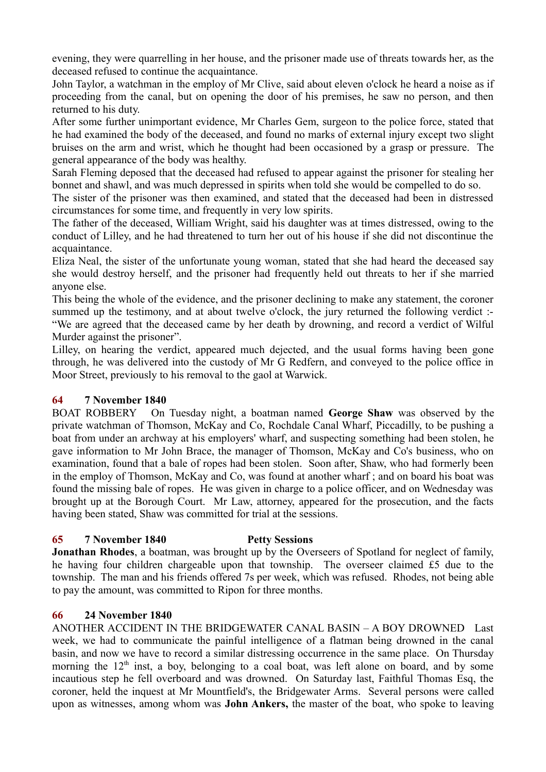evening, they were quarrelling in her house, and the prisoner made use of threats towards her, as the deceased refused to continue the acquaintance.

John Taylor, a watchman in the employ of Mr Clive, said about eleven o'clock he heard a noise as if proceeding from the canal, but on opening the door of his premises, he saw no person, and then returned to his duty.

After some further unimportant evidence, Mr Charles Gem, surgeon to the police force, stated that he had examined the body of the deceased, and found no marks of external injury except two slight bruises on the arm and wrist, which he thought had been occasioned by a grasp or pressure. The general appearance of the body was healthy.

Sarah Fleming deposed that the deceased had refused to appear against the prisoner for stealing her bonnet and shawl, and was much depressed in spirits when told she would be compelled to do so.

The sister of the prisoner was then examined, and stated that the deceased had been in distressed circumstances for some time, and frequently in very low spirits.

The father of the deceased, William Wright, said his daughter was at times distressed, owing to the conduct of Lilley, and he had threatened to turn her out of his house if she did not discontinue the acquaintance.

Eliza Neal, the sister of the unfortunate young woman, stated that she had heard the deceased say she would destroy herself, and the prisoner had frequently held out threats to her if she married anyone else.

This being the whole of the evidence, and the prisoner declining to make any statement, the coroner summed up the testimony, and at about twelve o'clock, the jury returned the following verdict :-"We are agreed that the deceased came by her death by drowning, and record a verdict of Wilful Murder against the prisoner".

Lilley, on hearing the verdict, appeared much dejected, and the usual forms having been gone through, he was delivered into the custody of Mr G Redfern, and conveyed to the police office in Moor Street, previously to his removal to the gaol at Warwick.

# **64 7 November 1840**

BOAT ROBBERY On Tuesday night, a boatman named **George Shaw** was observed by the private watchman of Thomson, McKay and Co, Rochdale Canal Wharf, Piccadilly, to be pushing a boat from under an archway at his employers' wharf, and suspecting something had been stolen, he gave information to Mr John Brace, the manager of Thomson, McKay and Co's business, who on examination, found that a bale of ropes had been stolen. Soon after, Shaw, who had formerly been in the employ of Thomson, McKay and Co, was found at another wharf ; and on board his boat was found the missing bale of ropes. He was given in charge to a police officer, and on Wednesday was brought up at the Borough Court. Mr Law, attorney, appeared for the prosecution, and the facts having been stated, Shaw was committed for trial at the sessions.

# **65 7 November 1840 Petty Sessions**

**Jonathan Rhodes**, a boatman, was brought up by the Overseers of Spotland for neglect of family, he having four children chargeable upon that township. The overseer claimed £5 due to the township. The man and his friends offered 7s per week, which was refused. Rhodes, not being able to pay the amount, was committed to Ripon for three months.

# **66 24 November 1840**

ANOTHER ACCIDENT IN THE BRIDGEWATER CANAL BASIN – A BOY DROWNED Last week, we had to communicate the painful intelligence of a flatman being drowned in the canal basin, and now we have to record a similar distressing occurrence in the same place. On Thursday morning the  $12<sup>th</sup>$  inst, a boy, belonging to a coal boat, was left alone on board, and by some incautious step he fell overboard and was drowned. On Saturday last, Faithful Thomas Esq, the coroner, held the inquest at Mr Mountfield's, the Bridgewater Arms. Several persons were called upon as witnesses, among whom was **John Ankers,** the master of the boat, who spoke to leaving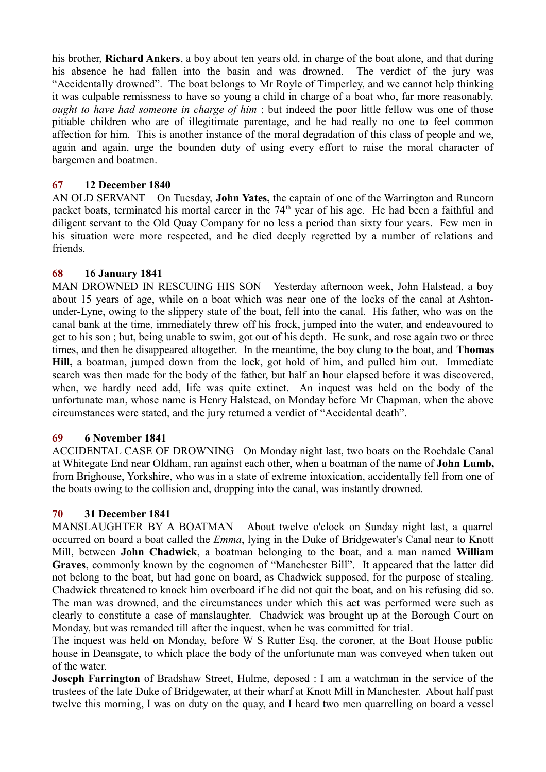his brother, **Richard Ankers**, a boy about ten years old, in charge of the boat alone, and that during his absence he had fallen into the basin and was drowned. The verdict of the jury was "Accidentally drowned". The boat belongs to Mr Royle of Timperley, and we cannot help thinking it was culpable remissness to have so young a child in charge of a boat who, far more reasonably, *ought to have had someone in charge of him* ; but indeed the poor little fellow was one of those pitiable children who are of illegitimate parentage, and he had really no one to feel common affection for him. This is another instance of the moral degradation of this class of people and we, again and again, urge the bounden duty of using every effort to raise the moral character of bargemen and boatmen.

# **67 12 December 1840**

AN OLD SERVANT On Tuesday, **John Yates,** the captain of one of the Warrington and Runcorn packet boats, terminated his mortal career in the 74<sup>th</sup> year of his age. He had been a faithful and diligent servant to the Old Quay Company for no less a period than sixty four years. Few men in his situation were more respected, and he died deeply regretted by a number of relations and friends.

## **68 16 January 1841**

MAN DROWNED IN RESCUING HIS SON Yesterday afternoon week, John Halstead, a boy about 15 years of age, while on a boat which was near one of the locks of the canal at Ashtonunder-Lyne, owing to the slippery state of the boat, fell into the canal. His father, who was on the canal bank at the time, immediately threw off his frock, jumped into the water, and endeavoured to get to his son ; but, being unable to swim, got out of his depth. He sunk, and rose again two or three times, and then he disappeared altogether. In the meantime, the boy clung to the boat, and **Thomas Hill,** a boatman, jumped down from the lock, got hold of him, and pulled him out. Immediate search was then made for the body of the father, but half an hour elapsed before it was discovered, when, we hardly need add, life was quite extinct. An inquest was held on the body of the unfortunate man, whose name is Henry Halstead, on Monday before Mr Chapman, when the above circumstances were stated, and the jury returned a verdict of "Accidental death".

### **69 6 November 1841**

ACCIDENTAL CASE OF DROWNING On Monday night last, two boats on the Rochdale Canal at Whitegate End near Oldham, ran against each other, when a boatman of the name of **John Lumb,** from Brighouse, Yorkshire, who was in a state of extreme intoxication, accidentally fell from one of the boats owing to the collision and, dropping into the canal, was instantly drowned.

# **70 31 December 1841**

MANSLAUGHTER BY A BOATMAN About twelve o'clock on Sunday night last, a quarrel occurred on board a boat called the *Emma*, lying in the Duke of Bridgewater's Canal near to Knott Mill, between **John Chadwick**, a boatman belonging to the boat, and a man named **William Graves**, commonly known by the cognomen of "Manchester Bill". It appeared that the latter did not belong to the boat, but had gone on board, as Chadwick supposed, for the purpose of stealing. Chadwick threatened to knock him overboard if he did not quit the boat, and on his refusing did so. The man was drowned, and the circumstances under which this act was performed were such as clearly to constitute a case of manslaughter. Chadwick was brought up at the Borough Court on Monday, but was remanded till after the inquest, when he was committed for trial.

The inquest was held on Monday, before W S Rutter Esq, the coroner, at the Boat House public house in Deansgate, to which place the body of the unfortunate man was conveyed when taken out of the water.

**Joseph Farrington** of Bradshaw Street, Hulme, deposed : I am a watchman in the service of the trustees of the late Duke of Bridgewater, at their wharf at Knott Mill in Manchester. About half past twelve this morning, I was on duty on the quay, and I heard two men quarrelling on board a vessel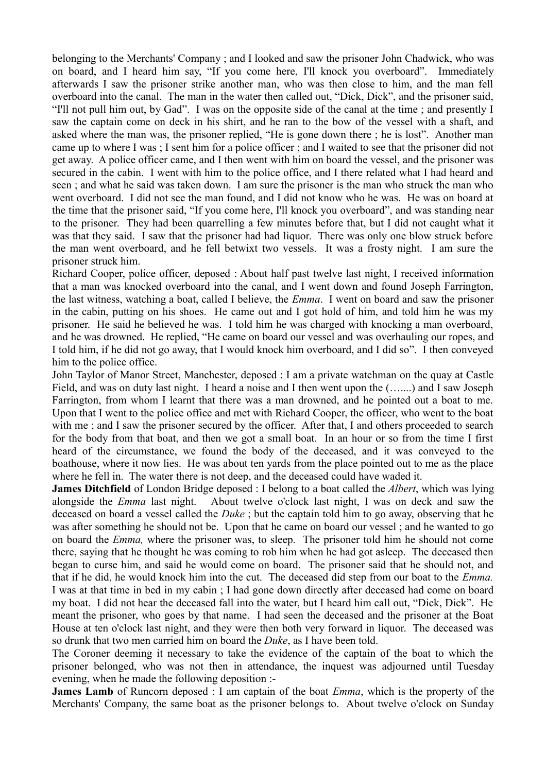belonging to the Merchants' Company ; and I looked and saw the prisoner John Chadwick, who was on board, and I heard him say, "If you come here, I'll knock you overboard". Immediately afterwards I saw the prisoner strike another man, who was then close to him, and the man fell overboard into the canal. The man in the water then called out, "Dick, Dick", and the prisoner said, "I'll not pull him out, by Gad". I was on the opposite side of the canal at the time ; and presently I saw the captain come on deck in his shirt, and he ran to the bow of the vessel with a shaft, and asked where the man was, the prisoner replied, "He is gone down there ; he is lost". Another man came up to where I was ; I sent him for a police officer ; and I waited to see that the prisoner did not get away. A police officer came, and I then went with him on board the vessel, and the prisoner was secured in the cabin. I went with him to the police office, and I there related what I had heard and seen ; and what he said was taken down. I am sure the prisoner is the man who struck the man who went overboard. I did not see the man found, and I did not know who he was. He was on board at the time that the prisoner said, "If you come here, I'll knock you overboard", and was standing near to the prisoner. They had been quarrelling a few minutes before that, but I did not caught what it was that they said. I saw that the prisoner had had liquor. There was only one blow struck before the man went overboard, and he fell betwixt two vessels. It was a frosty night. I am sure the prisoner struck him.

Richard Cooper, police officer, deposed : About half past twelve last night, I received information that a man was knocked overboard into the canal, and I went down and found Joseph Farrington, the last witness, watching a boat, called I believe, the *Emma*. I went on board and saw the prisoner in the cabin, putting on his shoes. He came out and I got hold of him, and told him he was my prisoner. He said he believed he was. I told him he was charged with knocking a man overboard, and he was drowned. He replied, "He came on board our vessel and was overhauling our ropes, and I told him, if he did not go away, that I would knock him overboard, and I did so". I then conveyed him to the police office.

John Taylor of Manor Street, Manchester, deposed : I am a private watchman on the quay at Castle Field, and was on duty last night. I heard a noise and I then went upon the (…....) and I saw Joseph Farrington, from whom I learnt that there was a man drowned, and he pointed out a boat to me. Upon that I went to the police office and met with Richard Cooper, the officer, who went to the boat with me; and I saw the prisoner secured by the officer. After that, I and others proceeded to search for the body from that boat, and then we got a small boat. In an hour or so from the time I first heard of the circumstance, we found the body of the deceased, and it was conveyed to the boathouse, where it now lies. He was about ten yards from the place pointed out to me as the place where he fell in. The water there is not deep, and the deceased could have waded it.

**James Ditchfield** of London Bridge deposed : I belong to a boat called the *Albert*, which was lying alongside the *Emma* last night. About twelve o'clock last night, I was on deck and saw the deceased on board a vessel called the *Duke* ; but the captain told him to go away, observing that he was after something he should not be. Upon that he came on board our vessel ; and he wanted to go on board the *Emma,* where the prisoner was, to sleep. The prisoner told him he should not come there, saying that he thought he was coming to rob him when he had got asleep. The deceased then began to curse him, and said he would come on board. The prisoner said that he should not, and that if he did, he would knock him into the cut. The deceased did step from our boat to the *Emma.* I was at that time in bed in my cabin ; I had gone down directly after deceased had come on board my boat. I did not hear the deceased fall into the water, but I heard him call out, "Dick, Dick". He meant the prisoner, who goes by that name. I had seen the deceased and the prisoner at the Boat House at ten o'clock last night, and they were then both very forward in liquor. The deceased was so drunk that two men carried him on board the *Duke*, as I have been told.

The Coroner deeming it necessary to take the evidence of the captain of the boat to which the prisoner belonged, who was not then in attendance, the inquest was adjourned until Tuesday evening, when he made the following deposition :-

**James Lamb** of Runcorn deposed : I am captain of the boat *Emma*, which is the property of the Merchants' Company, the same boat as the prisoner belongs to. About twelve o'clock on Sunday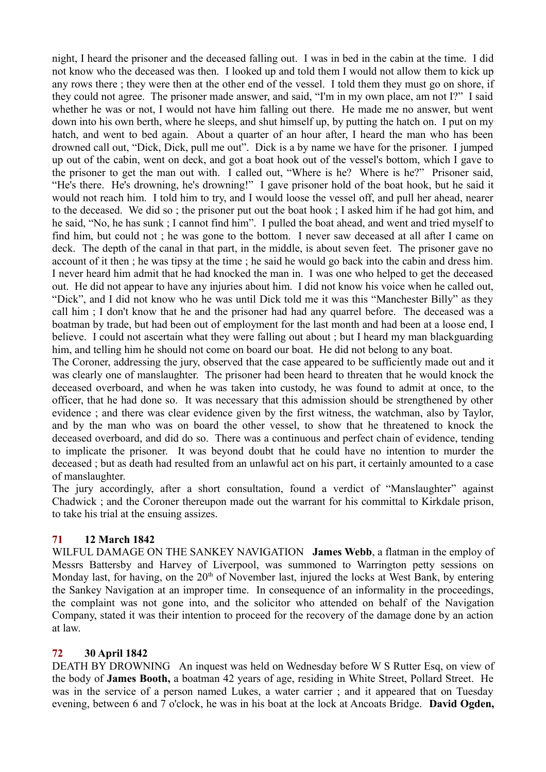night, I heard the prisoner and the deceased falling out. I was in bed in the cabin at the time. I did not know who the deceased was then. I looked up and told them I would not allow them to kick up any rows there ; they were then at the other end of the vessel. I told them they must go on shore, if they could not agree. The prisoner made answer, and said, "I'm in my own place, am not I?" I said whether he was or not, I would not have him falling out there. He made me no answer, but went down into his own berth, where he sleeps, and shut himself up, by putting the hatch on. I put on my hatch, and went to bed again. About a quarter of an hour after, I heard the man who has been drowned call out, "Dick, Dick, pull me out". Dick is a by name we have for the prisoner. I jumped up out of the cabin, went on deck, and got a boat hook out of the vessel's bottom, which I gave to the prisoner to get the man out with. I called out, "Where is he? Where is he?" Prisoner said, "He's there. He's drowning, he's drowning!" I gave prisoner hold of the boat hook, but he said it would not reach him. I told him to try, and I would loose the vessel off, and pull her ahead, nearer to the deceased. We did so ; the prisoner put out the boat hook ; I asked him if he had got him, and he said, "No, he has sunk ; I cannot find him". I pulled the boat ahead, and went and tried myself to find him, but could not ; he was gone to the bottom. I never saw deceased at all after I came on deck. The depth of the canal in that part, in the middle, is about seven feet. The prisoner gave no account of it then ; he was tipsy at the time ; he said he would go back into the cabin and dress him. I never heard him admit that he had knocked the man in. I was one who helped to get the deceased out. He did not appear to have any injuries about him. I did not know his voice when he called out, "Dick", and I did not know who he was until Dick told me it was this "Manchester Billy" as they call him ; I don't know that he and the prisoner had had any quarrel before. The deceased was a boatman by trade, but had been out of employment for the last month and had been at a loose end, I believe. I could not ascertain what they were falling out about ; but I heard my man blackguarding him, and telling him he should not come on board our boat. He did not belong to any boat.

The Coroner, addressing the jury, observed that the case appeared to be sufficiently made out and it was clearly one of manslaughter. The prisoner had been heard to threaten that he would knock the deceased overboard, and when he was taken into custody, he was found to admit at once, to the officer, that he had done so. It was necessary that this admission should be strengthened by other evidence ; and there was clear evidence given by the first witness, the watchman, also by Taylor, and by the man who was on board the other vessel, to show that he threatened to knock the deceased overboard, and did do so. There was a continuous and perfect chain of evidence, tending to implicate the prisoner. It was beyond doubt that he could have no intention to murder the deceased ; but as death had resulted from an unlawful act on his part, it certainly amounted to a case of manslaughter.

The jury accordingly, after a short consultation, found a verdict of "Manslaughter" against Chadwick ; and the Coroner thereupon made out the warrant for his committal to Kirkdale prison, to take his trial at the ensuing assizes.

# **71 12 March 1842**

WILFUL DAMAGE ON THE SANKEY NAVIGATION **James Webb**, a flatman in the employ of Messrs Battersby and Harvey of Liverpool, was summoned to Warrington petty sessions on Monday last, for having, on the  $20<sup>th</sup>$  of November last, injured the locks at West Bank, by entering the Sankey Navigation at an improper time. In consequence of an informality in the proceedings, the complaint was not gone into, and the solicitor who attended on behalf of the Navigation Company, stated it was their intention to proceed for the recovery of the damage done by an action at law.

# **72 30 April 1842**

DEATH BY DROWNING An inquest was held on Wednesday before W S Rutter Esq, on view of the body of **James Booth,** a boatman 42 years of age, residing in White Street, Pollard Street. He was in the service of a person named Lukes, a water carrier ; and it appeared that on Tuesday evening, between 6 and 7 o'clock, he was in his boat at the lock at Ancoats Bridge. **David Ogden,**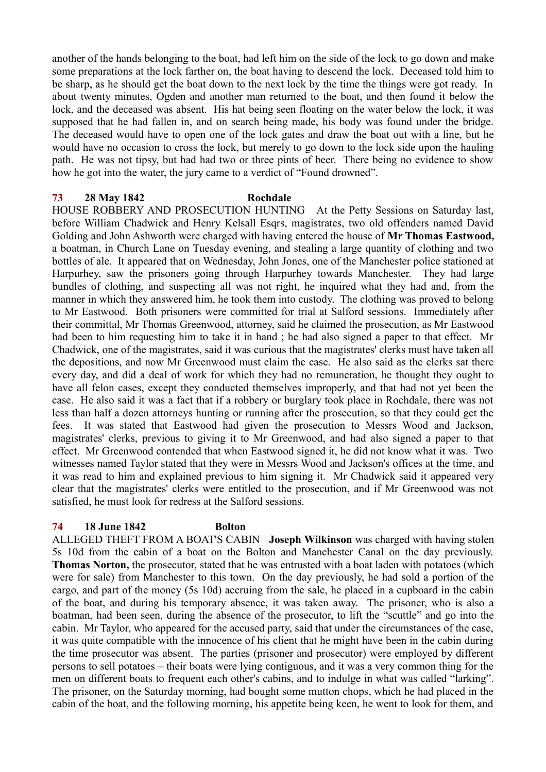another of the hands belonging to the boat, had left him on the side of the lock to go down and make some preparations at the lock farther on, the boat having to descend the lock. Deceased told him to be sharp, as he should get the boat down to the next lock by the time the things were got ready. In about twenty minutes, Ogden and another man returned to the boat, and then found it below the lock, and the deceased was absent. His hat being seen floating on the water below the lock, it was supposed that he had fallen in, and on search being made, his body was found under the bridge. The deceased would have to open one of the lock gates and draw the boat out with a line, but he would have no occasion to cross the lock, but merely to go down to the lock side upon the hauling path. He was not tipsy, but had had two or three pints of beer. There being no evidence to show how he got into the water, the jury came to a verdict of "Found drowned".

#### **73 28 May 1842 Rochdale**

HOUSE ROBBERY AND PROSECUTION HUNTING At the Petty Sessions on Saturday last, before William Chadwick and Henry Kelsall Esqrs, magistrates, two old offenders named David Golding and John Ashworth were charged with having entered the house of **Mr Thomas Eastwood,** a boatman, in Church Lane on Tuesday evening, and stealing a large quantity of clothing and two bottles of ale. It appeared that on Wednesday, John Jones, one of the Manchester police stationed at Harpurhey, saw the prisoners going through Harpurhey towards Manchester. They had large bundles of clothing, and suspecting all was not right, he inquired what they had and, from the manner in which they answered him, he took them into custody. The clothing was proved to belong to Mr Eastwood. Both prisoners were committed for trial at Salford sessions. Immediately after their committal, Mr Thomas Greenwood, attorney, said he claimed the prosecution, as Mr Eastwood had been to him requesting him to take it in hand ; he had also signed a paper to that effect. Mr Chadwick, one of the magistrates, said it was curious that the magistrates' clerks must have taken all the depositions, and now Mr Greenwood must claim the case. He also said as the clerks sat there every day, and did a deal of work for which they had no remuneration, he thought they ought to have all felon cases, except they conducted themselves improperly, and that had not yet been the case. He also said it was a fact that if a robbery or burglary took place in Rochdale, there was not less than half a dozen attorneys hunting or running after the prosecution, so that they could get the fees. It was stated that Eastwood had given the prosecution to Messrs Wood and Jackson, magistrates' clerks, previous to giving it to Mr Greenwood, and had also signed a paper to that effect. Mr Greenwood contended that when Eastwood signed it, he did not know what it was. Two witnesses named Taylor stated that they were in Messrs Wood and Jackson's offices at the time, and it was read to him and explained previous to him signing it. Mr Chadwick said it appeared very clear that the magistrates' clerks were entitled to the prosecution, and if Mr Greenwood was not satisfied, he must look for redress at the Salford sessions.

# **74 18 June 1842 Bolton**

ALLEGED THEFT FROM A BOAT'S CABIN **Joseph Wilkinson** was charged with having stolen 5s 10d from the cabin of a boat on the Bolton and Manchester Canal on the day previously. **Thomas Norton,** the prosecutor, stated that he was entrusted with a boat laden with potatoes (which were for sale) from Manchester to this town. On the day previously, he had sold a portion of the cargo, and part of the money (5s 10d) accruing from the sale, he placed in a cupboard in the cabin of the boat, and during his temporary absence, it was taken away. The prisoner, who is also a boatman, had been seen, during the absence of the prosecutor, to lift the "scuttle" and go into the cabin. Mr Taylor, who appeared for the accused party, said that under the circumstances of the case, it was quite compatible with the innocence of his client that he might have been in the cabin during the time prosecutor was absent. The parties (prisoner and prosecutor) were employed by different persons to sell potatoes – their boats were lying contiguous, and it was a very common thing for the men on different boats to frequent each other's cabins, and to indulge in what was called "larking". The prisoner, on the Saturday morning, had bought some mutton chops, which he had placed in the cabin of the boat, and the following morning, his appetite being keen, he went to look for them, and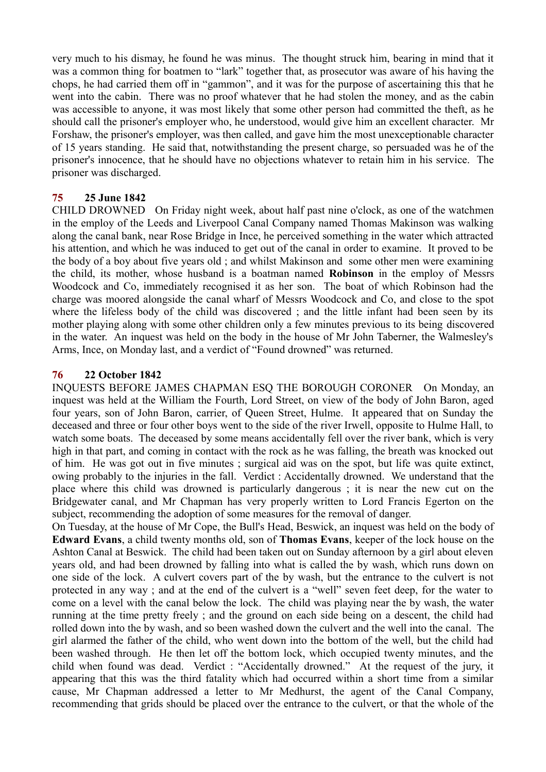very much to his dismay, he found he was minus. The thought struck him, bearing in mind that it was a common thing for boatmen to "lark" together that, as prosecutor was aware of his having the chops, he had carried them off in "gammon", and it was for the purpose of ascertaining this that he went into the cabin. There was no proof whatever that he had stolen the money, and as the cabin was accessible to anyone, it was most likely that some other person had committed the theft, as he should call the prisoner's employer who, he understood, would give him an excellent character. Mr Forshaw, the prisoner's employer, was then called, and gave him the most unexceptionable character of 15 years standing. He said that, notwithstanding the present charge, so persuaded was he of the prisoner's innocence, that he should have no objections whatever to retain him in his service. The prisoner was discharged.

# **75 25 June 1842**

CHILD DROWNED On Friday night week, about half past nine o'clock, as one of the watchmen in the employ of the Leeds and Liverpool Canal Company named Thomas Makinson was walking along the canal bank, near Rose Bridge in Ince, he perceived something in the water which attracted his attention, and which he was induced to get out of the canal in order to examine. It proved to be the body of a boy about five years old ; and whilst Makinson and some other men were examining the child, its mother, whose husband is a boatman named **Robinson** in the employ of Messrs Woodcock and Co, immediately recognised it as her son. The boat of which Robinson had the charge was moored alongside the canal wharf of Messrs Woodcock and Co, and close to the spot where the lifeless body of the child was discovered ; and the little infant had been seen by its mother playing along with some other children only a few minutes previous to its being discovered in the water. An inquest was held on the body in the house of Mr John Taberner, the Walmesley's Arms, Ince, on Monday last, and a verdict of "Found drowned" was returned.

# **76 22 October 1842**

INQUESTS BEFORE JAMES CHAPMAN ESQ THE BOROUGH CORONER On Monday, an inquest was held at the William the Fourth, Lord Street, on view of the body of John Baron, aged four years, son of John Baron, carrier, of Queen Street, Hulme. It appeared that on Sunday the deceased and three or four other boys went to the side of the river Irwell, opposite to Hulme Hall, to watch some boats. The deceased by some means accidentally fell over the river bank, which is very high in that part, and coming in contact with the rock as he was falling, the breath was knocked out of him. He was got out in five minutes ; surgical aid was on the spot, but life was quite extinct, owing probably to the injuries in the fall. Verdict : Accidentally drowned. We understand that the place where this child was drowned is particularly dangerous ; it is near the new cut on the Bridgewater canal, and Mr Chapman has very properly written to Lord Francis Egerton on the subject, recommending the adoption of some measures for the removal of danger.

On Tuesday, at the house of Mr Cope, the Bull's Head, Beswick, an inquest was held on the body of **Edward Evans**, a child twenty months old, son of **Thomas Evans**, keeper of the lock house on the Ashton Canal at Beswick. The child had been taken out on Sunday afternoon by a girl about eleven years old, and had been drowned by falling into what is called the by wash, which runs down on one side of the lock. A culvert covers part of the by wash, but the entrance to the culvert is not protected in any way ; and at the end of the culvert is a "well" seven feet deep, for the water to come on a level with the canal below the lock. The child was playing near the by wash, the water running at the time pretty freely ; and the ground on each side being on a descent, the child had rolled down into the by wash, and so been washed down the culvert and the well into the canal. The girl alarmed the father of the child, who went down into the bottom of the well, but the child had been washed through. He then let off the bottom lock, which occupied twenty minutes, and the child when found was dead. Verdict : "Accidentally drowned." At the request of the jury, it appearing that this was the third fatality which had occurred within a short time from a similar cause, Mr Chapman addressed a letter to Mr Medhurst, the agent of the Canal Company, recommending that grids should be placed over the entrance to the culvert, or that the whole of the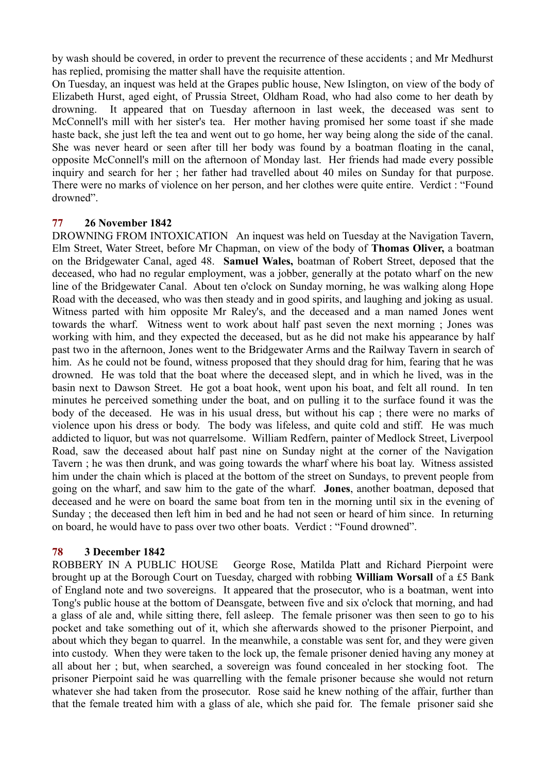by wash should be covered, in order to prevent the recurrence of these accidents ; and Mr Medhurst has replied, promising the matter shall have the requisite attention.

On Tuesday, an inquest was held at the Grapes public house, New Islington, on view of the body of Elizabeth Hurst, aged eight, of Prussia Street, Oldham Road, who had also come to her death by drowning. It appeared that on Tuesday afternoon in last week, the deceased was sent to McConnell's mill with her sister's tea. Her mother having promised her some toast if she made haste back, she just left the tea and went out to go home, her way being along the side of the canal. She was never heard or seen after till her body was found by a boatman floating in the canal, opposite McConnell's mill on the afternoon of Monday last. Her friends had made every possible inquiry and search for her ; her father had travelled about 40 miles on Sunday for that purpose. There were no marks of violence on her person, and her clothes were quite entire. Verdict : "Found drowned".

## **77 26 November 1842**

DROWNING FROM INTOXICATION An inquest was held on Tuesday at the Navigation Tavern, Elm Street, Water Street, before Mr Chapman, on view of the body of **Thomas Oliver,** a boatman on the Bridgewater Canal, aged 48. **Samuel Wales,** boatman of Robert Street, deposed that the deceased, who had no regular employment, was a jobber, generally at the potato wharf on the new line of the Bridgewater Canal. About ten o'clock on Sunday morning, he was walking along Hope Road with the deceased, who was then steady and in good spirits, and laughing and joking as usual. Witness parted with him opposite Mr Raley's, and the deceased and a man named Jones went towards the wharf. Witness went to work about half past seven the next morning ; Jones was working with him, and they expected the deceased, but as he did not make his appearance by half past two in the afternoon, Jones went to the Bridgewater Arms and the Railway Tavern in search of him. As he could not be found, witness proposed that they should drag for him, fearing that he was drowned. He was told that the boat where the deceased slept, and in which he lived, was in the basin next to Dawson Street. He got a boat hook, went upon his boat, and felt all round. In ten minutes he perceived something under the boat, and on pulling it to the surface found it was the body of the deceased. He was in his usual dress, but without his cap ; there were no marks of violence upon his dress or body. The body was lifeless, and quite cold and stiff. He was much addicted to liquor, but was not quarrelsome. William Redfern, painter of Medlock Street, Liverpool Road, saw the deceased about half past nine on Sunday night at the corner of the Navigation Tavern ; he was then drunk, and was going towards the wharf where his boat lay. Witness assisted him under the chain which is placed at the bottom of the street on Sundays, to prevent people from going on the wharf, and saw him to the gate of the wharf. **Jones**, another boatman, deposed that deceased and he were on board the same boat from ten in the morning until six in the evening of Sunday ; the deceased then left him in bed and he had not seen or heard of him since. In returning on board, he would have to pass over two other boats. Verdict : "Found drowned".

# **78 3 December 1842**

ROBBERY IN A PUBLIC HOUSE George Rose, Matilda Platt and Richard Pierpoint were brought up at the Borough Court on Tuesday, charged with robbing **William Worsall** of a £5 Bank of England note and two sovereigns. It appeared that the prosecutor, who is a boatman, went into Tong's public house at the bottom of Deansgate, between five and six o'clock that morning, and had a glass of ale and, while sitting there, fell asleep. The female prisoner was then seen to go to his pocket and take something out of it, which she afterwards showed to the prisoner Pierpoint, and about which they began to quarrel. In the meanwhile, a constable was sent for, and they were given into custody. When they were taken to the lock up, the female prisoner denied having any money at all about her ; but, when searched, a sovereign was found concealed in her stocking foot. The prisoner Pierpoint said he was quarrelling with the female prisoner because she would not return whatever she had taken from the prosecutor. Rose said he knew nothing of the affair, further than that the female treated him with a glass of ale, which she paid for. The female prisoner said she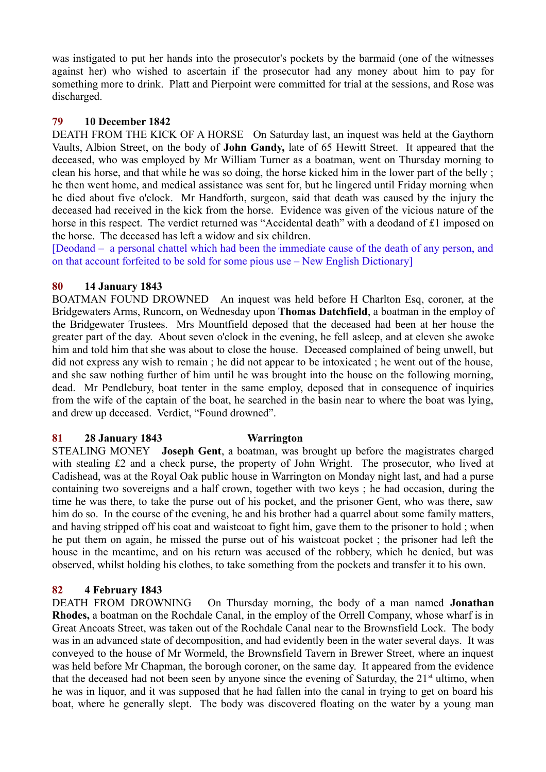was instigated to put her hands into the prosecutor's pockets by the barmaid (one of the witnesses against her) who wished to ascertain if the prosecutor had any money about him to pay for something more to drink. Platt and Pierpoint were committed for trial at the sessions, and Rose was discharged.

# **79 10 December 1842**

DEATH FROM THE KICK OF A HORSE On Saturday last, an inquest was held at the Gaythorn Vaults, Albion Street, on the body of **John Gandy,** late of 65 Hewitt Street. It appeared that the deceased, who was employed by Mr William Turner as a boatman, went on Thursday morning to clean his horse, and that while he was so doing, the horse kicked him in the lower part of the belly ; he then went home, and medical assistance was sent for, but he lingered until Friday morning when he died about five o'clock. Mr Handforth, surgeon, said that death was caused by the injury the deceased had received in the kick from the horse. Evidence was given of the vicious nature of the horse in this respect. The verdict returned was "Accidental death" with a deodand of £1 imposed on the horse. The deceased has left a widow and six children.

[Deodand – a personal chattel which had been the immediate cause of the death of any person, and on that account forfeited to be sold for some pious use – New English Dictionary]

## **80 14 January 1843**

BOATMAN FOUND DROWNED An inquest was held before H Charlton Esq, coroner, at the Bridgewaters Arms, Runcorn, on Wednesday upon **Thomas Datchfield**, a boatman in the employ of the Bridgewater Trustees. Mrs Mountfield deposed that the deceased had been at her house the greater part of the day. About seven o'clock in the evening, he fell asleep, and at eleven she awoke him and told him that she was about to close the house. Deceased complained of being unwell, but did not express any wish to remain ; he did not appear to be intoxicated ; he went out of the house, and she saw nothing further of him until he was brought into the house on the following morning, dead. Mr Pendlebury, boat tenter in the same employ, deposed that in consequence of inquiries from the wife of the captain of the boat, he searched in the basin near to where the boat was lying, and drew up deceased. Verdict, "Found drowned".

# **81 28 January 1843 Warrington**

STEALING MONEY **Joseph Gent**, a boatman, was brought up before the magistrates charged with stealing £2 and a check purse, the property of John Wright. The prosecutor, who lived at Cadishead, was at the Royal Oak public house in Warrington on Monday night last, and had a purse containing two sovereigns and a half crown, together with two keys ; he had occasion, during the time he was there, to take the purse out of his pocket, and the prisoner Gent, who was there, saw him do so. In the course of the evening, he and his brother had a quarrel about some family matters, and having stripped off his coat and waistcoat to fight him, gave them to the prisoner to hold ; when he put them on again, he missed the purse out of his waistcoat pocket ; the prisoner had left the house in the meantime, and on his return was accused of the robbery, which he denied, but was observed, whilst holding his clothes, to take something from the pockets and transfer it to his own.

# **82 4 February 1843**

DEATH FROM DROWNING On Thursday morning, the body of a man named **Jonathan Rhodes,** a boatman on the Rochdale Canal, in the employ of the Orrell Company, whose wharf is in Great Ancoats Street, was taken out of the Rochdale Canal near to the Brownsfield Lock. The body was in an advanced state of decomposition, and had evidently been in the water several days. It was conveyed to the house of Mr Wormeld, the Brownsfield Tavern in Brewer Street, where an inquest was held before Mr Chapman, the borough coroner, on the same day. It appeared from the evidence that the deceased had not been seen by anyone since the evening of Saturday, the  $21<sup>st</sup>$  ultimo, when he was in liquor, and it was supposed that he had fallen into the canal in trying to get on board his boat, where he generally slept. The body was discovered floating on the water by a young man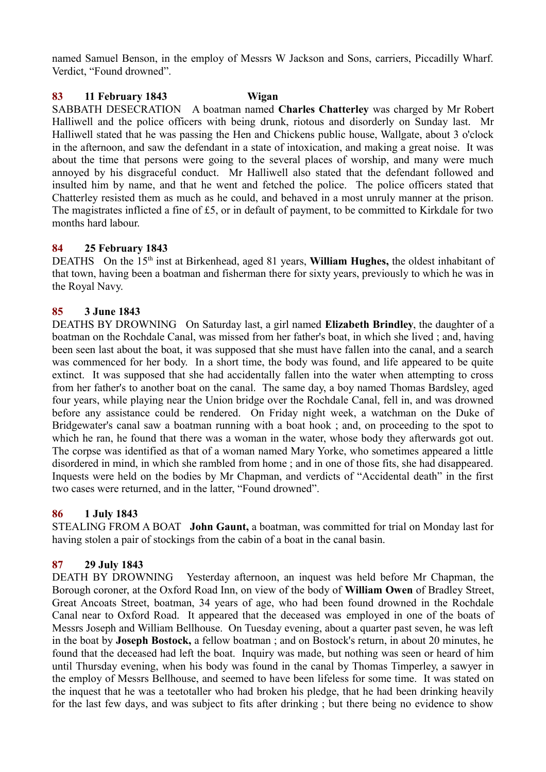named Samuel Benson, in the employ of Messrs W Jackson and Sons, carriers, Piccadilly Wharf. Verdict, "Found drowned".

#### **83 11 February 1843 Wigan**

SABBATH DESECRATION A boatman named **Charles Chatterley** was charged by Mr Robert Halliwell and the police officers with being drunk, riotous and disorderly on Sunday last. Mr Halliwell stated that he was passing the Hen and Chickens public house, Wallgate, about 3 o'clock in the afternoon, and saw the defendant in a state of intoxication, and making a great noise. It was about the time that persons were going to the several places of worship, and many were much annoyed by his disgraceful conduct. Mr Halliwell also stated that the defendant followed and insulted him by name, and that he went and fetched the police. The police officers stated that Chatterley resisted them as much as he could, and behaved in a most unruly manner at the prison. The magistrates inflicted a fine of £5, or in default of payment, to be committed to Kirkdale for two months hard labour.

### **84 25 February 1843**

DEATHS On the 15<sup>th</sup> inst at Birkenhead, aged 81 years, **William Hughes,** the oldest inhabitant of that town, having been a boatman and fisherman there for sixty years, previously to which he was in the Royal Navy.

### **85 3 June 1843**

DEATHS BY DROWNING On Saturday last, a girl named **Elizabeth Brindley**, the daughter of a boatman on the Rochdale Canal, was missed from her father's boat, in which she lived ; and, having been seen last about the boat, it was supposed that she must have fallen into the canal, and a search was commenced for her body. In a short time, the body was found, and life appeared to be quite extinct. It was supposed that she had accidentally fallen into the water when attempting to cross from her father's to another boat on the canal. The same day, a boy named Thomas Bardsley, aged four years, while playing near the Union bridge over the Rochdale Canal, fell in, and was drowned before any assistance could be rendered. On Friday night week, a watchman on the Duke of Bridgewater's canal saw a boatman running with a boat hook ; and, on proceeding to the spot to which he ran, he found that there was a woman in the water, whose body they afterwards got out. The corpse was identified as that of a woman named Mary Yorke, who sometimes appeared a little disordered in mind, in which she rambled from home ; and in one of those fits, she had disappeared. Inquests were held on the bodies by Mr Chapman, and verdicts of "Accidental death" in the first two cases were returned, and in the latter, "Found drowned".

### **86 1 July 1843**

STEALING FROM A BOAT **John Gaunt,** a boatman, was committed for trial on Monday last for having stolen a pair of stockings from the cabin of a boat in the canal basin.

### **87 29 July 1843**

DEATH BY DROWNING Yesterday afternoon, an inquest was held before Mr Chapman, the Borough coroner, at the Oxford Road Inn, on view of the body of **William Owen** of Bradley Street, Great Ancoats Street, boatman, 34 years of age, who had been found drowned in the Rochdale Canal near to Oxford Road. It appeared that the deceased was employed in one of the boats of Messrs Joseph and William Bellhouse. On Tuesday evening, about a quarter past seven, he was left in the boat by **Joseph Bostock,** a fellow boatman ; and on Bostock's return, in about 20 minutes, he found that the deceased had left the boat. Inquiry was made, but nothing was seen or heard of him until Thursday evening, when his body was found in the canal by Thomas Timperley, a sawyer in the employ of Messrs Bellhouse, and seemed to have been lifeless for some time. It was stated on the inquest that he was a teetotaller who had broken his pledge, that he had been drinking heavily for the last few days, and was subject to fits after drinking ; but there being no evidence to show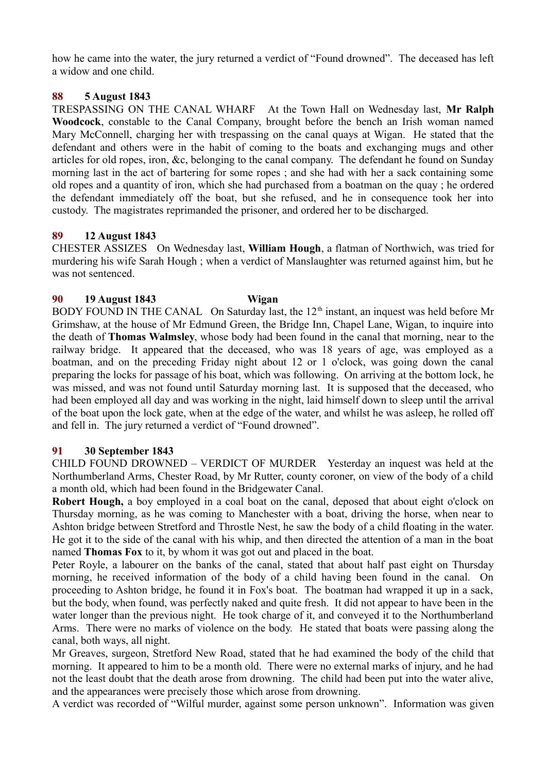how he came into the water, the jury returned a verdict of "Found drowned". The deceased has left a widow and one child.

# **88 5 August 1843**

TRESPASSING ON THE CANAL WHARF At the Town Hall on Wednesday last, **Mr Ralph Woodcock**, constable to the Canal Company, brought before the bench an Irish woman named Mary McConnell, charging her with trespassing on the canal quays at Wigan. He stated that the defendant and others were in the habit of coming to the boats and exchanging mugs and other articles for old ropes, iron, &c, belonging to the canal company. The defendant he found on Sunday morning last in the act of bartering for some ropes ; and she had with her a sack containing some old ropes and a quantity of iron, which she had purchased from a boatman on the quay ; he ordered the defendant immediately off the boat, but she refused, and he in consequence took her into custody. The magistrates reprimanded the prisoner, and ordered her to be discharged.

# **89 12 August 1843**

CHESTER ASSIZES On Wednesday last, **William Hough**, a flatman of Northwich, was tried for murdering his wife Sarah Hough ; when a verdict of Manslaughter was returned against him, but he was not sentenced.

# **90 19 August 1843 Wigan**

BODY FOUND IN THE CANAL On Saturday last, the  $12<sup>th</sup>$  instant, an inquest was held before Mr Grimshaw, at the house of Mr Edmund Green, the Bridge Inn, Chapel Lane, Wigan, to inquire into the death of **Thomas Walmsley**, whose body had been found in the canal that morning, near to the railway bridge. It appeared that the deceased, who was 18 years of age, was employed as a boatman, and on the preceding Friday night about 12 or 1 o'clock, was going down the canal preparing the locks for passage of his boat, which was following. On arriving at the bottom lock, he was missed, and was not found until Saturday morning last. It is supposed that the deceased, who had been employed all day and was working in the night, laid himself down to sleep until the arrival of the boat upon the lock gate, when at the edge of the water, and whilst he was asleep, he rolled off and fell in. The jury returned a verdict of "Found drowned".

# **91 30 September 1843**

CHILD FOUND DROWNED – VERDICT OF MURDER Yesterday an inquest was held at the Northumberland Arms, Chester Road, by Mr Rutter, county coroner, on view of the body of a child a month old, which had been found in the Bridgewater Canal.

**Robert Hough,** a boy employed in a coal boat on the canal, deposed that about eight o'clock on Thursday morning, as he was coming to Manchester with a boat, driving the horse, when near to Ashton bridge between Stretford and Throstle Nest, he saw the body of a child floating in the water. He got it to the side of the canal with his whip, and then directed the attention of a man in the boat named **Thomas Fox** to it, by whom it was got out and placed in the boat.

Peter Royle, a labourer on the banks of the canal, stated that about half past eight on Thursday morning, he received information of the body of a child having been found in the canal. On proceeding to Ashton bridge, he found it in Fox's boat. The boatman had wrapped it up in a sack, but the body, when found, was perfectly naked and quite fresh. It did not appear to have been in the water longer than the previous night. He took charge of it, and conveyed it to the Northumberland Arms. There were no marks of violence on the body. He stated that boats were passing along the canal, both ways, all night.

Mr Greaves, surgeon, Stretford New Road, stated that he had examined the body of the child that morning. It appeared to him to be a month old. There were no external marks of injury, and he had not the least doubt that the death arose from drowning. The child had been put into the water alive, and the appearances were precisely those which arose from drowning.

A verdict was recorded of "Wilful murder, against some person unknown". Information was given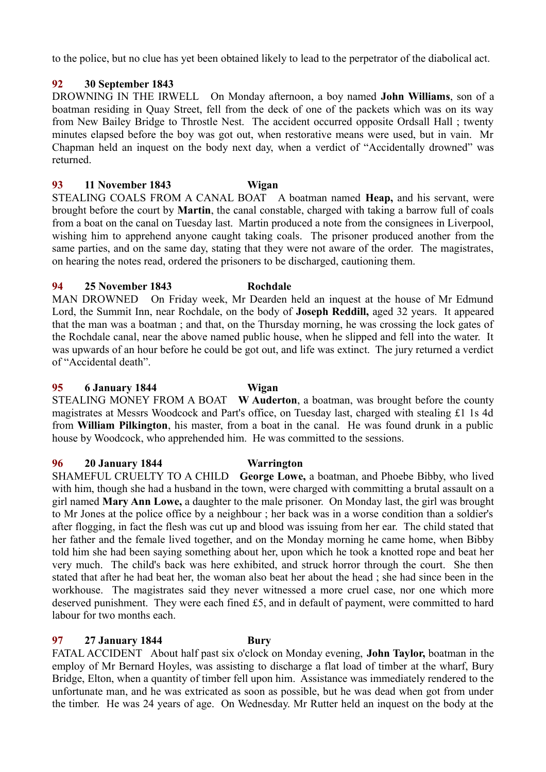to the police, but no clue has yet been obtained likely to lead to the perpetrator of the diabolical act.

# **92 30 September 1843**

DROWNING IN THE IRWELL On Monday afternoon, a boy named **John Williams**, son of a boatman residing in Quay Street, fell from the deck of one of the packets which was on its way from New Bailey Bridge to Throstle Nest. The accident occurred opposite Ordsall Hall ; twenty minutes elapsed before the boy was got out, when restorative means were used, but in vain. Mr Chapman held an inquest on the body next day, when a verdict of "Accidentally drowned" was returned.

## **93 11 November 1843 Wigan**

STEALING COALS FROM A CANAL BOAT A boatman named **Heap,** and his servant, were brought before the court by **Martin**, the canal constable, charged with taking a barrow full of coals from a boat on the canal on Tuesday last. Martin produced a note from the consignees in Liverpool, wishing him to apprehend anyone caught taking coals. The prisoner produced another from the same parties, and on the same day, stating that they were not aware of the order. The magistrates, on hearing the notes read, ordered the prisoners to be discharged, cautioning them.

## **94 25 November 1843 Rochdale**

MAN DROWNED On Friday week, Mr Dearden held an inquest at the house of Mr Edmund Lord, the Summit Inn, near Rochdale, on the body of **Joseph Reddill,** aged 32 years. It appeared that the man was a boatman ; and that, on the Thursday morning, he was crossing the lock gates of the Rochdale canal, near the above named public house, when he slipped and fell into the water. It was upwards of an hour before he could be got out, and life was extinct. The jury returned a verdict of "Accidental death".

### **95 6 January 1844 Wigan**

STEALING MONEY FROM A BOAT **W Auderton**, a boatman, was brought before the county magistrates at Messrs Woodcock and Part's office, on Tuesday last, charged with stealing £1 1s 4d from **William Pilkington**, his master, from a boat in the canal. He was found drunk in a public house by Woodcock, who apprehended him. He was committed to the sessions.

### **96 20 January 1844 Warrington**

SHAMEFUL CRUELTY TO A CHILD **George Lowe,** a boatman, and Phoebe Bibby, who lived with him, though she had a husband in the town, were charged with committing a brutal assault on a girl named **Mary Ann Lowe,** a daughter to the male prisoner. On Monday last, the girl was brought to Mr Jones at the police office by a neighbour ; her back was in a worse condition than a soldier's after flogging, in fact the flesh was cut up and blood was issuing from her ear. The child stated that her father and the female lived together, and on the Monday morning he came home, when Bibby told him she had been saying something about her, upon which he took a knotted rope and beat her very much. The child's back was here exhibited, and struck horror through the court. She then stated that after he had beat her, the woman also beat her about the head ; she had since been in the workhouse. The magistrates said they never witnessed a more cruel case, nor one which more deserved punishment. They were each fined £5, and in default of payment, were committed to hard labour for two months each.

# **97 27 January 1844 Bury**

FATAL ACCIDENT About half past six o'clock on Monday evening, **John Taylor,** boatman in the employ of Mr Bernard Hoyles, was assisting to discharge a flat load of timber at the wharf, Bury Bridge, Elton, when a quantity of timber fell upon him. Assistance was immediately rendered to the unfortunate man, and he was extricated as soon as possible, but he was dead when got from under the timber. He was 24 years of age. On Wednesday. Mr Rutter held an inquest on the body at the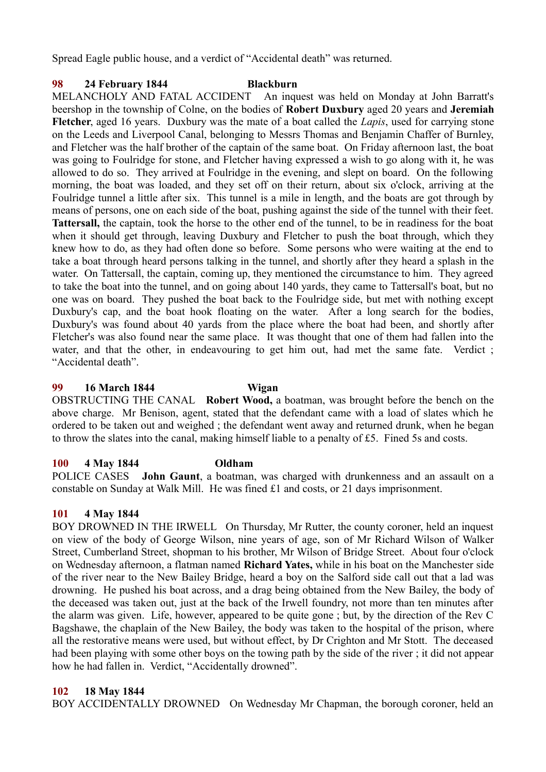Spread Eagle public house, and a verdict of "Accidental death" was returned.

# **98 24 February 1844 Blackburn**

MELANCHOLY AND FATAL ACCIDENT An inquest was held on Monday at John Barratt's beershop in the township of Colne, on the bodies of **Robert Duxbury** aged 20 years and **Jeremiah Fletcher**, aged 16 years. Duxbury was the mate of a boat called the *Lapis*, used for carrying stone on the Leeds and Liverpool Canal, belonging to Messrs Thomas and Benjamin Chaffer of Burnley, and Fletcher was the half brother of the captain of the same boat. On Friday afternoon last, the boat was going to Foulridge for stone, and Fletcher having expressed a wish to go along with it, he was allowed to do so. They arrived at Foulridge in the evening, and slept on board. On the following morning, the boat was loaded, and they set off on their return, about six o'clock, arriving at the Foulridge tunnel a little after six. This tunnel is a mile in length, and the boats are got through by means of persons, one on each side of the boat, pushing against the side of the tunnel with their feet. **Tattersall,** the captain, took the horse to the other end of the tunnel, to be in readiness for the boat when it should get through, leaving Duxbury and Fletcher to push the boat through, which they knew how to do, as they had often done so before. Some persons who were waiting at the end to take a boat through heard persons talking in the tunnel, and shortly after they heard a splash in the water. On Tattersall, the captain, coming up, they mentioned the circumstance to him. They agreed to take the boat into the tunnel, and on going about 140 yards, they came to Tattersall's boat, but no one was on board. They pushed the boat back to the Foulridge side, but met with nothing except Duxbury's cap, and the boat hook floating on the water. After a long search for the bodies, Duxbury's was found about 40 yards from the place where the boat had been, and shortly after Fletcher's was also found near the same place. It was thought that one of them had fallen into the water, and that the other, in endeavouring to get him out, had met the same fate. Verdict ; "Accidental death".

### **99 16 March 1844 Wigan**

OBSTRUCTING THE CANAL **Robert Wood,** a boatman, was brought before the bench on the above charge. Mr Benison, agent, stated that the defendant came with a load of slates which he ordered to be taken out and weighed ; the defendant went away and returned drunk, when he began to throw the slates into the canal, making himself liable to a penalty of £5. Fined 5s and costs.

# **100 4 May 1844 Oldham**

POLICE CASES **John Gaunt**, a boatman, was charged with drunkenness and an assault on a constable on Sunday at Walk Mill. He was fined £1 and costs, or 21 days imprisonment.

# **101 4 May 1844**

BOY DROWNED IN THE IRWELL On Thursday, Mr Rutter, the county coroner, held an inquest on view of the body of George Wilson, nine years of age, son of Mr Richard Wilson of Walker Street, Cumberland Street, shopman to his brother, Mr Wilson of Bridge Street. About four o'clock on Wednesday afternoon, a flatman named **Richard Yates,** while in his boat on the Manchester side of the river near to the New Bailey Bridge, heard a boy on the Salford side call out that a lad was drowning. He pushed his boat across, and a drag being obtained from the New Bailey, the body of the deceased was taken out, just at the back of the Irwell foundry, not more than ten minutes after the alarm was given. Life, however, appeared to be quite gone ; but, by the direction of the Rev C Bagshawe, the chaplain of the New Bailey, the body was taken to the hospital of the prison, where all the restorative means were used, but without effect, by Dr Crighton and Mr Stott. The deceased had been playing with some other boys on the towing path by the side of the river ; it did not appear how he had fallen in. Verdict, "Accidentally drowned".

# **102 18 May 1844**

BOY ACCIDENTALLY DROWNED On Wednesday Mr Chapman, the borough coroner, held an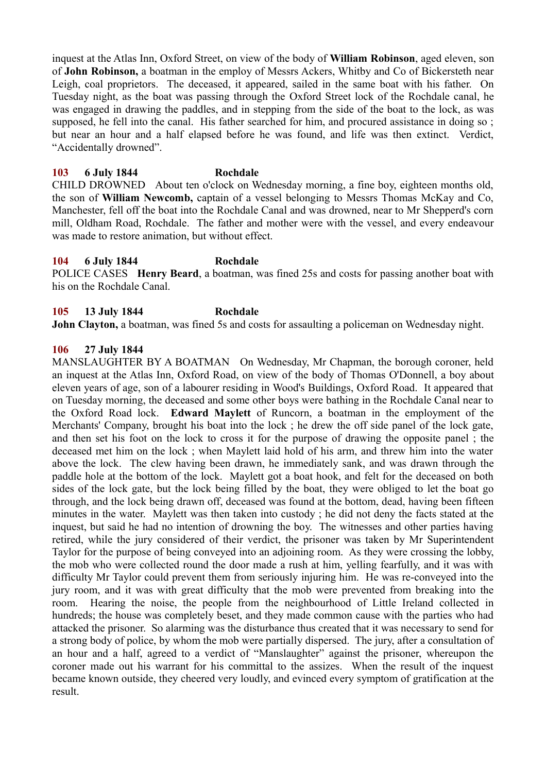inquest at the Atlas Inn, Oxford Street, on view of the body of **William Robinson**, aged eleven, son of **John Robinson,** a boatman in the employ of Messrs Ackers, Whitby and Co of Bickersteth near Leigh, coal proprietors. The deceased, it appeared, sailed in the same boat with his father. On Tuesday night, as the boat was passing through the Oxford Street lock of the Rochdale canal, he was engaged in drawing the paddles, and in stepping from the side of the boat to the lock, as was supposed, he fell into the canal. His father searched for him, and procured assistance in doing so; but near an hour and a half elapsed before he was found, and life was then extinct. Verdict, "Accidentally drowned".

### **103 6 July 1844 Rochdale**

CHILD DROWNED About ten o'clock on Wednesday morning, a fine boy, eighteen months old, the son of **William Newcomb,** captain of a vessel belonging to Messrs Thomas McKay and Co, Manchester, fell off the boat into the Rochdale Canal and was drowned, near to Mr Shepperd's corn mill, Oldham Road, Rochdale. The father and mother were with the vessel, and every endeavour was made to restore animation, but without effect.

### **104 6 July 1844 Rochdale**

POLICE CASES **Henry Beard**, a boatman, was fined 25s and costs for passing another boat with his on the Rochdale Canal.

## **105 13 July 1844 Rochdale**

**John Clayton,** a boatman, was fined 5s and costs for assaulting a policeman on Wednesday night.

#### **106 27 July 1844**

MANSLAUGHTER BY A BOATMAN On Wednesday, Mr Chapman, the borough coroner, held an inquest at the Atlas Inn, Oxford Road, on view of the body of Thomas O'Donnell, a boy about eleven years of age, son of a labourer residing in Wood's Buildings, Oxford Road. It appeared that on Tuesday morning, the deceased and some other boys were bathing in the Rochdale Canal near to the Oxford Road lock. **Edward Maylett** of Runcorn, a boatman in the employment of the Merchants' Company, brought his boat into the lock ; he drew the off side panel of the lock gate, and then set his foot on the lock to cross it for the purpose of drawing the opposite panel ; the deceased met him on the lock ; when Maylett laid hold of his arm, and threw him into the water above the lock. The clew having been drawn, he immediately sank, and was drawn through the paddle hole at the bottom of the lock. Maylett got a boat hook, and felt for the deceased on both sides of the lock gate, but the lock being filled by the boat, they were obliged to let the boat go through, and the lock being drawn off, deceased was found at the bottom, dead, having been fifteen minutes in the water. Maylett was then taken into custody ; he did not deny the facts stated at the inquest, but said he had no intention of drowning the boy. The witnesses and other parties having retired, while the jury considered of their verdict, the prisoner was taken by Mr Superintendent Taylor for the purpose of being conveyed into an adjoining room. As they were crossing the lobby, the mob who were collected round the door made a rush at him, yelling fearfully, and it was with difficulty Mr Taylor could prevent them from seriously injuring him. He was re-conveyed into the jury room, and it was with great difficulty that the mob were prevented from breaking into the room. Hearing the noise, the people from the neighbourhood of Little Ireland collected in hundreds; the house was completely beset, and they made common cause with the parties who had attacked the prisoner. So alarming was the disturbance thus created that it was necessary to send for a strong body of police, by whom the mob were partially dispersed. The jury, after a consultation of an hour and a half, agreed to a verdict of "Manslaughter" against the prisoner, whereupon the coroner made out his warrant for his committal to the assizes. When the result of the inquest became known outside, they cheered very loudly, and evinced every symptom of gratification at the result.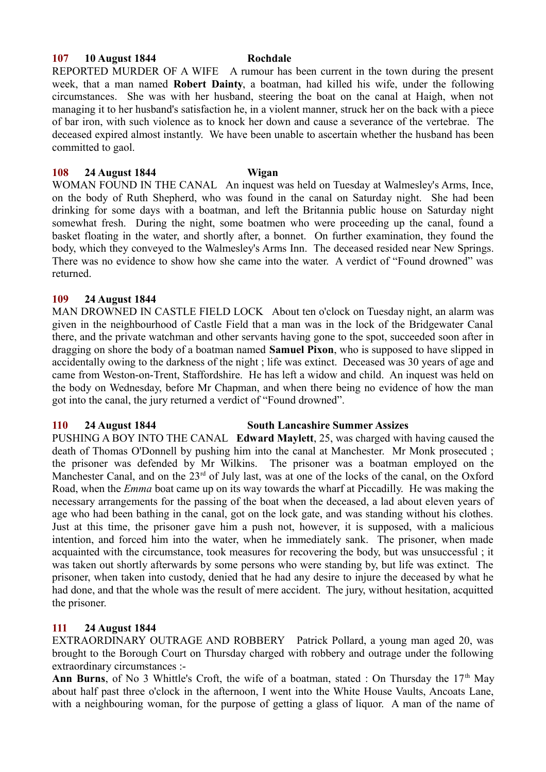#### **107 10 August 1844 Rochdale**

REPORTED MURDER OF A WIFE A rumour has been current in the town during the present week, that a man named **Robert Dainty**, a boatman, had killed his wife, under the following circumstances. She was with her husband, steering the boat on the canal at Haigh, when not managing it to her husband's satisfaction he, in a violent manner, struck her on the back with a piece of bar iron, with such violence as to knock her down and cause a severance of the vertebrae. The deceased expired almost instantly. We have been unable to ascertain whether the husband has been committed to gaol.

### **108 24 August 1844 Wigan**

WOMAN FOUND IN THE CANAL An inquest was held on Tuesday at Walmesley's Arms, Ince, on the body of Ruth Shepherd, who was found in the canal on Saturday night. She had been drinking for some days with a boatman, and left the Britannia public house on Saturday night somewhat fresh. During the night, some boatmen who were proceeding up the canal, found a basket floating in the water, and shortly after, a bonnet. On further examination, they found the body, which they conveyed to the Walmesley's Arms Inn. The deceased resided near New Springs. There was no evidence to show how she came into the water. A verdict of "Found drowned" was returned.

#### **109 24 August 1844**

MAN DROWNED IN CASTLE FIELD LOCK About ten o'clock on Tuesday night, an alarm was given in the neighbourhood of Castle Field that a man was in the lock of the Bridgewater Canal there, and the private watchman and other servants having gone to the spot, succeeded soon after in dragging on shore the body of a boatman named **Samuel Pixon**, who is supposed to have slipped in accidentally owing to the darkness of the night ; life was extinct. Deceased was 30 years of age and came from Weston-on-Trent, Staffordshire. He has left a widow and child. An inquest was held on the body on Wednesday, before Mr Chapman, and when there being no evidence of how the man got into the canal, the jury returned a verdict of "Found drowned".

#### **110 24 August 1844 South Lancashire Summer Assizes**

PUSHING A BOY INTO THE CANAL **Edward Maylett**, 25, was charged with having caused the death of Thomas O'Donnell by pushing him into the canal at Manchester. Mr Monk prosecuted ; the prisoner was defended by Mr Wilkins. The prisoner was a boatman employed on the Manchester Canal, and on the 23<sup>rd</sup> of July last, was at one of the locks of the canal, on the Oxford Road, when the *Emma* boat came up on its way towards the wharf at Piccadilly. He was making the necessary arrangements for the passing of the boat when the deceased, a lad about eleven years of age who had been bathing in the canal, got on the lock gate, and was standing without his clothes. Just at this time, the prisoner gave him a push not, however, it is supposed, with a malicious intention, and forced him into the water, when he immediately sank. The prisoner, when made acquainted with the circumstance, took measures for recovering the body, but was unsuccessful ; it was taken out shortly afterwards by some persons who were standing by, but life was extinct. The prisoner, when taken into custody, denied that he had any desire to injure the deceased by what he had done, and that the whole was the result of mere accident. The jury, without hesitation, acquitted the prisoner.

## **111 24 August 1844**

EXTRAORDINARY OUTRAGE AND ROBBERY Patrick Pollard, a young man aged 20, was brought to the Borough Court on Thursday charged with robbery and outrage under the following extraordinary circumstances :-

**Ann Burns**, of No 3 Whittle's Croft, the wife of a boatman, stated : On Thursday the  $17<sup>th</sup>$  May about half past three o'clock in the afternoon, I went into the White House Vaults, Ancoats Lane, with a neighbouring woman, for the purpose of getting a glass of liquor. A man of the name of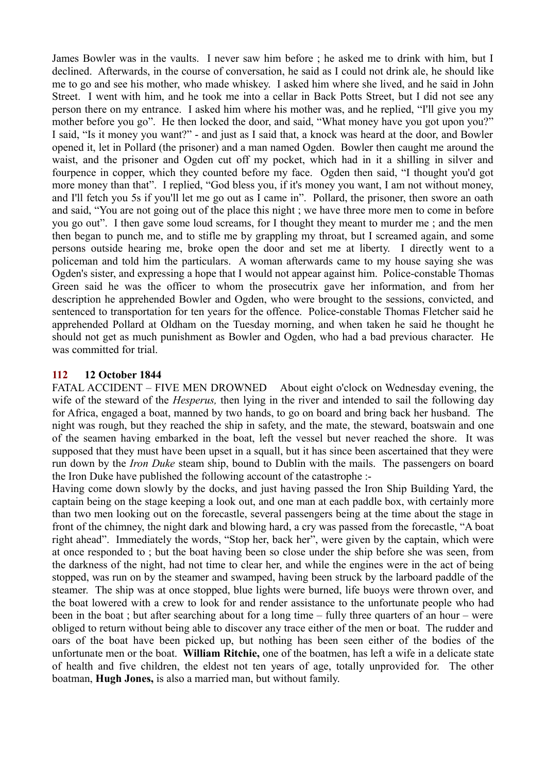James Bowler was in the vaults. I never saw him before ; he asked me to drink with him, but I declined. Afterwards, in the course of conversation, he said as I could not drink ale, he should like me to go and see his mother, who made whiskey. I asked him where she lived, and he said in John Street. I went with him, and he took me into a cellar in Back Potts Street, but I did not see any person there on my entrance. I asked him where his mother was, and he replied, "I'll give you my mother before you go". He then locked the door, and said, "What money have you got upon you?" I said, "Is it money you want?" - and just as I said that, a knock was heard at the door, and Bowler opened it, let in Pollard (the prisoner) and a man named Ogden. Bowler then caught me around the waist, and the prisoner and Ogden cut off my pocket, which had in it a shilling in silver and fourpence in copper, which they counted before my face. Ogden then said, "I thought you'd got more money than that". I replied, "God bless you, if it's money you want, I am not without money, and I'll fetch you 5s if you'll let me go out as I came in". Pollard, the prisoner, then swore an oath and said, "You are not going out of the place this night ; we have three more men to come in before you go out". I then gave some loud screams, for I thought they meant to murder me ; and the men then began to punch me, and to stifle me by grappling my throat, but I screamed again, and some persons outside hearing me, broke open the door and set me at liberty. I directly went to a policeman and told him the particulars. A woman afterwards came to my house saying she was Ogden's sister, and expressing a hope that I would not appear against him. Police-constable Thomas Green said he was the officer to whom the prosecutrix gave her information, and from her description he apprehended Bowler and Ogden, who were brought to the sessions, convicted, and sentenced to transportation for ten years for the offence. Police-constable Thomas Fletcher said he apprehended Pollard at Oldham on the Tuesday morning, and when taken he said he thought he should not get as much punishment as Bowler and Ogden, who had a bad previous character. He was committed for trial.

## **112 12 October 1844**

FATAL ACCIDENT – FIVE MEN DROWNED About eight o'clock on Wednesday evening, the wife of the steward of the *Hesperus,* then lying in the river and intended to sail the following day for Africa, engaged a boat, manned by two hands, to go on board and bring back her husband. The night was rough, but they reached the ship in safety, and the mate, the steward, boatswain and one of the seamen having embarked in the boat, left the vessel but never reached the shore. It was supposed that they must have been upset in a squall, but it has since been ascertained that they were run down by the *Iron Duke* steam ship, bound to Dublin with the mails. The passengers on board the Iron Duke have published the following account of the catastrophe :-

Having come down slowly by the docks, and just having passed the Iron Ship Building Yard, the captain being on the stage keeping a look out, and one man at each paddle box, with certainly more than two men looking out on the forecastle, several passengers being at the time about the stage in front of the chimney, the night dark and blowing hard, a cry was passed from the forecastle, "A boat right ahead". Immediately the words, "Stop her, back her", were given by the captain, which were at once responded to ; but the boat having been so close under the ship before she was seen, from the darkness of the night, had not time to clear her, and while the engines were in the act of being stopped, was run on by the steamer and swamped, having been struck by the larboard paddle of the steamer. The ship was at once stopped, blue lights were burned, life buoys were thrown over, and the boat lowered with a crew to look for and render assistance to the unfortunate people who had been in the boat ; but after searching about for a long time – fully three quarters of an hour – were obliged to return without being able to discover any trace either of the men or boat. The rudder and oars of the boat have been picked up, but nothing has been seen either of the bodies of the unfortunate men or the boat. **William Ritchie,** one of the boatmen, has left a wife in a delicate state of health and five children, the eldest not ten years of age, totally unprovided for. The other boatman, **Hugh Jones,** is also a married man, but without family.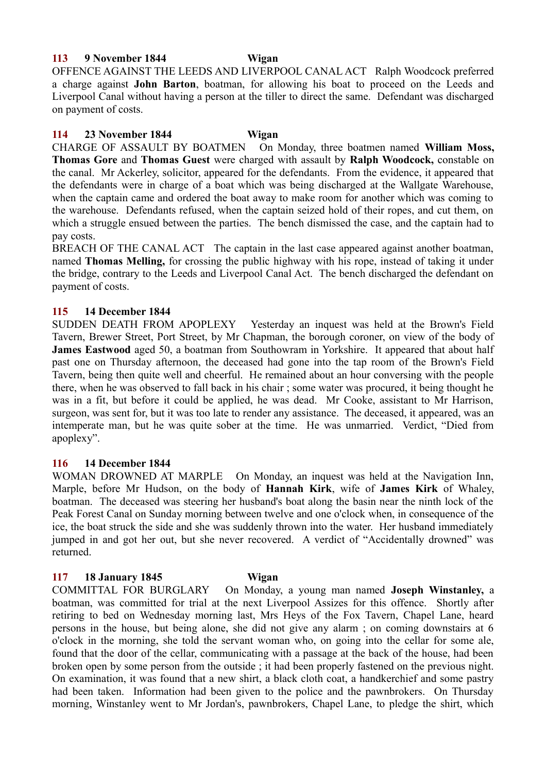#### **113 9 November 1844 Wigan**

OFFENCE AGAINST THE LEEDS AND LIVERPOOL CANAL ACT Ralph Woodcock preferred a charge against **John Barton**, boatman, for allowing his boat to proceed on the Leeds and Liverpool Canal without having a person at the tiller to direct the same. Defendant was discharged on payment of costs.

### **114 23 November 1844 Wigan**

CHARGE OF ASSAULT BY BOATMEN On Monday, three boatmen named **William Moss, Thomas Gore** and **Thomas Guest** were charged with assault by **Ralph Woodcock,** constable on the canal. Mr Ackerley, solicitor, appeared for the defendants. From the evidence, it appeared that the defendants were in charge of a boat which was being discharged at the Wallgate Warehouse, when the captain came and ordered the boat away to make room for another which was coming to the warehouse. Defendants refused, when the captain seized hold of their ropes, and cut them, on which a struggle ensued between the parties. The bench dismissed the case, and the captain had to pay costs.

BREACH OF THE CANAL ACT The captain in the last case appeared against another boatman, named **Thomas Melling,** for crossing the public highway with his rope, instead of taking it under the bridge, contrary to the Leeds and Liverpool Canal Act. The bench discharged the defendant on payment of costs.

**115 14 December 1844** Yesterday an inquest was held at the Brown's Field Tavern, Brewer Street, Port Street, by Mr Chapman, the borough coroner, on view of the body of **James Eastwood** aged 50, a boatman from Southowram in Yorkshire. It appeared that about half past one on Thursday afternoon, the deceased had gone into the tap room of the Brown's Field Tavern, being then quite well and cheerful. He remained about an hour conversing with the people there, when he was observed to fall back in his chair ; some water was procured, it being thought he was in a fit, but before it could be applied, he was dead. Mr Cooke, assistant to Mr Harrison, surgeon, was sent for, but it was too late to render any assistance. The deceased, it appeared, was an intemperate man, but he was quite sober at the time. He was unmarried. Verdict, "Died from apoplexy".

### **116 14 December 1844**

WOMAN DROWNED AT MARPLE On Monday, an inquest was held at the Navigation Inn, Marple, before Mr Hudson, on the body of **Hannah Kirk**, wife of **James Kirk** of Whaley, boatman. The deceased was steering her husband's boat along the basin near the ninth lock of the Peak Forest Canal on Sunday morning between twelve and one o'clock when, in consequence of the ice, the boat struck the side and she was suddenly thrown into the water. Her husband immediately jumped in and got her out, but she never recovered. A verdict of "Accidentally drowned" was returned.

## **117 18 January 1845 Wigan**

COMMITTAL FOR BURGLARY On Monday, a young man named **Joseph Winstanley,** a boatman, was committed for trial at the next Liverpool Assizes for this offence. Shortly after retiring to bed on Wednesday morning last, Mrs Heys of the Fox Tavern, Chapel Lane, heard persons in the house, but being alone, she did not give any alarm ; on coming downstairs at 6 o'clock in the morning, she told the servant woman who, on going into the cellar for some ale, found that the door of the cellar, communicating with a passage at the back of the house, had been broken open by some person from the outside ; it had been properly fastened on the previous night. On examination, it was found that a new shirt, a black cloth coat, a handkerchief and some pastry had been taken. Information had been given to the police and the pawnbrokers. On Thursday morning, Winstanley went to Mr Jordan's, pawnbrokers, Chapel Lane, to pledge the shirt, which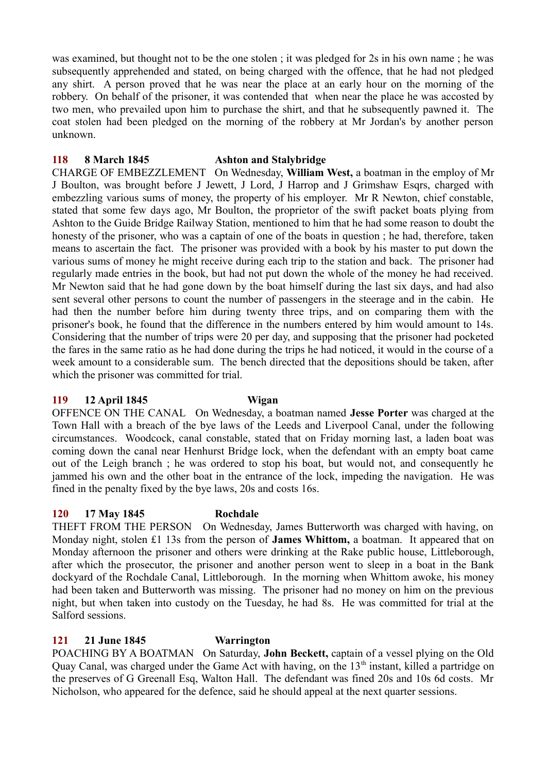was examined, but thought not to be the one stolen ; it was pledged for 2s in his own name ; he was subsequently apprehended and stated, on being charged with the offence, that he had not pledged any shirt. A person proved that he was near the place at an early hour on the morning of the robbery. On behalf of the prisoner, it was contended that when near the place he was accosted by two men, who prevailed upon him to purchase the shirt, and that he subsequently pawned it. The coat stolen had been pledged on the morning of the robbery at Mr Jordan's by another person unknown.

## **118 8 March 1845 Ashton and Stalybridge**

CHARGE OF EMBEZZLEMENT On Wednesday, **William West,** a boatman in the employ of Mr J Boulton, was brought before J Jewett, J Lord, J Harrop and J Grimshaw Esqrs, charged with embezzling various sums of money, the property of his employer. Mr R Newton, chief constable, stated that some few days ago, Mr Boulton, the proprietor of the swift packet boats plying from Ashton to the Guide Bridge Railway Station, mentioned to him that he had some reason to doubt the honesty of the prisoner, who was a captain of one of the boats in question ; he had, therefore, taken means to ascertain the fact. The prisoner was provided with a book by his master to put down the various sums of money he might receive during each trip to the station and back. The prisoner had regularly made entries in the book, but had not put down the whole of the money he had received. Mr Newton said that he had gone down by the boat himself during the last six days, and had also sent several other persons to count the number of passengers in the steerage and in the cabin. He had then the number before him during twenty three trips, and on comparing them with the prisoner's book, he found that the difference in the numbers entered by him would amount to 14s. Considering that the number of trips were 20 per day, and supposing that the prisoner had pocketed the fares in the same ratio as he had done during the trips he had noticed, it would in the course of a week amount to a considerable sum. The bench directed that the depositions should be taken, after which the prisoner was committed for trial.

### **119 12 April 1845 Wigan**

OFFENCE ON THE CANAL On Wednesday, a boatman named **Jesse Porter** was charged at the Town Hall with a breach of the bye laws of the Leeds and Liverpool Canal, under the following circumstances. Woodcock, canal constable, stated that on Friday morning last, a laden boat was coming down the canal near Henhurst Bridge lock, when the defendant with an empty boat came out of the Leigh branch ; he was ordered to stop his boat, but would not, and consequently he jammed his own and the other boat in the entrance of the lock, impeding the navigation. He was fined in the penalty fixed by the bye laws, 20s and costs 16s.

### **120 17 May 1845 Rochdale**

THEFT FROM THE PERSON On Wednesday, James Butterworth was charged with having, on Monday night, stolen £1 13s from the person of **James Whittom,** a boatman. It appeared that on Monday afternoon the prisoner and others were drinking at the Rake public house, Littleborough, after which the prosecutor, the prisoner and another person went to sleep in a boat in the Bank dockyard of the Rochdale Canal, Littleborough. In the morning when Whittom awoke, his money had been taken and Butterworth was missing. The prisoner had no money on him on the previous night, but when taken into custody on the Tuesday, he had 8s. He was committed for trial at the Salford sessions.

# **121 21 June 1845 Warrington**

POACHING BY A BOATMAN On Saturday, **John Beckett,** captain of a vessel plying on the Old Quay Canal, was charged under the Game Act with having, on the  $13<sup>th</sup>$  instant, killed a partridge on the preserves of G Greenall Esq, Walton Hall. The defendant was fined 20s and 10s 6d costs. Mr Nicholson, who appeared for the defence, said he should appeal at the next quarter sessions.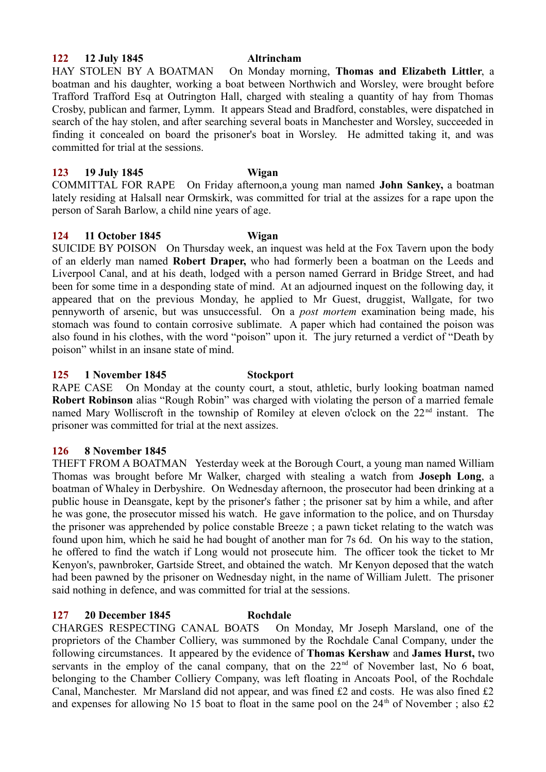### **122 12 July 1845 Altrincham**

HAY STOLEN BY A BOATMAN On Monday morning, **Thomas and Elizabeth Littler**, a boatman and his daughter, working a boat between Northwich and Worsley, were brought before Trafford Trafford Esq at Outrington Hall, charged with stealing a quantity of hay from Thomas Crosby, publican and farmer, Lymm. It appears Stead and Bradford, constables, were dispatched in search of the hay stolen, and after searching several boats in Manchester and Worsley, succeeded in finding it concealed on board the prisoner's boat in Worsley. He admitted taking it, and was committed for trial at the sessions.

## **123 19 July 1845 Wigan**

COMMITTAL FOR RAPE On Friday afternoon,a young man named **John Sankey,** a boatman lately residing at Halsall near Ormskirk, was committed for trial at the assizes for a rape upon the person of Sarah Barlow, a child nine years of age.

### **124 11 October 1845 Wigan**

SUICIDE BY POISON On Thursday week, an inquest was held at the Fox Tavern upon the body of an elderly man named **Robert Draper,** who had formerly been a boatman on the Leeds and Liverpool Canal, and at his death, lodged with a person named Gerrard in Bridge Street, and had been for some time in a desponding state of mind. At an adjourned inquest on the following day, it appeared that on the previous Monday, he applied to Mr Guest, druggist, Wallgate, for two pennyworth of arsenic, but was unsuccessful. On a *post mortem* examination being made, his stomach was found to contain corrosive sublimate. A paper which had contained the poison was also found in his clothes, with the word "poison" upon it. The jury returned a verdict of "Death by poison" whilst in an insane state of mind.

### **125 1 November 1845 Stockport**

RAPE CASE On Monday at the county court, a stout, athletic, burly looking boatman named **Robert Robinson** alias "Rough Robin" was charged with violating the person of a married female named Mary Wolliscroft in the township of Romiley at eleven o'clock on the 22<sup>nd</sup> instant. The prisoner was committed for trial at the next assizes.

### **126 8 November 1845**

THEFT FROM A BOATMAN Yesterday week at the Borough Court, a young man named William Thomas was brought before Mr Walker, charged with stealing a watch from **Joseph Long**, a boatman of Whaley in Derbyshire. On Wednesday afternoon, the prosecutor had been drinking at a public house in Deansgate, kept by the prisoner's father ; the prisoner sat by him a while, and after he was gone, the prosecutor missed his watch. He gave information to the police, and on Thursday the prisoner was apprehended by police constable Breeze ; a pawn ticket relating to the watch was found upon him, which he said he had bought of another man for 7s 6d. On his way to the station, he offered to find the watch if Long would not prosecute him. The officer took the ticket to Mr Kenyon's, pawnbroker, Gartside Street, and obtained the watch. Mr Kenyon deposed that the watch had been pawned by the prisoner on Wednesday night, in the name of William Julett. The prisoner said nothing in defence, and was committed for trial at the sessions.

### **127 20 December 1845 Rochdale**

CHARGES RESPECTING CANAL BOATS On Monday, Mr Joseph Marsland, one of the proprietors of the Chamber Colliery, was summoned by the Rochdale Canal Company, under the following circumstances. It appeared by the evidence of **Thomas Kershaw** and **James Hurst,** two servants in the employ of the canal company, that on the  $22<sup>nd</sup>$  of November last, No 6 boat, belonging to the Chamber Colliery Company, was left floating in Ancoats Pool, of the Rochdale Canal, Manchester. Mr Marsland did not appear, and was fined £2 and costs. He was also fined £2 and expenses for allowing No 15 boat to float in the same pool on the  $24<sup>th</sup>$  of November; also £2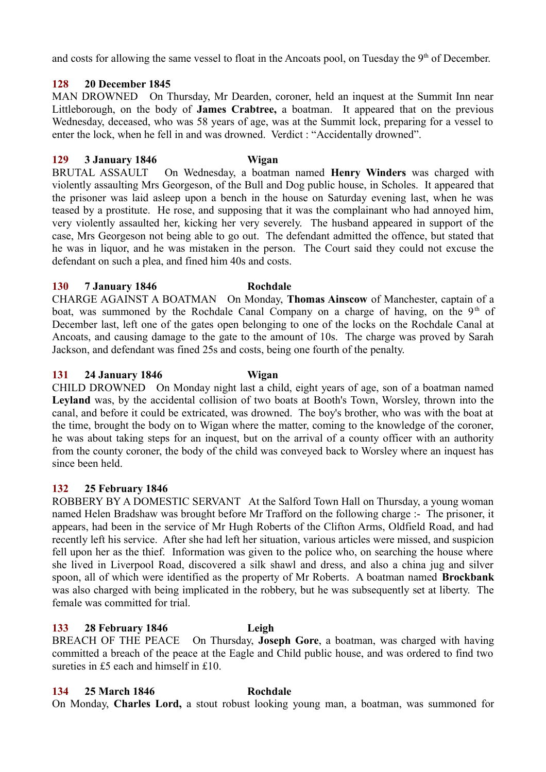and costs for allowing the same vessel to float in the Ancoats pool, on Tuesday the 9<sup>th</sup> of December.

# **128 20 December 1845**

MAN DROWNED On Thursday, Mr Dearden, coroner, held an inquest at the Summit Inn near Littleborough, on the body of **James Crabtree,** a boatman. It appeared that on the previous Wednesday, deceased, who was 58 years of age, was at the Summit lock, preparing for a vessel to enter the lock, when he fell in and was drowned. Verdict : "Accidentally drowned".

# **129 3 January 1846 Wigan**

BRUTAL ASSAULT On Wednesday, a boatman named **Henry Winders** was charged with violently assaulting Mrs Georgeson, of the Bull and Dog public house, in Scholes. It appeared that the prisoner was laid asleep upon a bench in the house on Saturday evening last, when he was teased by a prostitute. He rose, and supposing that it was the complainant who had annoyed him, very violently assaulted her, kicking her very severely. The husband appeared in support of the case, Mrs Georgeson not being able to go out. The defendant admitted the offence, but stated that he was in liquor, and he was mistaken in the person. The Court said they could not excuse the defendant on such a plea, and fined him 40s and costs.

# **130 7 January 1846 Rochdale**

CHARGE AGAINST A BOATMAN On Monday, **Thomas Ainscow** of Manchester, captain of a boat, was summoned by the Rochdale Canal Company on a charge of having, on the  $9<sup>th</sup>$  of December last, left one of the gates open belonging to one of the locks on the Rochdale Canal at Ancoats, and causing damage to the gate to the amount of 10s. The charge was proved by Sarah Jackson, and defendant was fined 25s and costs, being one fourth of the penalty.

# **131 24 January 1846 Wigan**

CHILD DROWNED On Monday night last a child, eight years of age, son of a boatman named **Leyland** was, by the accidental collision of two boats at Booth's Town, Worsley, thrown into the canal, and before it could be extricated, was drowned. The boy's brother, who was with the boat at the time, brought the body on to Wigan where the matter, coming to the knowledge of the coroner, he was about taking steps for an inquest, but on the arrival of a county officer with an authority from the county coroner, the body of the child was conveyed back to Worsley where an inquest has since been held.

# **132 25 February 1846**

ROBBERY BY A DOMESTIC SERVANT At the Salford Town Hall on Thursday, a young woman named Helen Bradshaw was brought before Mr Trafford on the following charge :- The prisoner, it appears, had been in the service of Mr Hugh Roberts of the Clifton Arms, Oldfield Road, and had recently left his service. After she had left her situation, various articles were missed, and suspicion fell upon her as the thief. Information was given to the police who, on searching the house where she lived in Liverpool Road, discovered a silk shawl and dress, and also a china jug and silver spoon, all of which were identified as the property of Mr Roberts. A boatman named **Brockbank** was also charged with being implicated in the robbery, but he was subsequently set at liberty. The female was committed for trial.

# **133 28 February 1846 Leigh**

BREACH OF THE PEACE On Thursday, **Joseph Gore**, a boatman, was charged with having committed a breach of the peace at the Eagle and Child public house, and was ordered to find two sureties in £5 each and himself in £10.

# **134 25 March 1846 Rochdale**

On Monday, **Charles Lord,** a stout robust looking young man, a boatman, was summoned for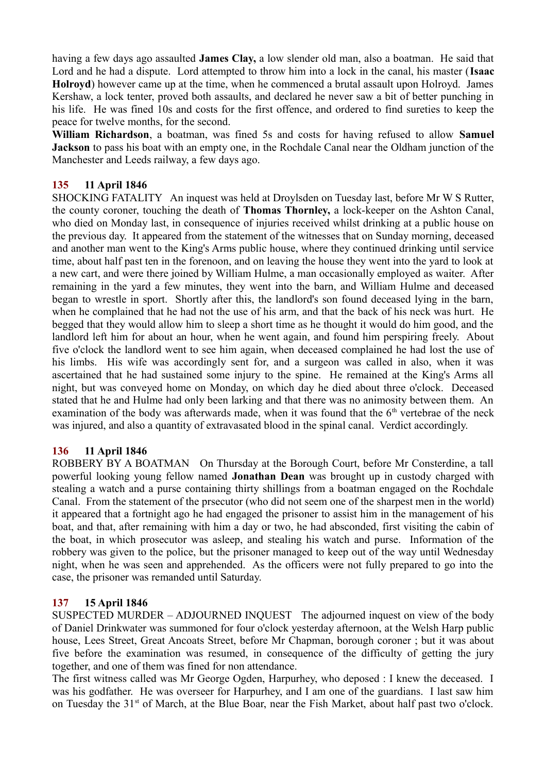having a few days ago assaulted **James Clay,** a low slender old man, also a boatman. He said that Lord and he had a dispute. Lord attempted to throw him into a lock in the canal, his master (**Isaac Holroyd**) however came up at the time, when he commenced a brutal assault upon Holroyd. James Kershaw, a lock tenter, proved both assaults, and declared he never saw a bit of better punching in his life. He was fined 10s and costs for the first offence, and ordered to find sureties to keep the peace for twelve months, for the second.

**William Richardson**, a boatman, was fined 5s and costs for having refused to allow **Samuel Jackson** to pass his boat with an empty one, in the Rochdale Canal near the Oldham junction of the Manchester and Leeds railway, a few days ago.

# **135 11 April 1846**

SHOCKING FATALITY An inquest was held at Droylsden on Tuesday last, before Mr W S Rutter, the county coroner, touching the death of **Thomas Thornley,** a lock-keeper on the Ashton Canal, who died on Monday last, in consequence of injuries received whilst drinking at a public house on the previous day. It appeared from the statement of the witnesses that on Sunday morning, deceased and another man went to the King's Arms public house, where they continued drinking until service time, about half past ten in the forenoon, and on leaving the house they went into the yard to look at a new cart, and were there joined by William Hulme, a man occasionally employed as waiter. After remaining in the yard a few minutes, they went into the barn, and William Hulme and deceased began to wrestle in sport. Shortly after this, the landlord's son found deceased lying in the barn, when he complained that he had not the use of his arm, and that the back of his neck was hurt. He begged that they would allow him to sleep a short time as he thought it would do him good, and the landlord left him for about an hour, when he went again, and found him perspiring freely. About five o'clock the landlord went to see him again, when deceased complained he had lost the use of his limbs. His wife was accordingly sent for, and a surgeon was called in also, when it was ascertained that he had sustained some injury to the spine. He remained at the King's Arms all night, but was conveyed home on Monday, on which day he died about three o'clock. Deceased stated that he and Hulme had only been larking and that there was no animosity between them. An examination of the body was afterwards made, when it was found that the  $6<sup>th</sup>$  vertebrae of the neck was injured, and also a quantity of extravasated blood in the spinal canal. Verdict accordingly.

# **136 11 April 1846**

ROBBERY BY A BOATMAN On Thursday at the Borough Court, before Mr Consterdine, a tall powerful looking young fellow named **Jonathan Dean** was brought up in custody charged with stealing a watch and a purse containing thirty shillings from a boatman engaged on the Rochdale Canal. From the statement of the prsecutor (who did not seem one of the sharpest men in the world) it appeared that a fortnight ago he had engaged the prisoner to assist him in the management of his boat, and that, after remaining with him a day or two, he had absconded, first visiting the cabin of the boat, in which prosecutor was asleep, and stealing his watch and purse. Information of the robbery was given to the police, but the prisoner managed to keep out of the way until Wednesday night, when he was seen and apprehended. As the officers were not fully prepared to go into the case, the prisoner was remanded until Saturday.

# **137 15 April 1846**

SUSPECTED MURDER – ADJOURNED INQUEST The adjourned inquest on view of the body of Daniel Drinkwater was summoned for four o'clock yesterday afternoon, at the Welsh Harp public house, Lees Street, Great Ancoats Street, before Mr Chapman, borough coroner ; but it was about five before the examination was resumed, in consequence of the difficulty of getting the jury together, and one of them was fined for non attendance.

The first witness called was Mr George Ogden, Harpurhey, who deposed : I knew the deceased. I was his godfather. He was overseer for Harpurhey, and I am one of the guardians. I last saw him on Tuesday the 31<sup>st</sup> of March, at the Blue Boar, near the Fish Market, about half past two o'clock.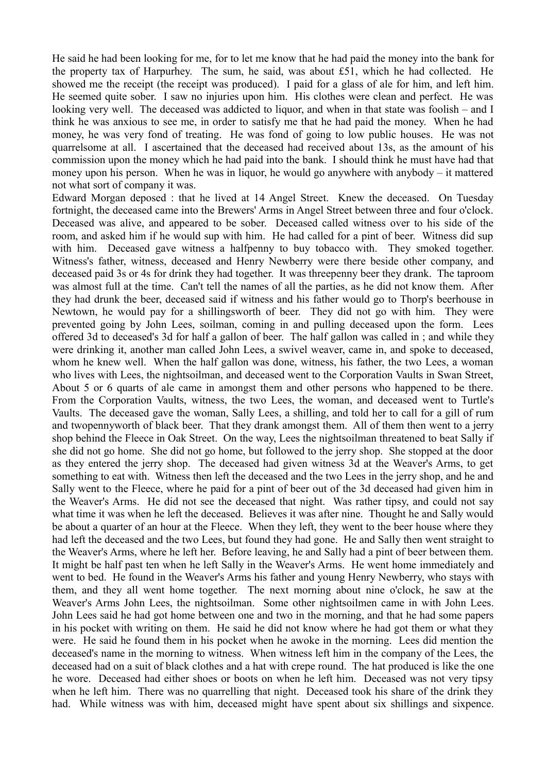He said he had been looking for me, for to let me know that he had paid the money into the bank for the property tax of Harpurhey. The sum, he said, was about £51, which he had collected. He showed me the receipt (the receipt was produced). I paid for a glass of ale for him, and left him. He seemed quite sober. I saw no injuries upon him. His clothes were clean and perfect. He was looking very well. The deceased was addicted to liquor, and when in that state was foolish – and I think he was anxious to see me, in order to satisfy me that he had paid the money. When he had money, he was very fond of treating. He was fond of going to low public houses. He was not quarrelsome at all. I ascertained that the deceased had received about 13s, as the amount of his commission upon the money which he had paid into the bank. I should think he must have had that money upon his person. When he was in liquor, he would go anywhere with anybody – it mattered not what sort of company it was.

Edward Morgan deposed : that he lived at 14 Angel Street. Knew the deceased. On Tuesday fortnight, the deceased came into the Brewers' Arms in Angel Street between three and four o'clock. Deceased was alive, and appeared to be sober. Deceased called witness over to his side of the room, and asked him if he would sup with him. He had called for a pint of beer. Witness did sup with him. Deceased gave witness a halfpenny to buy tobacco with. They smoked together. Witness's father, witness, deceased and Henry Newberry were there beside other company, and deceased paid 3s or 4s for drink they had together. It was threepenny beer they drank. The taproom was almost full at the time. Can't tell the names of all the parties, as he did not know them. After they had drunk the beer, deceased said if witness and his father would go to Thorp's beerhouse in Newtown, he would pay for a shillingsworth of beer. They did not go with him. They were prevented going by John Lees, soilman, coming in and pulling deceased upon the form. Lees offered 3d to deceased's 3d for half a gallon of beer. The half gallon was called in ; and while they were drinking it, another man called John Lees, a swivel weaver, came in, and spoke to deceased, whom he knew well. When the half gallon was done, witness, his father, the two Lees, a woman who lives with Lees, the nightsoilman, and deceased went to the Corporation Vaults in Swan Street, About 5 or 6 quarts of ale came in amongst them and other persons who happened to be there. From the Corporation Vaults, witness, the two Lees, the woman, and deceased went to Turtle's Vaults. The deceased gave the woman, Sally Lees, a shilling, and told her to call for a gill of rum and twopennyworth of black beer. That they drank amongst them. All of them then went to a jerry shop behind the Fleece in Oak Street. On the way, Lees the nightsoilman threatened to beat Sally if she did not go home. She did not go home, but followed to the jerry shop. She stopped at the door as they entered the jerry shop. The deceased had given witness 3d at the Weaver's Arms, to get something to eat with. Witness then left the deceased and the two Lees in the jerry shop, and he and Sally went to the Fleece, where he paid for a pint of beer out of the 3d deceased had given him in the Weaver's Arms. He did not see the deceased that night. Was rather tipsy, and could not say what time it was when he left the deceased. Believes it was after nine. Thought he and Sally would be about a quarter of an hour at the Fleece. When they left, they went to the beer house where they had left the deceased and the two Lees, but found they had gone. He and Sally then went straight to the Weaver's Arms, where he left her. Before leaving, he and Sally had a pint of beer between them. It might be half past ten when he left Sally in the Weaver's Arms. He went home immediately and went to bed. He found in the Weaver's Arms his father and young Henry Newberry, who stays with them, and they all went home together. The next morning about nine o'clock, he saw at the Weaver's Arms John Lees, the nightsoilman. Some other nightsoilmen came in with John Lees. John Lees said he had got home between one and two in the morning, and that he had some papers in his pocket with writing on them. He said he did not know where he had got them or what they were. He said he found them in his pocket when he awoke in the morning. Lees did mention the deceased's name in the morning to witness. When witness left him in the company of the Lees, the deceased had on a suit of black clothes and a hat with crepe round. The hat produced is like the one he wore. Deceased had either shoes or boots on when he left him. Deceased was not very tipsy when he left him. There was no quarrelling that night. Deceased took his share of the drink they had. While witness was with him, deceased might have spent about six shillings and sixpence.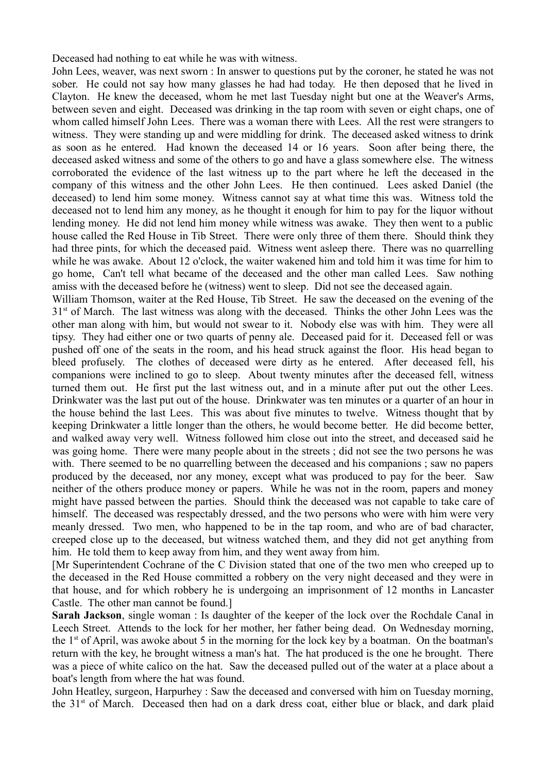Deceased had nothing to eat while he was with witness.

John Lees, weaver, was next sworn : In answer to questions put by the coroner, he stated he was not sober. He could not say how many glasses he had had today. He then deposed that he lived in Clayton. He knew the deceased, whom he met last Tuesday night but one at the Weaver's Arms, between seven and eight. Deceased was drinking in the tap room with seven or eight chaps, one of whom called himself John Lees. There was a woman there with Lees. All the rest were strangers to witness. They were standing up and were middling for drink. The deceased asked witness to drink as soon as he entered. Had known the deceased 14 or 16 years. Soon after being there, the deceased asked witness and some of the others to go and have a glass somewhere else. The witness corroborated the evidence of the last witness up to the part where he left the deceased in the company of this witness and the other John Lees. He then continued. Lees asked Daniel (the deceased) to lend him some money. Witness cannot say at what time this was. Witness told the deceased not to lend him any money, as he thought it enough for him to pay for the liquor without lending money. He did not lend him money while witness was awake. They then went to a public house called the Red House in Tib Street. There were only three of them there. Should think they had three pints, for which the deceased paid. Witness went asleep there. There was no quarrelling while he was awake. About 12 o'clock, the waiter wakened him and told him it was time for him to go home, Can't tell what became of the deceased and the other man called Lees. Saw nothing amiss with the deceased before he (witness) went to sleep. Did not see the deceased again.

William Thomson, waiter at the Red House, Tib Street. He saw the deceased on the evening of the  $31<sup>st</sup>$  of March. The last witness was along with the deceased. Thinks the other John Lees was the other man along with him, but would not swear to it. Nobody else was with him. They were all tipsy. They had either one or two quarts of penny ale. Deceased paid for it. Deceased fell or was pushed off one of the seats in the room, and his head struck against the floor. His head began to bleed profusely. The clothes of deceased were dirty as he entered. After deceased fell, his companions were inclined to go to sleep. About twenty minutes after the deceased fell, witness turned them out. He first put the last witness out, and in a minute after put out the other Lees. Drinkwater was the last put out of the house. Drinkwater was ten minutes or a quarter of an hour in the house behind the last Lees. This was about five minutes to twelve. Witness thought that by keeping Drinkwater a little longer than the others, he would become better. He did become better, and walked away very well. Witness followed him close out into the street, and deceased said he was going home. There were many people about in the streets ; did not see the two persons he was with. There seemed to be no quarrelling between the deceased and his companions ; saw no papers produced by the deceased, nor any money, except what was produced to pay for the beer. Saw neither of the others produce money or papers. While he was not in the room, papers and money might have passed between the parties. Should think the deceased was not capable to take care of himself. The deceased was respectably dressed, and the two persons who were with him were very meanly dressed. Two men, who happened to be in the tap room, and who are of bad character, creeped close up to the deceased, but witness watched them, and they did not get anything from him. He told them to keep away from him, and they went away from him.

[Mr Superintendent Cochrane of the C Division stated that one of the two men who creeped up to the deceased in the Red House committed a robbery on the very night deceased and they were in that house, and for which robbery he is undergoing an imprisonment of 12 months in Lancaster Castle. The other man cannot be found.]

**Sarah Jackson**, single woman : Is daughter of the keeper of the lock over the Rochdale Canal in Leech Street. Attends to the lock for her mother, her father being dead. On Wednesday morning, the  $1<sup>st</sup>$  of April, was awoke about 5 in the morning for the lock key by a boatman. On the boatman's return with the key, he brought witness a man's hat. The hat produced is the one he brought. There was a piece of white calico on the hat. Saw the deceased pulled out of the water at a place about a boat's length from where the hat was found.

John Heatley, surgeon, Harpurhey : Saw the deceased and conversed with him on Tuesday morning, the 31<sup>st</sup> of March. Deceased then had on a dark dress coat, either blue or black, and dark plaid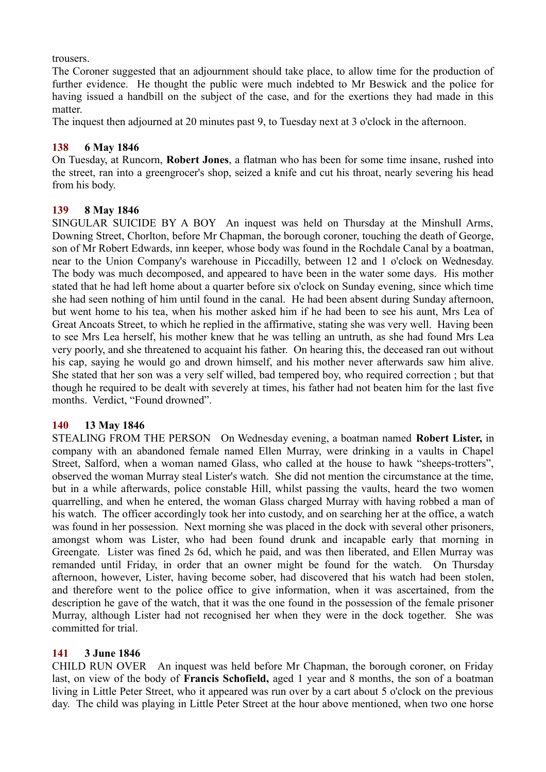trousers.

The Coroner suggested that an adjournment should take place, to allow time for the production of further evidence. He thought the public were much indebted to Mr Beswick and the police for having issued a handbill on the subject of the case, and for the exertions they had made in this matter.

The inquest then adjourned at 20 minutes past 9, to Tuesday next at 3 o'clock in the afternoon.

# **138 6 May 1846**

On Tuesday, at Runcorn, **Robert Jones**, a flatman who has been for some time insane, rushed into the street, ran into a greengrocer's shop, seized a knife and cut his throat, nearly severing his head from his body.

# **139 8 May 1846**

SINGULAR SUICIDE BY A BOY An inquest was held on Thursday at the Minshull Arms, Downing Street, Chorlton, before Mr Chapman, the borough coroner, touching the death of George, son of Mr Robert Edwards, inn keeper, whose body was found in the Rochdale Canal by a boatman, near to the Union Company's warehouse in Piccadilly, between 12 and 1 o'clock on Wednesday. The body was much decomposed, and appeared to have been in the water some days. His mother stated that he had left home about a quarter before six o'clock on Sunday evening, since which time she had seen nothing of him until found in the canal. He had been absent during Sunday afternoon, but went home to his tea, when his mother asked him if he had been to see his aunt, Mrs Lea of Great Ancoats Street, to which he replied in the affirmative, stating she was very well. Having been to see Mrs Lea herself, his mother knew that he was telling an untruth, as she had found Mrs Lea very poorly, and she threatened to acquaint his father. On hearing this, the deceased ran out without his cap, saying he would go and drown himself, and his mother never afterwards saw him alive. She stated that her son was a very self willed, bad tempered boy, who required correction ; but that though he required to be dealt with severely at times, his father had not beaten him for the last five months. Verdict, "Found drowned".

# **140 13 May 1846**

STEALING FROM THE PERSON On Wednesday evening, a boatman named **Robert Lister,** in company with an abandoned female named Ellen Murray, were drinking in a vaults in Chapel Street, Salford, when a woman named Glass, who called at the house to hawk "sheeps-trotters", observed the woman Murray steal Lister's watch. She did not mention the circumstance at the time, but in a while afterwards, police constable Hill, whilst passing the vaults, heard the two women quarrelling, and when he entered, the woman Glass charged Murray with having robbed a man of his watch. The officer accordingly took her into custody, and on searching her at the office, a watch was found in her possession. Next morning she was placed in the dock with several other prisoners, amongst whom was Lister, who had been found drunk and incapable early that morning in Greengate. Lister was fined 2s 6d, which he paid, and was then liberated, and Ellen Murray was remanded until Friday, in order that an owner might be found for the watch. On Thursday afternoon, however, Lister, having become sober, had discovered that his watch had been stolen, and therefore went to the police office to give information, when it was ascertained, from the description he gave of the watch, that it was the one found in the possession of the female prisoner Murray, although Lister had not recognised her when they were in the dock together. She was committed for trial.

# **141 3 June 1846**

CHILD RUN OVER An inquest was held before Mr Chapman, the borough coroner, on Friday last, on view of the body of **Francis Schofield,** aged 1 year and 8 months, the son of a boatman living in Little Peter Street, who it appeared was run over by a cart about 5 o'clock on the previous day. The child was playing in Little Peter Street at the hour above mentioned, when two one horse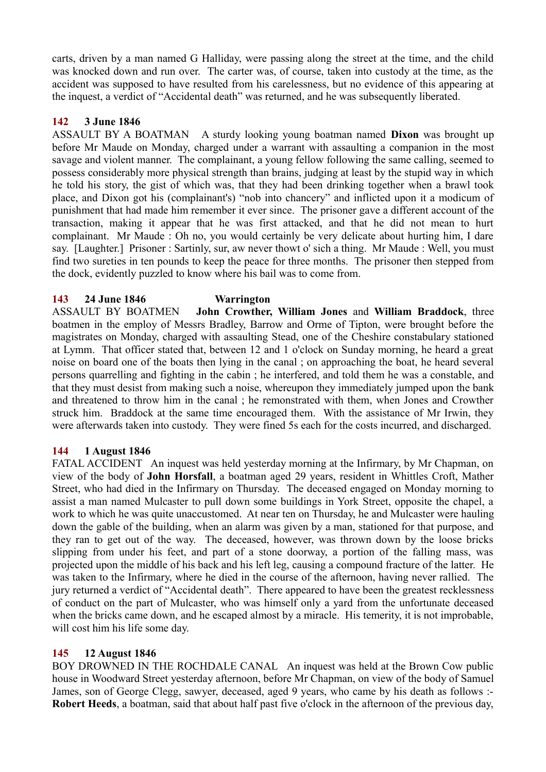carts, driven by a man named G Halliday, were passing along the street at the time, and the child was knocked down and run over. The carter was, of course, taken into custody at the time, as the accident was supposed to have resulted from his carelessness, but no evidence of this appearing at the inquest, a verdict of "Accidental death" was returned, and he was subsequently liberated.

## **142 3 June 1846**

ASSAULT BY A BOATMAN A sturdy looking young boatman named **Dixon** was brought up before Mr Maude on Monday, charged under a warrant with assaulting a companion in the most savage and violent manner. The complainant, a young fellow following the same calling, seemed to possess considerably more physical strength than brains, judging at least by the stupid way in which he told his story, the gist of which was, that they had been drinking together when a brawl took place, and Dixon got his (complainant's) "nob into chancery" and inflicted upon it a modicum of punishment that had made him remember it ever since. The prisoner gave a different account of the transaction, making it appear that he was first attacked, and that he did not mean to hurt complainant. Mr Maude : Oh no, you would certainly be very delicate about hurting him, I dare say. [Laughter.] Prisoner : Sartinly, sur, aw never thowt o' sich a thing. Mr Maude : Well, you must find two sureties in ten pounds to keep the peace for three months. The prisoner then stepped from the dock, evidently puzzled to know where his bail was to come from.

## **143 24 June 1846 Warrington**

ASSAULT BY BOATMEN **John Crowther, William Jones** and **William Braddock**, three boatmen in the employ of Messrs Bradley, Barrow and Orme of Tipton, were brought before the magistrates on Monday, charged with assaulting Stead, one of the Cheshire constabulary stationed at Lymm. That officer stated that, between 12 and 1 o'clock on Sunday morning, he heard a great noise on board one of the boats then lying in the canal ; on approaching the boat, he heard several persons quarrelling and fighting in the cabin ; he interfered, and told them he was a constable, and that they must desist from making such a noise, whereupon they immediately jumped upon the bank and threatened to throw him in the canal ; he remonstrated with them, when Jones and Crowther struck him. Braddock at the same time encouraged them. With the assistance of Mr Irwin, they were afterwards taken into custody. They were fined 5s each for the costs incurred, and discharged.

# **144 1 August 1846**

FATAL ACCIDENT An inquest was held yesterday morning at the Infirmary, by Mr Chapman, on view of the body of **John Horsfall**, a boatman aged 29 years, resident in Whittles Croft, Mather Street, who had died in the Infirmary on Thursday. The deceased engaged on Monday morning to assist a man named Mulcaster to pull down some buildings in York Street, opposite the chapel, a work to which he was quite unaccustomed. At near ten on Thursday, he and Mulcaster were hauling down the gable of the building, when an alarm was given by a man, stationed for that purpose, and they ran to get out of the way. The deceased, however, was thrown down by the loose bricks slipping from under his feet, and part of a stone doorway, a portion of the falling mass, was projected upon the middle of his back and his left leg, causing a compound fracture of the latter. He was taken to the Infirmary, where he died in the course of the afternoon, having never rallied. The jury returned a verdict of "Accidental death". There appeared to have been the greatest recklessness of conduct on the part of Mulcaster, who was himself only a yard from the unfortunate deceased when the bricks came down, and he escaped almost by a miracle. His temerity, it is not improbable, will cost him his life some day.

# **145 12 August 1846**

BOY DROWNED IN THE ROCHDALE CANAL An inquest was held at the Brown Cow public house in Woodward Street yesterday afternoon, before Mr Chapman, on view of the body of Samuel James, son of George Clegg, sawyer, deceased, aged 9 years, who came by his death as follows :- **Robert Heeds**, a boatman, said that about half past five o'clock in the afternoon of the previous day,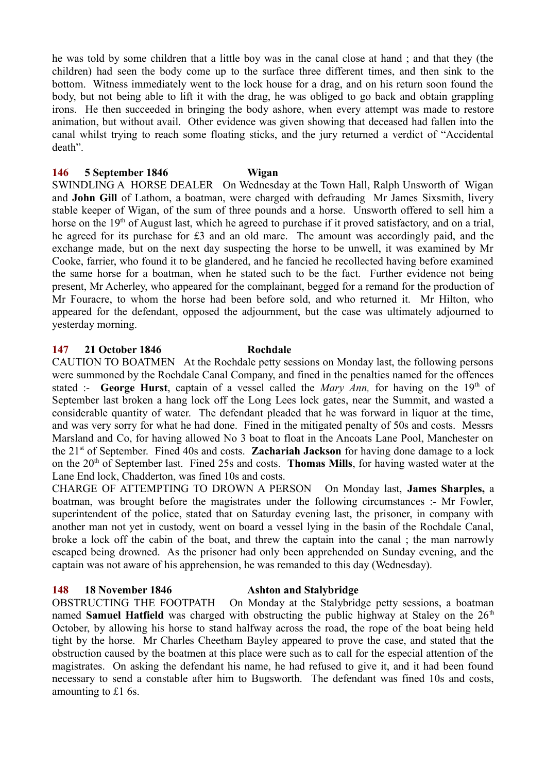he was told by some children that a little boy was in the canal close at hand ; and that they (the children) had seen the body come up to the surface three different times, and then sink to the bottom. Witness immediately went to the lock house for a drag, and on his return soon found the body, but not being able to lift it with the drag, he was obliged to go back and obtain grappling irons. He then succeeded in bringing the body ashore, when every attempt was made to restore animation, but without avail. Other evidence was given showing that deceased had fallen into the canal whilst trying to reach some floating sticks, and the jury returned a verdict of "Accidental death".

#### **146 5 September 1846 Wigan**

SWINDLING A HORSE DEALER On Wednesday at the Town Hall, Ralph Unsworth of Wigan and **John Gill** of Lathom, a boatman, were charged with defrauding Mr James Sixsmith, livery stable keeper of Wigan, of the sum of three pounds and a horse. Unsworth offered to sell him a horse on the  $19<sup>th</sup>$  of August last, which he agreed to purchase if it proved satisfactory, and on a trial, he agreed for its purchase for £3 and an old mare. The amount was accordingly paid, and the exchange made, but on the next day suspecting the horse to be unwell, it was examined by Mr Cooke, farrier, who found it to be glandered, and he fancied he recollected having before examined the same horse for a boatman, when he stated such to be the fact. Further evidence not being present, Mr Acherley, who appeared for the complainant, begged for a remand for the production of Mr Fouracre, to whom the horse had been before sold, and who returned it. Mr Hilton, who appeared for the defendant, opposed the adjournment, but the case was ultimately adjourned to yesterday morning.

### **147 21 October 1846 Rochdale**

CAUTION TO BOATMEN At the Rochdale petty sessions on Monday last, the following persons were summoned by the Rochdale Canal Company, and fined in the penalties named for the offences stated :- **George Hurst**, captain of a vessel called the *Mary Ann*, for having on the  $19<sup>th</sup>$  of September last broken a hang lock off the Long Lees lock gates, near the Summit, and wasted a considerable quantity of water. The defendant pleaded that he was forward in liquor at the time, and was very sorry for what he had done. Fined in the mitigated penalty of 50s and costs. Messrs Marsland and Co, for having allowed No 3 boat to float in the Ancoats Lane Pool, Manchester on the 21st of September. Fined 40s and costs. **Zachariah Jackson** for having done damage to a lock on the 20th of September last. Fined 25s and costs. **Thomas Mills**, for having wasted water at the Lane End lock, Chadderton, was fined 10s and costs.

CHARGE OF ATTEMPTING TO DROWN A PERSON On Monday last, **James Sharples,** a boatman, was brought before the magistrates under the following circumstances :- Mr Fowler, superintendent of the police, stated that on Saturday evening last, the prisoner, in company with another man not yet in custody, went on board a vessel lying in the basin of the Rochdale Canal, broke a lock off the cabin of the boat, and threw the captain into the canal ; the man narrowly escaped being drowned. As the prisoner had only been apprehended on Sunday evening, and the captain was not aware of his apprehension, he was remanded to this day (Wednesday).

#### **148 18 November 1846 Ashton and Stalybridge**

OBSTRUCTING THE FOOTPATH On Monday at the Stalybridge petty sessions, a boatman named **Samuel Hatfield** was charged with obstructing the public highway at Staley on the 26<sup>th</sup> October, by allowing his horse to stand halfway across the road, the rope of the boat being held tight by the horse. Mr Charles Cheetham Bayley appeared to prove the case, and stated that the obstruction caused by the boatmen at this place were such as to call for the especial attention of the magistrates. On asking the defendant his name, he had refused to give it, and it had been found necessary to send a constable after him to Bugsworth. The defendant was fined 10s and costs, amounting to £1 6s.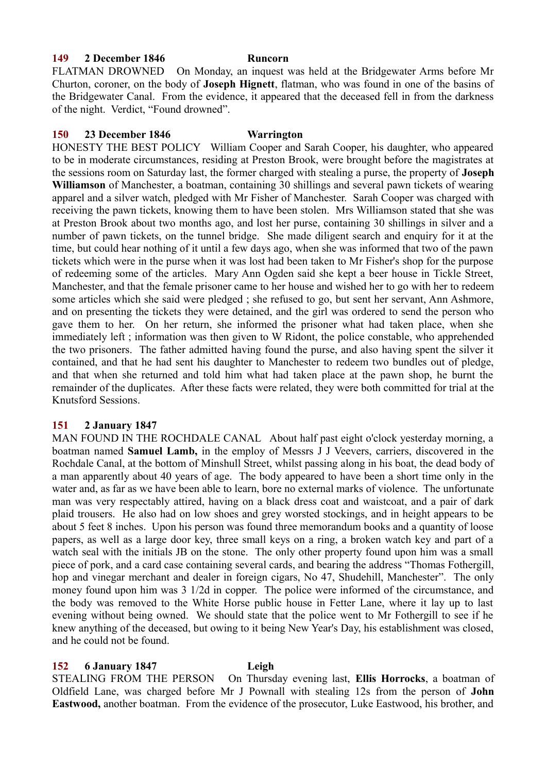### **149 2 December 1846 Runcorn**

FLATMAN DROWNED On Monday, an inquest was held at the Bridgewater Arms before Mr Churton, coroner, on the body of **Joseph Hignett**, flatman, who was found in one of the basins of the Bridgewater Canal. From the evidence, it appeared that the deceased fell in from the darkness of the night. Verdict, "Found drowned".

### **150 23 December 1846 Warrington**

HONESTY THE BEST POLICY William Cooper and Sarah Cooper, his daughter, who appeared to be in moderate circumstances, residing at Preston Brook, were brought before the magistrates at the sessions room on Saturday last, the former charged with stealing a purse, the property of **Joseph Williamson** of Manchester, a boatman, containing 30 shillings and several pawn tickets of wearing apparel and a silver watch, pledged with Mr Fisher of Manchester. Sarah Cooper was charged with receiving the pawn tickets, knowing them to have been stolen. Mrs Williamson stated that she was at Preston Brook about two months ago, and lost her purse, containing 30 shillings in silver and a number of pawn tickets, on the tunnel bridge. She made diligent search and enquiry for it at the time, but could hear nothing of it until a few days ago, when she was informed that two of the pawn tickets which were in the purse when it was lost had been taken to Mr Fisher's shop for the purpose of redeeming some of the articles. Mary Ann Ogden said she kept a beer house in Tickle Street, Manchester, and that the female prisoner came to her house and wished her to go with her to redeem some articles which she said were pledged ; she refused to go, but sent her servant, Ann Ashmore, and on presenting the tickets they were detained, and the girl was ordered to send the person who gave them to her. On her return, she informed the prisoner what had taken place, when she immediately left ; information was then given to W Ridont, the police constable, who apprehended the two prisoners. The father admitted having found the purse, and also having spent the silver it contained, and that he had sent his daughter to Manchester to redeem two bundles out of pledge, and that when she returned and told him what had taken place at the pawn shop, he burnt the remainder of the duplicates. After these facts were related, they were both committed for trial at the Knutsford Sessions.

### **151 2 January 1847**

MAN FOUND IN THE ROCHDALE CANAL About half past eight o'clock yesterday morning, a boatman named **Samuel Lamb,** in the employ of Messrs J J Veevers, carriers, discovered in the Rochdale Canal, at the bottom of Minshull Street, whilst passing along in his boat, the dead body of a man apparently about 40 years of age. The body appeared to have been a short time only in the water and, as far as we have been able to learn, bore no external marks of violence. The unfortunate man was very respectably attired, having on a black dress coat and waistcoat, and a pair of dark plaid trousers. He also had on low shoes and grey worsted stockings, and in height appears to be about 5 feet 8 inches. Upon his person was found three memorandum books and a quantity of loose papers, as well as a large door key, three small keys on a ring, a broken watch key and part of a watch seal with the initials JB on the stone. The only other property found upon him was a small piece of pork, and a card case containing several cards, and bearing the address "Thomas Fothergill, hop and vinegar merchant and dealer in foreign cigars, No 47, Shudehill, Manchester". The only money found upon him was 3 1/2d in copper. The police were informed of the circumstance, and the body was removed to the White Horse public house in Fetter Lane, where it lay up to last evening without being owned. We should state that the police went to Mr Fothergill to see if he knew anything of the deceased, but owing to it being New Year's Day, his establishment was closed, and he could not be found.

### **152 6 January 1847 Leigh**

STEALING FROM THE PERSON On Thursday evening last, **Ellis Horrocks**, a boatman of Oldfield Lane, was charged before Mr J Pownall with stealing 12s from the person of **John Eastwood,** another boatman. From the evidence of the prosecutor, Luke Eastwood, his brother, and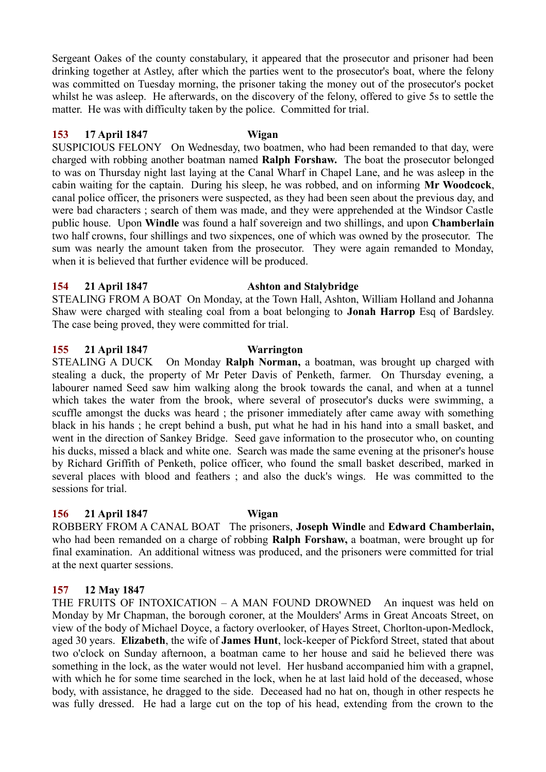Sergeant Oakes of the county constabulary, it appeared that the prosecutor and prisoner had been drinking together at Astley, after which the parties went to the prosecutor's boat, where the felony was committed on Tuesday morning, the prisoner taking the money out of the prosecutor's pocket whilst he was asleep. He afterwards, on the discovery of the felony, offered to give 5s to settle the matter. He was with difficulty taken by the police. Committed for trial.

### **153 17 April 1847 Wigan**

SUSPICIOUS FELONY On Wednesday, two boatmen, who had been remanded to that day, were charged with robbing another boatman named **Ralph Forshaw.** The boat the prosecutor belonged to was on Thursday night last laying at the Canal Wharf in Chapel Lane, and he was asleep in the cabin waiting for the captain. During his sleep, he was robbed, and on informing **Mr Woodcock**, canal police officer, the prisoners were suspected, as they had been seen about the previous day, and were bad characters ; search of them was made, and they were apprehended at the Windsor Castle public house. Upon **Windle** was found a half sovereign and two shillings, and upon **Chamberlain** two half crowns, four shillings and two sixpences, one of which was owned by the prosecutor. The sum was nearly the amount taken from the prosecutor. They were again remanded to Monday, when it is believed that further evidence will be produced.

### **154 21 April 1847 Ashton and Stalybridge**

STEALING FROM A BOAT On Monday, at the Town Hall, Ashton, William Holland and Johanna Shaw were charged with stealing coal from a boat belonging to **Jonah Harrop** Esq of Bardsley. The case being proved, they were committed for trial.

### **155 21 April 1847 Warrington**

STEALING A DUCK On Monday **Ralph Norman,** a boatman, was brought up charged with stealing a duck, the property of Mr Peter Davis of Penketh, farmer. On Thursday evening, a labourer named Seed saw him walking along the brook towards the canal, and when at a tunnel which takes the water from the brook, where several of prosecutor's ducks were swimming, a scuffle amongst the ducks was heard ; the prisoner immediately after came away with something black in his hands ; he crept behind a bush, put what he had in his hand into a small basket, and went in the direction of Sankey Bridge. Seed gave information to the prosecutor who, on counting his ducks, missed a black and white one. Search was made the same evening at the prisoner's house by Richard Griffith of Penketh, police officer, who found the small basket described, marked in several places with blood and feathers ; and also the duck's wings. He was committed to the sessions for trial.

### **156 21 April 1847 Wigan**

ROBBERY FROM A CANAL BOAT The prisoners, **Joseph Windle** and **Edward Chamberlain,** who had been remanded on a charge of robbing **Ralph Forshaw,** a boatman, were brought up for final examination. An additional witness was produced, and the prisoners were committed for trial at the next quarter sessions.

# **157 12 May 1847**

THE FRUITS OF INTOXICATION – A MAN FOUND DROWNED An inquest was held on Monday by Mr Chapman, the borough coroner, at the Moulders' Arms in Great Ancoats Street, on view of the body of Michael Doyce, a factory overlooker, of Hayes Street, Chorlton-upon-Medlock, aged 30 years. **Elizabeth**, the wife of **James Hunt**, lock-keeper of Pickford Street, stated that about two o'clock on Sunday afternoon, a boatman came to her house and said he believed there was something in the lock, as the water would not level. Her husband accompanied him with a grapnel, with which he for some time searched in the lock, when he at last laid hold of the deceased, whose body, with assistance, he dragged to the side. Deceased had no hat on, though in other respects he was fully dressed. He had a large cut on the top of his head, extending from the crown to the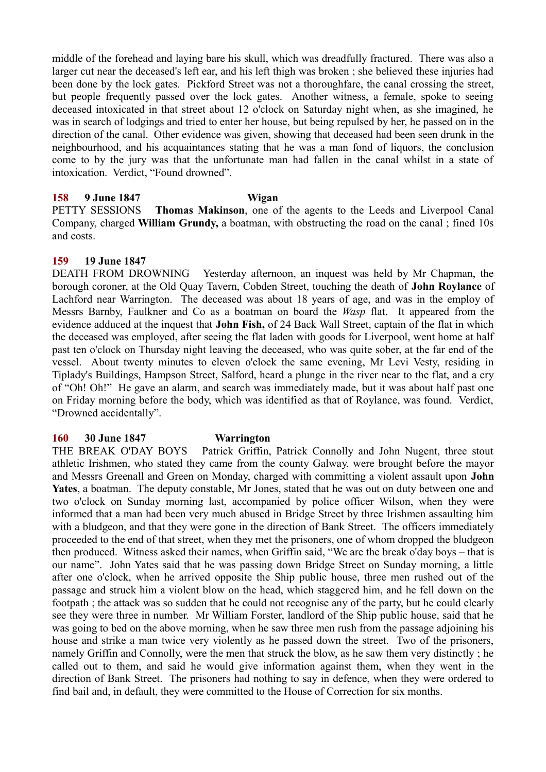middle of the forehead and laying bare his skull, which was dreadfully fractured. There was also a larger cut near the deceased's left ear, and his left thigh was broken ; she believed these injuries had been done by the lock gates. Pickford Street was not a thoroughfare, the canal crossing the street, but people frequently passed over the lock gates. Another witness, a female, spoke to seeing deceased intoxicated in that street about 12 o'clock on Saturday night when, as she imagined, he was in search of lodgings and tried to enter her house, but being repulsed by her, he passed on in the direction of the canal. Other evidence was given, showing that deceased had been seen drunk in the neighbourhood, and his acquaintances stating that he was a man fond of liquors, the conclusion come to by the jury was that the unfortunate man had fallen in the canal whilst in a state of intoxication. Verdict, "Found drowned".

### **158 9 June 1847 Wigan**

PETTY SESSIONS **Thomas Makinson**, one of the agents to the Leeds and Liverpool Canal Company, charged **William Grundy,** a boatman, with obstructing the road on the canal ; fined 10s and costs.

### **159 19 June 1847**

DEATH FROM DROWNING Yesterday afternoon, an inquest was held by Mr Chapman, the borough coroner, at the Old Quay Tavern, Cobden Street, touching the death of **John Roylance** of Lachford near Warrington. The deceased was about 18 years of age, and was in the employ of Messrs Barnby, Faulkner and Co as a boatman on board the *Wasp* flat. It appeared from the evidence adduced at the inquest that **John Fish,** of 24 Back Wall Street, captain of the flat in which the deceased was employed, after seeing the flat laden with goods for Liverpool, went home at half past ten o'clock on Thursday night leaving the deceased, who was quite sober, at the far end of the vessel. About twenty minutes to eleven o'clock the same evening, Mr Levi Vesty, residing in Tiplady's Buildings, Hampson Street, Salford, heard a plunge in the river near to the flat, and a cry of "Oh! Oh!" He gave an alarm, and search was immediately made, but it was about half past one on Friday morning before the body, which was identified as that of Roylance, was found. Verdict, "Drowned accidentally".

#### **160 30 June 1847 Warrington**

THE BREAK O'DAY BOYS Patrick Griffin, Patrick Connolly and John Nugent, three stout athletic Irishmen, who stated they came from the county Galway, were brought before the mayor and Messrs Greenall and Green on Monday, charged with committing a violent assault upon **John Yates**, a boatman. The deputy constable, Mr Jones, stated that he was out on duty between one and two o'clock on Sunday morning last, accompanied by police officer Wilson, when they were informed that a man had been very much abused in Bridge Street by three Irishmen assaulting him with a bludgeon, and that they were gone in the direction of Bank Street. The officers immediately proceeded to the end of that street, when they met the prisoners, one of whom dropped the bludgeon then produced. Witness asked their names, when Griffin said, "We are the break o'day boys – that is our name". John Yates said that he was passing down Bridge Street on Sunday morning, a little after one o'clock, when he arrived opposite the Ship public house, three men rushed out of the passage and struck him a violent blow on the head, which staggered him, and he fell down on the footpath ; the attack was so sudden that he could not recognise any of the party, but he could clearly see they were three in number. Mr William Forster, landlord of the Ship public house, said that he was going to bed on the above morning, when he saw three men rush from the passage adjoining his house and strike a man twice very violently as he passed down the street. Two of the prisoners, namely Griffin and Connolly, were the men that struck the blow, as he saw them very distinctly ; he called out to them, and said he would give information against them, when they went in the direction of Bank Street. The prisoners had nothing to say in defence, when they were ordered to find bail and, in default, they were committed to the House of Correction for six months.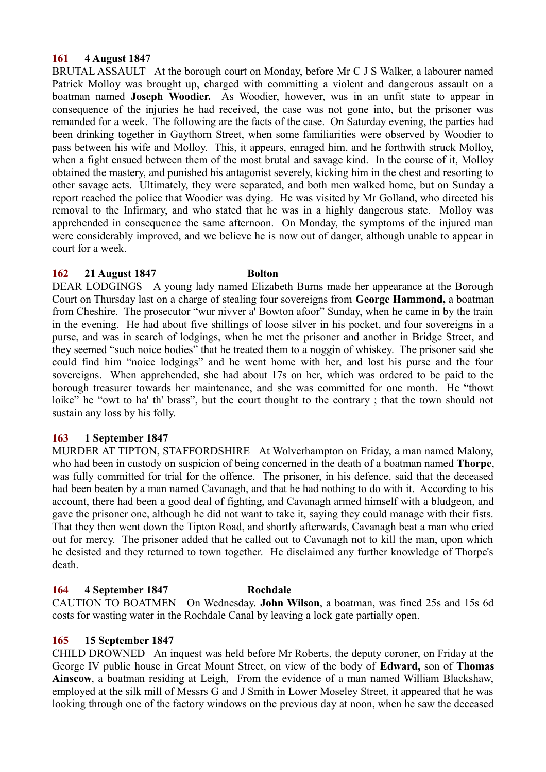## **161 4 August 1847**

BRUTAL ASSAULT At the borough court on Monday, before Mr C J S Walker, a labourer named Patrick Molloy was brought up, charged with committing a violent and dangerous assault on a boatman named **Joseph Woodier.** As Woodier, however, was in an unfit state to appear in consequence of the injuries he had received, the case was not gone into, but the prisoner was remanded for a week. The following are the facts of the case. On Saturday evening, the parties had been drinking together in Gaythorn Street, when some familiarities were observed by Woodier to pass between his wife and Molloy. This, it appears, enraged him, and he forthwith struck Molloy, when a fight ensued between them of the most brutal and savage kind. In the course of it, Molloy obtained the mastery, and punished his antagonist severely, kicking him in the chest and resorting to other savage acts. Ultimately, they were separated, and both men walked home, but on Sunday a report reached the police that Woodier was dying. He was visited by Mr Golland, who directed his removal to the Infirmary, and who stated that he was in a highly dangerous state. Molloy was apprehended in consequence the same afternoon. On Monday, the symptoms of the injured man were considerably improved, and we believe he is now out of danger, although unable to appear in court for a week.

## **162 21 August 1847 Bolton**

DEAR LODGINGS A young lady named Elizabeth Burns made her appearance at the Borough Court on Thursday last on a charge of stealing four sovereigns from **George Hammond,** a boatman from Cheshire. The prosecutor "wur nivver a' Bowton afoor" Sunday, when he came in by the train in the evening. He had about five shillings of loose silver in his pocket, and four sovereigns in a purse, and was in search of lodgings, when he met the prisoner and another in Bridge Street, and they seemed "such noice bodies" that he treated them to a noggin of whiskey. The prisoner said she could find him "noice lodgings" and he went home with her, and lost his purse and the four sovereigns. When apprehended, she had about 17s on her, which was ordered to be paid to the borough treasurer towards her maintenance, and she was committed for one month. He "thowt loike" he "owt to ha' th' brass", but the court thought to the contrary; that the town should not sustain any loss by his folly.

# **163 1 September 1847**

MURDER AT TIPTON, STAFFORDSHIRE At Wolverhampton on Friday, a man named Malony, who had been in custody on suspicion of being concerned in the death of a boatman named **Thorpe**, was fully committed for trial for the offence. The prisoner, in his defence, said that the deceased had been beaten by a man named Cavanagh, and that he had nothing to do with it. According to his account, there had been a good deal of fighting, and Cavanagh armed himself with a bludgeon, and gave the prisoner one, although he did not want to take it, saying they could manage with their fists. That they then went down the Tipton Road, and shortly afterwards, Cavanagh beat a man who cried out for mercy. The prisoner added that he called out to Cavanagh not to kill the man, upon which he desisted and they returned to town together. He disclaimed any further knowledge of Thorpe's death.

# **164 4 September 1847 Rochdale**

CAUTION TO BOATMEN On Wednesday. **John Wilson**, a boatman, was fined 25s and 15s 6d costs for wasting water in the Rochdale Canal by leaving a lock gate partially open.

# **165 15 September 1847**

CHILD DROWNED An inquest was held before Mr Roberts, the deputy coroner, on Friday at the George IV public house in Great Mount Street, on view of the body of **Edward,** son of **Thomas Ainscow**, a boatman residing at Leigh, From the evidence of a man named William Blackshaw, employed at the silk mill of Messrs G and J Smith in Lower Moseley Street, it appeared that he was looking through one of the factory windows on the previous day at noon, when he saw the deceased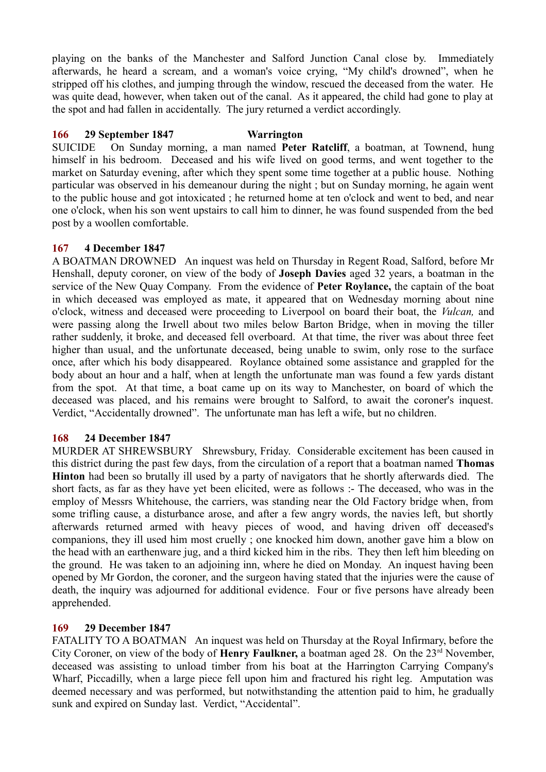playing on the banks of the Manchester and Salford Junction Canal close by. Immediately afterwards, he heard a scream, and a woman's voice crying, "My child's drowned", when he stripped off his clothes, and jumping through the window, rescued the deceased from the water. He was quite dead, however, when taken out of the canal. As it appeared, the child had gone to play at the spot and had fallen in accidentally. The jury returned a verdict accordingly.

## **166 29 September 1847 Warrington**

SUICIDE On Sunday morning, a man named **Peter Ratcliff**, a boatman, at Townend, hung himself in his bedroom. Deceased and his wife lived on good terms, and went together to the market on Saturday evening, after which they spent some time together at a public house. Nothing particular was observed in his demeanour during the night ; but on Sunday morning, he again went to the public house and got intoxicated ; he returned home at ten o'clock and went to bed, and near one o'clock, when his son went upstairs to call him to dinner, he was found suspended from the bed post by a woollen comfortable.

## **167 4 December 1847**

A BOATMAN DROWNED An inquest was held on Thursday in Regent Road, Salford, before Mr Henshall, deputy coroner, on view of the body of **Joseph Davies** aged 32 years, a boatman in the service of the New Quay Company. From the evidence of **Peter Roylance,** the captain of the boat in which deceased was employed as mate, it appeared that on Wednesday morning about nine o'clock, witness and deceased were proceeding to Liverpool on board their boat, the *Vulcan,* and were passing along the Irwell about two miles below Barton Bridge, when in moving the tiller rather suddenly, it broke, and deceased fell overboard. At that time, the river was about three feet higher than usual, and the unfortunate deceased, being unable to swim, only rose to the surface once, after which his body disappeared. Roylance obtained some assistance and grappled for the body about an hour and a half, when at length the unfortunate man was found a few yards distant from the spot. At that time, a boat came up on its way to Manchester, on board of which the deceased was placed, and his remains were brought to Salford, to await the coroner's inquest. Verdict, "Accidentally drowned". The unfortunate man has left a wife, but no children.

### **168 24 December 1847**

MURDER AT SHREWSBURY Shrewsbury, Friday. Considerable excitement has been caused in this district during the past few days, from the circulation of a report that a boatman named **Thomas Hinton** had been so brutally ill used by a party of navigators that he shortly afterwards died. The short facts, as far as they have yet been elicited, were as follows :- The deceased, who was in the employ of Messrs Whitehouse, the carriers, was standing near the Old Factory bridge when, from some trifling cause, a disturbance arose, and after a few angry words, the navies left, but shortly afterwards returned armed with heavy pieces of wood, and having driven off deceased's companions, they ill used him most cruelly ; one knocked him down, another gave him a blow on the head with an earthenware jug, and a third kicked him in the ribs. They then left him bleeding on the ground. He was taken to an adjoining inn, where he died on Monday. An inquest having been opened by Mr Gordon, the coroner, and the surgeon having stated that the injuries were the cause of death, the inquiry was adjourned for additional evidence. Four or five persons have already been apprehended.

# **169 29 December 1847**

FATALITY TO A BOATMAN An inquest was held on Thursday at the Royal Infirmary, before the City Coroner, on view of the body of **Henry Faulkner**, a boatman aged 28. On the 23<sup>rd</sup> November, deceased was assisting to unload timber from his boat at the Harrington Carrying Company's Wharf, Piccadilly, when a large piece fell upon him and fractured his right leg. Amputation was deemed necessary and was performed, but notwithstanding the attention paid to him, he gradually sunk and expired on Sunday last. Verdict, "Accidental".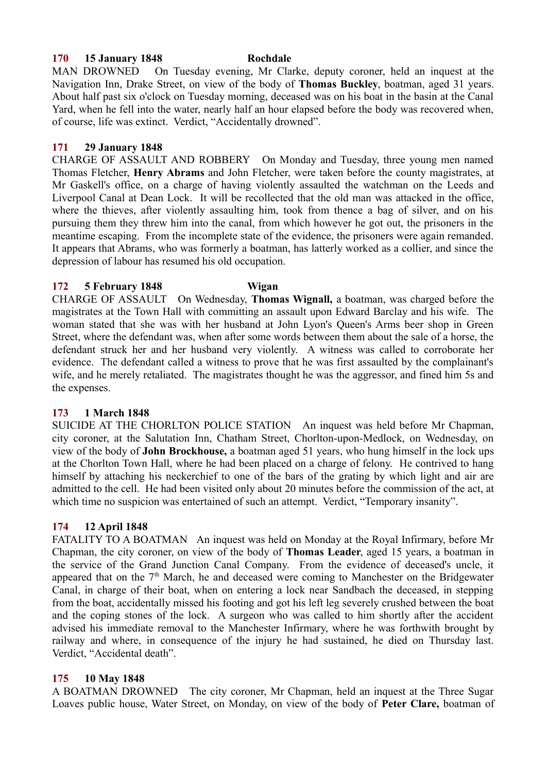### **170 15 January 1848 Rochdale**

MAN DROWNED On Tuesday evening, Mr Clarke, deputy coroner, held an inquest at the Navigation Inn, Drake Street, on view of the body of **Thomas Buckley**, boatman, aged 31 years. About half past six o'clock on Tuesday morning, deceased was on his boat in the basin at the Canal Yard, when he fell into the water, nearly half an hour elapsed before the body was recovered when, of course, life was extinct. Verdict, "Accidentally drowned".

## **171 29 January 1848**

CHARGE OF ASSAULT AND ROBBERY On Monday and Tuesday, three young men named Thomas Fletcher, **Henry Abrams** and John Fletcher, were taken before the county magistrates, at Mr Gaskell's office, on a charge of having violently assaulted the watchman on the Leeds and Liverpool Canal at Dean Lock. It will be recollected that the old man was attacked in the office, where the thieves, after violently assaulting him, took from thence a bag of silver, and on his pursuing them they threw him into the canal, from which however he got out, the prisoners in the meantime escaping. From the incomplete state of the evidence, the prisoners were again remanded. It appears that Abrams, who was formerly a boatman, has latterly worked as a collier, and since the depression of labour has resumed his old occupation.

## **172 5 February 1848 Wigan**

CHARGE OF ASSAULT On Wednesday, **Thomas Wignall,** a boatman, was charged before the magistrates at the Town Hall with committing an assault upon Edward Barclay and his wife. The woman stated that she was with her husband at John Lyon's Queen's Arms beer shop in Green Street, where the defendant was, when after some words between them about the sale of a horse, the defendant struck her and her husband very violently. A witness was called to corroborate her evidence. The defendant called a witness to prove that he was first assaulted by the complainant's wife, and he merely retaliated. The magistrates thought he was the aggressor, and fined him 5s and the expenses.

# **173 1 March 1848**

SUICIDE AT THE CHORLTON POLICE STATION An inquest was held before Mr Chapman, city coroner, at the Salutation Inn, Chatham Street, Chorlton-upon-Medlock, on Wednesday, on view of the body of **John Brockhouse,** a boatman aged 51 years, who hung himself in the lock ups at the Chorlton Town Hall, where he had been placed on a charge of felony. He contrived to hang himself by attaching his neckerchief to one of the bars of the grating by which light and air are admitted to the cell. He had been visited only about 20 minutes before the commission of the act, at which time no suspicion was entertained of such an attempt. Verdict, "Temporary insanity".

# **174 12 April 1848**

FATALITY TO A BOATMAN An inquest was held on Monday at the Royal Infirmary, before Mr Chapman, the city coroner, on view of the body of **Thomas Leader**, aged 15 years, a boatman in the service of the Grand Junction Canal Company. From the evidence of deceased's uncle, it appeared that on the  $7<sup>th</sup>$  March, he and deceased were coming to Manchester on the Bridgewater Canal, in charge of their boat, when on entering a lock near Sandbach the deceased, in stepping from the boat, accidentally missed his footing and got his left leg severely crushed between the boat and the coping stones of the lock. A surgeon who was called to him shortly after the accident advised his immediate removal to the Manchester Infirmary, where he was forthwith brought by railway and where, in consequence of the injury he had sustained, he died on Thursday last. Verdict, "Accidental death".

## **175 10 May 1848**

A BOATMAN DROWNED The city coroner, Mr Chapman, held an inquest at the Three Sugar Loaves public house, Water Street, on Monday, on view of the body of **Peter Clare,** boatman of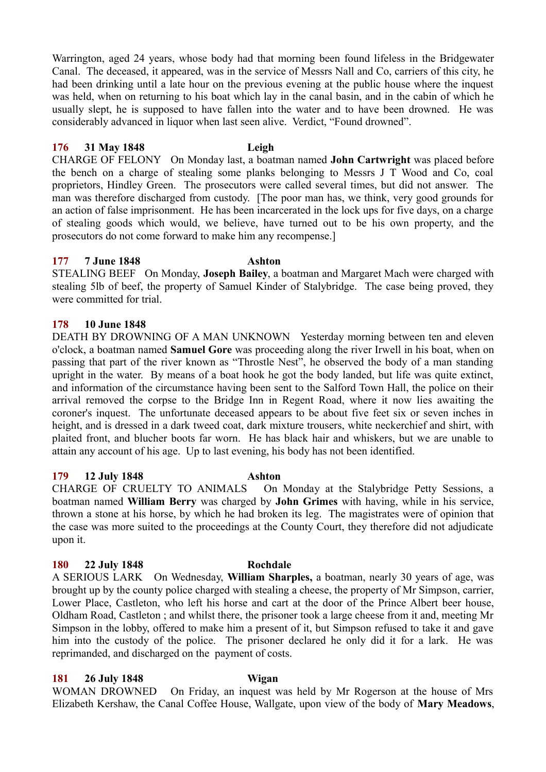Warrington, aged 24 years, whose body had that morning been found lifeless in the Bridgewater Canal. The deceased, it appeared, was in the service of Messrs Nall and Co, carriers of this city, he had been drinking until a late hour on the previous evening at the public house where the inquest was held, when on returning to his boat which lay in the canal basin, and in the cabin of which he usually slept, he is supposed to have fallen into the water and to have been drowned. He was considerably advanced in liquor when last seen alive. Verdict, "Found drowned".

## **176 31 May 1848 Leigh**

CHARGE OF FELONY On Monday last, a boatman named **John Cartwright** was placed before the bench on a charge of stealing some planks belonging to Messrs J T Wood and Co, coal proprietors, Hindley Green. The prosecutors were called several times, but did not answer. The man was therefore discharged from custody. [The poor man has, we think, very good grounds for an action of false imprisonment. He has been incarcerated in the lock ups for five days, on a charge of stealing goods which would, we believe, have turned out to be his own property, and the prosecutors do not come forward to make him any recompense.]

## **177 7 June 1848 Ashton**

STEALING BEEF On Monday, **Joseph Bailey**, a boatman and Margaret Mach were charged with stealing 5lb of beef, the property of Samuel Kinder of Stalybridge. The case being proved, they were committed for trial.

## **178 10 June 1848**

DEATH BY DROWNING OF A MAN UNKNOWN Yesterday morning between ten and eleven o'clock, a boatman named **Samuel Gore** was proceeding along the river Irwell in his boat, when on passing that part of the river known as "Throstle Nest", he observed the body of a man standing upright in the water. By means of a boat hook he got the body landed, but life was quite extinct, and information of the circumstance having been sent to the Salford Town Hall, the police on their arrival removed the corpse to the Bridge Inn in Regent Road, where it now lies awaiting the coroner's inquest. The unfortunate deceased appears to be about five feet six or seven inches in height, and is dressed in a dark tweed coat, dark mixture trousers, white neckerchief and shirt, with plaited front, and blucher boots far worn. He has black hair and whiskers, but we are unable to attain any account of his age. Up to last evening, his body has not been identified.

#### **179 12 July 1848 Ashton**

CHARGE OF CRUELTY TO ANIMALS On Monday at the Stalybridge Petty Sessions, a boatman named **William Berry** was charged by **John Grimes** with having, while in his service, thrown a stone at his horse, by which he had broken its leg. The magistrates were of opinion that the case was more suited to the proceedings at the County Court, they therefore did not adjudicate upon it.

## **180 22 July 1848 Rochdale**

A SERIOUS LARK On Wednesday, **William Sharples,** a boatman, nearly 30 years of age, was brought up by the county police charged with stealing a cheese, the property of Mr Simpson, carrier, Lower Place, Castleton, who left his horse and cart at the door of the Prince Albert beer house, Oldham Road, Castleton ; and whilst there, the prisoner took a large cheese from it and, meeting Mr Simpson in the lobby, offered to make him a present of it, but Simpson refused to take it and gave him into the custody of the police. The prisoner declared he only did it for a lark. He was reprimanded, and discharged on the payment of costs.

## **181 26 July 1848 Wigan**

WOMAN DROWNED On Friday, an inquest was held by Mr Rogerson at the house of Mrs Elizabeth Kershaw, the Canal Coffee House, Wallgate, upon view of the body of **Mary Meadows**,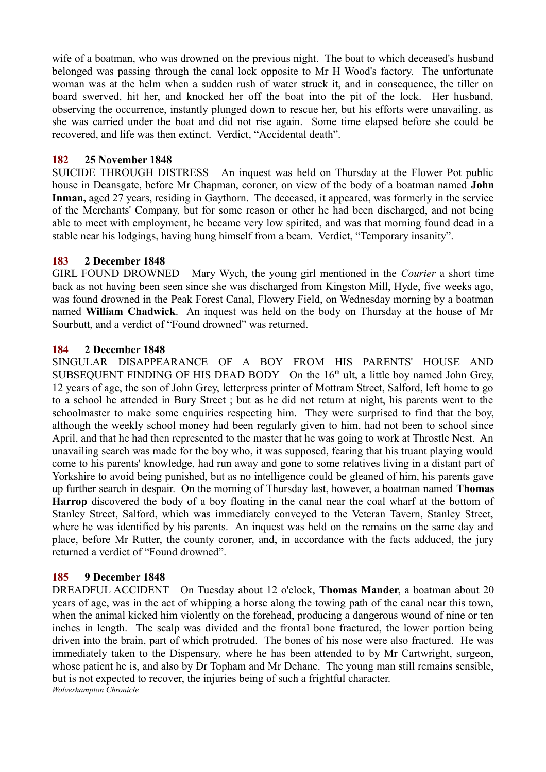wife of a boatman, who was drowned on the previous night. The boat to which deceased's husband belonged was passing through the canal lock opposite to Mr H Wood's factory. The unfortunate woman was at the helm when a sudden rush of water struck it, and in consequence, the tiller on board swerved, hit her, and knocked her off the boat into the pit of the lock. Her husband, observing the occurrence, instantly plunged down to rescue her, but his efforts were unavailing, as she was carried under the boat and did not rise again. Some time elapsed before she could be recovered, and life was then extinct. Verdict, "Accidental death".

## **182 25 November 1848**

SUICIDE THROUGH DISTRESS An inquest was held on Thursday at the Flower Pot public house in Deansgate, before Mr Chapman, coroner, on view of the body of a boatman named **John Inman,** aged 27 years, residing in Gaythorn. The deceased, it appeared, was formerly in the service of the Merchants' Company, but for some reason or other he had been discharged, and not being able to meet with employment, he became very low spirited, and was that morning found dead in a stable near his lodgings, having hung himself from a beam. Verdict, "Temporary insanity".

## **183 2 December 1848**

GIRL FOUND DROWNED Mary Wych, the young girl mentioned in the *Courier* a short time back as not having been seen since she was discharged from Kingston Mill, Hyde, five weeks ago, was found drowned in the Peak Forest Canal, Flowery Field, on Wednesday morning by a boatman named **William Chadwick**. An inquest was held on the body on Thursday at the house of Mr Sourbutt, and a verdict of "Found drowned" was returned.

## **184 2 December 1848**

SINGULAR DISAPPEARANCE OF A BOY FROM HIS PARENTS' HOUSE AND SUBSEQUENT FINDING OF HIS DEAD BODY On the 16<sup>th</sup> ult, a little boy named John Grey, 12 years of age, the son of John Grey, letterpress printer of Mottram Street, Salford, left home to go to a school he attended in Bury Street ; but as he did not return at night, his parents went to the schoolmaster to make some enquiries respecting him. They were surprised to find that the boy, although the weekly school money had been regularly given to him, had not been to school since April, and that he had then represented to the master that he was going to work at Throstle Nest. An unavailing search was made for the boy who, it was supposed, fearing that his truant playing would come to his parents' knowledge, had run away and gone to some relatives living in a distant part of Yorkshire to avoid being punished, but as no intelligence could be gleaned of him, his parents gave up further search in despair. On the morning of Thursday last, however, a boatman named **Thomas Harrop** discovered the body of a boy floating in the canal near the coal wharf at the bottom of Stanley Street, Salford, which was immediately conveyed to the Veteran Tavern, Stanley Street, where he was identified by his parents. An inquest was held on the remains on the same day and place, before Mr Rutter, the county coroner, and, in accordance with the facts adduced, the jury returned a verdict of "Found drowned".

# **185 9 December 1848**

DREADFUL ACCIDENT On Tuesday about 12 o'clock, **Thomas Mander**, a boatman about 20 years of age, was in the act of whipping a horse along the towing path of the canal near this town, when the animal kicked him violently on the forehead, producing a dangerous wound of nine or ten inches in length. The scalp was divided and the frontal bone fractured, the lower portion being driven into the brain, part of which protruded. The bones of his nose were also fractured. He was immediately taken to the Dispensary, where he has been attended to by Mr Cartwright, surgeon, whose patient he is, and also by Dr Topham and Mr Dehane. The young man still remains sensible, but is not expected to recover, the injuries being of such a frightful character. *Wolverhampton Chronicle*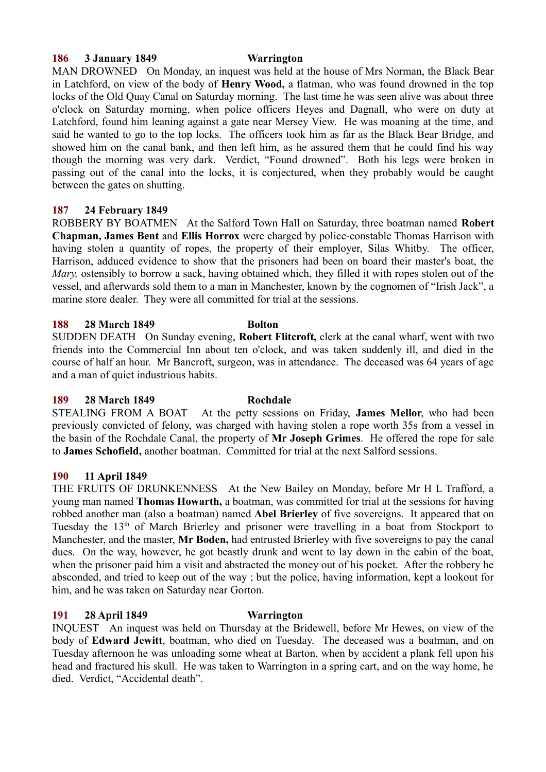#### **186 3 January 1849 Warrington**

MAN DROWNED On Monday, an inquest was held at the house of Mrs Norman, the Black Bear in Latchford, on view of the body of **Henry Wood,** a flatman, who was found drowned in the top locks of the Old Quay Canal on Saturday morning. The last time he was seen alive was about three o'clock on Saturday morning, when police officers Heyes and Dagnall, who were on duty at Latchford, found him leaning against a gate near Mersey View. He was moaning at the time, and said he wanted to go to the top locks. The officers took him as far as the Black Bear Bridge, and showed him on the canal bank, and then left him, as he assured them that he could find his way though the morning was very dark. Verdict, "Found drowned". Both his legs were broken in passing out of the canal into the locks, it is conjectured, when they probably would be caught between the gates on shutting.

## **187 24 February 1849**

ROBBERY BY BOATMEN At the Salford Town Hall on Saturday, three boatman named **Robert Chapman, James Bent** and **Ellis Horrox** were charged by police-constable Thomas Harrison with having stolen a quantity of ropes, the property of their employer, Silas Whitby. The officer, Harrison, adduced evidence to show that the prisoners had been on board their master's boat, the *Mary,* ostensibly to borrow a sack, having obtained which, they filled it with ropes stolen out of the vessel, and afterwards sold them to a man in Manchester, known by the cognomen of "Irish Jack", a marine store dealer. They were all committed for trial at the sessions.

## **188 28 March 1849 Bolton**

SUDDEN DEATH On Sunday evening, **Robert Flitcroft,** clerk at the canal wharf, went with two friends into the Commercial Inn about ten o'clock, and was taken suddenly ill, and died in the course of half an hour. Mr Bancroft, surgeon, was in attendance. The deceased was 64 years of age and a man of quiet industrious habits.

## **189 28 March 1849 Rochdale**

STEALING FROM A BOAT At the petty sessions on Friday, **James Mellor**, who had been previously convicted of felony, was charged with having stolen a rope worth 35s from a vessel in the basin of the Rochdale Canal, the property of **Mr Joseph Grimes**. He offered the rope for sale to **James Schofield,** another boatman. Committed for trial at the next Salford sessions.

## **190 11 April 1849**

THE FRUITS OF DRUNKENNESS At the New Bailey on Monday, before Mr H L Trafford, a young man named **Thomas Howarth,** a boatman, was committed for trial at the sessions for having robbed another man (also a boatman) named **Abel Brierley** of five sovereigns. It appeared that on Tuesday the  $13<sup>th</sup>$  of March Brierley and prisoner were travelling in a boat from Stockport to Manchester, and the master, **Mr Boden,** had entrusted Brierley with five sovereigns to pay the canal dues. On the way, however, he got beastly drunk and went to lay down in the cabin of the boat, when the prisoner paid him a visit and abstracted the money out of his pocket. After the robbery he absconded, and tried to keep out of the way ; but the police, having information, kept a lookout for him, and he was taken on Saturday near Gorton.

# **191 28 April 1849 Warrington**

INQUEST An inquest was held on Thursday at the Bridewell, before Mr Hewes, on view of the body of **Edward Jewitt**, boatman, who died on Tuesday. The deceased was a boatman, and on Tuesday afternoon he was unloading some wheat at Barton, when by accident a plank fell upon his head and fractured his skull. He was taken to Warrington in a spring cart, and on the way home, he died. Verdict, "Accidental death".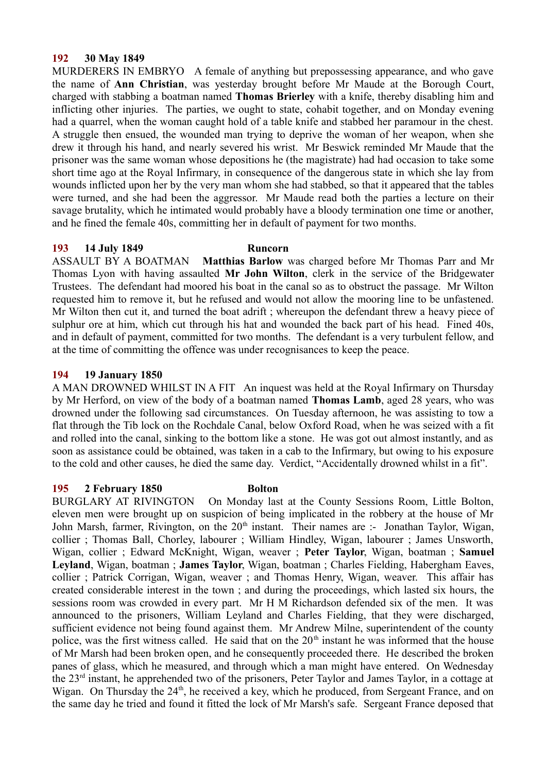## **192 30 May 1849**

MURDERERS IN EMBRYO A female of anything but prepossessing appearance, and who gave the name of **Ann Christian**, was yesterday brought before Mr Maude at the Borough Court, charged with stabbing a boatman named **Thomas Brierley** with a knife, thereby disabling him and inflicting other injuries. The parties, we ought to state, cohabit together, and on Monday evening had a quarrel, when the woman caught hold of a table knife and stabbed her paramour in the chest. A struggle then ensued, the wounded man trying to deprive the woman of her weapon, when she drew it through his hand, and nearly severed his wrist. Mr Beswick reminded Mr Maude that the prisoner was the same woman whose depositions he (the magistrate) had had occasion to take some short time ago at the Royal Infirmary, in consequence of the dangerous state in which she lay from wounds inflicted upon her by the very man whom she had stabbed, so that it appeared that the tables were turned, and she had been the aggressor. Mr Maude read both the parties a lecture on their savage brutality, which he intimated would probably have a bloody termination one time or another, and he fined the female 40s, committing her in default of payment for two months.

## **193 14 July 1849 Runcorn**

ASSAULT BY A BOATMAN **Matthias Barlow** was charged before Mr Thomas Parr and Mr Thomas Lyon with having assaulted **Mr John Wilton**, clerk in the service of the Bridgewater Trustees. The defendant had moored his boat in the canal so as to obstruct the passage. Mr Wilton requested him to remove it, but he refused and would not allow the mooring line to be unfastened. Mr Wilton then cut it, and turned the boat adrift ; whereupon the defendant threw a heavy piece of sulphur ore at him, which cut through his hat and wounded the back part of his head. Fined 40s, and in default of payment, committed for two months. The defendant is a very turbulent fellow, and at the time of committing the offence was under recognisances to keep the peace.

## **194 19 January 1850**

A MAN DROWNED WHILST IN A FIT An inquest was held at the Royal Infirmary on Thursday by Mr Herford, on view of the body of a boatman named **Thomas Lamb**, aged 28 years, who was drowned under the following sad circumstances. On Tuesday afternoon, he was assisting to tow a flat through the Tib lock on the Rochdale Canal, below Oxford Road, when he was seized with a fit and rolled into the canal, sinking to the bottom like a stone. He was got out almost instantly, and as soon as assistance could be obtained, was taken in a cab to the Infirmary, but owing to his exposure to the cold and other causes, he died the same day. Verdict, "Accidentally drowned whilst in a fit".

## **195 2 February 1850 Bolton**

BURGLARY AT RIVINGTON On Monday last at the County Sessions Room, Little Bolton, eleven men were brought up on suspicion of being implicated in the robbery at the house of Mr John Marsh, farmer, Rivington, on the  $20<sup>th</sup>$  instant. Their names are :- Jonathan Taylor, Wigan, collier ; Thomas Ball, Chorley, labourer ; William Hindley, Wigan, labourer ; James Unsworth, Wigan, collier ; Edward McKnight, Wigan, weaver ; **Peter Taylor**, Wigan, boatman ; **Samuel Leyland**, Wigan, boatman ; **James Taylor**, Wigan, boatman ; Charles Fielding, Habergham Eaves, collier ; Patrick Corrigan, Wigan, weaver ; and Thomas Henry, Wigan, weaver. This affair has created considerable interest in the town ; and during the proceedings, which lasted six hours, the sessions room was crowded in every part. Mr H M Richardson defended six of the men. It was announced to the prisoners, William Leyland and Charles Fielding, that they were discharged, sufficient evidence not being found against them. Mr Andrew Milne, superintendent of the county police, was the first witness called. He said that on the  $20<sup>th</sup>$  instant he was informed that the house of Mr Marsh had been broken open, and he consequently proceeded there. He described the broken panes of glass, which he measured, and through which a man might have entered. On Wednesday the 23rd instant, he apprehended two of the prisoners, Peter Taylor and James Taylor, in a cottage at Wigan. On Thursday the 24<sup>th</sup>, he received a key, which he produced, from Sergeant France, and on the same day he tried and found it fitted the lock of Mr Marsh's safe. Sergeant France deposed that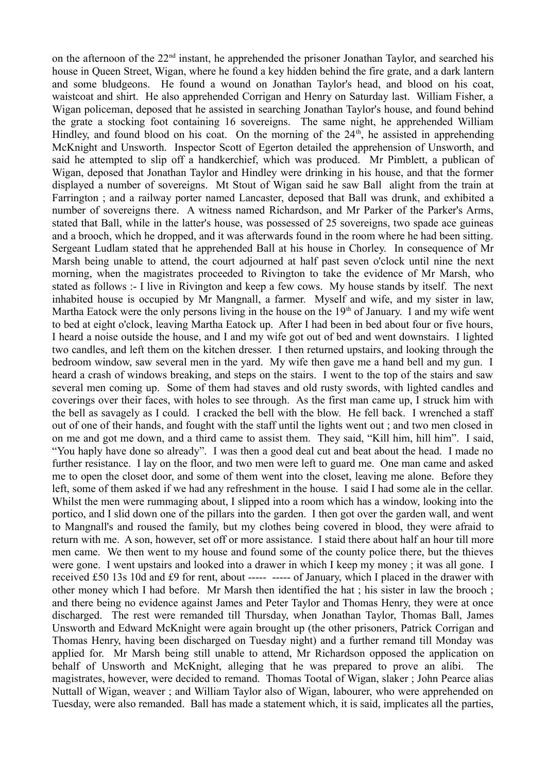on the afternoon of the 22<sup>nd</sup> instant, he apprehended the prisoner Jonathan Taylor, and searched his house in Queen Street, Wigan, where he found a key hidden behind the fire grate, and a dark lantern and some bludgeons. He found a wound on Jonathan Taylor's head, and blood on his coat, waistcoat and shirt. He also apprehended Corrigan and Henry on Saturday last. William Fisher, a Wigan policeman, deposed that he assisted in searching Jonathan Taylor's house, and found behind the grate a stocking foot containing 16 sovereigns. The same night, he apprehended William Hindley, and found blood on his coat. On the morning of the  $24<sup>th</sup>$ , he assisted in apprehending McKnight and Unsworth. Inspector Scott of Egerton detailed the apprehension of Unsworth, and said he attempted to slip off a handkerchief, which was produced. Mr Pimblett, a publican of Wigan, deposed that Jonathan Taylor and Hindley were drinking in his house, and that the former displayed a number of sovereigns. Mt Stout of Wigan said he saw Ball alight from the train at Farrington ; and a railway porter named Lancaster, deposed that Ball was drunk, and exhibited a number of sovereigns there. A witness named Richardson, and Mr Parker of the Parker's Arms, stated that Ball, while in the latter's house, was possessed of 25 sovereigns, two spade ace guineas and a brooch, which he dropped, and it was afterwards found in the room where he had been sitting. Sergeant Ludlam stated that he apprehended Ball at his house in Chorley. In consequence of Mr Marsh being unable to attend, the court adjourned at half past seven o'clock until nine the next morning, when the magistrates proceeded to Rivington to take the evidence of Mr Marsh, who stated as follows :- I live in Rivington and keep a few cows. My house stands by itself. The next inhabited house is occupied by Mr Mangnall, a farmer. Myself and wife, and my sister in law, Martha Eatock were the only persons living in the house on the 19<sup>th</sup> of January. I and my wife went to bed at eight o'clock, leaving Martha Eatock up. After I had been in bed about four or five hours, I heard a noise outside the house, and I and my wife got out of bed and went downstairs. I lighted two candles, and left them on the kitchen dresser. I then returned upstairs, and looking through the bedroom window, saw several men in the yard. My wife then gave me a hand bell and my gun. I heard a crash of windows breaking, and steps on the stairs. I went to the top of the stairs and saw several men coming up. Some of them had staves and old rusty swords, with lighted candles and coverings over their faces, with holes to see through. As the first man came up, I struck him with the bell as savagely as I could. I cracked the bell with the blow. He fell back. I wrenched a staff out of one of their hands, and fought with the staff until the lights went out ; and two men closed in on me and got me down, and a third came to assist them. They said, "Kill him, hill him". I said, "You haply have done so already". I was then a good deal cut and beat about the head. I made no further resistance. I lay on the floor, and two men were left to guard me. One man came and asked me to open the closet door, and some of them went into the closet, leaving me alone. Before they left, some of them asked if we had any refreshment in the house. I said I had some ale in the cellar. Whilst the men were rummaging about, I slipped into a room which has a window, looking into the portico, and I slid down one of the pillars into the garden. I then got over the garden wall, and went to Mangnall's and roused the family, but my clothes being covered in blood, they were afraid to return with me. A son, however, set off or more assistance. I staid there about half an hour till more men came. We then went to my house and found some of the county police there, but the thieves were gone. I went upstairs and looked into a drawer in which I keep my money ; it was all gone. I received £50 13s 10d and £9 for rent, about ----- ----- of January, which I placed in the drawer with other money which I had before. Mr Marsh then identified the hat ; his sister in law the brooch ; and there being no evidence against James and Peter Taylor and Thomas Henry, they were at once discharged. The rest were remanded till Thursday, when Jonathan Taylor, Thomas Ball, James Unsworth and Edward McKnight were again brought up (the other prisoners, Patrick Corrigan and Thomas Henry, having been discharged on Tuesday night) and a further remand till Monday was applied for. Mr Marsh being still unable to attend, Mr Richardson opposed the application on behalf of Unsworth and McKnight, alleging that he was prepared to prove an alibi. The magistrates, however, were decided to remand. Thomas Tootal of Wigan, slaker ; John Pearce alias Nuttall of Wigan, weaver ; and William Taylor also of Wigan, labourer, who were apprehended on Tuesday, were also remanded. Ball has made a statement which, it is said, implicates all the parties,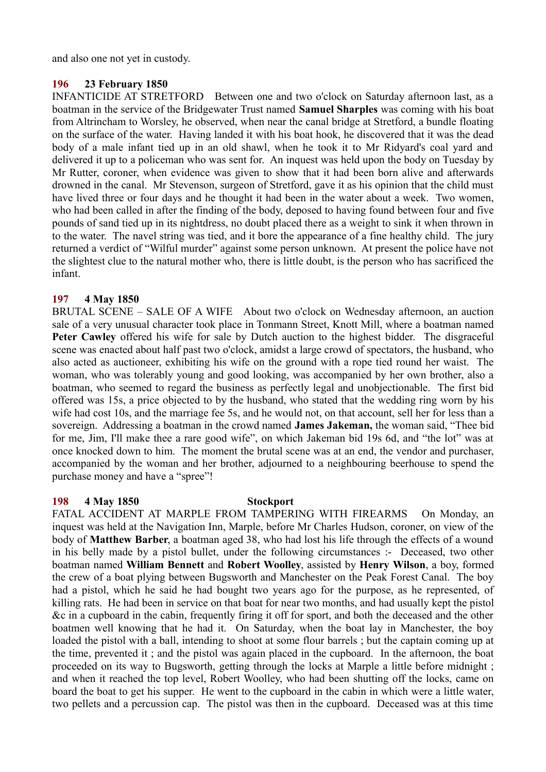and also one not yet in custody.

## **196 23 February 1850**

INFANTICIDE AT STRETFORD Between one and two o'clock on Saturday afternoon last, as a boatman in the service of the Bridgewater Trust named **Samuel Sharples** was coming with his boat from Altrincham to Worsley, he observed, when near the canal bridge at Stretford, a bundle floating on the surface of the water. Having landed it with his boat hook, he discovered that it was the dead body of a male infant tied up in an old shawl, when he took it to Mr Ridyard's coal yard and delivered it up to a policeman who was sent for. An inquest was held upon the body on Tuesday by Mr Rutter, coroner, when evidence was given to show that it had been born alive and afterwards drowned in the canal. Mr Stevenson, surgeon of Stretford, gave it as his opinion that the child must have lived three or four days and he thought it had been in the water about a week. Two women, who had been called in after the finding of the body, deposed to having found between four and five pounds of sand tied up in its nightdress, no doubt placed there as a weight to sink it when thrown in to the water. The navel string was tied, and it bore the appearance of a fine healthy child. The jury returned a verdict of "Wilful murder" against some person unknown. At present the police have not the slightest clue to the natural mother who, there is little doubt, is the person who has sacrificed the infant.

## **197 4 May 1850**

BRUTAL SCENE – SALE OF A WIFE About two o'clock on Wednesday afternoon, an auction sale of a very unusual character took place in Tonmann Street, Knott Mill, where a boatman named **Peter Cawley** offered his wife for sale by Dutch auction to the highest bidder. The disgraceful scene was enacted about half past two o'clock, amidst a large crowd of spectators, the husband, who also acted as auctioneer, exhibiting his wife on the ground with a rope tied round her waist. The woman, who was tolerably young and good looking, was accompanied by her own brother, also a boatman, who seemed to regard the business as perfectly legal and unobjectionable. The first bid offered was 15s, a price objected to by the husband, who stated that the wedding ring worn by his wife had cost 10s, and the marriage fee 5s, and he would not, on that account, sell her for less than a sovereign. Addressing a boatman in the crowd named **James Jakeman,** the woman said, "Thee bid for me, Jim, I'll make thee a rare good wife", on which Jakeman bid 19s 6d, and "the lot" was at once knocked down to him. The moment the brutal scene was at an end, the vendor and purchaser, accompanied by the woman and her brother, adjourned to a neighbouring beerhouse to spend the purchase money and have a "spree"!

## **198 4 May 1850 Stockport**

FATAL ACCIDENT AT MARPLE FROM TAMPERING WITH FIREARMS On Monday, an inquest was held at the Navigation Inn, Marple, before Mr Charles Hudson, coroner, on view of the body of **Matthew Barber**, a boatman aged 38, who had lost his life through the effects of a wound in his belly made by a pistol bullet, under the following circumstances :- Deceased, two other boatman named **William Bennett** and **Robert Woolley**, assisted by **Henry Wilson**, a boy, formed the crew of a boat plying between Bugsworth and Manchester on the Peak Forest Canal. The boy had a pistol, which he said he had bought two years ago for the purpose, as he represented, of killing rats. He had been in service on that boat for near two months, and had usually kept the pistol &c in a cupboard in the cabin, frequently firing it off for sport, and both the deceased and the other boatmen well knowing that he had it. On Saturday, when the boat lay in Manchester, the boy loaded the pistol with a ball, intending to shoot at some flour barrels ; but the captain coming up at the time, prevented it ; and the pistol was again placed in the cupboard. In the afternoon, the boat proceeded on its way to Bugsworth, getting through the locks at Marple a little before midnight ; and when it reached the top level, Robert Woolley, who had been shutting off the locks, came on board the boat to get his supper. He went to the cupboard in the cabin in which were a little water, two pellets and a percussion cap. The pistol was then in the cupboard. Deceased was at this time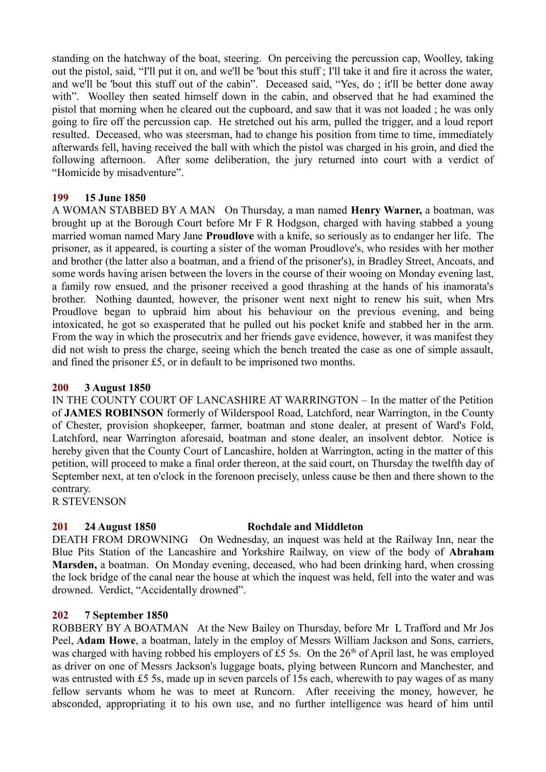standing on the hatchway of the boat, steering. On perceiving the percussion cap, Woolley, taking out the pistol, said, "I'll put it on, and we'll be 'bout this stuff ; I'll take it and fire it across the water, and we'll be 'bout this stuff out of the cabin". Deceased said, "Yes, do ; it'll be better done away with". Woolley then seated himself down in the cabin, and observed that he had examined the pistol that morning when he cleared out the cupboard, and saw that it was not loaded ; he was only going to fire off the percussion cap. He stretched out his arm, pulled the trigger, and a loud report resulted. Deceased, who was steersman, had to change his position from time to time, immediately afterwards fell, having received the ball with which the pistol was charged in his groin, and died the following afternoon. After some deliberation, the jury returned into court with a verdict of "Homicide by misadventure".

## **199 15 June 1850**

A WOMAN STABBED BY A MAN On Thursday, a man named **Henry Warner,** a boatman, was brought up at the Borough Court before Mr F R Hodgson, charged with having stabbed a young married woman named Mary Jane **Proudlove** with a knife, so seriously as to endanger her life. The prisoner, as it appeared, is courting a sister of the woman Proudlove's, who resides with her mother and brother (the latter also a boatman, and a friend of the prisoner's), in Bradley Street, Ancoats, and some words having arisen between the lovers in the course of their wooing on Monday evening last, a family row ensued, and the prisoner received a good thrashing at the hands of his inamorata's brother. Nothing daunted, however, the prisoner went next night to renew his suit, when Mrs Proudlove began to upbraid him about his behaviour on the previous evening, and being intoxicated, he got so exasperated that he pulled out his pocket knife and stabbed her in the arm. From the way in which the prosecutrix and her friends gave evidence, however, it was manifest they did not wish to press the charge, seeing which the bench treated the case as one of simple assault, and fined the prisoner £5, or in default to be imprisoned two months.

## **200 3 August 1850**

IN THE COUNTY COURT OF LANCASHIRE AT WARRINGTON – In the matter of the Petition of **JAMES ROBINSON** formerly of Wilderspool Road, Latchford, near Warrington, in the County of Chester, provision shopkeeper, farmer, boatman and stone dealer, at present of Ward's Fold, Latchford, near Warrington aforesaid, boatman and stone dealer, an insolvent debtor. Notice is hereby given that the County Court of Lancashire, holden at Warrington, acting in the matter of this petition, will proceed to make a final order thereon, at the said court, on Thursday the twelfth day of September next, at ten o'clock in the forenoon precisely, unless cause be then and there shown to the contrary.

R STEVENSON

# **201 24 August 1850 Rochdale and Middleton**

DEATH FROM DROWNING On Wednesday, an inquest was held at the Railway Inn, near the Blue Pits Station of the Lancashire and Yorkshire Railway, on view of the body of **Abraham Marsden,** a boatman. On Monday evening, deceased, who had been drinking hard, when crossing the lock bridge of the canal near the house at which the inquest was held, fell into the water and was drowned. Verdict, "Accidentally drowned".

# **202 7 September 1850**

ROBBERY BY A BOATMAN At the New Bailey on Thursday, before Mr L Trafford and Mr Jos Peel, **Adam Howe**, a boatman, lately in the employ of Messrs William Jackson and Sons, carriers, was charged with having robbed his employers of £5 5s. On the  $26<sup>th</sup>$  of April last, he was employed as driver on one of Messrs Jackson's luggage boats, plying between Runcorn and Manchester, and was entrusted with £5 5s, made up in seven parcels of 15s each, wherewith to pay wages of as many fellow servants whom he was to meet at Runcorn. After receiving the money, however, he absconded, appropriating it to his own use, and no further intelligence was heard of him until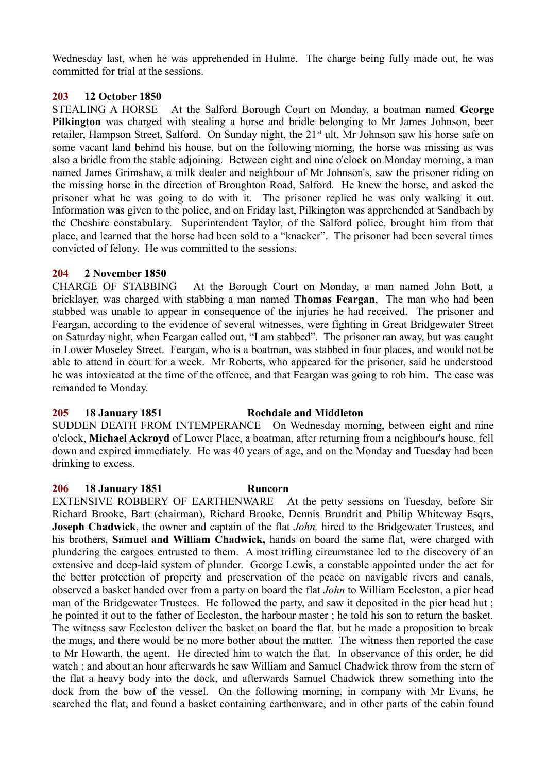Wednesday last, when he was apprehended in Hulme. The charge being fully made out, he was committed for trial at the sessions.

# **203 12 October 1850**

STEALING A HORSE At the Salford Borough Court on Monday, a boatman named **George Pilkington** was charged with stealing a horse and bridle belonging to Mr James Johnson, beer retailer, Hampson Street, Salford. On Sunday night, the 21<sup>st</sup> ult, Mr Johnson saw his horse safe on some vacant land behind his house, but on the following morning, the horse was missing as was also a bridle from the stable adjoining. Between eight and nine o'clock on Monday morning, a man named James Grimshaw, a milk dealer and neighbour of Mr Johnson's, saw the prisoner riding on the missing horse in the direction of Broughton Road, Salford. He knew the horse, and asked the prisoner what he was going to do with it. The prisoner replied he was only walking it out. Information was given to the police, and on Friday last, Pilkington was apprehended at Sandbach by the Cheshire constabulary. Superintendent Taylor, of the Salford police, brought him from that place, and learned that the horse had been sold to a "knacker". The prisoner had been several times convicted of felony. He was committed to the sessions.

## **204 2 November 1850**

CHARGE OF STABBING At the Borough Court on Monday, a man named John Bott, a bricklayer, was charged with stabbing a man named **Thomas Feargan**, The man who had been stabbed was unable to appear in consequence of the injuries he had received. The prisoner and Feargan, according to the evidence of several witnesses, were fighting in Great Bridgewater Street on Saturday night, when Feargan called out, "I am stabbed". The prisoner ran away, but was caught in Lower Moseley Street. Feargan, who is a boatman, was stabbed in four places, and would not be able to attend in court for a week. Mr Roberts, who appeared for the prisoner, said he understood he was intoxicated at the time of the offence, and that Feargan was going to rob him. The case was remanded to Monday.

# **205 18 January 1851 Rochdale and Middleton**

SUDDEN DEATH FROM INTEMPERANCE On Wednesday morning, between eight and nine o'clock, **Michael Ackroyd** of Lower Place, a boatman, after returning from a neighbour's house, fell down and expired immediately. He was 40 years of age, and on the Monday and Tuesday had been drinking to excess.

## **206 18 January 1851 Runcorn**

EXTENSIVE ROBBERY OF EARTHENWARE At the petty sessions on Tuesday, before Sir Richard Brooke, Bart (chairman), Richard Brooke, Dennis Brundrit and Philip Whiteway Esqrs, **Joseph Chadwick**, the owner and captain of the flat *John,* hired to the Bridgewater Trustees, and his brothers, **Samuel and William Chadwick,** hands on board the same flat, were charged with plundering the cargoes entrusted to them. A most trifling circumstance led to the discovery of an extensive and deep-laid system of plunder. George Lewis, a constable appointed under the act for the better protection of property and preservation of the peace on navigable rivers and canals, observed a basket handed over from a party on board the flat *John* to William Eccleston, a pier head man of the Bridgewater Trustees. He followed the party, and saw it deposited in the pier head hut ; he pointed it out to the father of Eccleston, the harbour master ; he told his son to return the basket. The witness saw Eccleston deliver the basket on board the flat, but he made a proposition to break the mugs, and there would be no more bother about the matter. The witness then reported the case to Mr Howarth, the agent. He directed him to watch the flat. In observance of this order, he did watch ; and about an hour afterwards he saw William and Samuel Chadwick throw from the stern of the flat a heavy body into the dock, and afterwards Samuel Chadwick threw something into the dock from the bow of the vessel. On the following morning, in company with Mr Evans, he searched the flat, and found a basket containing earthenware, and in other parts of the cabin found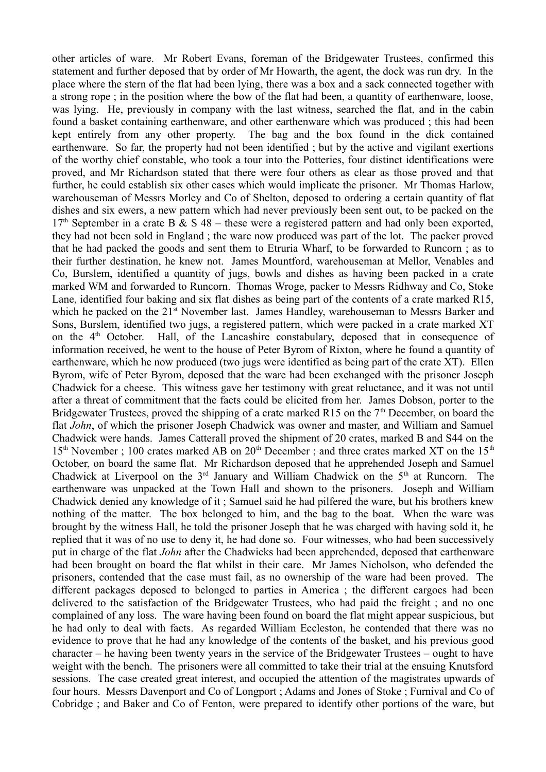other articles of ware. Mr Robert Evans, foreman of the Bridgewater Trustees, confirmed this statement and further deposed that by order of Mr Howarth, the agent, the dock was run dry. In the place where the stern of the flat had been lying, there was a box and a sack connected together with a strong rope ; in the position where the bow of the flat had been, a quantity of earthenware, loose, was lying. He, previously in company with the last witness, searched the flat, and in the cabin found a basket containing earthenware, and other earthenware which was produced ; this had been kept entirely from any other property. The bag and the box found in the dick contained earthenware. So far, the property had not been identified ; but by the active and vigilant exertions of the worthy chief constable, who took a tour into the Potteries, four distinct identifications were proved, and Mr Richardson stated that there were four others as clear as those proved and that further, he could establish six other cases which would implicate the prisoner. Mr Thomas Harlow, warehouseman of Messrs Morley and Co of Shelton, deposed to ordering a certain quantity of flat dishes and six ewers, a new pattern which had never previously been sent out, to be packed on the  $17<sup>th</sup>$  September in a crate B & S 48 – these were a registered pattern and had only been exported, they had not been sold in England ; the ware now produced was part of the lot. The packer proved that he had packed the goods and sent them to Etruria Wharf, to be forwarded to Runcorn ; as to their further destination, he knew not. James Mountford, warehouseman at Mellor, Venables and Co, Burslem, identified a quantity of jugs, bowls and dishes as having been packed in a crate marked WM and forwarded to Runcorn. Thomas Wroge, packer to Messrs Ridhway and Co, Stoke Lane, identified four baking and six flat dishes as being part of the contents of a crate marked R15, which he packed on the  $21<sup>st</sup>$  November last. James Handley, warehouseman to Messrs Barker and Sons, Burslem, identified two jugs, a registered pattern, which were packed in a crate marked XT on the  $4<sup>th</sup>$  October. Hall, of the Lancashire constabulary, deposed that in consequence of information received, he went to the house of Peter Byrom of Rixton, where he found a quantity of earthenware, which he now produced (two jugs were identified as being part of the crate XT). Ellen Byrom, wife of Peter Byrom, deposed that the ware had been exchanged with the prisoner Joseph Chadwick for a cheese. This witness gave her testimony with great reluctance, and it was not until after a threat of commitment that the facts could be elicited from her. James Dobson, porter to the Bridgewater Trustees, proved the shipping of a crate marked R15 on the  $7<sup>th</sup>$  December, on board the flat *John*, of which the prisoner Joseph Chadwick was owner and master, and William and Samuel Chadwick were hands. James Catterall proved the shipment of 20 crates, marked B and S44 on the  $15<sup>th</sup>$  November ; 100 crates marked AB on  $20<sup>th</sup>$  December ; and three crates marked XT on the  $15<sup>th</sup>$ October, on board the same flat. Mr Richardson deposed that he apprehended Joseph and Samuel Chadwick at Liverpool on the  $3<sup>rd</sup>$  January and William Chadwick on the  $5<sup>th</sup>$  at Runcorn. The earthenware was unpacked at the Town Hall and shown to the prisoners. Joseph and William Chadwick denied any knowledge of it ; Samuel said he had pilfered the ware, but his brothers knew nothing of the matter. The box belonged to him, and the bag to the boat. When the ware was brought by the witness Hall, he told the prisoner Joseph that he was charged with having sold it, he replied that it was of no use to deny it, he had done so. Four witnesses, who had been successively put in charge of the flat *John* after the Chadwicks had been apprehended, deposed that earthenware had been brought on board the flat whilst in their care. Mr James Nicholson, who defended the prisoners, contended that the case must fail, as no ownership of the ware had been proved. The different packages deposed to belonged to parties in America ; the different cargoes had been delivered to the satisfaction of the Bridgewater Trustees, who had paid the freight ; and no one complained of any loss. The ware having been found on board the flat might appear suspicious, but he had only to deal with facts. As regarded William Eccleston, he contended that there was no evidence to prove that he had any knowledge of the contents of the basket, and his previous good character – he having been twenty years in the service of the Bridgewater Trustees – ought to have weight with the bench. The prisoners were all committed to take their trial at the ensuing Knutsford sessions. The case created great interest, and occupied the attention of the magistrates upwards of four hours. Messrs Davenport and Co of Longport ; Adams and Jones of Stoke ; Furnival and Co of Cobridge ; and Baker and Co of Fenton, were prepared to identify other portions of the ware, but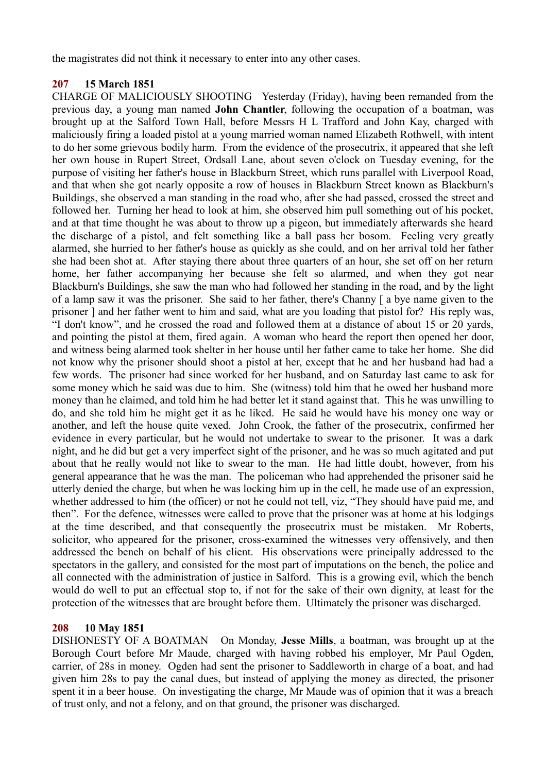the magistrates did not think it necessary to enter into any other cases.

## **207 15 March 1851**

CHARGE OF MALICIOUSLY SHOOTING Yesterday (Friday), having been remanded from the previous day, a young man named **John Chantler**, following the occupation of a boatman, was brought up at the Salford Town Hall, before Messrs H L Trafford and John Kay, charged with maliciously firing a loaded pistol at a young married woman named Elizabeth Rothwell, with intent to do her some grievous bodily harm. From the evidence of the prosecutrix, it appeared that she left her own house in Rupert Street, Ordsall Lane, about seven o'clock on Tuesday evening, for the purpose of visiting her father's house in Blackburn Street, which runs parallel with Liverpool Road, and that when she got nearly opposite a row of houses in Blackburn Street known as Blackburn's Buildings, she observed a man standing in the road who, after she had passed, crossed the street and followed her. Turning her head to look at him, she observed him pull something out of his pocket, and at that time thought he was about to throw up a pigeon, but immediately afterwards she heard the discharge of a pistol, and felt something like a ball pass her bosom. Feeling very greatly alarmed, she hurried to her father's house as quickly as she could, and on her arrival told her father she had been shot at. After staying there about three quarters of an hour, she set off on her return home, her father accompanying her because she felt so alarmed, and when they got near Blackburn's Buildings, she saw the man who had followed her standing in the road, and by the light of a lamp saw it was the prisoner. She said to her father, there's Channy [ a bye name given to the prisoner ] and her father went to him and said, what are you loading that pistol for? His reply was, "I don't know", and he crossed the road and followed them at a distance of about 15 or 20 yards, and pointing the pistol at them, fired again. A woman who heard the report then opened her door, and witness being alarmed took shelter in her house until her father came to take her home. She did not know why the prisoner should shoot a pistol at her, except that he and her husband had had a few words. The prisoner had since worked for her husband, and on Saturday last came to ask for some money which he said was due to him. She (witness) told him that he owed her husband more money than he claimed, and told him he had better let it stand against that. This he was unwilling to do, and she told him he might get it as he liked. He said he would have his money one way or another, and left the house quite vexed. John Crook, the father of the prosecutrix, confirmed her evidence in every particular, but he would not undertake to swear to the prisoner. It was a dark night, and he did but get a very imperfect sight of the prisoner, and he was so much agitated and put about that he really would not like to swear to the man. He had little doubt, however, from his general appearance that he was the man. The policeman who had apprehended the prisoner said he utterly denied the charge, but when he was locking him up in the cell, he made use of an expression, whether addressed to him (the officer) or not he could not tell, viz, "They should have paid me, and then". For the defence, witnesses were called to prove that the prisoner was at home at his lodgings at the time described, and that consequently the prosecutrix must be mistaken. Mr Roberts, solicitor, who appeared for the prisoner, cross-examined the witnesses very offensively, and then addressed the bench on behalf of his client. His observations were principally addressed to the spectators in the gallery, and consisted for the most part of imputations on the bench, the police and all connected with the administration of justice in Salford. This is a growing evil, which the bench would do well to put an effectual stop to, if not for the sake of their own dignity, at least for the protection of the witnesses that are brought before them. Ultimately the prisoner was discharged.

## **208 10 May 1851**

DISHONESTY OF A BOATMAN On Monday, **Jesse Mills**, a boatman, was brought up at the Borough Court before Mr Maude, charged with having robbed his employer, Mr Paul Ogden, carrier, of 28s in money. Ogden had sent the prisoner to Saddleworth in charge of a boat, and had given him 28s to pay the canal dues, but instead of applying the money as directed, the prisoner spent it in a beer house. On investigating the charge, Mr Maude was of opinion that it was a breach of trust only, and not a felony, and on that ground, the prisoner was discharged.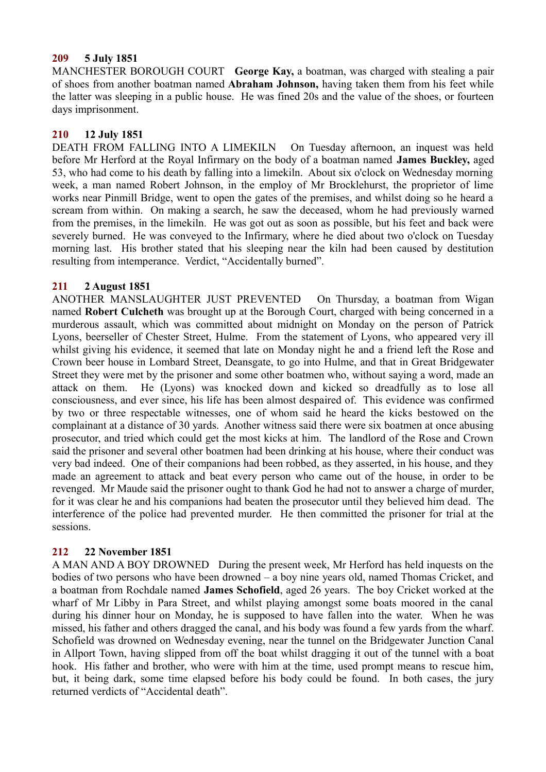## **209 5 July 1851**

MANCHESTER BOROUGH COURT **George Kay,** a boatman, was charged with stealing a pair of shoes from another boatman named **Abraham Johnson,** having taken them from his feet while the latter was sleeping in a public house. He was fined 20s and the value of the shoes, or fourteen days imprisonment.

## **210 12 July 1851**

DEATH FROM FALLING INTO A LIMEKILN On Tuesday afternoon, an inquest was held before Mr Herford at the Royal Infirmary on the body of a boatman named **James Buckley,** aged 53, who had come to his death by falling into a limekiln. About six o'clock on Wednesday morning week, a man named Robert Johnson, in the employ of Mr Brocklehurst, the proprietor of lime works near Pinmill Bridge, went to open the gates of the premises, and whilst doing so he heard a scream from within. On making a search, he saw the deceased, whom he had previously warned from the premises, in the limekiln. He was got out as soon as possible, but his feet and back were severely burned. He was conveyed to the Infirmary, where he died about two o'clock on Tuesday morning last. His brother stated that his sleeping near the kiln had been caused by destitution resulting from intemperance. Verdict, "Accidentally burned".

## **211 2 August 1851**

ANOTHER MANSLAUGHTER JUST PREVENTED On Thursday, a boatman from Wigan named **Robert Culcheth** was brought up at the Borough Court, charged with being concerned in a murderous assault, which was committed about midnight on Monday on the person of Patrick Lyons, beerseller of Chester Street, Hulme. From the statement of Lyons, who appeared very ill whilst giving his evidence, it seemed that late on Monday night he and a friend left the Rose and Crown beer house in Lombard Street, Deansgate, to go into Hulme, and that in Great Bridgewater Street they were met by the prisoner and some other boatmen who, without saying a word, made an attack on them. He (Lyons) was knocked down and kicked so dreadfully as to lose all consciousness, and ever since, his life has been almost despaired of. This evidence was confirmed by two or three respectable witnesses, one of whom said he heard the kicks bestowed on the complainant at a distance of 30 yards. Another witness said there were six boatmen at once abusing prosecutor, and tried which could get the most kicks at him. The landlord of the Rose and Crown said the prisoner and several other boatmen had been drinking at his house, where their conduct was very bad indeed. One of their companions had been robbed, as they asserted, in his house, and they made an agreement to attack and beat every person who came out of the house, in order to be revenged. Mr Maude said the prisoner ought to thank God he had not to answer a charge of murder, for it was clear he and his companions had beaten the prosecutor until they believed him dead. The interference of the police had prevented murder. He then committed the prisoner for trial at the sessions.

# **212 22 November 1851**

A MAN AND A BOY DROWNED During the present week, Mr Herford has held inquests on the bodies of two persons who have been drowned – a boy nine years old, named Thomas Cricket, and a boatman from Rochdale named **James Schofield**, aged 26 years. The boy Cricket worked at the wharf of Mr Libby in Para Street, and whilst playing amongst some boats moored in the canal during his dinner hour on Monday, he is supposed to have fallen into the water. When he was missed, his father and others dragged the canal, and his body was found a few yards from the wharf. Schofield was drowned on Wednesday evening, near the tunnel on the Bridgewater Junction Canal in Allport Town, having slipped from off the boat whilst dragging it out of the tunnel with a boat hook. His father and brother, who were with him at the time, used prompt means to rescue him, but, it being dark, some time elapsed before his body could be found. In both cases, the jury returned verdicts of "Accidental death".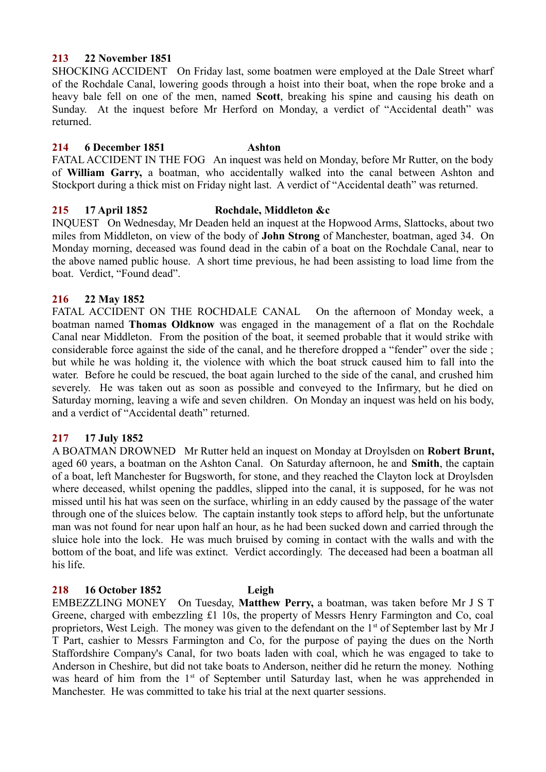## **213 22 November 1851**

SHOCKING ACCIDENT On Friday last, some boatmen were employed at the Dale Street wharf of the Rochdale Canal, lowering goods through a hoist into their boat, when the rope broke and a heavy bale fell on one of the men, named **Scott**, breaking his spine and causing his death on Sunday. At the inquest before Mr Herford on Monday, a verdict of "Accidental death" was returned.

## **214 6 December 1851 Ashton**

FATAL ACCIDENT IN THE FOG An inquest was held on Monday, before Mr Rutter, on the body of **William Garry,** a boatman, who accidentally walked into the canal between Ashton and Stockport during a thick mist on Friday night last. A verdict of "Accidental death" was returned.

## **215 17 April 1852 Rochdale, Middleton &c**

INQUEST On Wednesday, Mr Deaden held an inquest at the Hopwood Arms, Slattocks, about two miles from Middleton, on view of the body of **John Strong** of Manchester, boatman, aged 34. On Monday morning, deceased was found dead in the cabin of a boat on the Rochdale Canal, near to the above named public house. A short time previous, he had been assisting to load lime from the boat. Verdict, "Found dead".

## **216 22 May 1852**

FATAL ACCIDENT ON THE ROCHDALE CANAL On the afternoon of Monday week, a boatman named **Thomas Oldknow** was engaged in the management of a flat on the Rochdale Canal near Middleton. From the position of the boat, it seemed probable that it would strike with considerable force against the side of the canal, and he therefore dropped a "fender" over the side ; but while he was holding it, the violence with which the boat struck caused him to fall into the water. Before he could be rescued, the boat again lurched to the side of the canal, and crushed him severely. He was taken out as soon as possible and conveyed to the Infirmary, but he died on Saturday morning, leaving a wife and seven children. On Monday an inquest was held on his body, and a verdict of "Accidental death" returned.

# **217 17 July 1852**

A BOATMAN DROWNED Mr Rutter held an inquest on Monday at Droylsden on **Robert Brunt,** aged 60 years, a boatman on the Ashton Canal. On Saturday afternoon, he and **Smith**, the captain of a boat, left Manchester for Bugsworth, for stone, and they reached the Clayton lock at Droylsden where deceased, whilst opening the paddles, slipped into the canal, it is supposed, for he was not missed until his hat was seen on the surface, whirling in an eddy caused by the passage of the water through one of the sluices below. The captain instantly took steps to afford help, but the unfortunate man was not found for near upon half an hour, as he had been sucked down and carried through the sluice hole into the lock. He was much bruised by coming in contact with the walls and with the bottom of the boat, and life was extinct. Verdict accordingly. The deceased had been a boatman all his life.

## **218 16 October 1852 Leigh**

EMBEZZLING MONEY On Tuesday, **Matthew Perry,** a boatman, was taken before Mr J S T Greene, charged with embezzling £1 10s, the property of Messrs Henry Farmington and Co, coal proprietors. West Leigh. The money was given to the defendant on the 1<sup>st</sup> of September last by Mr J T Part, cashier to Messrs Farmington and Co, for the purpose of paying the dues on the North Staffordshire Company's Canal, for two boats laden with coal, which he was engaged to take to Anderson in Cheshire, but did not take boats to Anderson, neither did he return the money. Nothing was heard of him from the 1<sup>st</sup> of September until Saturday last, when he was apprehended in Manchester. He was committed to take his trial at the next quarter sessions.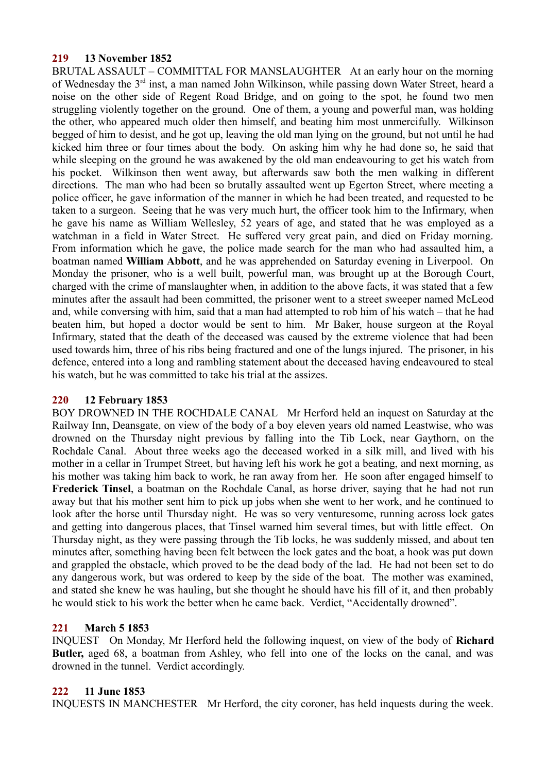## **219 13 November 1852**

BRUTAL ASSAULT – COMMITTAL FOR MANSLAUGHTER At an early hour on the morning of Wednesday the 3rd inst, a man named John Wilkinson, while passing down Water Street, heard a noise on the other side of Regent Road Bridge, and on going to the spot, he found two men struggling violently together on the ground. One of them, a young and powerful man, was holding the other, who appeared much older then himself, and beating him most unmercifully. Wilkinson begged of him to desist, and he got up, leaving the old man lying on the ground, but not until he had kicked him three or four times about the body. On asking him why he had done so, he said that while sleeping on the ground he was awakened by the old man endeavouring to get his watch from his pocket. Wilkinson then went away, but afterwards saw both the men walking in different directions. The man who had been so brutally assaulted went up Egerton Street, where meeting a police officer, he gave information of the manner in which he had been treated, and requested to be taken to a surgeon. Seeing that he was very much hurt, the officer took him to the Infirmary, when he gave his name as William Wellesley, 52 years of age, and stated that he was employed as a watchman in a field in Water Street. He suffered very great pain, and died on Friday morning. From information which he gave, the police made search for the man who had assaulted him, a boatman named **William Abbott**, and he was apprehended on Saturday evening in Liverpool. On Monday the prisoner, who is a well built, powerful man, was brought up at the Borough Court, charged with the crime of manslaughter when, in addition to the above facts, it was stated that a few minutes after the assault had been committed, the prisoner went to a street sweeper named McLeod and, while conversing with him, said that a man had attempted to rob him of his watch – that he had beaten him, but hoped a doctor would be sent to him. Mr Baker, house surgeon at the Royal Infirmary, stated that the death of the deceased was caused by the extreme violence that had been used towards him, three of his ribs being fractured and one of the lungs injured. The prisoner, in his defence, entered into a long and rambling statement about the deceased having endeavoured to steal his watch, but he was committed to take his trial at the assizes.

# **220 12 February 1853**

BOY DROWNED IN THE ROCHDALE CANAL Mr Herford held an inquest on Saturday at the Railway Inn, Deansgate, on view of the body of a boy eleven years old named Leastwise, who was drowned on the Thursday night previous by falling into the Tib Lock, near Gaythorn, on the Rochdale Canal. About three weeks ago the deceased worked in a silk mill, and lived with his mother in a cellar in Trumpet Street, but having left his work he got a beating, and next morning, as his mother was taking him back to work, he ran away from her. He soon after engaged himself to **Frederick Tinsel**, a boatman on the Rochdale Canal, as horse driver, saying that he had not run away but that his mother sent him to pick up jobs when she went to her work, and he continued to look after the horse until Thursday night. He was so very venturesome, running across lock gates and getting into dangerous places, that Tinsel warned him several times, but with little effect. On Thursday night, as they were passing through the Tib locks, he was suddenly missed, and about ten minutes after, something having been felt between the lock gates and the boat, a hook was put down and grappled the obstacle, which proved to be the dead body of the lad. He had not been set to do any dangerous work, but was ordered to keep by the side of the boat. The mother was examined, and stated she knew he was hauling, but she thought he should have his fill of it, and then probably he would stick to his work the better when he came back. Verdict, "Accidentally drowned".

# **221 March 5 1853**

INQUEST On Monday, Mr Herford held the following inquest, on view of the body of **Richard Butler,** aged 68, a boatman from Ashley, who fell into one of the locks on the canal, and was drowned in the tunnel. Verdict accordingly.

# **222 11 June 1853**

INQUESTS IN MANCHESTER Mr Herford, the city coroner, has held inquests during the week.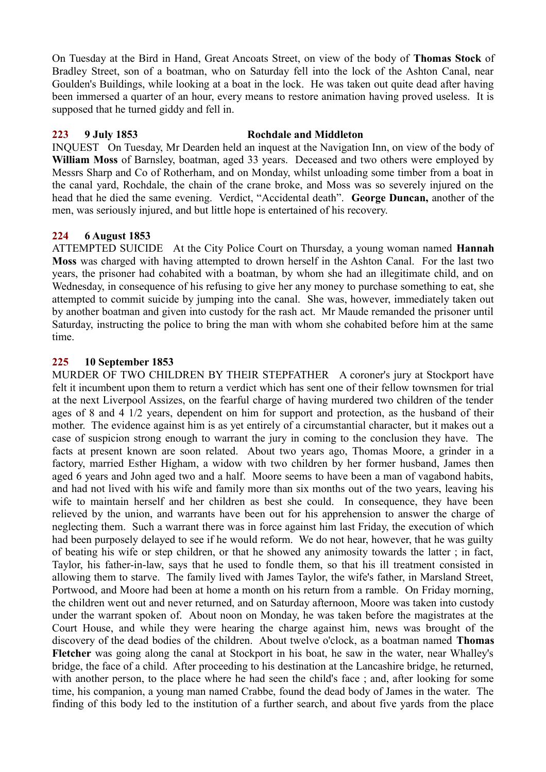On Tuesday at the Bird in Hand, Great Ancoats Street, on view of the body of **Thomas Stock** of Bradley Street, son of a boatman, who on Saturday fell into the lock of the Ashton Canal, near Goulden's Buildings, while looking at a boat in the lock. He was taken out quite dead after having been immersed a quarter of an hour, every means to restore animation having proved useless. It is supposed that he turned giddy and fell in.

## **223 9 July 1853 Rochdale and Middleton**

INQUEST On Tuesday, Mr Dearden held an inquest at the Navigation Inn, on view of the body of **William Moss** of Barnsley, boatman, aged 33 years. Deceased and two others were employed by Messrs Sharp and Co of Rotherham, and on Monday, whilst unloading some timber from a boat in the canal yard, Rochdale, the chain of the crane broke, and Moss was so severely injured on the head that he died the same evening. Verdict, "Accidental death". **George Duncan,** another of the men, was seriously injured, and but little hope is entertained of his recovery.

# **224 6 August 1853**

ATTEMPTED SUICIDE At the City Police Court on Thursday, a young woman named **Hannah Moss** was charged with having attempted to drown herself in the Ashton Canal. For the last two years, the prisoner had cohabited with a boatman, by whom she had an illegitimate child, and on Wednesday, in consequence of his refusing to give her any money to purchase something to eat, she attempted to commit suicide by jumping into the canal. She was, however, immediately taken out by another boatman and given into custody for the rash act. Mr Maude remanded the prisoner until Saturday, instructing the police to bring the man with whom she cohabited before him at the same time.

# **225 10 September 1853**

MURDER OF TWO CHILDREN BY THEIR STEPFATHER A coroner's jury at Stockport have felt it incumbent upon them to return a verdict which has sent one of their fellow townsmen for trial at the next Liverpool Assizes, on the fearful charge of having murdered two children of the tender ages of 8 and 4 1/2 years, dependent on him for support and protection, as the husband of their mother. The evidence against him is as yet entirely of a circumstantial character, but it makes out a case of suspicion strong enough to warrant the jury in coming to the conclusion they have. The facts at present known are soon related. About two years ago, Thomas Moore, a grinder in a factory, married Esther Higham, a widow with two children by her former husband, James then aged 6 years and John aged two and a half. Moore seems to have been a man of vagabond habits, and had not lived with his wife and family more than six months out of the two years, leaving his wife to maintain herself and her children as best she could. In consequence, they have been relieved by the union, and warrants have been out for his apprehension to answer the charge of neglecting them. Such a warrant there was in force against him last Friday, the execution of which had been purposely delayed to see if he would reform. We do not hear, however, that he was guilty of beating his wife or step children, or that he showed any animosity towards the latter ; in fact, Taylor, his father-in-law, says that he used to fondle them, so that his ill treatment consisted in allowing them to starve. The family lived with James Taylor, the wife's father, in Marsland Street, Portwood, and Moore had been at home a month on his return from a ramble. On Friday morning, the children went out and never returned, and on Saturday afternoon, Moore was taken into custody under the warrant spoken of. About noon on Monday, he was taken before the magistrates at the Court House, and while they were hearing the charge against him, news was brought of the discovery of the dead bodies of the children. About twelve o'clock, as a boatman named **Thomas Fletcher** was going along the canal at Stockport in his boat, he saw in the water, near Whalley's bridge, the face of a child. After proceeding to his destination at the Lancashire bridge, he returned, with another person, to the place where he had seen the child's face ; and, after looking for some time, his companion, a young man named Crabbe, found the dead body of James in the water. The finding of this body led to the institution of a further search, and about five yards from the place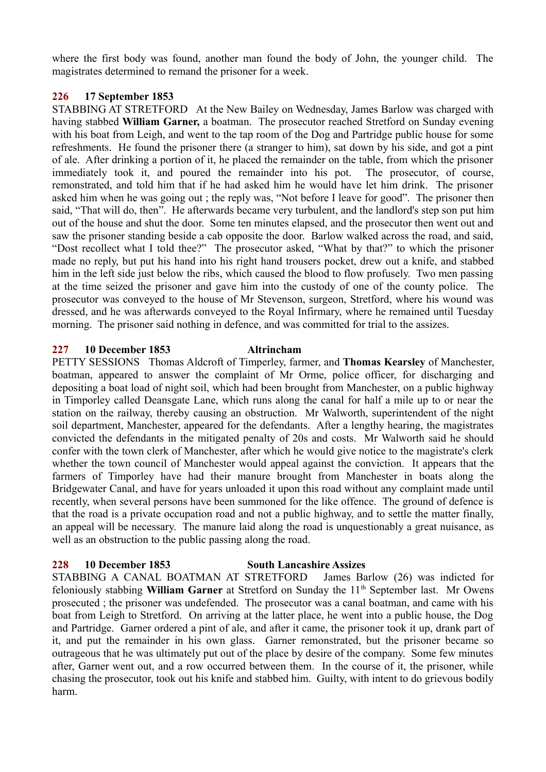where the first body was found, another man found the body of John, the younger child. The magistrates determined to remand the prisoner for a week.

## **226 17 September 1853**

STABBING AT STRETFORD At the New Bailey on Wednesday, James Barlow was charged with having stabbed **William Garner,** a boatman. The prosecutor reached Stretford on Sunday evening with his boat from Leigh, and went to the tap room of the Dog and Partridge public house for some refreshments. He found the prisoner there (a stranger to him), sat down by his side, and got a pint of ale. After drinking a portion of it, he placed the remainder on the table, from which the prisoner immediately took it, and poured the remainder into his pot. The prosecutor, of course, remonstrated, and told him that if he had asked him he would have let him drink. The prisoner asked him when he was going out ; the reply was, "Not before I leave for good". The prisoner then said, "That will do, then". He afterwards became very turbulent, and the landlord's step son put him out of the house and shut the door. Some ten minutes elapsed, and the prosecutor then went out and saw the prisoner standing beside a cab opposite the door. Barlow walked across the road, and said, "Dost recollect what I told thee?" The prosecutor asked, "What by that?" to which the prisoner made no reply, but put his hand into his right hand trousers pocket, drew out a knife, and stabbed him in the left side just below the ribs, which caused the blood to flow profusely. Two men passing at the time seized the prisoner and gave him into the custody of one of the county police. The prosecutor was conveyed to the house of Mr Stevenson, surgeon, Stretford, where his wound was dressed, and he was afterwards conveyed to the Royal Infirmary, where he remained until Tuesday morning. The prisoner said nothing in defence, and was committed for trial to the assizes.

## **227 10 December 1853 Altrincham**

PETTY SESSIONS Thomas Aldcroft of Timperley, farmer, and **Thomas Kearsley** of Manchester, boatman, appeared to answer the complaint of Mr Orme, police officer, for discharging and depositing a boat load of night soil, which had been brought from Manchester, on a public highway in Timporley called Deansgate Lane, which runs along the canal for half a mile up to or near the station on the railway, thereby causing an obstruction. Mr Walworth, superintendent of the night soil department, Manchester, appeared for the defendants. After a lengthy hearing, the magistrates convicted the defendants in the mitigated penalty of 20s and costs. Mr Walworth said he should confer with the town clerk of Manchester, after which he would give notice to the magistrate's clerk whether the town council of Manchester would appeal against the conviction. It appears that the farmers of Timporley have had their manure brought from Manchester in boats along the Bridgewater Canal, and have for years unloaded it upon this road without any complaint made until recently, when several persons have been summoned for the like offence. The ground of defence is that the road is a private occupation road and not a public highway, and to settle the matter finally, an appeal will be necessary. The manure laid along the road is unquestionably a great nuisance, as well as an obstruction to the public passing along the road.

## **228 10 December 1853 South Lancashire Assizes**

STABBING A CANAL BOATMAN AT STRETFORD James Barlow (26) was indicted for feloniously stabbing **William Garner** at Stretford on Sunday the 11<sup>th</sup> September last. Mr Owens prosecuted ; the prisoner was undefended. The prosecutor was a canal boatman, and came with his boat from Leigh to Stretford. On arriving at the latter place, he went into a public house, the Dog and Partridge. Garner ordered a pint of ale, and after it came, the prisoner took it up, drank part of it, and put the remainder in his own glass. Garner remonstrated, but the prisoner became so outrageous that he was ultimately put out of the place by desire of the company. Some few minutes after, Garner went out, and a row occurred between them. In the course of it, the prisoner, while chasing the prosecutor, took out his knife and stabbed him. Guilty, with intent to do grievous bodily harm.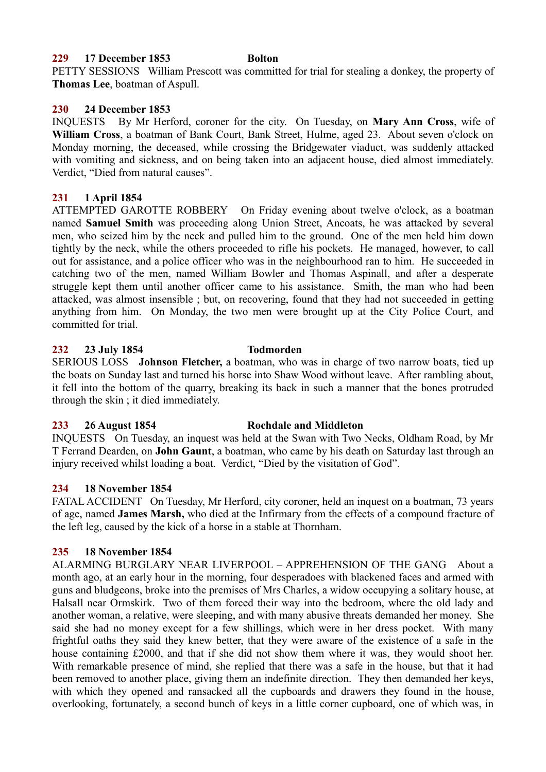## **229 17 December 1853 Bolton**

PETTY SESSIONS William Prescott was committed for trial for stealing a donkey, the property of **Thomas Lee**, boatman of Aspull.

## **230 24 December 1853**

INQUESTS By Mr Herford, coroner for the city. On Tuesday, on **Mary Ann Cross**, wife of **William Cross**, a boatman of Bank Court, Bank Street, Hulme, aged 23. About seven o'clock on Monday morning, the deceased, while crossing the Bridgewater viaduct, was suddenly attacked with vomiting and sickness, and on being taken into an adjacent house, died almost immediately. Verdict, "Died from natural causes".

## **231 1 April 1854**

ATTEMPTED GAROTTE ROBBERY On Friday evening about twelve o'clock, as a boatman named **Samuel Smith** was proceeding along Union Street, Ancoats, he was attacked by several men, who seized him by the neck and pulled him to the ground. One of the men held him down tightly by the neck, while the others proceeded to rifle his pockets. He managed, however, to call out for assistance, and a police officer who was in the neighbourhood ran to him. He succeeded in catching two of the men, named William Bowler and Thomas Aspinall, and after a desperate struggle kept them until another officer came to his assistance. Smith, the man who had been attacked, was almost insensible ; but, on recovering, found that they had not succeeded in getting anything from him. On Monday, the two men were brought up at the City Police Court, and committed for trial.

## **232 23 July 1854 Todmorden**

SERIOUS LOSS **Johnson Fletcher,** a boatman, who was in charge of two narrow boats, tied up the boats on Sunday last and turned his horse into Shaw Wood without leave. After rambling about, it fell into the bottom of the quarry, breaking its back in such a manner that the bones protruded through the skin ; it died immediately.

## **233 26 August 1854 Rochdale and Middleton**

INQUESTS On Tuesday, an inquest was held at the Swan with Two Necks, Oldham Road, by Mr T Ferrand Dearden, on **John Gaunt**, a boatman, who came by his death on Saturday last through an injury received whilst loading a boat. Verdict, "Died by the visitation of God".

## **234 18 November 1854**

FATAL ACCIDENT On Tuesday, Mr Herford, city coroner, held an inquest on a boatman, 73 years of age, named **James Marsh,** who died at the Infirmary from the effects of a compound fracture of the left leg, caused by the kick of a horse in a stable at Thornham.

## **235 18 November 1854**

ALARMING BURGLARY NEAR LIVERPOOL – APPREHENSION OF THE GANG About a month ago, at an early hour in the morning, four desperadoes with blackened faces and armed with guns and bludgeons, broke into the premises of Mrs Charles, a widow occupying a solitary house, at Halsall near Ormskirk. Two of them forced their way into the bedroom, where the old lady and another woman, a relative, were sleeping, and with many abusive threats demanded her money. She said she had no money except for a few shillings, which were in her dress pocket. With many frightful oaths they said they knew better, that they were aware of the existence of a safe in the house containing £2000, and that if she did not show them where it was, they would shoot her. With remarkable presence of mind, she replied that there was a safe in the house, but that it had been removed to another place, giving them an indefinite direction. They then demanded her keys, with which they opened and ransacked all the cupboards and drawers they found in the house, overlooking, fortunately, a second bunch of keys in a little corner cupboard, one of which was, in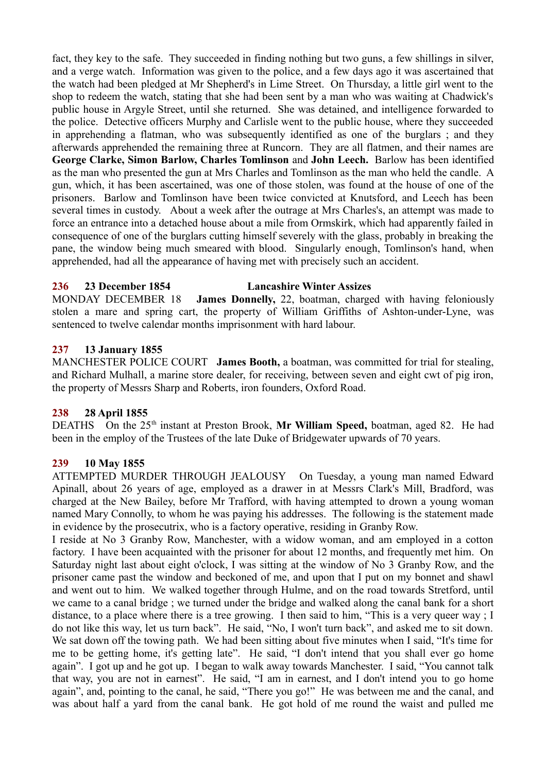fact, they key to the safe. They succeeded in finding nothing but two guns, a few shillings in silver, and a verge watch. Information was given to the police, and a few days ago it was ascertained that the watch had been pledged at Mr Shepherd's in Lime Street. On Thursday, a little girl went to the shop to redeem the watch, stating that she had been sent by a man who was waiting at Chadwick's public house in Argyle Street, until she returned. She was detained, and intelligence forwarded to the police. Detective officers Murphy and Carlisle went to the public house, where they succeeded in apprehending a flatman, who was subsequently identified as one of the burglars ; and they afterwards apprehended the remaining three at Runcorn. They are all flatmen, and their names are **George Clarke, Simon Barlow, Charles Tomlinson** and **John Leech.** Barlow has been identified as the man who presented the gun at Mrs Charles and Tomlinson as the man who held the candle. A gun, which, it has been ascertained, was one of those stolen, was found at the house of one of the prisoners. Barlow and Tomlinson have been twice convicted at Knutsford, and Leech has been several times in custody. About a week after the outrage at Mrs Charles's, an attempt was made to force an entrance into a detached house about a mile from Ormskirk, which had apparently failed in consequence of one of the burglars cutting himself severely with the glass, probably in breaking the pane, the window being much smeared with blood. Singularly enough, Tomlinson's hand, when apprehended, had all the appearance of having met with precisely such an accident.

# **236 23 December 1854 Lancashire Winter Assizes**

MONDAY DECEMBER 18 **James Donnelly,** 22, boatman, charged with having feloniously stolen a mare and spring cart, the property of William Griffiths of Ashton-under-Lyne, was sentenced to twelve calendar months imprisonment with hard labour.

# **237 13 January 1855**

MANCHESTER POLICE COURT **James Booth,** a boatman, was committed for trial for stealing, and Richard Mulhall, a marine store dealer, for receiving, between seven and eight cwt of pig iron, the property of Messrs Sharp and Roberts, iron founders, Oxford Road.

# **238 28 April 1855**

DEATHS On the 25<sup>th</sup> instant at Preston Brook, Mr William Speed, boatman, aged 82. He had been in the employ of the Trustees of the late Duke of Bridgewater upwards of 70 years.

# **239 10 May 1855**

ATTEMPTED MURDER THROUGH JEALOUSY On Tuesday, a young man named Edward Apinall, about 26 years of age, employed as a drawer in at Messrs Clark's Mill, Bradford, was charged at the New Bailey, before Mr Trafford, with having attempted to drown a young woman named Mary Connolly, to whom he was paying his addresses. The following is the statement made in evidence by the prosecutrix, who is a factory operative, residing in Granby Row.

I reside at No 3 Granby Row, Manchester, with a widow woman, and am employed in a cotton factory. I have been acquainted with the prisoner for about 12 months, and frequently met him. On Saturday night last about eight o'clock, I was sitting at the window of No 3 Granby Row, and the prisoner came past the window and beckoned of me, and upon that I put on my bonnet and shawl and went out to him. We walked together through Hulme, and on the road towards Stretford, until we came to a canal bridge ; we turned under the bridge and walked along the canal bank for a short distance, to a place where there is a tree growing. I then said to him, "This is a very queer way ; I do not like this way, let us turn back". He said, "No, I won't turn back", and asked me to sit down. We sat down off the towing path. We had been sitting about five minutes when I said, "It's time for me to be getting home, it's getting late". He said, "I don't intend that you shall ever go home again". I got up and he got up. I began to walk away towards Manchester. I said, "You cannot talk that way, you are not in earnest". He said, "I am in earnest, and I don't intend you to go home again", and, pointing to the canal, he said, "There you go!" He was between me and the canal, and was about half a yard from the canal bank. He got hold of me round the waist and pulled me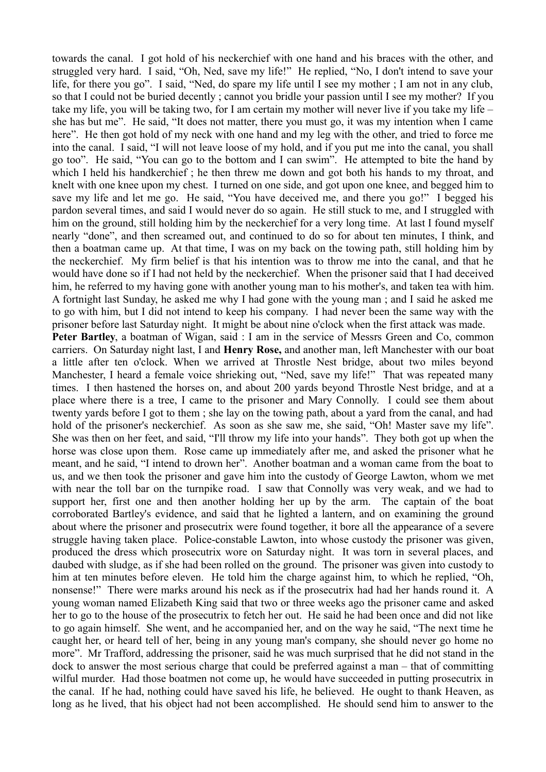towards the canal. I got hold of his neckerchief with one hand and his braces with the other, and struggled very hard. I said, "Oh, Ned, save my life!" He replied, "No, I don't intend to save your life, for there you go". I said, "Ned, do spare my life until I see my mother ; I am not in any club, so that I could not be buried decently ; cannot you bridle your passion until I see my mother? If you take my life, you will be taking two, for I am certain my mother will never live if you take my life – she has but me". He said, "It does not matter, there you must go, it was my intention when I came here". He then got hold of my neck with one hand and my leg with the other, and tried to force me into the canal. I said, "I will not leave loose of my hold, and if you put me into the canal, you shall go too". He said, "You can go to the bottom and I can swim". He attempted to bite the hand by which I held his handkerchief; he then threw me down and got both his hands to my throat, and knelt with one knee upon my chest. I turned on one side, and got upon one knee, and begged him to save my life and let me go. He said, "You have deceived me, and there you go!" I begged his pardon several times, and said I would never do so again. He still stuck to me, and I struggled with him on the ground, still holding him by the neckerchief for a very long time. At last I found myself nearly "done", and then screamed out, and continued to do so for about ten minutes, I think, and then a boatman came up. At that time, I was on my back on the towing path, still holding him by the neckerchief. My firm belief is that his intention was to throw me into the canal, and that he would have done so if I had not held by the neckerchief. When the prisoner said that I had deceived him, he referred to my having gone with another young man to his mother's, and taken tea with him. A fortnight last Sunday, he asked me why I had gone with the young man ; and I said he asked me to go with him, but I did not intend to keep his company. I had never been the same way with the prisoner before last Saturday night. It might be about nine o'clock when the first attack was made. **Peter Bartley**, a boatman of Wigan, said : I am in the service of Messrs Green and Co, common carriers. On Saturday night last, I and **Henry Rose,** and another man, left Manchester with our boat a little after ten o'clock. When we arrived at Throstle Nest bridge, about two miles beyond Manchester, I heard a female voice shrieking out, "Ned, save my life!" That was repeated many times. I then hastened the horses on, and about 200 yards beyond Throstle Nest bridge, and at a place where there is a tree, I came to the prisoner and Mary Connolly. I could see them about twenty yards before I got to them ; she lay on the towing path, about a yard from the canal, and had hold of the prisoner's neckerchief. As soon as she saw me, she said, "Oh! Master save my life". She was then on her feet, and said, "I'll throw my life into your hands". They both got up when the horse was close upon them. Rose came up immediately after me, and asked the prisoner what he meant, and he said, "I intend to drown her". Another boatman and a woman came from the boat to us, and we then took the prisoner and gave him into the custody of George Lawton, whom we met with near the toll bar on the turnpike road. I saw that Connolly was very weak, and we had to support her, first one and then another holding her up by the arm. The captain of the boat corroborated Bartley's evidence, and said that he lighted a lantern, and on examining the ground about where the prisoner and prosecutrix were found together, it bore all the appearance of a severe struggle having taken place. Police-constable Lawton, into whose custody the prisoner was given, produced the dress which prosecutrix wore on Saturday night. It was torn in several places, and daubed with sludge, as if she had been rolled on the ground. The prisoner was given into custody to him at ten minutes before eleven. He told him the charge against him, to which he replied, "Oh, nonsense!" There were marks around his neck as if the prosecutrix had had her hands round it. A young woman named Elizabeth King said that two or three weeks ago the prisoner came and asked her to go to the house of the prosecutrix to fetch her out. He said he had been once and did not like to go again himself. She went, and he accompanied her, and on the way he said, "The next time he caught her, or heard tell of her, being in any young man's company, she should never go home no more". Mr Trafford, addressing the prisoner, said he was much surprised that he did not stand in the

dock to answer the most serious charge that could be preferred against a man – that of committing wilful murder. Had those boatmen not come up, he would have succeeded in putting prosecutrix in the canal. If he had, nothing could have saved his life, he believed. He ought to thank Heaven, as long as he lived, that his object had not been accomplished. He should send him to answer to the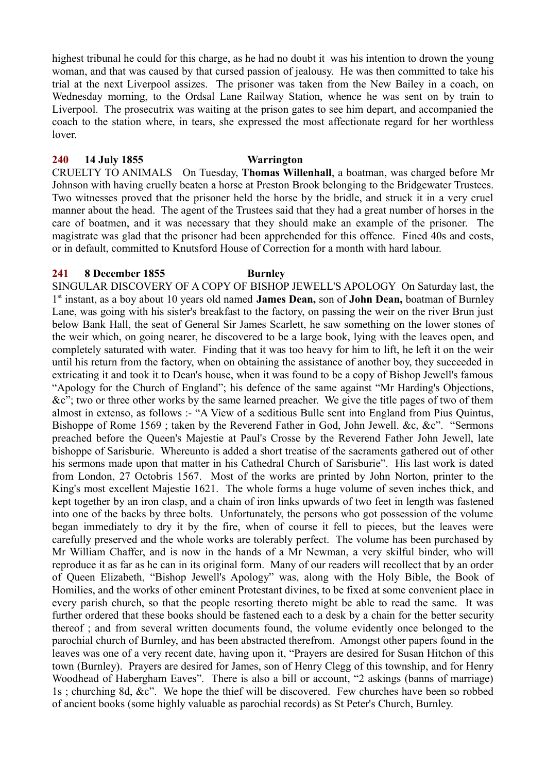highest tribunal he could for this charge, as he had no doubt it was his intention to drown the young woman, and that was caused by that cursed passion of jealousy. He was then committed to take his trial at the next Liverpool assizes. The prisoner was taken from the New Bailey in a coach, on Wednesday morning, to the Ordsal Lane Railway Station, whence he was sent on by train to Liverpool. The prosecutrix was waiting at the prison gates to see him depart, and accompanied the coach to the station where, in tears, she expressed the most affectionate regard for her worthless lover.

#### **240 14 July 1855 Warrington**

CRUELTY TO ANIMALS On Tuesday, **Thomas Willenhall**, a boatman, was charged before Mr Johnson with having cruelly beaten a horse at Preston Brook belonging to the Bridgewater Trustees. Two witnesses proved that the prisoner held the horse by the bridle, and struck it in a very cruel manner about the head. The agent of the Trustees said that they had a great number of horses in the care of boatmen, and it was necessary that they should make an example of the prisoner. The magistrate was glad that the prisoner had been apprehended for this offence. Fined 40s and costs, or in default, committed to Knutsford House of Correction for a month with hard labour.

## **241 8 December 1855 Burnley**

SINGULAR DISCOVERY OF A COPY OF BISHOP JEWELL'S APOLOGY On Saturday last, the 1 st instant, as a boy about 10 years old named **James Dean,** son of **John Dean,** boatman of Burnley Lane, was going with his sister's breakfast to the factory, on passing the weir on the river Brun just below Bank Hall, the seat of General Sir James Scarlett, he saw something on the lower stones of the weir which, on going nearer, he discovered to be a large book, lying with the leaves open, and completely saturated with water. Finding that it was too heavy for him to lift, he left it on the weir until his return from the factory, when on obtaining the assistance of another boy, they succeeded in extricating it and took it to Dean's house, when it was found to be a copy of Bishop Jewell's famous "Apology for the Church of England"; his defence of the same against "Mr Harding's Objections, &c"; two or three other works by the same learned preacher. We give the title pages of two of them almost in extenso, as follows :- "A View of a seditious Bulle sent into England from Pius Quintus, Bishoppe of Rome 1569 ; taken by the Reverend Father in God, John Jewell. &c, &c". "Sermons preached before the Queen's Majestie at Paul's Crosse by the Reverend Father John Jewell, late bishoppe of Sarisburie. Whereunto is added a short treatise of the sacraments gathered out of other his sermons made upon that matter in his Cathedral Church of Sarisburie". His last work is dated from London, 27 Octobris 1567. Most of the works are printed by John Norton, printer to the King's most excellent Majestie 1621. The whole forms a huge volume of seven inches thick, and kept together by an iron clasp, and a chain of iron links upwards of two feet in length was fastened into one of the backs by three bolts. Unfortunately, the persons who got possession of the volume began immediately to dry it by the fire, when of course it fell to pieces, but the leaves were carefully preserved and the whole works are tolerably perfect. The volume has been purchased by Mr William Chaffer, and is now in the hands of a Mr Newman, a very skilful binder, who will reproduce it as far as he can in its original form. Many of our readers will recollect that by an order of Queen Elizabeth, "Bishop Jewell's Apology" was, along with the Holy Bible, the Book of Homilies, and the works of other eminent Protestant divines, to be fixed at some convenient place in every parish church, so that the people resorting thereto might be able to read the same. It was further ordered that these books should be fastened each to a desk by a chain for the better security thereof ; and from several written documents found, the volume evidently once belonged to the parochial church of Burnley, and has been abstracted therefrom. Amongst other papers found in the leaves was one of a very recent date, having upon it, "Prayers are desired for Susan Hitchon of this town (Burnley). Prayers are desired for James, son of Henry Clegg of this township, and for Henry Woodhead of Habergham Eaves". There is also a bill or account, "2 askings (banns of marriage) 1s ; churching 8d, &c". We hope the thief will be discovered. Few churches have been so robbed of ancient books (some highly valuable as parochial records) as St Peter's Church, Burnley.